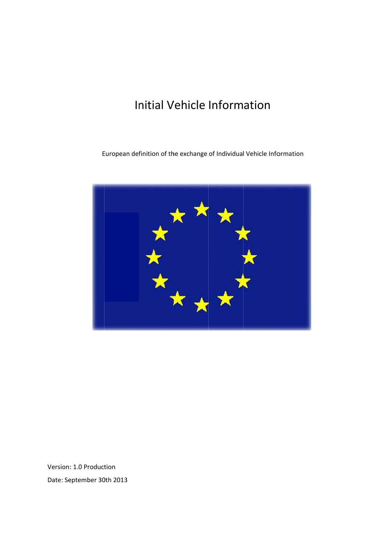## **Initial Vehicle Information**

European definition of the exchange of Individual Vehicle Information



Version: 1.0 Production Date: September 30th 2013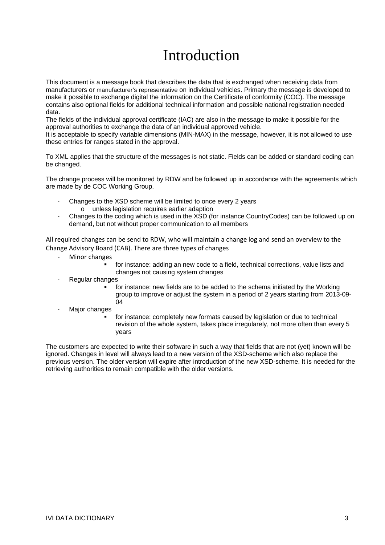# Introduction

This document is a message book that describes the data that is exchanged when receiving data from manufacturers or manufacturer's representative on individual vehicles. Primary the message is developed to make it possible to exchange digital the information on the Certificate of conformity (COC). The message contains also optional fields for additional technical information and possible national registration needed data.

The fields of the individual approval certificate (IAC) are also in the message to make it possible for the approval authorities to exchange the data of an individual approved vehicle.

It is acceptable to specify variable dimensions (MIN-MAX) in the message, however, it is not allowed to use these entries for ranges stated in the approval.

To XML applies that the structure of the messages is not static. Fields can be added or standard coding can be changed.

The change process will be monitored by RDW and be followed up in accordance with the agreements which are made by de COC Working Group.

- Changes to the XSD scheme will be limited to once every 2 years o unless legislation requires earlier adaption
- Changes to the coding which is used in the XSD (for instance CountryCodes) can be followed up on demand, but not without proper communication to all members

All required changes can be send to RDW, who will maintain a change log and send an overview to the Change Advisory Board (CAB). There are three types of changes

- Minor changes
	- for instance: adding an new code to a field, technical corrections, value lists and changes not causing system changes
- Regular changes
	- for instance: new fields are to be added to the schema initiated by the Working group to improve or adjust the system in a period of 2 years starting from 2013-09- 04
- Major changes
	- for instance: completely new formats caused by legislation or due to technical revision of the whole system, takes place irregularely, not more often than every 5 years

The customers are expected to write their software in such a way that fields that are not (yet) known will be ignored. Changes in level will always lead to a new version of the XSD-scheme which also replace the previous version. The older version will expire after introduction of the new XSD-scheme. It is needed for the retrieving authorities to remain compatible with the older versions.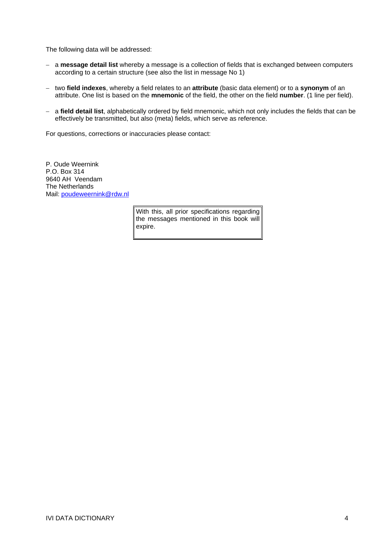The following data will be addressed:

- − a **message detail list** whereby a message is a collection of fields that is exchanged between computers according to a certain structure (see also the list in message No 1)
- − two **field indexes**, whereby a field relates to an **attribute** (basic data element) or to a **synonym** of an attribute. One list is based on the **mnemonic** of the field, the other on the field **number**. (1 line per field).
- − a **field detail list**, alphabetically ordered by field mnemonic, which not only includes the fields that can be effectively be transmitted, but also (meta) fields, which serve as reference.

For questions, corrections or inaccuracies please contact:

P. Oude Weernink P.O. Box 314 9640 AH Veendam The Netherlands Mail: poudeweernink@rdw.nl

> With this, all prior specifications regarding the messages mentioned in this book will expire.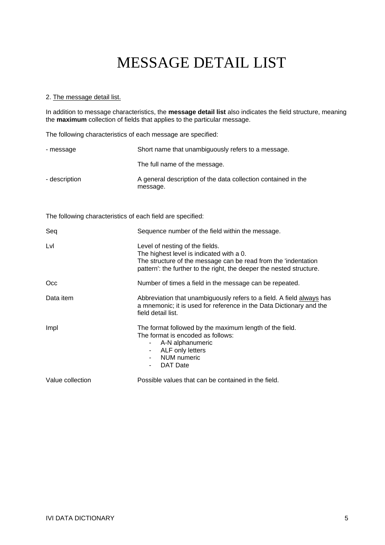### 2. The message detail list.

In addition to message characteristics, the **message detail list** also indicates the field structure, meaning the **maximum** collection of fields that applies to the particular message.

The following characteristics of each message are specified:

| - message     | Short name that unambiguously refers to a message.                        |
|---------------|---------------------------------------------------------------------------|
|               | The full name of the message.                                             |
| - description | A general description of the data collection contained in the<br>message. |

The following characteristics of each field are specified:

| Seq              | Sequence number of the field within the message.                                                                                                                                                                      |
|------------------|-----------------------------------------------------------------------------------------------------------------------------------------------------------------------------------------------------------------------|
| Lvl              | Level of nesting of the fields.<br>The highest level is indicated with a 0.<br>The structure of the message can be read from the 'indentation<br>pattern': the further to the right, the deeper the nested structure. |
| Occ              | Number of times a field in the message can be repeated.                                                                                                                                                               |
| Data item        | Abbreviation that unambiguously refers to a field. A field always has<br>a mnemonic; it is used for reference in the Data Dictionary and the<br>field detail list.                                                    |
| Impl             | The format followed by the maximum length of the field.<br>The format is encoded as follows:<br>- A-N alphanumeric<br>- ALF only letters<br>NUM numeric<br><b>DAT</b> Date<br>$\sim$                                  |
| Value collection | Possible values that can be contained in the field.                                                                                                                                                                   |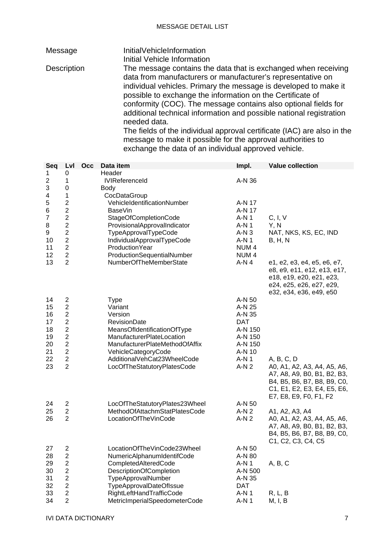Message InitialVehicleInformation Initial Vehicle Information Description The message contains the data that is exchanged when receiving data from manufacturers or manufacturer's representative on individual vehicles. Primary the message is developed to make it possible to exchange the information on the Certificate of conformity (COC). The message contains also optional fields for additional technical information and possible national registration needed data. The fields of the individual approval certificate (IAC) are also in the message to make it possible for the approval authorities to exchange the data of an individual approved vehicle.

| Seq                                                                                                    | Lvl                                                                                                                                                  | Occ | Data item                                                                                                                                                                                                                                                             | Impl.                                                                                                  | <b>Value collection</b>                                                                                                                                          |
|--------------------------------------------------------------------------------------------------------|------------------------------------------------------------------------------------------------------------------------------------------------------|-----|-----------------------------------------------------------------------------------------------------------------------------------------------------------------------------------------------------------------------------------------------------------------------|--------------------------------------------------------------------------------------------------------|------------------------------------------------------------------------------------------------------------------------------------------------------------------|
| 1<br>$\overline{\mathbf{c}}$                                                                           | 0<br>1                                                                                                                                               |     | Header<br><b>IVIReferenceId</b>                                                                                                                                                                                                                                       | A-N 36                                                                                                 |                                                                                                                                                                  |
| $\ensuremath{\mathsf{3}}$<br>4<br>5<br>$\,$ 6 $\,$<br>$\overline{7}$<br>8<br>9<br>10<br>11<br>12<br>13 | 0<br>1<br>$\boldsymbol{2}$<br>$\overline{c}$<br>$\frac{2}{2}$<br>$\overline{2}$<br>$\overline{2}$<br>$\mathbf 2$<br>$\overline{c}$<br>$\overline{2}$ |     | <b>Body</b><br>CocDataGroup<br>VehicleIdentificationNumber<br><b>BaseVin</b><br>StageOfCompletionCode<br>ProvisionalApprovalIndicator<br>TypeApprovalTypeCode<br>IndividualApprovalTypeCode<br>ProductionYear<br>ProductionSequentialNumber<br>NumberOfTheMemberState | A-N 17<br>A-N 17<br>A-N 1<br>A-N 1<br>$A-N3$<br>A-N 1<br>NUM <sub>4</sub><br>NUM <sub>4</sub><br>A-N 4 | C, I, V<br>Y, N<br>NAT, NKS, KS, EC, IND<br>B, H, N<br>e1, e2, e3, e4, e5, e6, e7,<br>e8, e9, e11, e12, e13, e17,                                                |
|                                                                                                        |                                                                                                                                                      |     |                                                                                                                                                                                                                                                                       |                                                                                                        | e18, e19, e20, e21, e23,<br>e24, e25, e26, e27, e29,<br>e32, e34, e36, e49, e50                                                                                  |
| 14<br>15                                                                                               | $\overline{\mathbf{c}}$<br>$\overline{c}$                                                                                                            |     | <b>Type</b><br>Variant                                                                                                                                                                                                                                                | A-N 50<br>A-N 25                                                                                       |                                                                                                                                                                  |
| 16                                                                                                     | $\overline{2}$                                                                                                                                       |     | Version                                                                                                                                                                                                                                                               | A-N 35                                                                                                 |                                                                                                                                                                  |
| 17                                                                                                     | $\overline{2}$                                                                                                                                       |     | <b>RevisionDate</b>                                                                                                                                                                                                                                                   | <b>DAT</b>                                                                                             |                                                                                                                                                                  |
| 18<br>19                                                                                               | $\mathbf 2$<br>$\mathbf 2$                                                                                                                           |     | MeansOfIdentificationOfType<br>ManufacturerPlateLocation                                                                                                                                                                                                              | A-N 150<br>A-N 150                                                                                     |                                                                                                                                                                  |
| 20                                                                                                     | $\boldsymbol{2}$                                                                                                                                     |     | ManufacturerPlateMethodOfAffix                                                                                                                                                                                                                                        | A-N 150                                                                                                |                                                                                                                                                                  |
| 21                                                                                                     | $\overline{c}$                                                                                                                                       |     | VehicleCategoryCode                                                                                                                                                                                                                                                   | A-N 10                                                                                                 |                                                                                                                                                                  |
| 22<br>23                                                                                               | $\overline{2}$<br>$\overline{2}$                                                                                                                     |     | AdditionalVehCat23WheelCode<br>LocOfTheStatutoryPlatesCode                                                                                                                                                                                                            | A-N 1<br>$A-N2$                                                                                        | A, B, C, D<br>A0, A1, A2, A3, A4, A5, A6,<br>A7, A8, A9, B0, B1, B2, B3,<br>B4, B5, B6, B7, B8, B9, C0,<br>C1, E1, E2, E3, E4, E5, E6,<br>E7, E8, E9, F0, F1, F2 |
| 24                                                                                                     | $\overline{2}$                                                                                                                                       |     | LocOfTheStatutoryPlates23Wheel                                                                                                                                                                                                                                        | A-N 50                                                                                                 |                                                                                                                                                                  |
| 25<br>26                                                                                               | $\overline{2}$<br>$\overline{2}$                                                                                                                     |     | MethodOfAttachmStatPlatesCode<br>LocationOfTheVinCode                                                                                                                                                                                                                 | $A-N2$<br>$A-N2$                                                                                       | A1, A2, A3, A4<br>A0, A1, A2, A3, A4, A5, A6,<br>A7, A8, A9, B0, B1, B2, B3,<br>B4, B5, B6, B7, B8, B9, C0,<br>C1, C2, C3, C4, C5                                |
| 27                                                                                                     | $\overline{\mathbf{c}}$                                                                                                                              |     | LocationOfTheVinCode23Wheel                                                                                                                                                                                                                                           | A-N 50                                                                                                 |                                                                                                                                                                  |
| 28                                                                                                     | 2                                                                                                                                                    |     | NumericAlphanumIdentifCode                                                                                                                                                                                                                                            | A-N 80                                                                                                 |                                                                                                                                                                  |
| 29                                                                                                     | 2                                                                                                                                                    |     | CompletedAlteredCode                                                                                                                                                                                                                                                  | A-N 1                                                                                                  | A, B, C                                                                                                                                                          |
| 30<br>31                                                                                               | 2<br>2                                                                                                                                               |     | DescriptionOfCompletion<br>TypeApprovalNumber                                                                                                                                                                                                                         | A-N 500<br>A-N 35                                                                                      |                                                                                                                                                                  |
| 32                                                                                                     | $\overline{\mathbf{c}}$                                                                                                                              |     | <b>TypeApprovalDateOfIssue</b>                                                                                                                                                                                                                                        | <b>DAT</b>                                                                                             |                                                                                                                                                                  |
| 33                                                                                                     | $\overline{c}$                                                                                                                                       |     | RightLeftHandTrafficCode                                                                                                                                                                                                                                              | $A-N1$                                                                                                 | R, L, B                                                                                                                                                          |
| 34                                                                                                     | $\overline{2}$                                                                                                                                       |     | MetricImperialSpeedometerCode                                                                                                                                                                                                                                         | A-N 1                                                                                                  | M, I, B                                                                                                                                                          |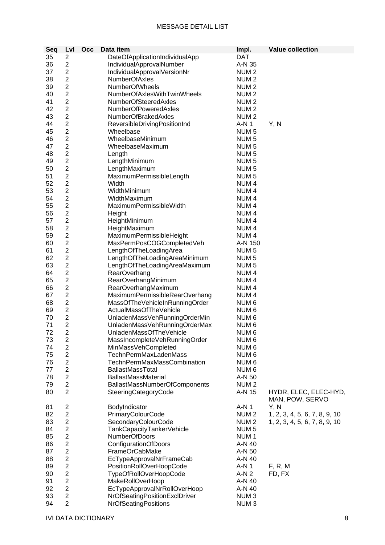| Seq | Lvl                     | Occ | Data item                          | Impl.            | <b>Value collection</b>       |
|-----|-------------------------|-----|------------------------------------|------------------|-------------------------------|
| 35  | 2                       |     | DateOfApplicationIndividualApp     | <b>DAT</b>       |                               |
| 36  | $\overline{2}$          |     | IndividualApprovalNumber           | A-N 35           |                               |
| 37  | $\overline{2}$          |     | IndividualApprovalVersionNr        | NUM <sub>2</sub> |                               |
| 38  | $\overline{2}$          |     | <b>NumberOfAxles</b>               | NUM <sub>2</sub> |                               |
| 39  | $\overline{2}$          |     | <b>NumberOfWheels</b>              | NUM <sub>2</sub> |                               |
| 40  | $\overline{2}$          |     | NumberOfAxlesWithTwinWheels        | NUM <sub>2</sub> |                               |
| 41  | $\overline{2}$          |     | <b>NumberOfSteeredAxles</b>        | NUM <sub>2</sub> |                               |
| 42  | $\overline{2}$          |     | <b>NumberOfPoweredAxles</b>        | NUM <sub>2</sub> |                               |
| 43  | $\overline{2}$          |     | <b>NumberOfBrakedAxles</b>         | NUM <sub>2</sub> |                               |
| 44  | $\overline{2}$          |     | ReversibleDrivingPositionInd       | $A-N1$           | Y, N                          |
| 45  | $\overline{2}$          |     | Wheelbase                          | NUM <sub>5</sub> |                               |
| 46  | $\overline{2}$          |     | WheelbaseMinimum                   | NUM <sub>5</sub> |                               |
| 47  | $\overline{2}$          |     | WheelbaseMaximum                   | NUM <sub>5</sub> |                               |
| 48  | $\overline{2}$          |     | Length                             | NUM <sub>5</sub> |                               |
| 49  | $\overline{2}$          |     | LengthMinimum                      | NUM <sub>5</sub> |                               |
| 50  | $\overline{2}$          |     | LengthMaximum                      | NUM <sub>5</sub> |                               |
| 51  | $\overline{\mathbf{c}}$ |     | MaximumPermissibleLength           | NUM <sub>5</sub> |                               |
| 52  | $\overline{2}$          |     | Width                              | NUM <sub>4</sub> |                               |
| 53  | $\overline{2}$          |     | WidthMinimum                       | NUM <sub>4</sub> |                               |
| 54  | $\overline{2}$          |     | WidthMaximum                       | NUM <sub>4</sub> |                               |
| 55  | $\overline{c}$          |     | MaximumPermissibleWidth            | NUM <sub>4</sub> |                               |
| 56  | $\overline{\mathbf{c}}$ |     | Height                             | NUM <sub>4</sub> |                               |
| 57  | $\overline{2}$          |     | HeightMinimum                      | NUM <sub>4</sub> |                               |
| 58  | $\overline{2}$          |     | HeightMaximum                      | NUM <sub>4</sub> |                               |
| 59  | $\overline{2}$          |     | MaximumPermissibleHeight           | NUM <sub>4</sub> |                               |
| 60  | $\overline{2}$          |     | MaxPermPosCOGCompletedVeh          | A-N 150          |                               |
| 61  | $\overline{2}$          |     | LengthOfTheLoadingArea             | NUM <sub>5</sub> |                               |
| 62  | $\overline{2}$          |     | LengthOfTheLoadingAreaMinimum      | NUM <sub>5</sub> |                               |
| 63  | $\overline{2}$          |     | LengthOfTheLoadingAreaMaximum      | NUM <sub>5</sub> |                               |
| 64  | $\overline{2}$          |     | RearOverhang                       | NUM <sub>4</sub> |                               |
| 65  | $\overline{2}$          |     | RearOverhangMinimum                | NUM <sub>4</sub> |                               |
| 66  | $\overline{2}$          |     | RearOverhangMaximum                | NUM <sub>4</sub> |                               |
| 67  | $\overline{c}$          |     | MaximumPermissibleRearOverhang     | NUM <sub>4</sub> |                               |
| 68  | $\overline{c}$          |     | MassOfTheVehicleInRunningOrder     | NUM <sub>6</sub> |                               |
| 69  | $\overline{2}$          |     | ActualMassOfTheVehicle             | NUM <sub>6</sub> |                               |
| 70  | $\overline{2}$          |     | UnladenMassVehRunningOrderMin      | NUM <sub>6</sub> |                               |
| 71  | $\overline{2}$          |     | UnladenMassVehRunningOrderMax      | NUM <sub>6</sub> |                               |
| 72  | $\overline{2}$          |     | UnladenMassOfTheVehicle            | NUM <sub>6</sub> |                               |
| 73  | $\overline{\mathbf{c}}$ |     | MassIncompleteVehRunningOrder      | NUM <sub>6</sub> |                               |
| 74  | $\overline{2}$          |     | MinMassVehCompleted                | NUM <sub>6</sub> |                               |
| 75  | $\overline{2}$          |     | TechnPermMaxLadenMass              | NUM <sub>6</sub> |                               |
| 76  | $\overline{2}$          |     | <b>TechnPermMaxMassCombination</b> | NUM 6            |                               |
| 77  | $\overline{2}$          |     | BallastMassTotal                   | NUM <sub>6</sub> |                               |
| 78  | $\overline{c}$          |     | <b>BallastMassMaterial</b>         | A-N 50           |                               |
| 79  | $\overline{2}$          |     | BallastMassNumberOfComponents      | NUM <sub>2</sub> |                               |
| 80  | $\overline{2}$          |     | SteeringCategoryCode               | A-N 15           | HYDR, ELEC, ELEC-HYD,         |
|     |                         |     |                                    |                  | MAN, POW, SERVO               |
| 81  | $\overline{\mathbf{c}}$ |     | BodyIndicator                      | A-N 1            | Y, N                          |
| 82  | $\overline{2}$          |     | PrimaryColourCode                  | NUM <sub>2</sub> | 1, 2, 3, 4, 5, 6, 7, 8, 9, 10 |
| 83  | $\overline{2}$          |     | SecondaryColourCode                | NUM <sub>2</sub> | 1, 2, 3, 4, 5, 6, 7, 8, 9, 10 |
| 84  | $\overline{c}$          |     | TankCapacityTankerVehicle          | NUM <sub>5</sub> |                               |
| 85  | $\overline{2}$          |     | <b>NumberOfDoors</b>               | NUM <sub>1</sub> |                               |
| 86  | $\overline{2}$          |     | ConfigurationOfDoors               | A-N 40           |                               |
| 87  | $\overline{2}$          |     | FrameOrCabMake                     | A-N 50           |                               |
| 88  | $\overline{c}$          |     | EcTypeApprovalNrFrameCab           | A-N 40           |                               |
| 89  | $\overline{c}$          |     | PositionRollOverHoopCode           | $A-N1$           | F, R, M                       |
| 90  | $\overline{c}$          |     | TypeOfRollOverHoopCode             | A-N 2            | FD, FX                        |
| 91  | $\overline{2}$          |     | MakeRollOverHoop                   | A-N 40           |                               |
| 92  | $\overline{2}$          |     | EcTypeApprovalNrRollOverHoop       | A-N 40           |                               |
| 93  | $\overline{2}$          |     | NrOfSeatingPositionExclDriver      | NUM <sub>3</sub> |                               |
| 94  | $\overline{2}$          |     | NrOfSeatingPositions               | NUM <sub>3</sub> |                               |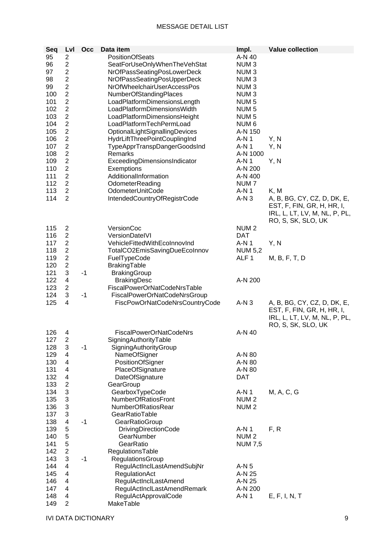| Seq | Lvl            | Occ  | Data item                      | Impl.            | <b>Value collection</b>                             |
|-----|----------------|------|--------------------------------|------------------|-----------------------------------------------------|
| 95  | $\overline{c}$ |      | <b>PositionOfSeats</b>         | A-N 40           |                                                     |
| 96  | $\overline{c}$ |      | SeatForUseOnlyWhenTheVehStat   | NUM <sub>3</sub> |                                                     |
| 97  | $\overline{2}$ |      | NrOfPassSeatingPosLowerDeck    | NUM <sub>3</sub> |                                                     |
| 98  | $\sqrt{2}$     |      | NrOfPassSeatingPosUpperDeck    | NUM <sub>3</sub> |                                                     |
| 99  | $\overline{2}$ |      | NrOfWheelchairUserAccessPos    | NUM <sub>3</sub> |                                                     |
| 100 | $\overline{c}$ |      | <b>NumberOfStandingPlaces</b>  | NUM <sub>3</sub> |                                                     |
| 101 | $\overline{2}$ |      | LoadPlatformDimensionsLength   | NUM <sub>5</sub> |                                                     |
| 102 | $\overline{2}$ |      | LoadPlatformDimensionsWidth    | NUM <sub>5</sub> |                                                     |
| 103 | $\overline{2}$ |      | LoadPlatformDimensionsHeight   | NUM <sub>5</sub> |                                                     |
| 104 | $\overline{c}$ |      | LoadPlatformTechPermLoad       | NUM <sub>6</sub> |                                                     |
| 105 | $\overline{c}$ |      | OptionalLightSignallingDevices | A-N 150          |                                                     |
| 106 | $\overline{2}$ |      | HydrLiftThreePointCouplingInd  | A-N 1            | Y, N                                                |
| 107 | $\overline{2}$ |      | TypeApprTranspDangerGoodsInd   | A-N 1            | Y, N                                                |
| 108 | $\overline{2}$ |      | Remarks                        | A-N 1000         |                                                     |
| 109 | $\overline{c}$ |      | ExceedingDimensionsIndicator   | A-N 1            | Y, N                                                |
| 110 | $\sqrt{2}$     |      | Exemptions                     | A-N 200          |                                                     |
| 111 | $\overline{2}$ |      | AdditionalInformation          | A-N 400          |                                                     |
| 112 | $\overline{2}$ |      | OdometerReading                | NUM <sub>7</sub> |                                                     |
| 113 | $\overline{2}$ |      | OdometerUnitCode               | $A-N1$           | K, M                                                |
| 114 | $\overline{2}$ |      | IntendedCountryOfRegistrCode   | $A-N3$           | A, B, BG, CY, CZ, D, DK, E,                         |
|     |                |      |                                |                  | EST, F, FIN, GR, H, HR, I,                          |
|     |                |      |                                |                  | IRL, L, LT, LV, M, NL, P, PL,<br>RO, S, SK, SLO, UK |
| 115 | $\overline{c}$ |      | VersionCoc                     | NUM <sub>2</sub> |                                                     |
| 116 | $\overline{c}$ |      | VersionDateIVI                 | <b>DAT</b>       |                                                     |
| 117 | $\overline{2}$ |      | VehicleFittedWithEcoInnovInd   | A-N 1            | Y, N                                                |
| 118 | $\overline{2}$ |      | TotalCO2EmisSavingDueEcoInnov  | <b>NUM 5,2</b>   |                                                     |
| 119 | $\sqrt{2}$     |      | FuelTypeCode                   | ALF <sub>1</sub> | M, B, F, T, D                                       |
| 120 | $\overline{2}$ |      | BrakingTable                   |                  |                                                     |
| 121 | $\sqrt{3}$     | $-1$ | <b>BrakingGroup</b>            |                  |                                                     |
| 122 | 4              |      | <b>BrakingDesc</b>             | A-N 200          |                                                     |
| 123 | $\overline{2}$ |      | FiscalPowerOrNatCodeNrsTable   |                  |                                                     |
| 124 | 3              | $-1$ | FiscalPowerOrNatCodeNrsGroup   |                  |                                                     |
| 125 | 4              |      | FiscPowOrNatCodeNrsCountryCode | $A-N3$           | A, B, BG, CY, CZ, D, DK, E,                         |
|     |                |      |                                |                  |                                                     |
|     |                |      |                                |                  | EST, F, FIN, GR, H, HR, I,                          |
|     |                |      |                                |                  | IRL, L, LT, LV, M, NL, P, PL,                       |
|     |                |      |                                |                  | RO, S, SK, SLO, UK                                  |
| 126 | 4              |      | <b>FiscalPowerOrNatCodeNrs</b> | A-N 40           |                                                     |
| 127 | $\overline{c}$ |      | SigningAuthorityTable          |                  |                                                     |
| 128 | $\mathfrak{B}$ | $-1$ | SigningAuthorityGroup          |                  |                                                     |
| 129 | $\overline{4}$ |      | NameOfSigner                   | A-N 80           |                                                     |
| 130 | 4              |      | PositionOfSigner               | A-N 80           |                                                     |
| 131 | 4              |      | PlaceOfSignature               | A-N 80           |                                                     |
| 132 | 4              |      | DateOfSignature                | <b>DAT</b>       |                                                     |
| 133 | $\overline{2}$ |      | GearGroup                      |                  |                                                     |
| 134 | 3              |      | GearboxTypeCode                | A-N 1            | M, A, C, G                                          |
| 135 | 3              |      | NumberOfRatiosFront            | NUM <sub>2</sub> |                                                     |
| 136 | 3              |      | <b>NumberOfRatiosRear</b>      | NUM <sub>2</sub> |                                                     |
| 137 | $\mathbf{3}$   |      | GearRatioTable                 |                  |                                                     |
| 138 | $\overline{4}$ | $-1$ | GearRatioGroup                 |                  |                                                     |
| 139 | 5              |      | <b>DrivingDirectionCode</b>    | $A-N1$           | F, R                                                |
| 140 | 5              |      | GearNumber                     | NUM <sub>2</sub> |                                                     |
| 141 | 5              |      | GearRatio                      | <b>NUM 7,5</b>   |                                                     |
| 142 | $\overline{c}$ |      | RegulationsTable               |                  |                                                     |
| 143 | 3              | $-1$ | RegulationsGroup               |                  |                                                     |
| 144 | 4              |      | RegulActInclLastAmendSubjNr    | $A-N5$           |                                                     |
| 145 | 4              |      | RegulationAct                  | A-N 25           |                                                     |
| 146 | 4              |      | RegulActInclLastAmend          | A-N 25           |                                                     |
| 147 | 4              |      | RegulActInclLastAmendRemark    | A-N 200          |                                                     |
| 148 | 4              |      | RegulActApprovalCode           | A-N 1            | E, F, I, N, T                                       |
| 149 | $\overline{2}$ |      | MakeTable                      |                  |                                                     |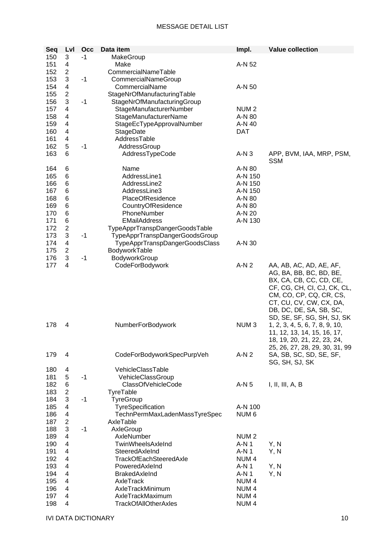| Seq | Lvl            | Occ  | Data item                      | Impl.            | <b>Value collection</b>        |
|-----|----------------|------|--------------------------------|------------------|--------------------------------|
| 150 | 3              | -1   | MakeGroup                      |                  |                                |
| 151 | 4              |      | Make                           | A-N 52           |                                |
| 152 | $\overline{c}$ |      | CommercialNameTable            |                  |                                |
| 153 | 3              | $-1$ | CommercialNameGroup            |                  |                                |
| 154 | 4              |      | CommercialName                 | A-N 50           |                                |
| 155 | $\overline{2}$ |      | StageNrOfManufacturingTable    |                  |                                |
| 156 | 3              | $-1$ | StageNrOfManufacturingGroup    |                  |                                |
| 157 | 4              |      | StageManufacturerNumber        | NUM <sub>2</sub> |                                |
|     |                |      |                                |                  |                                |
| 158 | 4              |      | StageManufacturerName          | A-N 80           |                                |
| 159 | 4              |      | StageEcTypeApprovalNumber      | A-N 40           |                                |
| 160 | 4              |      | StageDate                      | <b>DAT</b>       |                                |
| 161 | 4              |      | AddressTable                   |                  |                                |
| 162 | 5              | $-1$ | AddressGroup                   |                  |                                |
| 163 | 6              |      | AddressTypeCode                | $A-N3$           | APP, BVM, IAA, MRP, PSM,       |
|     |                |      |                                |                  | <b>SSM</b>                     |
| 164 | 6              |      | Name                           | A-N 80           |                                |
| 165 | 6              |      | AddressLine1                   | A-N 150          |                                |
| 166 | 6              |      | AddressLine2                   | A-N 150          |                                |
| 167 | 6              |      | AddressLine3                   | A-N 150          |                                |
| 168 | 6              |      | <b>PlaceOfResidence</b>        | A-N 80           |                                |
| 169 | 6              |      | CountryOfResidence             | A-N 80           |                                |
| 170 | 6              |      | PhoneNumber                    | A-N 20           |                                |
| 171 | 6              |      | <b>EMailAddress</b>            | A-N 130          |                                |
| 172 | $\overline{2}$ |      | TypeApprTranspDangerGoodsTable |                  |                                |
| 173 | 3              | $-1$ | TypeApprTranspDangerGoodsGroup |                  |                                |
| 174 | 4              |      | TypeApprTranspDangerGoodsClass | A-N 30           |                                |
| 175 | $\overline{2}$ |      | BodyworkTable                  |                  |                                |
| 176 | 3              | $-1$ | BodyworkGroup                  |                  |                                |
| 177 | 4              |      | CodeForBodywork                | $A-N2$           | AA, AB, AC, AD, AE, AF,        |
|     |                |      |                                |                  | AG, BA, BB, BC, BD, BE,        |
|     |                |      |                                |                  |                                |
|     |                |      |                                |                  | BX, CA, CB, CC, CD, CE,        |
|     |                |      |                                |                  | CF, CG, CH, CI, CJ, CK, CL,    |
|     |                |      |                                |                  | CM, CO, CP, CQ, CR, CS,        |
|     |                |      |                                |                  | CT, CU, CV, CW, CX, DA,        |
|     |                |      |                                |                  | DB, DC, DE, SA, SB, SC,        |
|     |                |      |                                |                  | SD, SE, SF, SG, SH, SJ, SK     |
| 178 | 4              |      | NumberForBodywork              | NUM <sub>3</sub> | 1, 2, 3, 4, 5, 6, 7, 8, 9, 10, |
|     |                |      |                                |                  | 11, 12, 13, 14, 15, 16, 17,    |
|     |                |      |                                |                  | 18, 19, 20, 21, 22, 23, 24,    |
|     |                |      |                                |                  | 25, 26, 27, 28, 29, 30, 31, 99 |
| 179 | 4              |      | CodeForBodyworkSpecPurpVeh     | $A-N2$           | SA, SB, SC, SD, SE, SF,        |
|     |                |      |                                |                  | SG, SH, SJ, SK                 |
| 180 | 4              |      | VehicleClassTable              |                  |                                |
| 181 | 5              | $-1$ | VehicleClassGroup              |                  |                                |
| 182 | 6              |      | <b>ClassOfVehicleCode</b>      | $A-N5$           | I, II, III, A, B               |
| 183 | $\overline{2}$ |      | TyreTable                      |                  |                                |
| 184 | 3              | $-1$ | TyreGroup                      |                  |                                |
| 185 | 4              |      | TyreSpecification              | A-N 100          |                                |
| 186 | 4              |      | TechnPermMaxLadenMassTyreSpec  | NUM <sub>6</sub> |                                |
| 187 | 2              |      | AxleTable                      |                  |                                |
| 188 | 3              | $-1$ | AxleGroup                      |                  |                                |
| 189 | 4              |      | AxleNumber                     | NUM <sub>2</sub> |                                |
| 190 | 4              |      | TwinWheelsAxleInd              | $A-N1$           | Y, N                           |
|     |                |      |                                |                  |                                |
| 191 | $\overline{4}$ |      | SteeredAxleInd                 | $A-N1$           | Y, N                           |
| 192 | 4              |      | TrackOfEachSteeredAxle         | NUM <sub>4</sub> |                                |
| 193 | 4              |      | PoweredAxleInd                 | $A-N1$           | Y, N                           |
| 194 | 4              |      | BrakedAxleInd                  | A-N 1            | Y, N                           |
| 195 | 4              |      | AxleTrack                      | NUM <sub>4</sub> |                                |
| 196 | 4              |      | AxleTrackMinimum               | NUM <sub>4</sub> |                                |
| 197 | 4              |      | AxleTrackMaximum               | NUM <sub>4</sub> |                                |
| 198 | 4              |      | <b>TrackOfAllOtherAxles</b>    | NUM <sub>4</sub> |                                |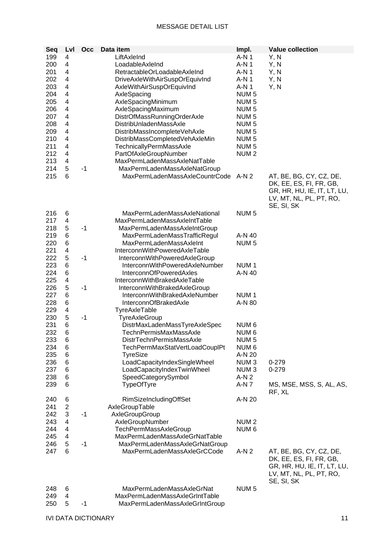| Seq | Lvl            | Occ  | Data item                       | Impl.            | <b>Value collection</b>                                                                                      |
|-----|----------------|------|---------------------------------|------------------|--------------------------------------------------------------------------------------------------------------|
| 199 | 4              |      | LiftAxleInd                     | A-N 1            | Y, N                                                                                                         |
|     |                |      |                                 |                  |                                                                                                              |
| 200 | 4              |      | LoadableAxleInd                 | $A-N1$           | Y, N                                                                                                         |
| 201 | 4              |      | RetractableOrLoadableAxleInd    | $A-N1$           | Y, N                                                                                                         |
| 202 | 4              |      | DriveAxleWithAirSuspOrEquivInd  | $A-N1$           | Y, N                                                                                                         |
| 203 | 4              |      | AxleWithAirSuspOrEquivInd       | A-N 1            | Y, N                                                                                                         |
| 204 | 4              |      | AxleSpacing                     | NUM <sub>5</sub> |                                                                                                              |
| 205 | 4              |      | AxleSpacingMinimum              | NUM <sub>5</sub> |                                                                                                              |
| 206 | 4              |      | AxleSpacingMaximum              | NUM <sub>5</sub> |                                                                                                              |
|     |                |      |                                 |                  |                                                                                                              |
| 207 | 4              |      | DistrOfMassRunningOrderAxle     | NUM <sub>5</sub> |                                                                                                              |
| 208 | 4              |      | DistribUnladenMassAxle          | NUM <sub>5</sub> |                                                                                                              |
| 209 | 4              |      | DistribMassIncompleteVehAxle    | NUM <sub>5</sub> |                                                                                                              |
| 210 | 4              |      | DistribMassCompletedVehAxleMin  | NUM <sub>5</sub> |                                                                                                              |
| 211 | 4              |      | TechnicallyPermMassAxle         | NUM <sub>5</sub> |                                                                                                              |
| 212 | 4              |      | PartOfAxleGroupNumber           | NUM <sub>2</sub> |                                                                                                              |
| 213 | 4              |      | MaxPermLadenMassAxleNatTable    |                  |                                                                                                              |
| 214 | 5              | $-1$ | MaxPermLadenMassAxleNatGroup    |                  |                                                                                                              |
|     | 6              |      | MaxPermLadenMassAxleCountrCode  |                  |                                                                                                              |
| 215 |                |      |                                 | A-N 2            | AT, BE, BG, CY, CZ, DE,<br>DK, EE, ES, FI, FR, GB,<br>GR, HR, HU, IE, IT, LT, LU,<br>LV, MT, NL, PL, PT, RO, |
| 216 | 6              |      | MaxPermLadenMassAxleNational    | NUM <sub>5</sub> | SE, SI, SK                                                                                                   |
| 217 | 4              |      | MaxPermLadenMassAxleIntTable    |                  |                                                                                                              |
| 218 | 5              | $-1$ | MaxPermLadenMassAxleIntGroup    |                  |                                                                                                              |
| 219 | 6              |      | MaxPermLadenMassTrafficRegul    | A-N 40           |                                                                                                              |
| 220 | 6              |      | <b>MaxPermLadenMassAxleInt</b>  | NUM <sub>5</sub> |                                                                                                              |
| 221 | 4              |      | InterconnWithPoweredAxleTable   |                  |                                                                                                              |
| 222 | 5              | $-1$ | InterconnWithPoweredAxleGroup   |                  |                                                                                                              |
| 223 | 6              |      | InterconnWithPoweredAxleNumber  | NUM <sub>1</sub> |                                                                                                              |
|     |                |      |                                 |                  |                                                                                                              |
| 224 | 6              |      | InterconnOfPoweredAxles         | A-N 40           |                                                                                                              |
| 225 | 4              |      | InterconnWithBrakedAxleTable    |                  |                                                                                                              |
| 226 | 5              | $-1$ | InterconnWithBrakedAxleGroup    |                  |                                                                                                              |
| 227 | 6              |      | InterconnWithBrakedAxleNumber   | NUM <sub>1</sub> |                                                                                                              |
| 228 | 6              |      | InterconnOfBrakedAxle           | A-N 80           |                                                                                                              |
| 229 | 4              |      | TyreAxleTable                   |                  |                                                                                                              |
| 230 | 5              | $-1$ | <b>TyreAxleGroup</b>            |                  |                                                                                                              |
| 231 | 6              |      | DistrMaxLadenMassTyreAxleSpec   | NUM <sub>6</sub> |                                                                                                              |
| 232 | 6              |      | TechnPermisMaxMassAxle          | NUM <sub>6</sub> |                                                                                                              |
| 233 | 6              |      | <b>DistrTechnPermisMassAxle</b> | NUM <sub>5</sub> |                                                                                                              |
|     |                |      |                                 |                  |                                                                                                              |
| 234 | $\,6$          |      | TechPermMaxStatVertLoadCouplPt  | NUM <sub>6</sub> |                                                                                                              |
| 235 | 6              |      | <b>TyreSize</b>                 | A-N 20           |                                                                                                              |
| 236 | 6              |      | LoadCapacityIndexSingleWheel    | NUM <sub>3</sub> | $0 - 279$                                                                                                    |
| 237 | 6              |      | LoadCapacityIndexTwinWheel      | NUM <sub>3</sub> | 0-279                                                                                                        |
| 238 | 6              |      | SpeedCategorySymbol             | $A-N2$           |                                                                                                              |
| 239 | 6              |      | TypeOfTyre                      | A-N 7            | MS, MSE, MSS, S, AL, AS,<br>RF, XL                                                                           |
| 240 | 6              |      | <b>RimSizeIncludingOffSet</b>   | A-N 20           |                                                                                                              |
| 241 | $\overline{2}$ |      | AxleGroupTable                  |                  |                                                                                                              |
| 242 | 3              | $-1$ | AxleGroupGroup                  |                  |                                                                                                              |
| 243 | 4              |      | AxleGroupNumber                 | NUM <sub>2</sub> |                                                                                                              |
| 244 | 4              |      |                                 | NUM <sub>6</sub> |                                                                                                              |
|     |                |      | TechPermMassAxleGroup           |                  |                                                                                                              |
| 245 | 4              |      | MaxPermLadenMassAxleGrNatTable  |                  |                                                                                                              |
| 246 | 5              | $-1$ | MaxPermLadenMassAxleGrNatGroup  |                  |                                                                                                              |
| 247 | 6              |      | MaxPermLadenMassAxleGrCCode     | $A-N2$           | AT, BE, BG, CY, CZ, DE,<br>DK, EE, ES, FI, FR, GB,                                                           |
|     |                |      |                                 |                  | GR, HR, HU, IE, IT, LT, LU,                                                                                  |
|     |                |      |                                 |                  | LV, MT, NL, PL, PT, RO,                                                                                      |
|     |                |      |                                 |                  | SE, SI, SK                                                                                                   |
| 248 | 6              |      | MaxPermLadenMassAxleGrNat       | NUM <sub>5</sub> |                                                                                                              |
| 249 | 4              |      | MaxPermLadenMassAxleGrIntTable  |                  |                                                                                                              |
| 250 | 5              | $-1$ | MaxPermLadenMassAxleGrIntGroup  |                  |                                                                                                              |
|     |                |      |                                 |                  |                                                                                                              |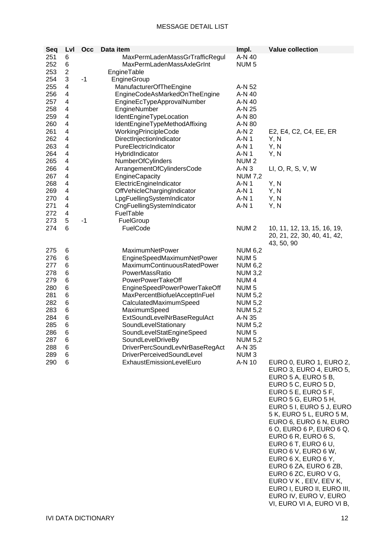| Seq | Lvl            | <b>Occ</b> | Data item                        | Impl.            | <b>Value collection</b>     |
|-----|----------------|------------|----------------------------------|------------------|-----------------------------|
| 251 | 6              |            | MaxPermLadenMassGrTrafficRegul   | A-N 40           |                             |
| 252 | 6              |            | MaxPermLadenMassAxleGrInt        | NUM <sub>5</sub> |                             |
| 253 | $\overline{2}$ |            | EngineTable                      |                  |                             |
| 254 | 3              | $-1$       | EngineGroup                      |                  |                             |
| 255 | 4              |            | ManufacturerOfTheEngine          | A-N 52           |                             |
| 256 | 4              |            | EngineCodeAsMarkedOnTheEngine    | A-N 40           |                             |
| 257 | 4              |            | EngineEcTypeApprovalNumber       | A-N 40           |                             |
| 258 | 4              |            | EngineNumber                     | A-N 25           |                             |
| 259 | 4              |            |                                  |                  |                             |
| 260 | $\overline{4}$ |            | IdentEngineTypeLocation          | A-N 80           |                             |
|     |                |            | IdentEngineTypeMethodAffixing    | A-N 80           |                             |
| 261 | 4              |            | WorkingPrincipleCode             | $A-N2$           | E2, E4, C2, C4, EE, ER      |
| 262 | 4              |            | DirectInjectionIndicator         | A-N 1            | Y, N                        |
| 263 | 4              |            | PureElectricIndicator            | $A-N1$           | Y, N                        |
| 264 | 4              |            | HybridIndicator                  | A-N 1            | Y, N                        |
| 265 | 4              |            | <b>NumberOfCylinders</b>         | NUM <sub>2</sub> |                             |
| 266 | 4              |            | ArrangementOfCylindersCode       | $A-N3$           | LI, O, R, S, V, W           |
| 267 | 4              |            | EngineCapacity                   | <b>NUM 7,2</b>   |                             |
| 268 | 4              |            | ElectricEngineIndicator          | A-N 1            | Y, N                        |
| 269 | 4              |            | OffVehicleChargingIndicator      | A-N 1            | Y, N                        |
| 270 | 4              |            | LpgFuellingSystemIndicator       | A-N 1            | Y, N                        |
| 271 | 4              |            | CngFuellingSystemIndicator       | $A-N1$           | Y, N                        |
| 272 | 4              |            | FuelTable                        |                  |                             |
| 273 | 5              | $-1$       | FuelGroup                        |                  |                             |
| 274 | 6              |            | FuelCode                         | NUM <sub>2</sub> | 10, 11, 12, 13, 15, 16, 19, |
|     |                |            |                                  |                  | 20, 21, 22, 30, 40, 41, 42, |
|     |                |            |                                  |                  | 43, 50, 90                  |
| 275 | 6              |            | MaximumNetPower                  | <b>NUM 6,2</b>   |                             |
| 276 | 6              |            | EngineSpeedMaximumNetPower       | NUM <sub>5</sub> |                             |
| 277 | 6              |            | MaximumContinuousRatedPower      | <b>NUM 6,2</b>   |                             |
| 278 | 6              |            | PowerMassRatio                   | <b>NUM 3,2</b>   |                             |
| 279 | 6              |            | PowerPowerTakeOff                | NUM <sub>4</sub> |                             |
| 280 | 6              |            | EngineSpeedPowerPowerTakeOff     | NUM <sub>5</sub> |                             |
| 281 | 6              |            | MaxPercentBiofuelAcceptInFuel    | <b>NUM 5,2</b>   |                             |
| 282 | 6              |            | CalculatedMaximumSpeed           | <b>NUM 5,2</b>   |                             |
| 283 | 6              |            | MaximumSpeed                     | <b>NUM 5,2</b>   |                             |
| 284 | 6              |            | ExtSoundLevelNrBaseRegulAct      | A-N 35           |                             |
| 285 | $\,6$          |            | SoundLevelStationary             | <b>NUM 5,2</b>   |                             |
| 286 | 6              |            | SoundLevelStatEngineSpeed        | NUM <sub>5</sub> |                             |
|     |                |            |                                  |                  |                             |
| 287 | 6              |            | SoundLevelDriveBy                | <b>NUM 5,2</b>   |                             |
| 288 | 6              |            | DriverPercSoundLevNrBaseRegAct   | A-N 35           |                             |
| 289 | 6              |            | <b>DriverPerceivedSoundLevel</b> | NUM <sub>3</sub> |                             |
| 290 | 6              |            | ExhaustEmissionLevelEuro         | A-N 10           | EURO 0, EURO 1, EURO 2,     |
|     |                |            |                                  |                  | EURO 3, EURO 4, EURO 5,     |
|     |                |            |                                  |                  | EURO 5 A, EURO 5 B,         |
|     |                |            |                                  |                  | EURO 5 C, EURO 5 D,         |
|     |                |            |                                  |                  | EURO 5 E, EURO 5 F,         |
|     |                |            |                                  |                  | EURO 5 G, EURO 5 H,         |
|     |                |            |                                  |                  | EURO 5 I, EURO 5 J, EURO    |
|     |                |            |                                  |                  | 5 K, EURO 5 L, EURO 5 M,    |
|     |                |            |                                  |                  | EURO 6, EURO 6 N, EURO      |
|     |                |            |                                  |                  | 6 O, EURO 6 P, EURO 6 Q,    |
|     |                |            |                                  |                  | EURO 6 R, EURO 6 S,         |
|     |                |            |                                  |                  | EURO 6 T, EURO 6 U,         |
|     |                |            |                                  |                  | EURO 6 V, EURO 6 W,         |
|     |                |            |                                  |                  | EURO 6 X, EURO 6 Y,         |
|     |                |            |                                  |                  | EURO 6 ZA, EURO 6 ZB,       |
|     |                |            |                                  |                  | EURO 6 ZC, EURO V G,        |
|     |                |            |                                  |                  | EURO V K, EEV, EEV K,       |
|     |                |            |                                  |                  | EURO I, EURO II, EURO III,  |
|     |                |            |                                  |                  | EURO IV, EURO V, EURO       |
|     |                |            |                                  |                  | VI, EURO VI A, EURO VI B,   |
|     |                |            |                                  |                  |                             |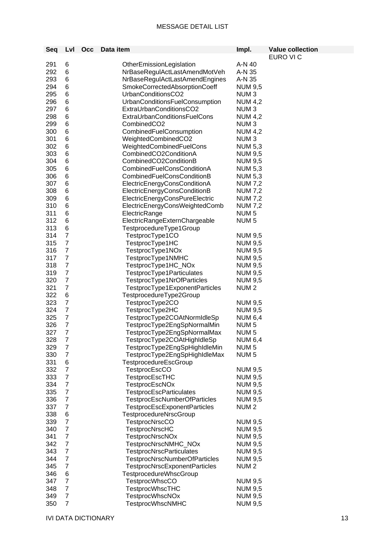| Seq | Lvl              | <b>Occ</b> | Data item                            | Impl.            | <b>Value collection</b> |
|-----|------------------|------------|--------------------------------------|------------------|-------------------------|
|     |                  |            |                                      |                  | EURO VI C               |
| 291 | 6                |            | OtherEmissionLegislation             | A-N 40           |                         |
| 292 | 6                |            | NrBaseRegulActLastAmendMotVeh        | A-N 35           |                         |
| 293 | 6                |            | NrBaseRegulActLastAmendEngines       | A-N 35           |                         |
| 294 | 6                |            | SmokeCorrectedAbsorptionCoeff        | <b>NUM 9,5</b>   |                         |
| 295 | 6                |            | UrbanConditionsCO2                   | NUM <sub>3</sub> |                         |
| 296 | 6                |            | UrbanConditionsFuelConsumption       | <b>NUM 4,2</b>   |                         |
| 297 | 6                |            | ExtraUrbanConditionsCO2              | NUM <sub>3</sub> |                         |
| 298 | 6                |            | <b>ExtraUrbanConditionsFuelCons</b>  | <b>NUM 4,2</b>   |                         |
| 299 | 6                |            | CombinedCO <sub>2</sub>              | NUM <sub>3</sub> |                         |
| 300 | 6                |            | CombinedFuelConsumption              | <b>NUM 4,2</b>   |                         |
| 301 | $\,$ 6 $\,$      |            | WeightedCombinedCO2                  | NUM <sub>3</sub> |                         |
| 302 | 6                |            | WeightedCombinedFuelCons             | <b>NUM 5,3</b>   |                         |
| 303 | 6                |            | CombinedCO2ConditionA                | <b>NUM 9,5</b>   |                         |
| 304 | 6                |            | CombinedCO2ConditionB                | <b>NUM 9,5</b>   |                         |
| 305 | 6                |            | CombinedFuelConsConditionA           | <b>NUM 5,3</b>   |                         |
| 306 | 6                |            | CombinedFuelConsConditionB           | <b>NUM 5,3</b>   |                         |
| 307 | 6                |            | ElectricEnergyConsConditionA         | <b>NUM 7,2</b>   |                         |
| 308 | 6                |            | ElectricEnergyConsConditionB         | <b>NUM 7,2</b>   |                         |
| 309 | 6                |            | ElectricEnergyConsPureElectric       | <b>NUM 7,2</b>   |                         |
| 310 | $\,6$            |            | ElectricEnergyConsWeightedComb       | <b>NUM 7,2</b>   |                         |
| 311 | $\,6$            |            | ElectricRange                        | NUM <sub>5</sub> |                         |
| 312 | $\,6$            |            | ElectricRangeExternChargeable        | NUM <sub>5</sub> |                         |
| 313 | $\,$ 6 $\,$      |            | TestprocedureType1Group              |                  |                         |
| 314 | $\overline{7}$   |            | TestprocType1CO                      | <b>NUM 9,5</b>   |                         |
| 315 | $\overline{7}$   |            | TestprocType1HC                      | <b>NUM 9,5</b>   |                         |
| 316 | $\boldsymbol{7}$ |            | TestprocType1NOx                     | <b>NUM 9,5</b>   |                         |
| 317 | $\boldsymbol{7}$ |            | TestprocType1NMHC                    | <b>NUM 9,5</b>   |                         |
| 318 | $\boldsymbol{7}$ |            | TestprocType1HC_NOx                  | <b>NUM 9,5</b>   |                         |
| 319 | $\boldsymbol{7}$ |            | TestprocType1Particulates            | <b>NUM 9,5</b>   |                         |
| 320 | $\overline{7}$   |            | TestprocType1NrOfParticles           | <b>NUM 9,5</b>   |                         |
| 321 | $\overline{7}$   |            | TestprocType1ExponentParticles       | NUM <sub>2</sub> |                         |
| 322 | 6                |            | TestprocedureType2Group              |                  |                         |
| 323 | $\boldsymbol{7}$ |            | TestprocType2CO                      | <b>NUM 9,5</b>   |                         |
| 324 | $\overline{7}$   |            | TestprocType2HC                      | <b>NUM 9,5</b>   |                         |
| 325 | $\overline{7}$   |            | TestprocType2COAtNormIdleSp          | <b>NUM 6,4</b>   |                         |
| 326 | $\overline{7}$   |            | TestprocType2EngSpNormalMin          | NUM <sub>5</sub> |                         |
| 327 | $\overline{7}$   |            | TestprocType2EngSpNormalMax          | NUM <sub>5</sub> |                         |
| 328 | 7                |            | TestprocType2COAtHighIdleSp          | <b>NUM 6,4</b>   |                         |
| 329 | $\overline{7}$   |            | TestprocType2EngSpHighIdleMin        | NUM <sub>5</sub> |                         |
| 330 | $\boldsymbol{7}$ |            | TestprocType2EngSpHighIdleMax        | NUM <sub>5</sub> |                         |
| 331 | 6                |            | TestprocedureEscGroup                |                  |                         |
| 332 | $\overline{7}$   |            | <b>TestprocEscCO</b>                 | <b>NUM 9,5</b>   |                         |
| 333 | $\overline{7}$   |            | <b>TestprocEscTHC</b>                | <b>NUM 9,5</b>   |                         |
| 334 | $\boldsymbol{7}$ |            | <b>TestprocEscNOx</b>                | <b>NUM 9,5</b>   |                         |
| 335 | $\overline{7}$   |            | <b>TestprocEscParticulates</b>       | <b>NUM 9,5</b>   |                         |
| 336 | $\overline{7}$   |            | <b>TestprocEscNumberOfParticles</b>  | <b>NUM 9,5</b>   |                         |
| 337 | $\overline{7}$   |            | <b>TestprocEscExponentParticles</b>  | NUM <sub>2</sub> |                         |
| 338 | $\,6$            |            | TestprocedureNrscGroup               |                  |                         |
| 339 | $\overline{7}$   |            | <b>TestprocNrscCO</b>                | <b>NUM 9,5</b>   |                         |
| 340 | $\boldsymbol{7}$ |            | <b>TestprocNrscHC</b>                | <b>NUM 9,5</b>   |                         |
| 341 | $\overline{7}$   |            | <b>TestprocNrscNOx</b>               | <b>NUM 9,5</b>   |                         |
| 342 | $\boldsymbol{7}$ |            | TestprocNrscNMHC_NOx                 | <b>NUM 9,5</b>   |                         |
| 343 | $\boldsymbol{7}$ |            | <b>TestprocNrscParticulates</b>      | <b>NUM 9,5</b>   |                         |
| 344 | $\overline{7}$   |            | <b>TestprocNrscNumberOfParticles</b> | <b>NUM 9,5</b>   |                         |
| 345 | $\overline{7}$   |            | TestprocNrscExponentParticles        | NUM <sub>2</sub> |                         |
| 346 | 6                |            | <b>TestprocedureWhscGroup</b>        |                  |                         |
| 347 | $\overline{7}$   |            | <b>TestprocWhscCO</b>                | <b>NUM 9,5</b>   |                         |
| 348 | $\overline{7}$   |            | <b>TestprocWhscTHC</b>               | <b>NUM 9,5</b>   |                         |
| 349 | $\overline{7}$   |            | <b>TestprocWhscNOx</b>               | <b>NUM 9,5</b>   |                         |
| 350 | $\overline{7}$   |            | <b>TestprocWhscNMHC</b>              | <b>NUM 9,5</b>   |                         |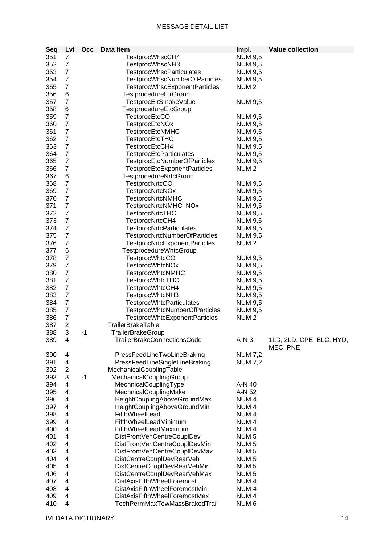| Seq | Lvl              | Occ  | Data item                            | Impl.            | <b>Value collection</b>              |
|-----|------------------|------|--------------------------------------|------------------|--------------------------------------|
| 351 | 7                |      | TestprocWhscCH4                      | <b>NUM 9,5</b>   |                                      |
| 352 | $\overline{7}$   |      | TestprocWhscNH3                      | <b>NUM 9,5</b>   |                                      |
| 353 | $\overline{7}$   |      | <b>TestprocWhscParticulates</b>      |                  |                                      |
| 354 | $\overline{7}$   |      |                                      | <b>NUM 9,5</b>   |                                      |
|     |                  |      | <b>TestprocWhscNumberOfParticles</b> | <b>NUM 9,5</b>   |                                      |
| 355 | $\overline{7}$   |      | <b>TestprocWhscExponentParticles</b> | NUM <sub>2</sub> |                                      |
| 356 | 6                |      | TestprocedureElrGroup                |                  |                                      |
| 357 | $\overline{7}$   |      | TestprocElrSmokeValue                | <b>NUM 9,5</b>   |                                      |
| 358 | 6                |      | TestprocedureEtcGroup                |                  |                                      |
| 359 | $\overline{7}$   |      | <b>TestprocEtcCO</b>                 | <b>NUM 9,5</b>   |                                      |
| 360 | $\overline{7}$   |      | TestprocEtcNOx                       | <b>NUM 9,5</b>   |                                      |
| 361 | $\overline{7}$   |      | <b>TestprocEtcNMHC</b>               | <b>NUM 9,5</b>   |                                      |
| 362 | $\overline{7}$   |      | <b>TestprocEtcTHC</b>                | <b>NUM 9,5</b>   |                                      |
| 363 | $\overline{7}$   |      | TestprocEtcCH4                       | <b>NUM 9,5</b>   |                                      |
| 364 | $\overline{7}$   |      | <b>TestprocEtcParticulates</b>       | <b>NUM 9,5</b>   |                                      |
| 365 | $\boldsymbol{7}$ |      | <b>TestprocEtcNumberOfParticles</b>  | <b>NUM 9,5</b>   |                                      |
| 366 | $\boldsymbol{7}$ |      | <b>TestprocEtcExponentParticles</b>  | NUM <sub>2</sub> |                                      |
| 367 | 6                |      | TestprocedureNrtcGroup               |                  |                                      |
| 368 | $\overline{7}$   |      | <b>TestprocNrtcCO</b>                | <b>NUM 9,5</b>   |                                      |
| 369 | $\overline{7}$   |      | <b>TestprocNrtcNOx</b>               | <b>NUM 9,5</b>   |                                      |
| 370 | $\overline{7}$   |      | <b>TestprocNrtcNMHC</b>              | <b>NUM 9,5</b>   |                                      |
| 371 | $\overline{7}$   |      | TestprocNrtcNMHC_NOx                 | <b>NUM 9,5</b>   |                                      |
| 372 | $\overline{7}$   |      | <b>TestprocNrtcTHC</b>               | <b>NUM 9,5</b>   |                                      |
| 373 | $\overline{7}$   |      | TestprocNrtcCH4                      | <b>NUM 9,5</b>   |                                      |
| 374 | $\overline{7}$   |      | <b>TestprocNrtcParticulates</b>      | <b>NUM 9,5</b>   |                                      |
| 375 | $\overline{7}$   |      | <b>TestprocNrtcNumberOfParticles</b> | <b>NUM 9,5</b>   |                                      |
| 376 | $\overline{7}$   |      | <b>TestprocNrtcExponentParticles</b> | NUM <sub>2</sub> |                                      |
| 377 | 6                |      | <b>TestprocedureWhtcGroup</b>        |                  |                                      |
| 378 | $\overline{7}$   |      | <b>TestprocWhtcCO</b>                | <b>NUM 9,5</b>   |                                      |
| 379 | $\overline{7}$   |      | <b>TestprocWhtcNOx</b>               | <b>NUM 9,5</b>   |                                      |
| 380 | $\overline{7}$   |      | <b>TestprocWhtcNMHC</b>              | <b>NUM 9,5</b>   |                                      |
| 381 | $\overline{7}$   |      | <b>TestprocWhtcTHC</b>               | <b>NUM 9,5</b>   |                                      |
| 382 | $\overline{7}$   |      | TestprocWhtcCH4                      | <b>NUM 9,5</b>   |                                      |
| 383 | $\overline{7}$   |      | TestprocWhtcNH3                      | <b>NUM 9,5</b>   |                                      |
| 384 | $\overline{7}$   |      | <b>TestprocWhtcParticulates</b>      | <b>NUM 9,5</b>   |                                      |
| 385 | $\overline{7}$   |      | TestprocWhtcNumberOfParticles        | <b>NUM 9,5</b>   |                                      |
| 386 | $\overline{7}$   |      | TestprocWhtcExponentParticles        | NUM <sub>2</sub> |                                      |
| 387 | $\overline{2}$   |      | TrailerBrakeTable                    |                  |                                      |
| 388 | 3                | -1   | TrailerBrakeGroup                    |                  |                                      |
| 389 | 4                |      | <b>TrailerBrakeConnectionsCode</b>   | $A-N3$           | 1LD, 2LD, CPE, ELC, HYD,<br>MEC, PNE |
| 390 | 4                |      | PressFeedLineTwoLineBraking          | <b>NUM 7,2</b>   |                                      |
| 391 | 4                |      | PressFeedLineSingleLineBraking       | <b>NUM 7,2</b>   |                                      |
| 392 | $\overline{2}$   |      | MechanicalCouplingTable              |                  |                                      |
| 393 | 3                | $-1$ | MechanicalCouplingGroup              |                  |                                      |
| 394 | 4                |      | MechnicalCouplingType                | A-N 40           |                                      |
| 395 | 4                |      | MechnicalCouplingMake                | A-N 52           |                                      |
| 396 | 4                |      | HeightCouplingAboveGroundMax         | NUM <sub>4</sub> |                                      |
| 397 | 4                |      | HeightCouplingAboveGroundMin         | NUM <sub>4</sub> |                                      |
| 398 | 4                |      | FifthWheelLead                       | NUM <sub>4</sub> |                                      |
| 399 | 4                |      | FifthWheelLeadMinimum                | NUM <sub>4</sub> |                                      |
| 400 | 4                |      | FifthWheelLeadMaximum                | NUM <sub>4</sub> |                                      |
| 401 | 4                |      | DistFrontVehCentreCouplDev           | NUM <sub>5</sub> |                                      |
| 402 | 4                |      | DistFrontVehCentreCouplDevMin        | NUM <sub>5</sub> |                                      |
| 403 | 4                |      | DistFrontVehCentreCouplDevMax        | NUM <sub>5</sub> |                                      |
| 404 | 4                |      | DistCentreCouplDevRearVeh            | NUM <sub>5</sub> |                                      |
| 405 | 4                |      | DistCentreCouplDevRearVehMin         | NUM <sub>5</sub> |                                      |
| 406 | 4                |      | DistCentreCouplDevRearVehMax         | NUM <sub>5</sub> |                                      |
| 407 | 4                |      | <b>DistAxisFifthWheelForemost</b>    | NUM <sub>4</sub> |                                      |
| 408 | 4                |      | DistAxisFifthWheelForemostMin        | NUM <sub>4</sub> |                                      |
| 409 | 4                |      | DistAxisFifthWheelForemostMax        | NUM <sub>4</sub> |                                      |
| 410 | 4                |      | TechPermMaxTowMassBrakedTrail        | NUM <sub>6</sub> |                                      |
|     |                  |      |                                      |                  |                                      |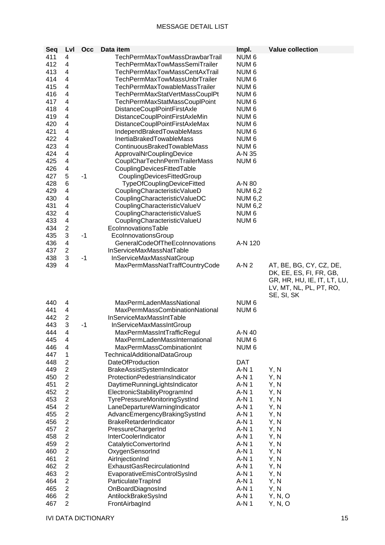| Seq | Lvl                       | Occ  | Data item                            | Impl.            | <b>Value collection</b>     |
|-----|---------------------------|------|--------------------------------------|------------------|-----------------------------|
| 411 | 4                         |      | TechPermMaxTowMassDrawbarTrail       | NUM <sub>6</sub> |                             |
| 412 | 4                         |      | <b>TechPermMaxTowMassSemiTrailer</b> | NUM <sub>6</sub> |                             |
| 413 | 4                         |      | <b>TechPermMaxTowMassCentAxTrail</b> | NUM <sub>6</sub> |                             |
| 414 | 4                         |      | TechPermMaxTowMassUnbrTrailer        | NUM <sub>6</sub> |                             |
| 415 | 4                         |      | TechPermMaxTowableMassTrailer        | NUM <sub>6</sub> |                             |
| 416 | 4                         |      | TechPermMaxStatVertMassCouplPt       | NUM <sub>6</sub> |                             |
| 417 | 4                         |      | TechPermMaxStatMassCouplPoint        | NUM <sub>6</sub> |                             |
|     |                           |      |                                      |                  |                             |
| 418 | 4                         |      | DistanceCouplPointFirstAxle          | NUM <sub>6</sub> |                             |
| 419 | 4                         |      | DistanceCouplPointFirstAxleMin       | NUM <sub>6</sub> |                             |
| 420 | 4                         |      | DistanceCouplPointFirstAxleMax       | NUM <sub>6</sub> |                             |
| 421 | 4                         |      | IndependBrakedTowableMass            | NUM <sub>6</sub> |                             |
| 422 | 4                         |      | InertiaBrakedTowableMass             | NUM <sub>6</sub> |                             |
| 423 | 4                         |      | ContinuousBrakedTowableMass          | NUM <sub>6</sub> |                             |
| 424 | 4                         |      | ApprovalNrCouplingDevice             | A-N 35           |                             |
| 425 | 4                         |      | CouplCharTechnPermTrailerMass        | NUM <sub>6</sub> |                             |
| 426 | 4                         |      | CouplingDevicesFittedTable           |                  |                             |
| 427 | 5                         | $-1$ | CouplingDevicesFittedGroup           |                  |                             |
| 428 | 6                         |      | TypeOfCouplingDeviceFitted           | A-N 80           |                             |
| 429 | 4                         |      | CouplingCharacteristicValueD         | <b>NUM 6,2</b>   |                             |
| 430 | 4                         |      | CouplingCharacteristicValueDC        | <b>NUM 6,2</b>   |                             |
| 431 | 4                         |      | CouplingCharacteristicValueV         | <b>NUM 6,2</b>   |                             |
| 432 | 4                         |      | CouplingCharacteristicValueS         | NUM <sub>6</sub> |                             |
| 433 | 4                         |      | CouplingCharacteristicValueU         | NUM <sub>6</sub> |                             |
| 434 | $\overline{c}$            |      | EcolnnovationsTable                  |                  |                             |
| 435 | $\ensuremath{\mathsf{3}}$ | $-1$ | EcolnnovationsGroup                  |                  |                             |
| 436 | 4                         |      | GeneralCodeOfTheEcoInnovations       | A-N 120          |                             |
| 437 | $\overline{2}$            |      | InServiceMaxMassNatTable             |                  |                             |
| 438 | 3                         | $-1$ | InServiceMaxMassNatGroup             |                  |                             |
| 439 | 4                         |      | MaxPermMassNatTraffCountryCode       | $A-N2$           | AT, BE, BG, CY, CZ, DE,     |
|     |                           |      |                                      |                  | DK, EE, ES, FI, FR, GB,     |
|     |                           |      |                                      |                  | GR, HR, HU, IE, IT, LT, LU, |
|     |                           |      |                                      |                  | LV, MT, NL, PL, PT, RO,     |
|     |                           |      |                                      |                  | SE, SI, SK                  |
| 440 | 4                         |      | MaxPermLadenMassNational             | NUM <sub>6</sub> |                             |
| 441 | 4                         |      | MaxPermMassCombinationNational       | NUM <sub>6</sub> |                             |
| 442 | $\overline{2}$            |      | InServiceMaxMassIntTable             |                  |                             |
|     | 3                         |      |                                      |                  |                             |
| 443 |                           | $-1$ | InServiceMaxMassIntGroup             |                  |                             |
| 444 | 4                         |      | MaxPermMassIntTrafficRegul           | A-N 40           |                             |
| 445 | 4                         |      | MaxPermLadenMassInternational        | NUM <sub>6</sub> |                             |
| 446 | 4                         |      | MaxPermMassCombinationInt            | NUM <sub>6</sub> |                             |
| 447 | $\mathbf 1$               |      | <b>TechnicalAdditionalDataGroup</b>  |                  |                             |
| 448 | $\overline{2}$            |      | <b>DateOfProduction</b>              | <b>DAT</b>       |                             |
| 449 | $\mathbf{2}$              |      | BrakeAssistSystemIndicator           | $A-N1$           | Y, N                        |
| 450 | $\overline{2}$            |      | ProtectionPedestriansIndicator       | $A-N1$           | Y, N                        |
| 451 | $\overline{c}$            |      | DaytimeRunningLightsIndicator        | $A-N1$           | Y, N                        |
| 452 | 2                         |      | ElectronicStabilityProgramInd        | $A-N1$           | Y, N                        |
| 453 | 2                         |      | TyrePressureMonitoringSystInd        | $A-N1$           | Y, N                        |
| 454 | $\overline{c}$            |      | LaneDepartureWarningIndicator        | A-N 1            | Y, N                        |
| 455 | $\overline{2}$            |      | AdvancEmergencyBrakingSystInd        | $A-N1$           | Y, N                        |
| 456 | $\overline{c}$            |      | BrakeRetarderIndicator               | A-N 1            | Y, N                        |
| 457 | $\overline{2}$            |      | PressureChargerInd                   | $A-N1$           | Y, N                        |
| 458 | $\overline{c}$            |      | InterCoolerIndicator                 | A-N 1            | Y, N                        |
| 459 | $\overline{2}$            |      | CatalyticConvertorInd                | A-N 1            | Y, N                        |
| 460 | $\boldsymbol{2}$          |      | OxygenSensorInd                      | $A-N1$           | Y, N                        |
| 461 | $\mathbf{2}$              |      | AirlnjectionInd                      | $A-N1$           | Y, N                        |
| 462 | $\overline{2}$            |      | ExhaustGasRecirculationInd           | $A-N1$           | Y, N                        |
| 463 | 2                         |      | EvaporativeEmisControlSysInd         | $A-N1$           | Y, N                        |
| 464 | $\overline{2}$            |      | ParticulateTrapInd                   | A-N 1            | Y, N                        |
| 465 | $\overline{c}$            |      | OnBoardDiagnosInd                    | A-N 1            | Y, N                        |
| 466 | $\overline{2}$            |      | AntilockBrakeSysInd                  | $A-N1$           | Y, N, O                     |
| 467 | $\overline{2}$            |      | FrontAirbagInd                       | $A-N1$           | Y, N, O                     |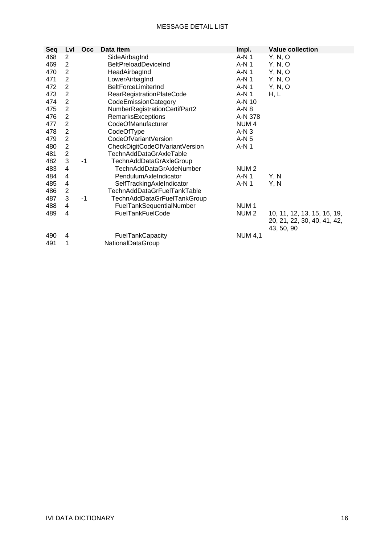| Seq | Lvl            | Occ  | Data item                       | Impl.            | <b>Value collection</b>     |
|-----|----------------|------|---------------------------------|------------------|-----------------------------|
| 468 | 2              |      | SideAirbagInd                   | $A-N1$           | Y, N, O                     |
| 469 | $\overline{2}$ |      | <b>BeltPreloadDeviceInd</b>     | $A-N1$           | Y, N, O                     |
| 470 | $\sqrt{2}$     |      | HeadAirbagInd                   | $A-N1$           | Y, N, O                     |
| 471 | $\overline{2}$ |      | LowerAirbagInd                  | A-N 1            | Y, N, O                     |
| 472 | $\overline{2}$ |      | BeltForceLimiterInd             | $A-N1$           | Y, N, O                     |
| 473 | $\overline{2}$ |      | RearRegistrationPlateCode       | $A-N1$           | H, L                        |
| 474 | $\overline{2}$ |      | CodeEmissionCategory            | A-N 10           |                             |
| 475 | $\overline{2}$ |      | NumberRegistrationCertifPart2   | $A-N8$           |                             |
| 476 | $\overline{2}$ |      | <b>RemarksExceptions</b>        | A-N 378          |                             |
| 477 | $\overline{2}$ |      | CodeOfManufacturer              | NUM <sub>4</sub> |                             |
| 478 | $\overline{2}$ |      | CodeOfType                      | $A-N3$           |                             |
| 479 | $\overline{2}$ |      | CodeOfVariantVersion            | $A-N5$           |                             |
| 480 | $\overline{2}$ |      | CheckDigitCodeOfVariantVersion  | A-N 1            |                             |
| 481 | $\sqrt{2}$     |      | TechnAddDataGrAxleTable         |                  |                             |
| 482 | $\mathbf{3}$   | $-1$ | TechnAddDataGrAxleGroup         |                  |                             |
| 483 | 4              |      | <b>TechnAddDataGrAxleNumber</b> | NUM <sub>2</sub> |                             |
| 484 | 4              |      | PendulumAxleIndicator           | $A-N1$           | Y, N                        |
| 485 | 4              |      | SelfTrackingAxleIndicator       | $A-N1$           | Y, N                        |
| 486 | $\overline{2}$ |      | TechnAddDataGrFuelTankTable     |                  |                             |
| 487 | 3              | $-1$ | TechnAddDataGrFuelTankGroup     |                  |                             |
| 488 | 4              |      | FuelTankSequentialNumber        | NUM <sub>1</sub> |                             |
| 489 | 4              |      | <b>FuelTankFuelCode</b>         | NUM <sub>2</sub> | 10, 11, 12, 13, 15, 16, 19, |
|     |                |      |                                 |                  | 20, 21, 22, 30, 40, 41, 42, |
|     |                |      |                                 |                  | 43, 50, 90                  |
| 490 | 4              |      | FuelTankCapacity                | <b>NUM 4,1</b>   |                             |
| 491 | 1              |      | NationalDataGroup               |                  |                             |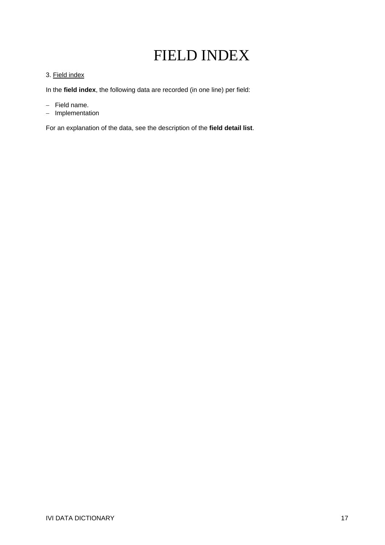# FIELD INDEX

### 3. Field index

In the **field index**, the following data are recorded (in one line) per field:

- − Field name.
- − Implementation

For an explanation of the data, see the description of the **field detail list**.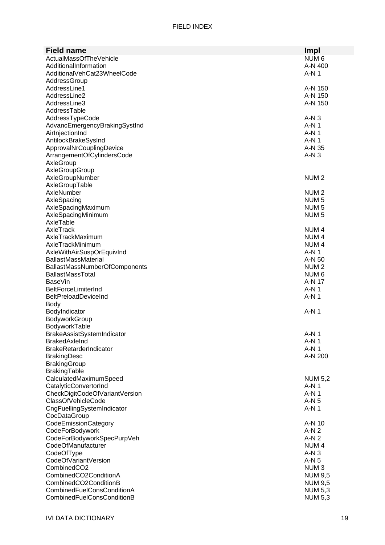| <b>Field name</b>                    | Impl             |
|--------------------------------------|------------------|
| ActualMassOfTheVehicle               | NUM 6            |
| AdditionalInformation                | A-N 400          |
| AdditionalVehCat23WheelCode          | $A-N1$           |
|                                      |                  |
| AddressGroup                         |                  |
| AddressLine1                         | A-N 150          |
| AddressLine2                         | A-N 150          |
| AddressLine3                         | A-N 150          |
| AddressTable                         |                  |
| AddressTypeCode                      | $A-N3$           |
| AdvancEmergencyBrakingSystInd        | A-N 1            |
| AirlnjectionInd                      | $A-N1$           |
| AntilockBrakeSysInd                  | A-N 1            |
| ApprovalNrCouplingDevice             | A-N 35           |
| ArrangementOfCylindersCode           | $A-N3$           |
| AxleGroup                            |                  |
| AxleGroupGroup                       |                  |
| AxleGroupNumber                      | NUM <sub>2</sub> |
| AxleGroupTable                       |                  |
| AxleNumber                           | NUM <sub>2</sub> |
| AxleSpacing                          | NUM <sub>5</sub> |
| AxleSpacingMaximum                   | NUM <sub>5</sub> |
| AxleSpacingMinimum                   | NUM <sub>5</sub> |
| AxleTable                            |                  |
| AxleTrack                            | NUM <sub>4</sub> |
| AxleTrackMaximum                     | NUM <sub>4</sub> |
| AxleTrackMinimum                     | NUM <sub>4</sub> |
| AxleWithAirSuspOrEquivInd            | A-N 1            |
|                                      |                  |
| <b>BallastMassMaterial</b>           | A-N 50           |
| <b>BallastMassNumberOfComponents</b> | NUM <sub>2</sub> |
| <b>BallastMassTotal</b>              | NUM <sub>6</sub> |
| <b>BaseVin</b>                       | A-N 17           |
| <b>BeltForceLimiterInd</b>           | A-N 1            |
| <b>BeltPreloadDeviceInd</b>          | A-N 1            |
| <b>Body</b>                          |                  |
| BodyIndicator                        | $A-N1$           |
| BodyworkGroup                        |                  |
| BodyworkTable                        |                  |
| BrakeAssistSystemIndicator           | A-N 1            |
| <b>BrakedAxleInd</b>                 | $A-N1$           |
| BrakeRetarderIndicator               | $A-N1$           |
| <b>BrakingDesc</b>                   | A-N 200          |
| <b>BrakingGroup</b>                  |                  |
| BrakingTable                         |                  |
| CalculatedMaximumSpeed               | <b>NUM 5,2</b>   |
| CatalyticConvertorInd                | A-N 1            |
| CheckDigitCodeOfVariantVersion       | $A-N1$           |
| <b>ClassOfVehicleCode</b>            | $A-N5$           |
| CngFuellingSystemIndicator           | A-N 1            |
| CocDataGroup                         |                  |
| CodeEmissionCategory                 | A-N 10           |
| CodeForBodywork                      | $A-N2$           |
| CodeForBodyworkSpecPurpVeh           | $A-N2$           |
| CodeOfManufacturer                   | NUM <sub>4</sub> |
| CodeOfType                           | $A-N3$           |
| CodeOfVariantVersion                 | $A-N5$           |
| CombinedCO2                          | NUM <sub>3</sub> |
| CombinedCO2ConditionA                |                  |
|                                      | <b>NUM 9,5</b>   |
| CombinedCO2ConditionB                | <b>NUM 9,5</b>   |
| CombinedFuelConsConditionA           | <b>NUM 5,3</b>   |
| CombinedFuelConsConditionB           | <b>NUM 5,3</b>   |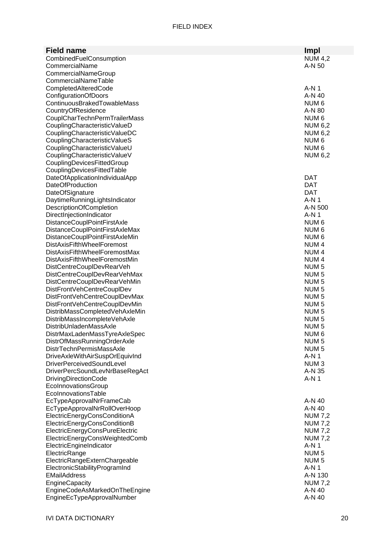### FIELD INDEX

| <b>Field name</b>                                                   | <b>Impl</b>                          |
|---------------------------------------------------------------------|--------------------------------------|
| CombinedFuelConsumption                                             | <b>NUM 4,2</b>                       |
| CommercialName                                                      | A-N 50                               |
| CommercialNameGroup                                                 |                                      |
| CommercialNameTable                                                 |                                      |
| CompletedAlteredCode                                                | $A-N1$                               |
| ConfigurationOfDoors                                                | A-N 40                               |
| ContinuousBrakedTowableMass                                         | NUM <sub>6</sub>                     |
| CountryOfResidence                                                  | A-N 80                               |
| CouplCharTechnPermTrailerMass                                       | NUM <sub>6</sub>                     |
| CouplingCharacteristicValueD                                        | <b>NUM 6,2</b>                       |
| CouplingCharacteristicValueDC                                       | <b>NUM 6,2</b>                       |
| CouplingCharacteristicValueS                                        | NUM <sub>6</sub>                     |
| CouplingCharacteristicValueU                                        | NUM <sub>6</sub>                     |
| CouplingCharacteristicValueV                                        | <b>NUM 6,2</b>                       |
| CouplingDevicesFittedGroup                                          |                                      |
| CouplingDevicesFittedTable                                          |                                      |
| DateOfApplicationIndividualApp                                      | DAT                                  |
| <b>DateOfProduction</b>                                             | <b>DAT</b>                           |
| DateOfSignature                                                     | <b>DAT</b>                           |
| DaytimeRunningLightsIndicator                                       | $A-N1$                               |
| <b>DescriptionOfCompletion</b>                                      | A-N 500                              |
| DirectInjectionIndicator                                            | $A-N1$                               |
| DistanceCouplPointFirstAxle                                         | NUM <sub>6</sub>                     |
| DistanceCouplPointFirstAxleMax                                      | NUM <sub>6</sub>                     |
| DistanceCouplPointFirstAxleMin<br><b>DistAxisFifthWheelForemost</b> | NUM <sub>6</sub><br>NUM <sub>4</sub> |
| <b>DistAxisFifthWheelForemostMax</b>                                | NUM <sub>4</sub>                     |
| <b>DistAxisFifthWheelForemostMin</b>                                | NUM <sub>4</sub>                     |
| DistCentreCouplDevRearVeh                                           | NUM <sub>5</sub>                     |
| DistCentreCouplDevRearVehMax                                        | NUM <sub>5</sub>                     |
| DistCentreCouplDevRearVehMin                                        | NUM <sub>5</sub>                     |
| DistFrontVehCentreCouplDev                                          | NUM <sub>5</sub>                     |
| DistFrontVehCentreCouplDevMax                                       | NUM <sub>5</sub>                     |
| DistFrontVehCentreCouplDevMin                                       | NUM <sub>5</sub>                     |
| DistribMassCompletedVehAxleMin                                      | NUM <sub>5</sub>                     |
| DistribMassIncompleteVehAxle                                        | NUM <sub>5</sub>                     |
| DistribUnladenMassAxle                                              | NUM <sub>5</sub>                     |
| DistrMaxLadenMassTyreAxleSpec                                       | NUM 6                                |
| DistrOfMassRunningOrderAxle                                         | NUM <sub>5</sub>                     |
| <b>DistrTechnPermisMassAxle</b>                                     | NUM <sub>5</sub>                     |
| DriveAxleWithAirSuspOrEquivInd                                      | $A-N1$                               |
| DriverPerceivedSoundLevel                                           | NUM <sub>3</sub>                     |
| DriverPercSoundLevNrBaseRegAct                                      | A-N 35                               |
| <b>DrivingDirectionCode</b>                                         | A-N 1                                |
| EcolnnovationsGroup<br>EcolnnovationsTable                          |                                      |
| EcTypeApprovalNrFrameCab                                            | A-N 40                               |
| EcTypeApprovalNrRollOverHoop                                        | A-N 40                               |
| ElectricEnergyConsConditionA                                        | <b>NUM 7,2</b>                       |
| ElectricEnergyConsConditionB                                        | <b>NUM 7,2</b>                       |
| ElectricEnergyConsPureElectric                                      | <b>NUM 7,2</b>                       |
| ElectricEnergyConsWeightedComb                                      | <b>NUM 7,2</b>                       |
| ElectricEngineIndicator                                             | $A-N1$                               |
| ElectricRange                                                       | NUM <sub>5</sub>                     |
| ElectricRangeExternChargeable                                       | NUM <sub>5</sub>                     |
| ElectronicStabilityProgramInd                                       | $A-N1$                               |
| <b>EMailAddress</b>                                                 | A-N 130                              |
| <b>EngineCapacity</b>                                               | <b>NUM 7,2</b>                       |
| EngineCodeAsMarkedOnTheEngine                                       | A-N 40                               |
| EngineEcTypeApprovalNumber                                          | A-N 40                               |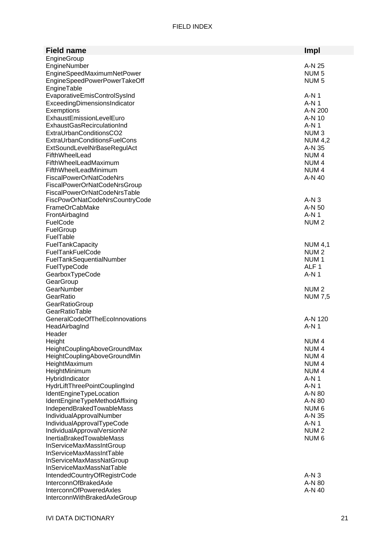| Impl<br><b>Field name</b><br>EngineGroup<br>EngineNumber<br>A-N 25<br>EngineSpeedMaximumNetPower<br>NUM <sub>5</sub><br>EngineSpeedPowerPowerTakeOff<br>NUM <sub>5</sub><br>EngineTable<br>EvaporativeEmisControlSysInd<br>$A-N1$<br>ExceedingDimensionsIndicator<br>$A-N1$<br>Exemptions<br>A-N 200<br>ExhaustEmissionLevelEuro<br>A-N 10<br><b>ExhaustGasRecirculationInd</b><br>$A-N1$<br>ExtraUrbanConditionsCO2<br>NUM <sub>3</sub><br><b>ExtraUrbanConditionsFuelCons</b><br><b>NUM 4,2</b><br>A-N 35<br>ExtSoundLevelNrBaseRegulAct<br>NUM <sub>4</sub><br>FifthWheelLead<br>FifthWheelLeadMaximum<br>NUM <sub>4</sub><br>FifthWheelLeadMinimum<br>NUM <sub>4</sub><br>A-N 40<br><b>FiscalPowerOrNatCodeNrs</b><br>FiscalPowerOrNatCodeNrsGroup<br>FiscalPowerOrNatCodeNrsTable<br>$A-N3$<br>FiscPowOrNatCodeNrsCountryCode<br>FrameOrCabMake<br>A-N 50<br>$A-N1$<br>FrontAirbagInd<br>FuelCode<br>NUM <sub>2</sub><br>FuelGroup<br>FuelTable<br>FuelTankCapacity<br><b>NUM 4,1</b><br>FuelTankFuelCode<br>NUM <sub>2</sub><br>FuelTankSequentialNumber<br>NUM <sub>1</sub><br>ALF <sub>1</sub><br>FuelTypeCode<br>GearboxTypeCode<br>$A-N1$<br>GearGroup<br>GearNumber<br>NUM <sub>2</sub><br>GearRatio<br><b>NUM 7,5</b><br>GearRatioGroup<br>GearRatioTable<br>GeneralCodeOfTheEcoInnovations<br>A-N 120<br>$A-N1$<br>HeadAirbagInd<br>Header<br>Height<br>NUM <sub>4</sub><br>HeightCouplingAboveGroundMax<br>NUM <sub>4</sub><br>HeightCouplingAboveGroundMin<br>NUM <sub>4</sub><br>HeightMaximum<br>NUM <sub>4</sub><br>HeightMinimum<br>NUM <sub>4</sub><br>HybridIndicator<br>A-N 1<br>HydrLiftThreePointCouplingInd<br>$A-N1$<br>IdentEngineTypeLocation<br>A-N 80<br>IdentEngineTypeMethodAffixing<br>A-N 80<br>IndependBrakedTowableMass<br>NUM 6<br>IndividualApprovalNumber<br>A-N 35<br>IndividualApprovalTypeCode<br>$A-N1$<br>IndividualApprovalVersionNr<br>NUM <sub>2</sub><br>InertiaBrakedTowableMass<br>NUM <sub>6</sub> |
|-------------------------------------------------------------------------------------------------------------------------------------------------------------------------------------------------------------------------------------------------------------------------------------------------------------------------------------------------------------------------------------------------------------------------------------------------------------------------------------------------------------------------------------------------------------------------------------------------------------------------------------------------------------------------------------------------------------------------------------------------------------------------------------------------------------------------------------------------------------------------------------------------------------------------------------------------------------------------------------------------------------------------------------------------------------------------------------------------------------------------------------------------------------------------------------------------------------------------------------------------------------------------------------------------------------------------------------------------------------------------------------------------------------------------------------------------------------------------------------------------------------------------------------------------------------------------------------------------------------------------------------------------------------------------------------------------------------------------------------------------------------------------------------------------------------------------------------------------------------------------------------------------------------------------------------------------------|
|                                                                                                                                                                                                                                                                                                                                                                                                                                                                                                                                                                                                                                                                                                                                                                                                                                                                                                                                                                                                                                                                                                                                                                                                                                                                                                                                                                                                                                                                                                                                                                                                                                                                                                                                                                                                                                                                                                                                                       |
|                                                                                                                                                                                                                                                                                                                                                                                                                                                                                                                                                                                                                                                                                                                                                                                                                                                                                                                                                                                                                                                                                                                                                                                                                                                                                                                                                                                                                                                                                                                                                                                                                                                                                                                                                                                                                                                                                                                                                       |
|                                                                                                                                                                                                                                                                                                                                                                                                                                                                                                                                                                                                                                                                                                                                                                                                                                                                                                                                                                                                                                                                                                                                                                                                                                                                                                                                                                                                                                                                                                                                                                                                                                                                                                                                                                                                                                                                                                                                                       |
|                                                                                                                                                                                                                                                                                                                                                                                                                                                                                                                                                                                                                                                                                                                                                                                                                                                                                                                                                                                                                                                                                                                                                                                                                                                                                                                                                                                                                                                                                                                                                                                                                                                                                                                                                                                                                                                                                                                                                       |
|                                                                                                                                                                                                                                                                                                                                                                                                                                                                                                                                                                                                                                                                                                                                                                                                                                                                                                                                                                                                                                                                                                                                                                                                                                                                                                                                                                                                                                                                                                                                                                                                                                                                                                                                                                                                                                                                                                                                                       |
|                                                                                                                                                                                                                                                                                                                                                                                                                                                                                                                                                                                                                                                                                                                                                                                                                                                                                                                                                                                                                                                                                                                                                                                                                                                                                                                                                                                                                                                                                                                                                                                                                                                                                                                                                                                                                                                                                                                                                       |
|                                                                                                                                                                                                                                                                                                                                                                                                                                                                                                                                                                                                                                                                                                                                                                                                                                                                                                                                                                                                                                                                                                                                                                                                                                                                                                                                                                                                                                                                                                                                                                                                                                                                                                                                                                                                                                                                                                                                                       |
|                                                                                                                                                                                                                                                                                                                                                                                                                                                                                                                                                                                                                                                                                                                                                                                                                                                                                                                                                                                                                                                                                                                                                                                                                                                                                                                                                                                                                                                                                                                                                                                                                                                                                                                                                                                                                                                                                                                                                       |
|                                                                                                                                                                                                                                                                                                                                                                                                                                                                                                                                                                                                                                                                                                                                                                                                                                                                                                                                                                                                                                                                                                                                                                                                                                                                                                                                                                                                                                                                                                                                                                                                                                                                                                                                                                                                                                                                                                                                                       |
|                                                                                                                                                                                                                                                                                                                                                                                                                                                                                                                                                                                                                                                                                                                                                                                                                                                                                                                                                                                                                                                                                                                                                                                                                                                                                                                                                                                                                                                                                                                                                                                                                                                                                                                                                                                                                                                                                                                                                       |
|                                                                                                                                                                                                                                                                                                                                                                                                                                                                                                                                                                                                                                                                                                                                                                                                                                                                                                                                                                                                                                                                                                                                                                                                                                                                                                                                                                                                                                                                                                                                                                                                                                                                                                                                                                                                                                                                                                                                                       |
|                                                                                                                                                                                                                                                                                                                                                                                                                                                                                                                                                                                                                                                                                                                                                                                                                                                                                                                                                                                                                                                                                                                                                                                                                                                                                                                                                                                                                                                                                                                                                                                                                                                                                                                                                                                                                                                                                                                                                       |
|                                                                                                                                                                                                                                                                                                                                                                                                                                                                                                                                                                                                                                                                                                                                                                                                                                                                                                                                                                                                                                                                                                                                                                                                                                                                                                                                                                                                                                                                                                                                                                                                                                                                                                                                                                                                                                                                                                                                                       |
|                                                                                                                                                                                                                                                                                                                                                                                                                                                                                                                                                                                                                                                                                                                                                                                                                                                                                                                                                                                                                                                                                                                                                                                                                                                                                                                                                                                                                                                                                                                                                                                                                                                                                                                                                                                                                                                                                                                                                       |
|                                                                                                                                                                                                                                                                                                                                                                                                                                                                                                                                                                                                                                                                                                                                                                                                                                                                                                                                                                                                                                                                                                                                                                                                                                                                                                                                                                                                                                                                                                                                                                                                                                                                                                                                                                                                                                                                                                                                                       |
|                                                                                                                                                                                                                                                                                                                                                                                                                                                                                                                                                                                                                                                                                                                                                                                                                                                                                                                                                                                                                                                                                                                                                                                                                                                                                                                                                                                                                                                                                                                                                                                                                                                                                                                                                                                                                                                                                                                                                       |
|                                                                                                                                                                                                                                                                                                                                                                                                                                                                                                                                                                                                                                                                                                                                                                                                                                                                                                                                                                                                                                                                                                                                                                                                                                                                                                                                                                                                                                                                                                                                                                                                                                                                                                                                                                                                                                                                                                                                                       |
|                                                                                                                                                                                                                                                                                                                                                                                                                                                                                                                                                                                                                                                                                                                                                                                                                                                                                                                                                                                                                                                                                                                                                                                                                                                                                                                                                                                                                                                                                                                                                                                                                                                                                                                                                                                                                                                                                                                                                       |
|                                                                                                                                                                                                                                                                                                                                                                                                                                                                                                                                                                                                                                                                                                                                                                                                                                                                                                                                                                                                                                                                                                                                                                                                                                                                                                                                                                                                                                                                                                                                                                                                                                                                                                                                                                                                                                                                                                                                                       |
|                                                                                                                                                                                                                                                                                                                                                                                                                                                                                                                                                                                                                                                                                                                                                                                                                                                                                                                                                                                                                                                                                                                                                                                                                                                                                                                                                                                                                                                                                                                                                                                                                                                                                                                                                                                                                                                                                                                                                       |
|                                                                                                                                                                                                                                                                                                                                                                                                                                                                                                                                                                                                                                                                                                                                                                                                                                                                                                                                                                                                                                                                                                                                                                                                                                                                                                                                                                                                                                                                                                                                                                                                                                                                                                                                                                                                                                                                                                                                                       |
|                                                                                                                                                                                                                                                                                                                                                                                                                                                                                                                                                                                                                                                                                                                                                                                                                                                                                                                                                                                                                                                                                                                                                                                                                                                                                                                                                                                                                                                                                                                                                                                                                                                                                                                                                                                                                                                                                                                                                       |
|                                                                                                                                                                                                                                                                                                                                                                                                                                                                                                                                                                                                                                                                                                                                                                                                                                                                                                                                                                                                                                                                                                                                                                                                                                                                                                                                                                                                                                                                                                                                                                                                                                                                                                                                                                                                                                                                                                                                                       |
|                                                                                                                                                                                                                                                                                                                                                                                                                                                                                                                                                                                                                                                                                                                                                                                                                                                                                                                                                                                                                                                                                                                                                                                                                                                                                                                                                                                                                                                                                                                                                                                                                                                                                                                                                                                                                                                                                                                                                       |
|                                                                                                                                                                                                                                                                                                                                                                                                                                                                                                                                                                                                                                                                                                                                                                                                                                                                                                                                                                                                                                                                                                                                                                                                                                                                                                                                                                                                                                                                                                                                                                                                                                                                                                                                                                                                                                                                                                                                                       |
|                                                                                                                                                                                                                                                                                                                                                                                                                                                                                                                                                                                                                                                                                                                                                                                                                                                                                                                                                                                                                                                                                                                                                                                                                                                                                                                                                                                                                                                                                                                                                                                                                                                                                                                                                                                                                                                                                                                                                       |
|                                                                                                                                                                                                                                                                                                                                                                                                                                                                                                                                                                                                                                                                                                                                                                                                                                                                                                                                                                                                                                                                                                                                                                                                                                                                                                                                                                                                                                                                                                                                                                                                                                                                                                                                                                                                                                                                                                                                                       |
|                                                                                                                                                                                                                                                                                                                                                                                                                                                                                                                                                                                                                                                                                                                                                                                                                                                                                                                                                                                                                                                                                                                                                                                                                                                                                                                                                                                                                                                                                                                                                                                                                                                                                                                                                                                                                                                                                                                                                       |
|                                                                                                                                                                                                                                                                                                                                                                                                                                                                                                                                                                                                                                                                                                                                                                                                                                                                                                                                                                                                                                                                                                                                                                                                                                                                                                                                                                                                                                                                                                                                                                                                                                                                                                                                                                                                                                                                                                                                                       |
|                                                                                                                                                                                                                                                                                                                                                                                                                                                                                                                                                                                                                                                                                                                                                                                                                                                                                                                                                                                                                                                                                                                                                                                                                                                                                                                                                                                                                                                                                                                                                                                                                                                                                                                                                                                                                                                                                                                                                       |
|                                                                                                                                                                                                                                                                                                                                                                                                                                                                                                                                                                                                                                                                                                                                                                                                                                                                                                                                                                                                                                                                                                                                                                                                                                                                                                                                                                                                                                                                                                                                                                                                                                                                                                                                                                                                                                                                                                                                                       |
|                                                                                                                                                                                                                                                                                                                                                                                                                                                                                                                                                                                                                                                                                                                                                                                                                                                                                                                                                                                                                                                                                                                                                                                                                                                                                                                                                                                                                                                                                                                                                                                                                                                                                                                                                                                                                                                                                                                                                       |
|                                                                                                                                                                                                                                                                                                                                                                                                                                                                                                                                                                                                                                                                                                                                                                                                                                                                                                                                                                                                                                                                                                                                                                                                                                                                                                                                                                                                                                                                                                                                                                                                                                                                                                                                                                                                                                                                                                                                                       |
|                                                                                                                                                                                                                                                                                                                                                                                                                                                                                                                                                                                                                                                                                                                                                                                                                                                                                                                                                                                                                                                                                                                                                                                                                                                                                                                                                                                                                                                                                                                                                                                                                                                                                                                                                                                                                                                                                                                                                       |
|                                                                                                                                                                                                                                                                                                                                                                                                                                                                                                                                                                                                                                                                                                                                                                                                                                                                                                                                                                                                                                                                                                                                                                                                                                                                                                                                                                                                                                                                                                                                                                                                                                                                                                                                                                                                                                                                                                                                                       |
|                                                                                                                                                                                                                                                                                                                                                                                                                                                                                                                                                                                                                                                                                                                                                                                                                                                                                                                                                                                                                                                                                                                                                                                                                                                                                                                                                                                                                                                                                                                                                                                                                                                                                                                                                                                                                                                                                                                                                       |
|                                                                                                                                                                                                                                                                                                                                                                                                                                                                                                                                                                                                                                                                                                                                                                                                                                                                                                                                                                                                                                                                                                                                                                                                                                                                                                                                                                                                                                                                                                                                                                                                                                                                                                                                                                                                                                                                                                                                                       |
|                                                                                                                                                                                                                                                                                                                                                                                                                                                                                                                                                                                                                                                                                                                                                                                                                                                                                                                                                                                                                                                                                                                                                                                                                                                                                                                                                                                                                                                                                                                                                                                                                                                                                                                                                                                                                                                                                                                                                       |
|                                                                                                                                                                                                                                                                                                                                                                                                                                                                                                                                                                                                                                                                                                                                                                                                                                                                                                                                                                                                                                                                                                                                                                                                                                                                                                                                                                                                                                                                                                                                                                                                                                                                                                                                                                                                                                                                                                                                                       |
|                                                                                                                                                                                                                                                                                                                                                                                                                                                                                                                                                                                                                                                                                                                                                                                                                                                                                                                                                                                                                                                                                                                                                                                                                                                                                                                                                                                                                                                                                                                                                                                                                                                                                                                                                                                                                                                                                                                                                       |
|                                                                                                                                                                                                                                                                                                                                                                                                                                                                                                                                                                                                                                                                                                                                                                                                                                                                                                                                                                                                                                                                                                                                                                                                                                                                                                                                                                                                                                                                                                                                                                                                                                                                                                                                                                                                                                                                                                                                                       |
|                                                                                                                                                                                                                                                                                                                                                                                                                                                                                                                                                                                                                                                                                                                                                                                                                                                                                                                                                                                                                                                                                                                                                                                                                                                                                                                                                                                                                                                                                                                                                                                                                                                                                                                                                                                                                                                                                                                                                       |
|                                                                                                                                                                                                                                                                                                                                                                                                                                                                                                                                                                                                                                                                                                                                                                                                                                                                                                                                                                                                                                                                                                                                                                                                                                                                                                                                                                                                                                                                                                                                                                                                                                                                                                                                                                                                                                                                                                                                                       |
|                                                                                                                                                                                                                                                                                                                                                                                                                                                                                                                                                                                                                                                                                                                                                                                                                                                                                                                                                                                                                                                                                                                                                                                                                                                                                                                                                                                                                                                                                                                                                                                                                                                                                                                                                                                                                                                                                                                                                       |
|                                                                                                                                                                                                                                                                                                                                                                                                                                                                                                                                                                                                                                                                                                                                                                                                                                                                                                                                                                                                                                                                                                                                                                                                                                                                                                                                                                                                                                                                                                                                                                                                                                                                                                                                                                                                                                                                                                                                                       |
|                                                                                                                                                                                                                                                                                                                                                                                                                                                                                                                                                                                                                                                                                                                                                                                                                                                                                                                                                                                                                                                                                                                                                                                                                                                                                                                                                                                                                                                                                                                                                                                                                                                                                                                                                                                                                                                                                                                                                       |
|                                                                                                                                                                                                                                                                                                                                                                                                                                                                                                                                                                                                                                                                                                                                                                                                                                                                                                                                                                                                                                                                                                                                                                                                                                                                                                                                                                                                                                                                                                                                                                                                                                                                                                                                                                                                                                                                                                                                                       |
|                                                                                                                                                                                                                                                                                                                                                                                                                                                                                                                                                                                                                                                                                                                                                                                                                                                                                                                                                                                                                                                                                                                                                                                                                                                                                                                                                                                                                                                                                                                                                                                                                                                                                                                                                                                                                                                                                                                                                       |
| InServiceMaxMassIntGroup                                                                                                                                                                                                                                                                                                                                                                                                                                                                                                                                                                                                                                                                                                                                                                                                                                                                                                                                                                                                                                                                                                                                                                                                                                                                                                                                                                                                                                                                                                                                                                                                                                                                                                                                                                                                                                                                                                                              |
| InServiceMaxMassIntTable                                                                                                                                                                                                                                                                                                                                                                                                                                                                                                                                                                                                                                                                                                                                                                                                                                                                                                                                                                                                                                                                                                                                                                                                                                                                                                                                                                                                                                                                                                                                                                                                                                                                                                                                                                                                                                                                                                                              |
| InServiceMaxMassNatGroup                                                                                                                                                                                                                                                                                                                                                                                                                                                                                                                                                                                                                                                                                                                                                                                                                                                                                                                                                                                                                                                                                                                                                                                                                                                                                                                                                                                                                                                                                                                                                                                                                                                                                                                                                                                                                                                                                                                              |
| InServiceMaxMassNatTable                                                                                                                                                                                                                                                                                                                                                                                                                                                                                                                                                                                                                                                                                                                                                                                                                                                                                                                                                                                                                                                                                                                                                                                                                                                                                                                                                                                                                                                                                                                                                                                                                                                                                                                                                                                                                                                                                                                              |
| IntendedCountryOfRegistrCode<br>$A-N3$                                                                                                                                                                                                                                                                                                                                                                                                                                                                                                                                                                                                                                                                                                                                                                                                                                                                                                                                                                                                                                                                                                                                                                                                                                                                                                                                                                                                                                                                                                                                                                                                                                                                                                                                                                                                                                                                                                                |
| InterconnOfBrakedAxle<br>A-N 80                                                                                                                                                                                                                                                                                                                                                                                                                                                                                                                                                                                                                                                                                                                                                                                                                                                                                                                                                                                                                                                                                                                                                                                                                                                                                                                                                                                                                                                                                                                                                                                                                                                                                                                                                                                                                                                                                                                       |
| <b>InterconnOfPoweredAxles</b><br>A-N 40                                                                                                                                                                                                                                                                                                                                                                                                                                                                                                                                                                                                                                                                                                                                                                                                                                                                                                                                                                                                                                                                                                                                                                                                                                                                                                                                                                                                                                                                                                                                                                                                                                                                                                                                                                                                                                                                                                              |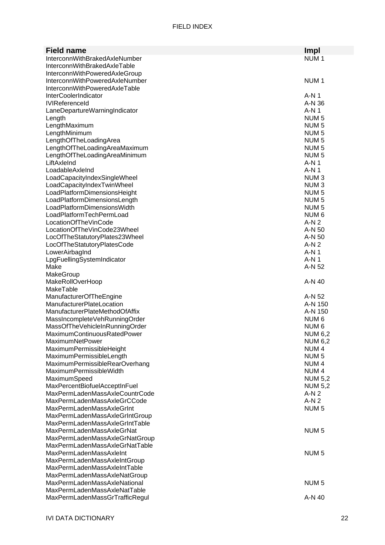| <b>Field name</b>                                              | Impl                                 |
|----------------------------------------------------------------|--------------------------------------|
| InterconnWithBrakedAxleNumber                                  | NUM <sub>1</sub>                     |
| InterconnWithBrakedAxleTable                                   |                                      |
| InterconnWithPoweredAxleGroup                                  |                                      |
| InterconnWithPoweredAxleNumber                                 | NUM <sub>1</sub>                     |
| InterconnWithPoweredAxleTable                                  |                                      |
| <b>InterCoolerIndicator</b>                                    | A-N 1                                |
| <b>IVIReferenceld</b>                                          | A-N 36                               |
| LaneDepartureWarningIndicator                                  | A-N 1                                |
| Length                                                         | NUM <sub>5</sub>                     |
| LengthMaximum                                                  | NUM <sub>5</sub>                     |
| LengthMinimum                                                  | NUM <sub>5</sub>                     |
| LengthOfTheLoadingArea                                         | NUM <sub>5</sub>                     |
| LengthOfTheLoadingAreaMaximum                                  | NUM <sub>5</sub>                     |
| LengthOfTheLoadingAreaMinimum                                  | NUM <sub>5</sub>                     |
| LiftAxleInd                                                    | A-N 1                                |
| LoadableAxleInd                                                | A-N 1                                |
| LoadCapacityIndexSingleWheel                                   | NUM <sub>3</sub>                     |
| LoadCapacityIndexTwinWheel                                     | NUM <sub>3</sub>                     |
| LoadPlatformDimensionsHeight                                   | NUM <sub>5</sub>                     |
| LoadPlatformDimensionsLength                                   | NUM <sub>5</sub>                     |
| LoadPlatformDimensionsWidth                                    | NUM <sub>5</sub>                     |
| LoadPlatformTechPermLoad                                       | NUM <sub>6</sub>                     |
| LocationOfTheVinCode                                           | $A-N2$                               |
| LocationOfTheVinCode23Wheel                                    | A-N 50                               |
| LocOfTheStatutoryPlates23Wheel                                 | A-N 50                               |
| LocOfTheStatutoryPlatesCode                                    | $A-N2$                               |
| LowerAirbagInd                                                 | A-N 1                                |
| LpgFuellingSystemIndicator                                     | $A-N1$                               |
| Make                                                           | A-N 52                               |
|                                                                |                                      |
| MakeGroup                                                      |                                      |
| <b>MakeRollOverHoop</b>                                        | $A-N$ 40                             |
| MakeTable                                                      |                                      |
| ManufacturerOfTheEngine                                        | A-N 52                               |
| <b>ManufacturerPlateLocation</b>                               | A-N 150                              |
| ManufacturerPlateMethodOfAffix                                 | A-N 150                              |
| MassIncompleteVehRunningOrder                                  | NUM <sub>6</sub>                     |
| MassOfTheVehicleInRunningOrder                                 | NUM <sub>6</sub>                     |
| MaximumContinuousRatedPower                                    | <b>NUM 6,2</b>                       |
| <b>MaximumNetPower</b>                                         | <b>NUM 6,2</b>                       |
| MaximumPermissibleHeight                                       | NUM <sub>4</sub>                     |
| MaximumPermissibleLength                                       | NUM <sub>5</sub>                     |
| MaximumPermissibleRearOverhang<br>MaximumPermissibleWidth      | NUM <sub>4</sub><br>NUM <sub>4</sub> |
| MaximumSpeed                                                   | <b>NUM 5,2</b>                       |
| MaxPercentBiofuelAcceptInFuel                                  | <b>NUM 5,2</b>                       |
| MaxPermLadenMassAxleCountrCode                                 | $A-N2$                               |
| MaxPermLadenMassAxleGrCCode                                    | $A-N2$                               |
| MaxPermLadenMassAxleGrInt                                      | NUM <sub>5</sub>                     |
| MaxPermLadenMassAxleGrIntGroup                                 |                                      |
| MaxPermLadenMassAxleGrIntTable                                 |                                      |
| MaxPermLadenMassAxleGrNat                                      | NUM <sub>5</sub>                     |
| MaxPermLadenMassAxleGrNatGroup                                 |                                      |
| MaxPermLadenMassAxleGrNatTable                                 |                                      |
| <b>MaxPermLadenMassAxleInt</b>                                 | NUM <sub>5</sub>                     |
| MaxPermLadenMassAxleIntGroup                                   |                                      |
| MaxPermLadenMassAxleIntTable                                   |                                      |
| MaxPermLadenMassAxleNatGroup                                   |                                      |
| MaxPermLadenMassAxleNational                                   | NUM <sub>5</sub>                     |
| MaxPermLadenMassAxleNatTable<br>MaxPermLadenMassGrTrafficRegul | A-N 40                               |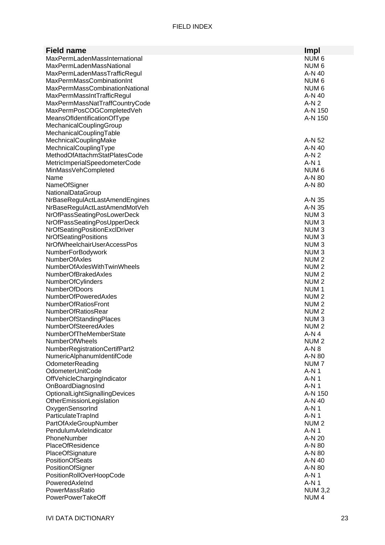| <b>Field name</b>               | Impl             |
|---------------------------------|------------------|
| MaxPermLadenMassInternational   | NUM <sub>6</sub> |
| <b>MaxPermLadenMassNational</b> | NUM <sub>6</sub> |
| MaxPermLadenMassTrafficRegul    | A-N 40           |
| MaxPermMassCombinationInt       | NUM <sub>6</sub> |
| MaxPermMassCombinationNational  | NUM 6            |
| MaxPermMassIntTrafficRegul      | A-N 40           |
| MaxPermMassNatTraffCountryCode  | $A-N2$           |
| MaxPermPosCOGCompletedVeh       | A-N 150          |
| MeansOfIdentificationOfType     | A-N 150          |
| MechanicalCouplingGroup         |                  |
| MechanicalCouplingTable         |                  |
| MechnicalCouplingMake           | A-N 52           |
| MechnicalCouplingType           | A-N 40           |
| MethodOfAttachmStatPlatesCode   | $A-N2$           |
| MetricImperialSpeedometerCode   | $A-N1$           |
| MinMassVehCompleted             | NUM <sub>6</sub> |
| Name                            | A-N 80           |
| NameOfSigner                    | A-N 80           |
| NationalDataGroup               |                  |
| NrBaseRegulActLastAmendEngines  | A-N 35           |
| NrBaseRegulActLastAmendMotVeh   | A-N 35           |
| NrOfPassSeatingPosLowerDeck     | NUM <sub>3</sub> |
| NrOfPassSeatingPosUpperDeck     | NUM <sub>3</sub> |
| NrOfSeatingPositionExclDriver   | NUM <sub>3</sub> |
| NrOfSeatingPositions            | NUM <sub>3</sub> |
| NrOfWheelchairUserAccessPos     | NUM <sub>3</sub> |
| NumberForBodywork               | NUM <sub>3</sub> |
| <b>NumberOfAxles</b>            | NUM <sub>2</sub> |
| NumberOfAxlesWithTwinWheels     | NUM <sub>2</sub> |
| <b>NumberOfBrakedAxles</b>      | NUM <sub>2</sub> |
| NumberOfCylinders               | NUM <sub>2</sub> |
| <b>NumberOfDoors</b>            | NUM <sub>1</sub> |
| <b>NumberOfPoweredAxles</b>     | NUM <sub>2</sub> |
| <b>NumberOfRatiosFront</b>      | NUM <sub>2</sub> |
| <b>NumberOfRatiosRear</b>       | NUM <sub>2</sub> |
| <b>NumberOfStandingPlaces</b>   | NUM <sub>3</sub> |
| NumberOfSteeredAxles            | NUM <sub>2</sub> |
| NumberOfTheMemberState          | A-N 4            |
| <b>NumberOfWheels</b>           | NUM <sub>2</sub> |
| NumberRegistrationCertifPart2   | $A-N8$           |
| NumericAlphanumIdentifCode      | A-N 80           |
| OdometerReading                 | NUM <sub>7</sub> |
| OdometerUnitCode                | A-N 1            |
| OffVehicleChargingIndicator     | A-N 1            |
| OnBoardDiagnosInd               | $A-N1$           |
| OptionalLightSignallingDevices  | A-N 150          |
| OtherEmissionLegislation        | A-N 40           |
| OxygenSensorInd                 | A-N 1            |
| ParticulateTrapInd              | A-N 1            |
| PartOfAxleGroupNumber           | NUM <sub>2</sub> |
| PendulumAxleIndicator           | $A-N1$           |
| PhoneNumber                     | A-N 20           |
| <b>PlaceOfResidence</b>         | A-N 80           |
| PlaceOfSignature                | A-N 80           |
| <b>PositionOfSeats</b>          | A-N 40           |
| PositionOfSigner                | A-N 80           |
| PositionRollOverHoopCode        | A-N 1            |
| PoweredAxleInd                  | $A-N1$           |
| PowerMassRatio                  | <b>NUM 3,2</b>   |
| PowerPowerTakeOff               | NUM <sub>4</sub> |
|                                 |                  |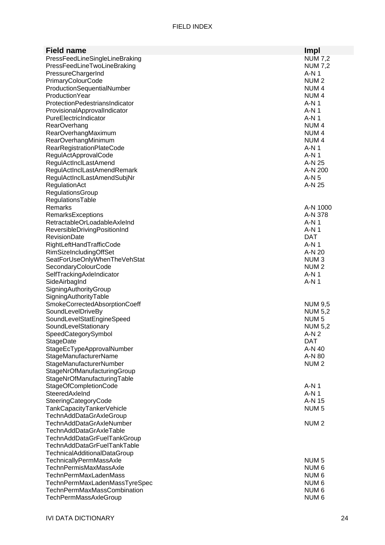| <b>Field name</b>                                           | Impl                               |
|-------------------------------------------------------------|------------------------------------|
| PressFeedLineSingleLineBraking                              | <b>NUM 7,2</b>                     |
| PressFeedLineTwoLineBraking                                 | <b>NUM 7,2</b>                     |
| PressureChargerInd                                          | A-N 1                              |
| PrimaryColourCode                                           | NUM <sub>2</sub>                   |
| ProductionSequentialNumber                                  | NUM 4                              |
| ProductionYear                                              | NUM <sub>4</sub>                   |
| ProtectionPedestriansIndicator                              | A-N 1                              |
| ProvisionalApprovalIndicator                                | A-N 1                              |
| PureElectricIndicator                                       | A-N 1                              |
| <b>RearOverhang</b>                                         | NUM 4                              |
| RearOverhangMaximum                                         | NUM <sub>4</sub>                   |
| RearOverhangMinimum                                         | NUM <sub>4</sub><br>A-N 1          |
| <b>RearRegistrationPlateCode</b><br>RegulActApprovalCode    | A-N 1                              |
| RegulActInclLastAmend                                       | A-N 25                             |
| RegulActInclLastAmendRemark                                 | A-N 200                            |
| RegulActInclLastAmendSubjNr                                 | A-N 5                              |
| RegulationAct                                               | A-N 25                             |
| RegulationsGroup                                            |                                    |
| RegulationsTable                                            |                                    |
| Remarks                                                     | A-N 1000                           |
| RemarksExceptions                                           | A-N 378                            |
| RetractableOrLoadableAxleInd                                | A-N 1                              |
| ReversibleDrivingPositionInd                                | A-N 1                              |
| <b>RevisionDate</b>                                         | <b>DAT</b>                         |
| RightLeftHandTrafficCode                                    | $A-N1$                             |
| <b>RimSizeIncludingOffSet</b>                               | A-N 20                             |
| SeatForUseOnlyWhenTheVehStat                                | NUM <sub>3</sub>                   |
| SecondaryColourCode                                         | NUM 2                              |
| SelfTrackingAxleIndicator                                   | A-N 1                              |
| SideAirbagInd                                               | A-N 1                              |
| SigningAuthorityGroup                                       |                                    |
| SigningAuthorityTable                                       |                                    |
| SmokeCorrectedAbsorptionCoeff                               | <b>NUM 9,5</b>                     |
| SoundLevelDriveBy                                           | <b>NUM 5,2</b><br>NUM <sub>5</sub> |
| SoundLevelStatEngineSpeed<br>SoundLevelStationary           | <b>NUM 5,2</b>                     |
| SpeedCategorySymbol                                         | $A-N2$                             |
| StageDate                                                   | <b>DAT</b>                         |
| StageEcTypeApprovalNumber                                   | A-N 40                             |
| StageManufacturerName                                       | A-N 80                             |
| StageManufacturerNumber                                     | NUM <sub>2</sub>                   |
| StageNrOfManufacturingGroup                                 |                                    |
| StageNrOfManufacturingTable                                 |                                    |
| StageOfCompletionCode                                       | A-N 1                              |
| SteeredAxleInd                                              | A-N 1                              |
| SteeringCategoryCode                                        | A-N 15                             |
| TankCapacityTankerVehicle                                   | NUM <sub>5</sub>                   |
| TechnAddDataGrAxleGroup                                     |                                    |
| TechnAddDataGrAxleNumber                                    | NUM <sub>2</sub>                   |
| TechnAddDataGrAxleTable                                     |                                    |
| TechnAddDataGrFuelTankGroup                                 |                                    |
| TechnAddDataGrFuelTankTable                                 |                                    |
| <b>TechnicalAdditionalDataGroup</b>                         |                                    |
| TechnicallyPermMassAxle                                     | NUM <sub>5</sub>                   |
| <b>TechnPermisMaxMassAxle</b>                               | NUM 6                              |
| <b>TechnPermMaxLadenMass</b>                                | NUM 6                              |
| TechnPermMaxLadenMassTyreSpec                               | NUM 6                              |
| <b>TechnPermMaxMassCombination</b><br>TechPermMassAxleGroup | NUM 6<br>NUM <sub>6</sub>          |
|                                                             |                                    |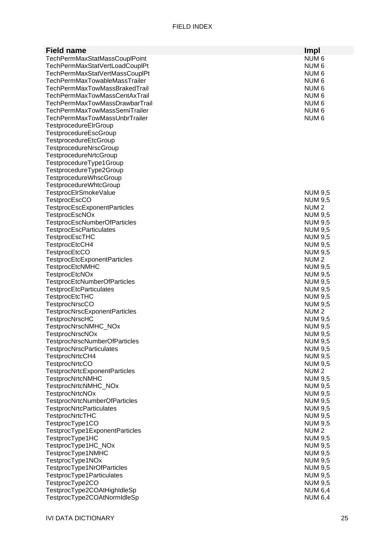| <b>Field name</b>                                     | Impl                               |
|-------------------------------------------------------|------------------------------------|
| TechPermMaxStatMassCouplPoint                         | NUM <sub>6</sub>                   |
| TechPermMaxStatVertLoadCouplPt                        | NUM 6                              |
| TechPermMaxStatVertMassCouplPt                        | NUM 6                              |
| TechPermMaxTowableMassTrailer                         | NUM <sub>6</sub>                   |
| <b>TechPermMaxTowMassBrakedTrail</b>                  | NUM <sub>6</sub>                   |
| TechPermMaxTowMassCentAxTrail                         | NUM 6                              |
| TechPermMaxTowMassDrawbarTrail                        | NUM 6                              |
| <b>TechPermMaxTowMassSemiTrailer</b>                  | NUM 6                              |
| TechPermMaxTowMassUnbrTrailer                         | NUM <sub>6</sub>                   |
| TestprocedureElrGroup                                 |                                    |
| TestprocedureEscGroup                                 |                                    |
| TestprocedureEtcGroup                                 |                                    |
| TestprocedureNrscGroup                                |                                    |
| TestprocedureNrtcGroup                                |                                    |
| TestprocedureType1Group                               |                                    |
| TestprocedureType2Group                               |                                    |
| TestprocedureWhscGroup                                |                                    |
| TestprocedureWhtcGroup                                |                                    |
| TestprocElrSmokeValue                                 | NUM 9,5                            |
| <b>TestprocEscCO</b>                                  | <b>NUM 9,5</b>                     |
| TestprocEscExponentParticles<br><b>TestprocEscNOx</b> | NUM <sub>2</sub><br><b>NUM 9,5</b> |
| <b>TestprocEscNumberOfParticles</b>                   | <b>NUM 9,5</b>                     |
| <b>TestprocEscParticulates</b>                        | <b>NUM 9,5</b>                     |
| <b>TestprocEscTHC</b>                                 | <b>NUM 9,5</b>                     |
| TestprocEtcCH4                                        | <b>NUM 9,5</b>                     |
| <b>TestprocEtcCO</b>                                  | <b>NUM 9,5</b>                     |
| <b>TestprocEtcExponentParticles</b>                   | NUM <sub>2</sub>                   |
| <b>TestprocEtcNMHC</b>                                | <b>NUM 9,5</b>                     |
| <b>TestprocEtcNOx</b>                                 | <b>NUM 9,5</b>                     |
| <b>TestprocEtcNumberOfParticles</b>                   | <b>NUM 9,5</b>                     |
| TestprocEtcParticulates                               | <b>NUM 9,5</b>                     |
| TestprocEtcTHC                                        | <b>NUM 9,5</b>                     |
| <b>TestprocNrscCO</b>                                 | <b>NUM 9,5</b>                     |
| <b>TestprocNrscExponentParticles</b>                  | NUM <sub>2</sub>                   |
| <b>TestprocNrscHC</b>                                 | <b>NUM 9,5</b>                     |
| TestprocNrscNMHC NOx                                  | <b>NUM 9,5</b>                     |
| <b>TestprocNrscNOx</b>                                | NUM 9,5                            |
| <b>TestprocNrscNumberOfParticles</b>                  | <b>NUM 9,5</b>                     |
| <b>TestprocNrscParticulates</b>                       | <b>NUM 9,5</b>                     |
| TestprocNrtcCH4                                       | <b>NUM 9,5</b>                     |
| <b>TestprocNrtcCO</b>                                 | <b>NUM 9,5</b>                     |
| TestprocNrtcExponentParticles                         | NUM <sub>2</sub>                   |
| TestprocNrtcNMHC                                      | <b>NUM 9,5</b>                     |
| TestprocNrtcNMHC_NOx                                  | <b>NUM 9,5</b>                     |
| <b>TestprocNrtcNOx</b>                                | <b>NUM 9,5</b>                     |
| TestprocNrtcNumberOfParticles                         | <b>NUM 9,5</b>                     |
| <b>TestprocNrtcParticulates</b>                       | <b>NUM 9,5</b>                     |
| <b>TestprocNrtcTHC</b>                                | <b>NUM 9,5</b>                     |
| TestprocType1CO                                       | <b>NUM 9,5</b><br>NUM <sub>2</sub> |
| TestprocType1ExponentParticles<br>TestprocType1HC     | <b>NUM 9,5</b>                     |
| TestprocType1HC_NOx                                   | <b>NUM 9,5</b>                     |
| TestprocType1NMHC                                     | <b>NUM 9,5</b>                     |
| TestprocType1NOx                                      | <b>NUM 9,5</b>                     |
| TestprocType1NrOfParticles                            | <b>NUM 9,5</b>                     |
| TestprocType1Particulates                             | <b>NUM 9,5</b>                     |
| TestprocType2CO                                       | <b>NUM 9,5</b>                     |
| TestprocType2COAtHighIdleSp                           | <b>NUM 6,4</b>                     |
| TestprocType2COAtNormIdleSp                           | <b>NUM 6,4</b>                     |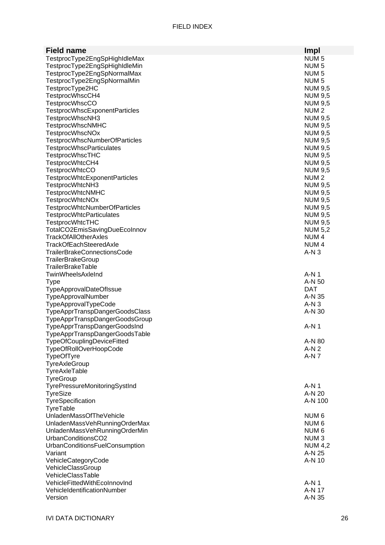| <b>Field name</b>                                      | <b>Impl</b>      |
|--------------------------------------------------------|------------------|
| TestprocType2EngSpHighIdleMax                          | NUM <sub>5</sub> |
| TestprocType2EngSpHighIdleMin                          | NUM <sub>5</sub> |
| TestprocType2EngSpNormalMax                            | NUM <sub>5</sub> |
| TestprocType2EngSpNormalMin                            | NUM <sub>5</sub> |
| TestprocType2HC                                        | <b>NUM 9,5</b>   |
| TestprocWhscCH4                                        | <b>NUM 9,5</b>   |
| <b>TestprocWhscCO</b>                                  | <b>NUM 9,5</b>   |
| TestprocWhscExponentParticles                          | NUM <sub>2</sub> |
| TestprocWhscNH3                                        | <b>NUM 9,5</b>   |
| <b>TestprocWhscNMHC</b>                                | <b>NUM 9,5</b>   |
| <b>TestprocWhscNOx</b>                                 | <b>NUM 9,5</b>   |
| <b>TestprocWhscNumberOfParticles</b>                   | <b>NUM 9,5</b>   |
| <b>TestprocWhscParticulates</b>                        | <b>NUM 9,5</b>   |
| <b>TestprocWhscTHC</b>                                 | <b>NUM 9,5</b>   |
| TestprocWhtcCH4                                        | <b>NUM 9,5</b>   |
| <b>TestprocWhtcCO</b>                                  | <b>NUM 9,5</b>   |
| TestprocWhtcExponentParticles                          | NUM <sub>2</sub> |
| TestprocWhtcNH3                                        | <b>NUM 9,5</b>   |
| <b>TestprocWhtcNMHC</b>                                | <b>NUM 9,5</b>   |
| <b>TestprocWhtcNOx</b>                                 | <b>NUM 9,5</b>   |
| TestprocWhtcNumberOfParticles                          | <b>NUM 9,5</b>   |
| <b>TestprocWhtcParticulates</b>                        | <b>NUM 9,5</b>   |
| <b>TestprocWhtcTHC</b>                                 | <b>NUM 9,5</b>   |
| TotalCO2EmisSavingDueEcoInnov                          | <b>NUM 5,2</b>   |
| <b>TrackOfAllOtherAxles</b>                            | NUM <sub>4</sub> |
| <b>TrackOfEachSteeredAxle</b>                          | NUM <sub>4</sub> |
| <b>TrailerBrakeConnectionsCode</b>                     | $A-N3$           |
| TrailerBrakeGroup                                      |                  |
| <b>TrailerBrakeTable</b>                               |                  |
| TwinWheelsAxleInd                                      | $A-N1$           |
| <b>Type</b>                                            | A-N 50           |
| <b>TypeApprovalDateOfIssue</b>                         | <b>DAT</b>       |
| TypeApprovalNumber                                     | A-N 35           |
| TypeApprovalTypeCode<br>TypeApprTranspDangerGoodsClass | $A-N3$<br>A-N 30 |
| TypeApprTranspDangerGoodsGroup                         |                  |
| TypeApprTranspDangerGoodsInd                           | $A-N1$           |
| TypeApprTranspDangerGoodsTable                         |                  |
| <b>TypeOfCouplingDeviceFitted</b>                      | A-N 80           |
| TypeOfRollOverHoopCode                                 | $A-N2$           |
| <b>TypeOfTyre</b>                                      | A-N 7            |
| TyreAxleGroup                                          |                  |
| TyreAxleTable                                          |                  |
| TyreGroup                                              |                  |
| TyrePressureMonitoringSystInd                          | A-N 1            |
| <b>TyreSize</b>                                        | A-N 20           |
| TyreSpecification                                      | A-N 100          |
| TyreTable                                              |                  |
| UnladenMassOfTheVehicle                                | NUM <sub>6</sub> |
| UnladenMassVehRunningOrderMax                          | NUM 6            |
| UnladenMassVehRunningOrderMin                          | NUM 6            |
| UrbanConditionsCO2                                     | NUM <sub>3</sub> |
| UrbanConditionsFuelConsumption                         | <b>NUM 4,2</b>   |
| Variant                                                | A-N 25           |
| VehicleCategoryCode                                    | A-N 10           |
| VehicleClassGroup                                      |                  |
| VehicleClassTable                                      |                  |
| VehicleFittedWithEcoInnovInd                           | A-N 1            |
| VehicleIdentificationNumber                            | A-N 17           |
| Version                                                | A-N 35           |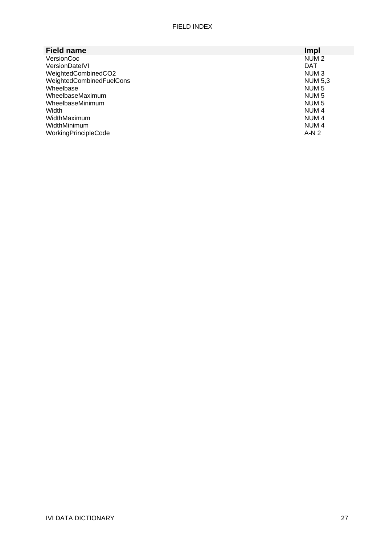| <b>Field name</b>        | Impl             |
|--------------------------|------------------|
| VersionCoc               | NUM <sub>2</sub> |
| VersionDateIVI           | <b>DAT</b>       |
| WeightedCombinedCO2      | NUM <sub>3</sub> |
| WeightedCombinedFuelCons | <b>NUM 5,3</b>   |
| Wheelbase                | NUM <sub>5</sub> |
| WheelbaseMaximum         | NUM <sub>5</sub> |
| WheelbaseMinimum         | NUM <sub>5</sub> |
| Width                    | NUM <sub>4</sub> |
| WidthMaximum             | NUM <sub>4</sub> |
| WidthMinimum             | NUM <sub>4</sub> |
| WorkingPrincipleCode     | $A-N2$           |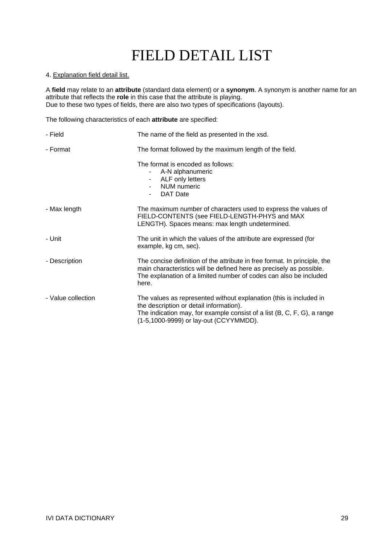# FIELD DETAIL LIST

### 4. Explanation field detail list.

A **field** may relate to an **attribute** (standard data element) or a **synonym**. A synonym is another name for an attribute that reflects the **role** in this case that the attribute is playing. Due to these two types of fields, there are also two types of specifications (layouts).

The following characteristics of each **attribute** are specified:

| - Field            | The name of the field as presented in the xsd.                                                                                                                                                                                        |
|--------------------|---------------------------------------------------------------------------------------------------------------------------------------------------------------------------------------------------------------------------------------|
| - Format           | The format followed by the maximum length of the field.                                                                                                                                                                               |
|                    | The format is encoded as follows:<br>A-N alphanumeric<br>ALF only letters<br>$\sim 100$<br>NUM numeric<br><b>DAT Date</b>                                                                                                             |
| - Max length       | The maximum number of characters used to express the values of<br>FIELD-CONTENTS (see FIELD-LENGTH-PHYS and MAX<br>LENGTH). Spaces means: max length undetermined.                                                                    |
| - Unit             | The unit in which the values of the attribute are expressed (for<br>example, kg cm, sec).                                                                                                                                             |
| - Description      | The concise definition of the attribute in free format. In principle, the<br>main characteristics will be defined here as precisely as possible.<br>The explanation of a limited number of codes can also be included<br>here.        |
| - Value collection | The values as represented without explanation (this is included in<br>the description or detail information).<br>The indication may, for example consist of a list $(B, C, F, G)$ , a range<br>(1-5,1000-9999) or lay-out (CCYYMMDD). |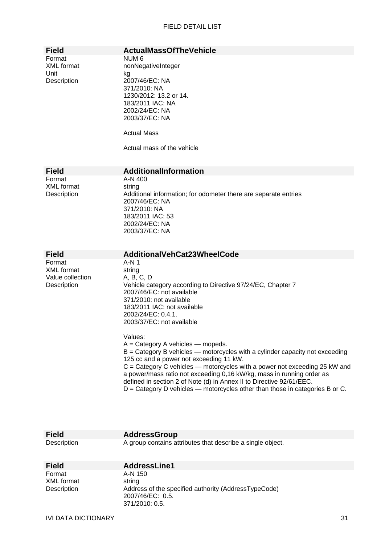| <b>Field</b>                                            | <b>ActualMassOfTheVehicle</b>                                                                                                                                                                                                                                                                                                                                                                                                                                                                                                                                                                                                                                                                                                           |
|---------------------------------------------------------|-----------------------------------------------------------------------------------------------------------------------------------------------------------------------------------------------------------------------------------------------------------------------------------------------------------------------------------------------------------------------------------------------------------------------------------------------------------------------------------------------------------------------------------------------------------------------------------------------------------------------------------------------------------------------------------------------------------------------------------------|
| Format<br><b>XML</b> format<br>Unit<br>Description      | NUM 6<br>nonNegativeInteger<br>kg<br>2007/46/EC: NA<br>371/2010: NA<br>1230/2012: 13.2 or 14.<br>183/2011 IAC: NA<br>2002/24/EC: NA<br>2003/37/EC: NA<br><b>Actual Mass</b><br>Actual mass of the vehicle                                                                                                                                                                                                                                                                                                                                                                                                                                                                                                                               |
| <b>Field</b>                                            | AdditionalInformation                                                                                                                                                                                                                                                                                                                                                                                                                                                                                                                                                                                                                                                                                                                   |
| Format<br><b>XML</b> format<br>Description              | A-N 400<br>string<br>Additional information; for odometer there are separate entries<br>2007/46/EC: NA<br>371/2010: NA<br>183/2011 IAC: 53<br>2002/24/EC: NA<br>2003/37/EC: NA                                                                                                                                                                                                                                                                                                                                                                                                                                                                                                                                                          |
| <b>Field</b>                                            | AdditionalVehCat23WheelCode                                                                                                                                                                                                                                                                                                                                                                                                                                                                                                                                                                                                                                                                                                             |
| Format<br>XML format<br>Value collection<br>Description | $A-N1$<br>string<br>A, B, C, D<br>Vehicle category according to Directive 97/24/EC, Chapter 7<br>2007/46/EC: not available<br>371/2010: not available<br>183/2011 IAC: not available<br>2002/24/EC: 0.4.1.<br>2003/37/EC: not available<br>Values:<br>$A =$ Category A vehicles $-$ mopeds.<br>B = Category B vehicles - motorcycles with a cylinder capacity not exceeding<br>125 cc and a power not exceeding 11 kW.<br>C = Category C vehicles - motorcycles with a power not exceeding 25 kW and<br>a power/mass ratio not exceeding 0,16 kW/kg, mass in running order as<br>defined in section 2 of Note (d) in Annex II to Directive 92/61/EEC.<br>$D =$ Category D vehicles — motorcycles other than those in categories B or C. |

| Description                         | A group contains attributes that describe a single object.                                                         |    |
|-------------------------------------|--------------------------------------------------------------------------------------------------------------------|----|
| <b>Field</b>                        | AddressLine1                                                                                                       |    |
| Format<br>XML format<br>Description | A-N 150<br>string<br>Address of the specified authority (AddressTypeCode)<br>2007/46/EC: 0.5.<br>$371/2010$ : 0.5. |    |
| IVI DATA DICTIONARY                 |                                                                                                                    | 31 |

**Field AddressGroup**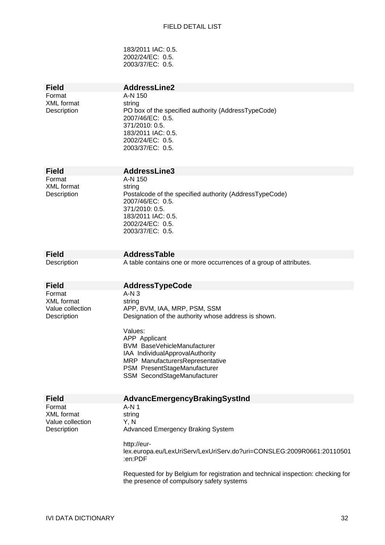### FIELD DETAIL LIST

183/2011 IAC: 0.5. 2002/24/EC: 0.5. 2003/37/EC: 0.5.

| <b>Field</b>                                                   | <b>AddressLine2</b>                                                                                                                                                                                                                                                                                             |
|----------------------------------------------------------------|-----------------------------------------------------------------------------------------------------------------------------------------------------------------------------------------------------------------------------------------------------------------------------------------------------------------|
| Format<br><b>XML</b> format<br>Description                     | A-N 150<br>string<br>PO box of the specified authority (AddressTypeCode)<br>2007/46/EC: 0.5.<br>371/2010: 0.5.<br>183/2011 IAC: 0.5.<br>2002/24/EC: 0.5.<br>2003/37/EC: 0.5.                                                                                                                                    |
| <b>Field</b>                                                   | AddressLine3                                                                                                                                                                                                                                                                                                    |
| Format<br><b>XML</b> format<br>Description                     | A-N 150<br>string<br>Postalcode of the specified authority (AddressTypeCode)<br>2007/46/EC: 0.5.<br>371/2010: 0.5.<br>183/2011 IAC: 0.5.<br>2002/24/EC: 0.5.<br>2003/37/EC: 0.5.                                                                                                                                |
| <b>Field</b>                                                   | AddressTable                                                                                                                                                                                                                                                                                                    |
| Description                                                    | A table contains one or more occurrences of a group of attributes.                                                                                                                                                                                                                                              |
| <b>Field</b>                                                   | <b>AddressTypeCode</b>                                                                                                                                                                                                                                                                                          |
| Format<br><b>XML</b> format<br>Value collection<br>Description | $A-N3$<br>string<br>APP, BVM, IAA, MRP, PSM, SSM<br>Designation of the authority whose address is shown.<br>Values:<br>APP Applicant<br><b>BVM BaseVehicleManufacturer</b><br>IAA IndividualApprovalAuthority<br>MRP ManufacturersRepresentative<br>PSM PresentStageManufacturer<br>SSM SecondStageManufacturer |
| <b>Field</b>                                                   | AdvancEmergencyBrakingSystInd                                                                                                                                                                                                                                                                                   |
| Format<br><b>XML</b> format<br>Value collection<br>Description | A-N 1<br>string<br>Y, N<br><b>Advanced Emergency Braking System</b><br>http://eur-<br>lex.europa.eu/LexUriServ/LexUriServ.do?uri=CONSLEG:2009R0661:20110501<br>:en:PDF<br>Requested for by Belgium for registration and technical inspection: checking for<br>the presence of compulsory safety systems         |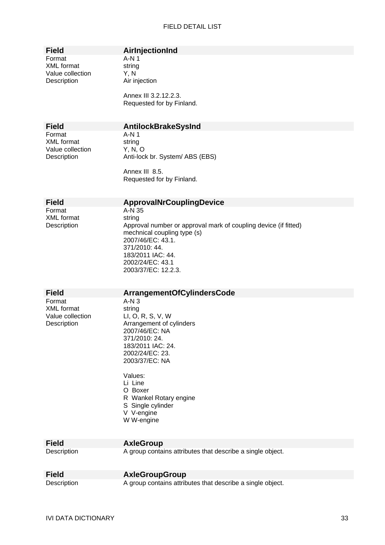| Field            |  |  |
|------------------|--|--|
| Format           |  |  |
| XML format       |  |  |
| Value collection |  |  |
| Description      |  |  |
|                  |  |  |

### **AirInjectionInd**

 $A-N 1$ string  $Y, N$ Air injection

Annex III 3.2.12.2.3. Requested for by Finland.

Format A-N 1 XML format string Value collection Y, N, O

### **Field AntilockBrakeSysInd**

Description **Anti-lock br. System/ ABS (EBS)** 

Annex III 8.5. Requested for by Finland.

## **Field ApprovalNrCouplingDevice**<br>Format **A-N** 35

XML format string

 $A-N$  35 Description Approval number or approval mark of coupling device (if fitted) mechnical coupling type (s) 2007/46/EC: 43.1. 371/2010: 44. 183/2011 IAC: 44. 2002/24/EC: 43.1 2003/37/EC: 12.2.3.

| <b>Field</b>                                            | <b>ArrangementOfCylindersCode</b>                                                                                                                              |
|---------------------------------------------------------|----------------------------------------------------------------------------------------------------------------------------------------------------------------|
| Format<br>XML format<br>Value collection<br>Description | $A-N3$<br>string<br>LI, O, R, S, V, W<br>Arrangement of cylinders<br>2007/46/EC: NA<br>371/2010: 24.<br>183/2011 IAC: 24.<br>2002/24/EC: 23.<br>2003/37/EC: NA |
|                                                         | Values:<br>Li Line<br>O Boxer<br>R Wankel Rotary engine<br>S Single cylinder<br>V V-engine<br>W W-engine                                                       |

## **Field AxleGroup**<br> **Description A** group conta

### A group contains attributes that describe a single object.

| <b>Field</b> | <b>AxleGroupGroup</b>                                      |
|--------------|------------------------------------------------------------|
| Description  | A group contains attributes that describe a single object. |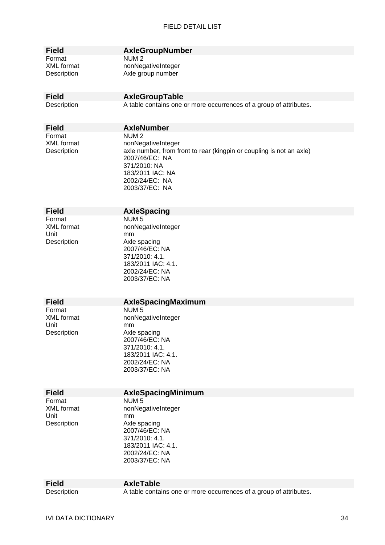| Field     |
|-----------|
| Format    |
| XML forma |
|           |

### **Field AxleGroupNumber**

NUM<sub>2</sub> at monNegativeInteger Description Axle group number

### **Field AxleGroupTable**

Description A table contains one or more occurrences of a group of attributes.

**Field AxleNumber**  Format NUM 2

XML format nonNegativeInteger Description **axle number, from front to rear (kingpin or coupling is not an axle)** 2007/46/EC: NA 371/2010: NA 183/2011 IAC: NA 2002/24/EC: NA 2003/37/EC: NA

| Field             |  |
|-------------------|--|
| Format            |  |
| <b>XML</b> format |  |
| Unit              |  |
| Description       |  |

### **AxleSpacing**

NUM 5 nonNegativeInteger  $mm$ Axle spacing 2007/46/EC: NA 371/2010: 4.1. 183/2011 IAC: 4.1. 2002/24/EC: NA 2003/37/EC: NA

### **Field AxleSpacingMaximum**

Format NUM 5 Unit mm

### XML format nonNegativeInteger Description Axle spacing 2007/46/EC: NA 371/2010: 4.1. 183/2011 IAC: 4.1. 2002/24/EC: NA 2003/37/EC: NA

### **Field AxleSpacingMinimum**

Format NUM 5 Unit mm

XML format nonNegativeInteger Description Axle spacing 2007/46/EC: NA 371/2010: 4.1. 183/2011 IAC: 4.1. 2002/24/EC: NA 2003/37/EC: NA

**Field AxleTable** 

Description A table contains one or more occurrences of a group of attributes.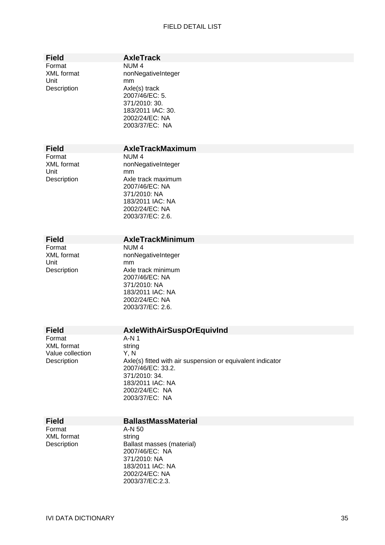#### FIELD DETAIL LIST

**Field AxleTrack** 

Format **NUM 4**<br>XML format **1988** nonNed Unit mm

### nonNegativeInteger Description Axle(s) track 2007/46/EC: 5. 371/2010: 30. 183/2011 IAC: 30. 2002/24/EC: NA 2003/37/EC: NA

#### **Field AxleTrackMaximum**

Format NUM 4<br>XML format nonNeg Unit mm

nonNegativeInteger Description Axle track maximum 2007/46/EC: NA 371/2010: NA 183/2011 IAC: NA 2002/24/EC: NA 2003/37/EC: 2.6.

## **Field AxleTrackMinimum**<br>Format **NUM4**

Format NUM 4<br>XML format 1997 nonNext Unit mm

nonNegativeInteger Description Axle track minimum 2007/46/EC: NA 371/2010: NA 183/2011 IAC: NA 2002/24/EC: NA 2003/37/EC: 2.6.

Format A-N 1<br>XML format string XML format Value collection Y, N

## **Field AxleWithAirSuspOrEquivInd**<br>Format **A-N1**

Description Axle(s) fitted with air suspension or equivalent indicator 2007/46/EC: 33.2. 371/2010: 34. 183/2011 IAC: NA 2002/24/EC: NA 2003/37/EC: NA

**Format** 

## **Field BallastMassMaterial**<br>
Format **A-N** 50

2002/24/EC: NA 2003/37/EC:2.3.

XML format string Description Ballast masses (material) 2007/46/EC: NA 371/2010: NA 183/2011 IAC: NA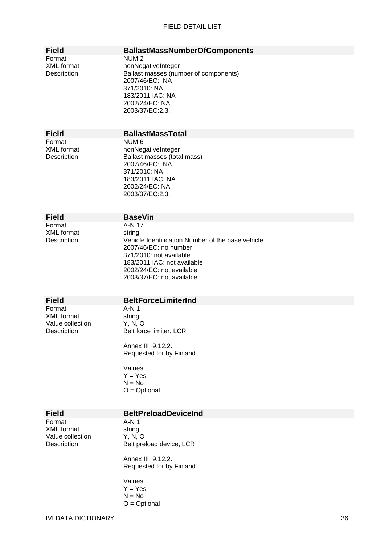### FIELD DETAIL LIST

| <b>Field</b>                                                   | <b>BallastMassNumberOfComponents</b>                                                                                                                                                                     |
|----------------------------------------------------------------|----------------------------------------------------------------------------------------------------------------------------------------------------------------------------------------------------------|
| Format<br><b>XML</b> format<br>Description                     | NUM <sub>2</sub><br>nonNegativeInteger<br>Ballast masses (number of components)<br>2007/46/EC: NA<br>371/2010: NA<br>183/2011 IAC: NA<br>2002/24/EC: NA<br>2003/37/EC:2.3.                               |
| <b>Field</b>                                                   | <b>BallastMassTotal</b>                                                                                                                                                                                  |
| Format<br><b>XML</b> format<br>Description                     | NUM <sub>6</sub><br>nonNegativeInteger<br>Ballast masses (total mass)<br>2007/46/EC: NA<br>371/2010: NA<br>183/2011 IAC: NA<br>2002/24/EC: NA<br>2003/37/EC:2.3.                                         |
| <b>Field</b>                                                   | <b>BaseVin</b>                                                                                                                                                                                           |
| Format                                                         | A-N 17                                                                                                                                                                                                   |
| <b>XML</b> format<br>Description                               | string<br>Vehicle Identification Number of the base vehicle<br>2007/46/EC: no number<br>371/2010: not available<br>183/2011 IAC: not available<br>2002/24/EC: not available<br>2003/37/EC: not available |
| <b>Field</b>                                                   | <b>BeltForceLimiterInd</b>                                                                                                                                                                               |
| Format<br><b>XML</b> format<br>Value collection<br>Description | $A-N1$<br>string<br>Y, N, O<br>Belt force limiter, LCR<br>Annex III 9.12.2.<br>Requested for by Finland.<br>Values:<br>$Y = Yes$<br>$N = No$<br>$O = \text{Optional}$                                    |
| <b>Field</b>                                                   | <b>BeltPreloadDeviceInd</b>                                                                                                                                                                              |
| Format<br><b>XML</b> format<br>Value collection<br>Description | A-N 1<br>string<br>Y, N, O<br>Belt preload device, LCR<br>Annex III 9.12.2.<br>Requested for by Finland.<br>Values:<br>$Y = Yes$<br>$N = No$<br>$O = \text{Optional}$                                    |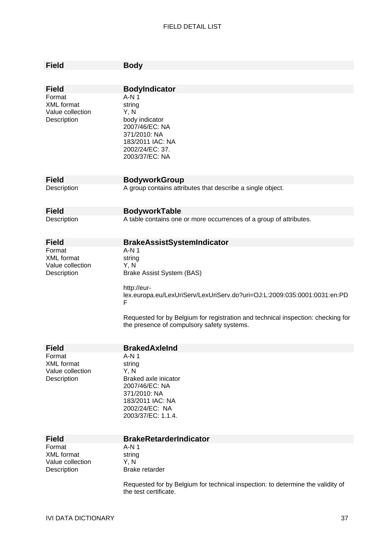| <b>Field</b>                                                   | <b>Body</b>                                                                                                                                                                                                                                                                             |
|----------------------------------------------------------------|-----------------------------------------------------------------------------------------------------------------------------------------------------------------------------------------------------------------------------------------------------------------------------------------|
|                                                                |                                                                                                                                                                                                                                                                                         |
| <b>Field</b>                                                   | <b>BodyIndicator</b>                                                                                                                                                                                                                                                                    |
| Format<br><b>XML</b> format<br>Value collection<br>Description | $A-N1$<br>string<br>Y, N<br>body indicator<br>2007/46/EC: NA<br>371/2010: NA<br>183/2011 IAC: NA<br>2002/24/EC: 37.<br>2003/37/EC: NA                                                                                                                                                   |
| <b>Field</b>                                                   | <b>BodyworkGroup</b>                                                                                                                                                                                                                                                                    |
| Description                                                    | A group contains attributes that describe a single object.                                                                                                                                                                                                                              |
| <b>Field</b>                                                   | <b>BodyworkTable</b>                                                                                                                                                                                                                                                                    |
| Description                                                    | A table contains one or more occurrences of a group of attributes.                                                                                                                                                                                                                      |
| <b>Field</b>                                                   | <b>BrakeAssistSystemIndicator</b>                                                                                                                                                                                                                                                       |
| Format<br><b>XML</b> format<br>Value collection<br>Description | $A-N1$<br>string<br>Y, N<br>Brake Assist System (BAS)<br>http://eur-<br>lex.europa.eu/LexUriServ/LexUriServ.do?uri=OJ:L:2009:035:0001:0031:en:PD<br>F<br>Requested for by Belgium for registration and technical inspection: checking for<br>the presence of compulsory safety systems. |
| <b>Field</b>                                                   | <b>BrakedAxleInd</b>                                                                                                                                                                                                                                                                    |
| Format<br>XML format<br>Value collection<br>Description        | A-N 1<br>string<br>Y, N<br>Braked axle inicator<br>2007/46/EC: NA<br>371/2010: NA<br>183/2011 IAC: NA<br>2002/24/EC: NA<br>2003/37/EC: 1.1.4.                                                                                                                                           |
| <b>Field</b>                                                   | <b>BrakeRetarderIndicator</b>                                                                                                                                                                                                                                                           |
| Format<br><b>XML</b> format<br>Value collection<br>Description | A-N 1<br>string<br>Y, N<br>Brake retarder<br>Requested for by Belgium for technical inspection: to determine the validity of                                                                                                                                                            |
|                                                                | the test certificate.                                                                                                                                                                                                                                                                   |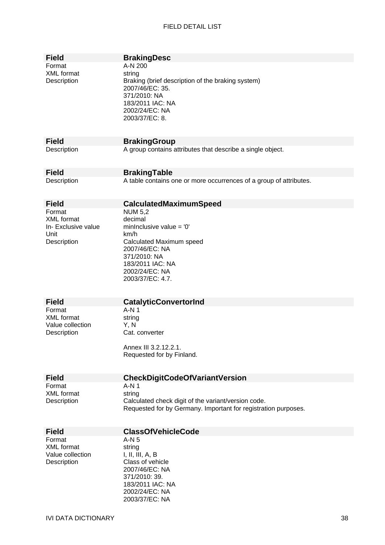| Field<br>Format<br>XML format<br>Description                              | <b>BrakingDesc</b><br>A-N 200<br>string<br>Braking (brief description of the braking system)<br>2007/46/EC: 35.<br>371/2010: NA<br>183/2011 IAC: NA<br>2002/24/EC: NA<br>2003/37/EC: 8. |
|---------------------------------------------------------------------------|-----------------------------------------------------------------------------------------------------------------------------------------------------------------------------------------|
| <b>Field</b>                                                              | <b>BrakingGroup</b>                                                                                                                                                                     |
| Description                                                               | A group contains attributes that describe a single object.                                                                                                                              |
| Field                                                                     | <b>BrakingTable</b>                                                                                                                                                                     |
| Description                                                               | A table contains one or more occurrences of a group of attributes.                                                                                                                      |
| <b>Field</b>                                                              | <b>CalculatedMaximumSpeed</b>                                                                                                                                                           |
| Format<br><b>XML</b> format<br>In- Exclusive value<br>Unit<br>Description | <b>NUM 5,2</b><br>decimal<br>mininclusive value = $'0'$<br>km/h<br>Calculated Maximum speed<br>2007/46/EC: NA<br>371/2010: NA<br>183/2011 IAC: NA<br>2002/24/EC: NA<br>2003/37/EC: 4.7. |
| Field                                                                     | <b>CatalyticConvertorInd</b>                                                                                                                                                            |
| Format<br>XML format<br>Value collection<br>Description                   | $A-N1$<br>string<br>Y, N<br>Cat. converter<br>Annex III 3.2.12.2.1.<br>Requested for by Finland.                                                                                        |
| Field                                                                     | <b>CheckDigitCodeOfVariantVersion</b>                                                                                                                                                   |
| Format<br>XML format<br>Description                                       | $A-N1$<br>string<br>Calculated check digit of the variant/version code.<br>Requested for by Germany. Important for registration purposes.                                               |
| Field                                                                     | <b>ClassOfVehicleCode</b>                                                                                                                                                               |
| Format<br>XML format<br>Value collection<br>Description                   | A-N 5<br>string<br>I, II, III, A, B<br>Class of vehicle<br>2007/46/EC: NA<br>371/2010: 39.<br>183/2011 IAC: NA<br>2002/24/EC: NA<br>2003/37/EC: NA                                      |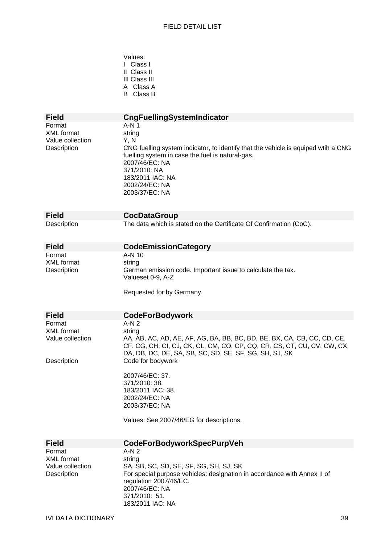Values:

|                                                                | I Class I<br>II Class II<br>III Class III<br>A Class A<br><b>B</b> Class B                                                                                                                                                                                  |
|----------------------------------------------------------------|-------------------------------------------------------------------------------------------------------------------------------------------------------------------------------------------------------------------------------------------------------------|
| <b>Field</b>                                                   | <b>CngFuellingSystemIndicator</b>                                                                                                                                                                                                                           |
| Format<br><b>XML</b> format<br>Value collection<br>Description | $A-N1$<br>string<br>Y, N<br>CNG fuelling system indicator, to identify that the vehicle is equiped wtih a CNG<br>fuelling system in case the fuel is natural-gas.<br>2007/46/EC: NA<br>371/2010: NA<br>183/2011 IAC: NA<br>2002/24/EC: NA<br>2003/37/EC: NA |
| <b>Field</b>                                                   | <b>CocDataGroup</b>                                                                                                                                                                                                                                         |
| Description                                                    | The data which is stated on the Certificate Of Confirmation (CoC).                                                                                                                                                                                          |
| <b>Field</b>                                                   | <b>CodeEmissionCategory</b>                                                                                                                                                                                                                                 |
| Format<br><b>XML</b> format<br>Description                     | $A-N$ 10<br>string<br>German emission code. Important issue to calculate the tax.<br>Valueset 0-9, A-Z<br>Requested for by Germany.                                                                                                                         |
| <b>Field</b>                                                   | <b>CodeForBodywork</b>                                                                                                                                                                                                                                      |
| Format                                                         | $A-N2$                                                                                                                                                                                                                                                      |
| <b>XML</b> format<br>Value collection                          | string<br>AA, AB, AC, AD, AE, AF, AG, BA, BB, BC, BD, BE, BX, CA, CB, CC, CD, CE,<br>CF, CG, CH, CI, CJ, CK, CL, CM, CO, CP, CQ, CR, CS, CT, CU, CV, CW, CX,<br>DA, DB, DC, DE, SA, SB, SC, SD, SE, SF, SG, SH, SJ, SK                                      |
| Description                                                    | Code for bodywork<br>2007/46/EC: 37.<br>371/2010: 38.<br>183/2011 IAC: 38.<br>2002/24/EC: NA<br>2003/37/EC: NA<br>Values: See 2007/46/EG for descriptions.                                                                                                  |
| <b>Field</b>                                                   | <b>CodeForBodyworkSpecPurpVeh</b>                                                                                                                                                                                                                           |
| Format<br><b>XML</b> format<br>Value collection<br>Description | $A-N2$<br>string<br>SA, SB, SC, SD, SE, SF, SG, SH, SJ, SK<br>For special purpose vehicles: designation in accordance with Annex II of<br>regulation 2007/46/EC.<br>2007/46/EC: NA<br>371/2010: 51.                                                         |

183/2011 IAC: NA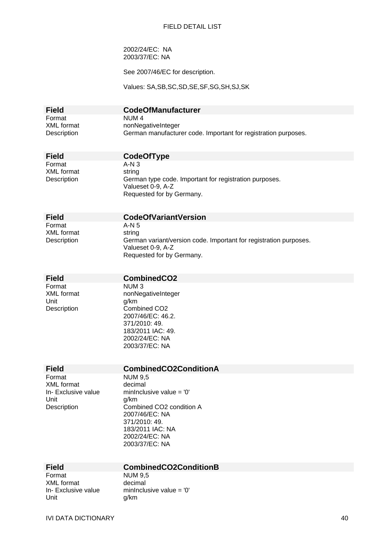2002/24/EC: NA 2003/37/EC: NA

See 2007/46/EC for description.

Values: SA,SB,SC,SD,SE,SF,SG,SH,SJ,SK

| <b>Field</b> | <b>CodeOfManufacturer</b>                                      |
|--------------|----------------------------------------------------------------|
| Format       | NUM 4                                                          |
| XML format   | nonNegativeInteger                                             |
| Description  | German manufacturer code. Important for registration purposes. |

Format A-N 3 XML format string

**Field CodeOfType** 

Description **German type code.** Important for registration purposes. Valueset 0-9, A-Z Requested for by Germany.

| Field       |
|-------------|
| Format      |
| XML format  |
| Description |

### **CodeOfVariantVersion**

 $A-N<sub>5</sub>$ string escription German variant/version code. Important for registration purposes. Valueset 0-9, A-Z Requested for by Germany.

#### **Field CombinedCO2**

Format NUM 3<br>XML format nonNec Unit g/km

nonNegativeInteger Description Combined CO2 2007/46/EC: 46.2. 371/2010: 49. 183/2011 IAC: 49. 2002/24/EC: NA 2003/37/EC: NA

#### **Field CombinedCO2ConditionA**

Format NUM 9,5 XML format decimal Unit g/km

In- Exclusive value minInclusive value =  $0'$ Description Combined CO2 condition A 2007/46/EC: NA 371/2010: 49. 183/2011 IAC: NA 2002/24/EC: NA 2003/37/EC: NA

## **Field CombinedCO2ConditionB**<br>Format **NUM 9.5**

XML format decimal Unit g/km

**NUM 9,5** In- Exclusive value minInclusive value = '0'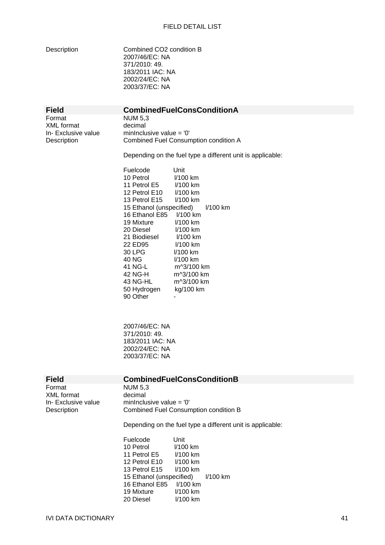Description Combined CO2 condition B 2007/46/EC: NA 371/2010: 49. 183/2011 IAC: NA 2002/24/EC: NA

|                                                            | 2003/37/EC: NA                                                                                                                                                                                                                                                                                                                                                                                                                                                                                                                                          |
|------------------------------------------------------------|---------------------------------------------------------------------------------------------------------------------------------------------------------------------------------------------------------------------------------------------------------------------------------------------------------------------------------------------------------------------------------------------------------------------------------------------------------------------------------------------------------------------------------------------------------|
| <b>Field</b>                                               | <b>CombinedFuelConsConditionA</b>                                                                                                                                                                                                                                                                                                                                                                                                                                                                                                                       |
| Format<br>XML format<br>In- Exclusive value<br>Description | <b>NUM 5,3</b><br>decimal<br>minInclusive value = $'0'$<br>Combined Fuel Consumption condition A                                                                                                                                                                                                                                                                                                                                                                                                                                                        |
|                                                            | Depending on the fuel type a different unit is applicable:                                                                                                                                                                                                                                                                                                                                                                                                                                                                                              |
|                                                            | Fuelcode<br>Unit<br>10 Petrol<br>I/100 km<br>11 Petrol E5<br>I/100 km<br>12 Petrol E10<br>I/100 km<br>13 Petrol E15<br>I/100 km<br>15 Ethanol (unspecified)<br>I/100 km<br>16 Ethanol E85<br>$1/100$ km<br>19 Mixture<br>I/100 km<br>20 Diesel<br>I/100 km<br>I/100 km<br>21 Biodiesel<br>22 ED95<br>I/100 km<br>30 LPG<br>$1/100$ km<br>40 NG<br>I/100 km<br>41 NG-L<br>m^3/100 km<br>42 NG-H<br>m^3/100 km<br>43 NG-HL<br>m^3/100 km<br>50 Hydrogen<br>kg/100 km<br>90 Other<br>2007/46/EC: NA<br>371/2010: 49.<br>183/2011 IAC: NA<br>2002/24/EC: NA |
|                                                            | 2003/37/EC: NA                                                                                                                                                                                                                                                                                                                                                                                                                                                                                                                                          |
| <b>Field</b><br>Format                                     | <b>CombinedFuelConsConditionB</b><br><b>NUM 5,3</b>                                                                                                                                                                                                                                                                                                                                                                                                                                                                                                     |
| XML format<br>In- Exclusive value<br>Description           | decimal<br>minInclusive value = $'0'$<br><b>Combined Fuel Consumption condition B</b>                                                                                                                                                                                                                                                                                                                                                                                                                                                                   |
|                                                            | Depending on the fuel type a different unit is applicable:                                                                                                                                                                                                                                                                                                                                                                                                                                                                                              |
|                                                            | Fuelcode<br>Unit<br>10 Petrol<br>I/100 km<br>11 Petrol E5<br>I/100 km<br>12 Petrol E10<br>I/100 km<br>13 Petrol E15<br>I/100 km<br>15 Ethanol (unspecified)<br>I/100 km<br>16 Ethanol E85<br>I/100 km<br>19 Mixture<br>I/100 km                                                                                                                                                                                                                                                                                                                         |

19 Mixture l/100 km

20 Diesel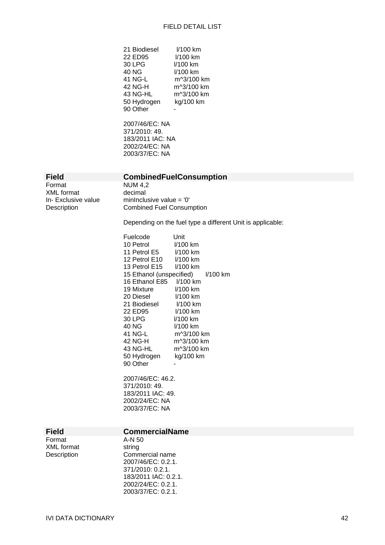| 21 Biodiesel | I/100 km   |
|--------------|------------|
| 22 ED95      | 1/100 km   |
|              |            |
| 30 LPG       | l/100 km   |
| 40 NG        | I/100 km   |
| 41 NG-L      | m^3/100 km |
| 42 NG-H      | m^3/100 km |
| 43 NG-HL     | m^3/100 km |
| 50 Hydrogen  | kg/100 km  |
| 90 Other     |            |

2007/46/EC: NA 371/2010: 49. 183/2011 IAC: NA 2002/24/EC: NA 2003/37/EC: NA

Format NUM 4,2 XML format decimal

#### **Field CombinedFuelConsumption**

In- Exclusive value minInclusive value = '0' Description Combined Fuel Consumption

Depending on the fuel type a different Unit is applicable:

| Unit                       |  |
|----------------------------|--|
| I/100 km                   |  |
| 11 Petrol E5<br>$1/100$ km |  |
|                            |  |
| 13 Petrol E15<br>1/100 km  |  |
|                            |  |
|                            |  |
| l/100 km                   |  |
| 1/100 km                   |  |
| $1/100$ km                 |  |
| $1/100$ km                 |  |
| $1/100$ km                 |  |
| 1/100 km                   |  |
| m^3/100 km                 |  |
| m^3/100 km                 |  |
| m^3/100 km                 |  |
| kg/100 km                  |  |
|                            |  |
|                            |  |

2007/46/EC: 46.2. 371/2010: 49. 183/2011 IAC: 49. 2002/24/EC: NA 2003/37/EC: NA

#### **Field CommercialName**

Format A-N 50 XML format string

Description **Commercial name** 2007/46/EC: 0.2.1. 371/2010: 0.2.1. 183/2011 IAC: 0.2.1. 2002/24/EC: 0.2.1. 2003/37/EC: 0.2.1.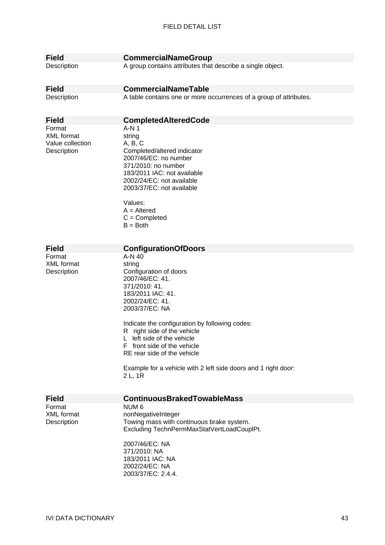| <b>Field</b>      | <b>CommercialNameGroup</b>                                         |
|-------------------|--------------------------------------------------------------------|
| Description       | A group contains attributes that describe a single object.         |
|                   |                                                                    |
| <b>Field</b>      | <b>CommercialNameTable</b>                                         |
| Description       | A table contains one or more occurrences of a group of attributes. |
|                   |                                                                    |
|                   |                                                                    |
| <b>Field</b>      | <b>CompletedAlteredCode</b>                                        |
| Format            | $A-N1$                                                             |
| <b>XML</b> format | string                                                             |
| Value collection  | A, B, C                                                            |
| Description       | Completed/altered indicator<br>2007/46/EC: no number               |
|                   | 371/2010: no number                                                |
|                   | 183/2011 IAC: not available                                        |
|                   | 2002/24/EC: not available                                          |
|                   | 2003/37/EC: not available                                          |
|                   |                                                                    |
|                   | Values:                                                            |
|                   | $A =$ Altered                                                      |
|                   | $C =$ Completed                                                    |
|                   | $B = Both$                                                         |
|                   |                                                                    |
| <b>Field</b>      | <b>ConfigurationOfDoors</b>                                        |
| Format            | A-N 40                                                             |
| <b>XML</b> format | string                                                             |
| Description       | Configuration of doors                                             |
|                   | 2007/46/EC: 41.                                                    |
|                   | 371/2010: 41.                                                      |
|                   | 183/2011 IAC: 41.                                                  |
|                   | 2002/24/EC: 41.                                                    |
|                   | 2003/37/EC: NA                                                     |
|                   | Indicate the configuration by following codes:                     |
|                   | R right side of the vehicle                                        |
|                   | left side of the vehicle                                           |
|                   | F front side of the vehicle                                        |
|                   | RE rear side of the vehicle                                        |
|                   |                                                                    |
|                   | Example for a vehicle with 2 left side doors and 1 right door:     |
|                   | 2 L, 1 R                                                           |
|                   |                                                                    |
| <b>Field</b>      | <b>ContinuousBrakedTowableMass</b>                                 |
| Format            | NUM <sub>6</sub>                                                   |
| <b>XML</b> format | nonNegativeInteger                                                 |
| Description       | Towing mass with continuous brake system.                          |
|                   | Excluding TechnPermMaxStatVertLoadCouplPt.                         |
|                   | 2007/46/EC: NA                                                     |
|                   | 371/2010: NA                                                       |
|                   | 183/2011 IAC: NA                                                   |
|                   | 2002/24/EC: NA                                                     |
|                   | 2003/37/EC: 2.4.4.                                                 |
|                   |                                                                    |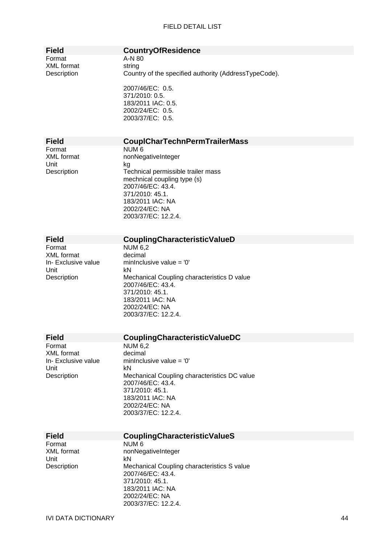### **Field CountryOfResidence**

A-N 80 string Country of the specified authority (AddressTypeCode).

2007/46/EC: 0.5. 371/2010: 0.5. 183/2011 IAC: 0.5. 2002/24/EC: 0.5. 2003/37/EC: 0.5.

#### **Field CouplCharTechnPermTrailerMass**

Format NUM 6 Unit kg

XML format nonNegativeInteger Description Technical permissible trailer mass mechnical coupling type (s) 2007/46/EC: 43.4. 371/2010: 45.1. 183/2011 IAC: NA 2002/24/EC: NA 2003/37/EC: 12.2.4.

XML format Unit kN

## **Field CouplingCharacteristicValueD**<br>Format **NUM 6.2**

NUM 6,2<br>decimal In- Exclusive value minInclusive value = '0' Description Mechanical Coupling characteristics D value 2007/46/EC: 43.4. 371/2010: 45.1. 183/2011 IAC: NA 2002/24/EC: NA 2003/37/EC: 12.2.4.

| <b>Field</b>        | CouplingCharacteristicValueDC                                     |
|---------------------|-------------------------------------------------------------------|
| Format              | <b>NUM 6,2</b>                                                    |
| XML format          | decimal                                                           |
| In- Exclusive value | mininclusive value $=$ '0'                                        |
| Unit                | kN                                                                |
| Description         | Mechanical Coupling characteristics DC value<br>2007/46/EC: 43.4. |
|                     | 371/2010: 45.1.                                                   |
|                     | 183/2011 IAC: NA                                                  |
|                     | 2002/24/EC: NA                                                    |
|                     | 2003/37/EC: 12.2.4.                                               |
|                     |                                                                   |
| Field               | <b>Coupling Characteristic ValueS</b>                             |
| Format              | NUM 6                                                             |
| XML format          | nonNegativeInteger                                                |
| Unit                | kN                                                                |
| Description         | Mechanical Coupling characteristics S value                       |
|                     | 2007/46/EC: 43.4.                                                 |
|                     | 371/2010: 45.1.                                                   |
|                     | 183/2011 IAC: NA                                                  |
|                     | 2002/24/EC: NA                                                    |
|                     | 2003/37/EC: 12.2.4.                                               |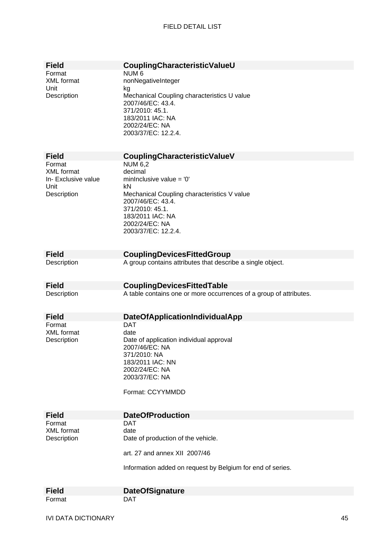| <b>Field</b>        | CouplingCharacteristicValueU                                       |
|---------------------|--------------------------------------------------------------------|
| Format              | NUM <sub>6</sub>                                                   |
| <b>XML</b> format   | nonNegativeInteger                                                 |
| Unit                | kg                                                                 |
| Description         | Mechanical Coupling characteristics U value                        |
|                     | 2007/46/EC: 43.4.                                                  |
|                     | 371/2010: 45.1.                                                    |
|                     |                                                                    |
|                     | 183/2011 IAC: NA                                                   |
|                     | 2002/24/EC: NA                                                     |
|                     | 2003/37/EC: 12.2.4.                                                |
|                     |                                                                    |
|                     |                                                                    |
| <b>Field</b>        | CouplingCharacteristicValueV                                       |
| Format              | <b>NUM 6,2</b>                                                     |
| <b>XML</b> format   | decimal                                                            |
| In- Exclusive value | minInclusive value = $'0'$                                         |
| Unit                | kN                                                                 |
|                     |                                                                    |
| Description         | Mechanical Coupling characteristics V value                        |
|                     | 2007/46/EC: 43.4.                                                  |
|                     | 371/2010: 45.1.                                                    |
|                     | 183/2011 IAC: NA                                                   |
|                     | 2002/24/EC: NA                                                     |
|                     | 2003/37/EC: 12.2.4.                                                |
|                     |                                                                    |
|                     |                                                                    |
| <b>Field</b>        | <b>CouplingDevicesFittedGroup</b>                                  |
|                     |                                                                    |
| Description         | A group contains attributes that describe a single object.         |
|                     |                                                                    |
|                     |                                                                    |
| <b>Field</b>        | <b>CouplingDevicesFittedTable</b>                                  |
| Description         | A table contains one or more occurrences of a group of attributes. |
|                     |                                                                    |
|                     |                                                                    |
| <b>Field</b>        | DateOfApplicationIndividualApp                                     |
| Format              | <b>DAT</b>                                                         |
| XML format          | date                                                               |
|                     |                                                                    |
| Description         | Date of application individual approval                            |
|                     | 2007/46/EC: NA                                                     |
|                     | 371/2010: NA                                                       |
|                     | 183/2011 IAC: NN                                                   |
|                     | 2002/24/EC: NA                                                     |
|                     | 2003/37/EC: NA                                                     |
|                     |                                                                    |
|                     | Format: CCYYMMDD                                                   |
|                     |                                                                    |
|                     |                                                                    |
| <b>Field</b>        | <b>DateOfProduction</b>                                            |
| Format              | DAT                                                                |
| XML format          | date                                                               |
|                     |                                                                    |
| Description         | Date of production of the vehicle.                                 |
|                     |                                                                    |
|                     | art. 27 and annex XII 2007/46                                      |
|                     |                                                                    |
|                     | Information added on request by Belgium for end of series.         |
|                     |                                                                    |
|                     |                                                                    |
| <b>Field</b>        | <b>DateOfSignature</b>                                             |
| Format              | <b>DAT</b>                                                         |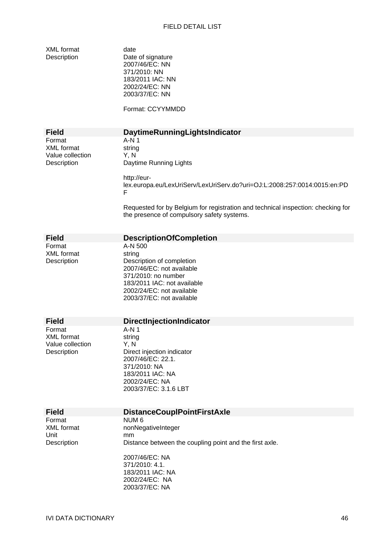XML format date<br>
Description Date

Date of signature 2007/46/EC: NN 371/2010: NN 183/2011 IAC: NN 2002/24/EC: NN 2003/37/EC: NN

Format: CCYYMMDD

|                                                                | Format: CCYYMMDD                                                                                                                                                                            |
|----------------------------------------------------------------|---------------------------------------------------------------------------------------------------------------------------------------------------------------------------------------------|
| <b>Field</b>                                                   | DaytimeRunningLightsIndicator                                                                                                                                                               |
| Format<br><b>XML</b> format<br>Value collection<br>Description | $A-N1$<br>string<br>Y, N<br>Daytime Running Lights                                                                                                                                          |
|                                                                | http://eur-<br>lex.europa.eu/LexUriServ/LexUriServ.do?uri=OJ:L:2008:257:0014:0015:en:PD<br>F                                                                                                |
|                                                                | Requested for by Belgium for registration and technical inspection: checking for<br>the presence of compulsory safety systems.                                                              |
| <b>Field</b>                                                   | <b>DescriptionOfCompletion</b>                                                                                                                                                              |
| Format<br><b>XML</b> format<br>Description                     | A-N 500<br>string<br>Description of completion<br>2007/46/EC: not available<br>371/2010: no number<br>183/2011 IAC: not available<br>2002/24/EC: not available<br>2003/37/EC: not available |
| <b>Field</b>                                                   | <b>DirectInjectionIndicator</b>                                                                                                                                                             |
| Format<br><b>XML</b> format<br>Value collection<br>Description | $A-N1$<br>string<br>Y, N<br>Direct injection indicator<br>2007/46/EC: 22.1.<br>371/2010: NA<br>183/2011 IAC: NA<br>2002/24/EC: NA<br>2003/37/EC: 3.1.6 LBT                                  |
| <b>Field</b>                                                   | <b>DistanceCouplPointFirstAxle</b>                                                                                                                                                          |
| Format<br>XML format<br>Unit<br>Description                    | NUM 6<br>nonNegativeInteger<br>mm<br>Distance between the coupling point and the first axle.<br>2007/46/EC: NA<br>371/2010: 4.1.<br>183/2011 IAC: NA<br>2002/24/EC: NA                      |
|                                                                | 2003/37/EC: NA                                                                                                                                                                              |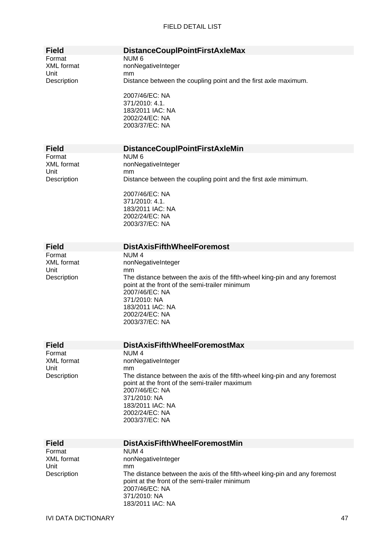| <b>Field</b>                | <b>DistanceCouplPointFirstAxleMax</b>                                      |
|-----------------------------|----------------------------------------------------------------------------|
| Format                      | NUM <sub>6</sub>                                                           |
| <b>XML</b> format           | nonNegativeInteger                                                         |
| Unit                        | mm                                                                         |
| Description                 | Distance between the coupling point and the first axle maximum.            |
|                             |                                                                            |
|                             | 2007/46/EC: NA                                                             |
|                             | 371/2010: 4.1.                                                             |
|                             | 183/2011 IAC: NA                                                           |
|                             | 2002/24/EC: NA                                                             |
|                             | 2003/37/EC: NA                                                             |
|                             |                                                                            |
|                             |                                                                            |
| <b>Field</b>                | <b>DistanceCouplPointFirstAxleMin</b>                                      |
| Format                      | NUM <sub>6</sub>                                                           |
| <b>XML</b> format           | nonNegativeInteger                                                         |
| Unit                        | mm                                                                         |
| Description                 | Distance between the coupling point and the first axle mimimum.            |
|                             |                                                                            |
|                             | 2007/46/EC: NA                                                             |
|                             | 371/2010: 4.1.                                                             |
|                             | 183/2011 IAC: NA                                                           |
|                             | 2002/24/EC: NA                                                             |
|                             | 2003/37/EC: NA                                                             |
|                             |                                                                            |
|                             | <b>DistAxisFifthWheelForemost</b>                                          |
| <b>Field</b>                |                                                                            |
| Format<br><b>XML</b> format | NUM <sub>4</sub>                                                           |
| Unit                        | nonNegativeInteger<br>mm                                                   |
| Description                 | The distance between the axis of the fifth-wheel king-pin and any foremost |
|                             | point at the front of the semi-trailer minimum                             |
|                             | 2007/46/EC: NA                                                             |
|                             | 371/2010: NA                                                               |
|                             | 183/2011 IAC: NA                                                           |
|                             | 2002/24/EC: NA                                                             |
|                             | 2003/37/EC: NA                                                             |
|                             |                                                                            |
|                             |                                                                            |
| <b>Field</b>                | <b>DistAxisFifthWheelForemostMax</b>                                       |
| Format                      | NUM <sub>4</sub>                                                           |
| <b>XML</b> format           | nonNegativeInteger                                                         |
| Unit                        | mm                                                                         |
| Description                 | The distance between the axis of the fifth-wheel king-pin and any foremost |
|                             | point at the front of the semi-trailer maximum                             |
|                             | 2007/46/EC: NA                                                             |
|                             | 371/2010: NA                                                               |
|                             | 183/2011 IAC: NA                                                           |
|                             | 2002/24/EC: NA                                                             |
|                             | 2003/37/EC: NA                                                             |
|                             |                                                                            |
| <b>Field</b>                | <b>DistAxisFifthWheelForemostMin</b>                                       |
| Format                      | NUM <sub>4</sub>                                                           |
| <b>XML</b> format           | nonNegativeInteger                                                         |
| Unit                        | mm                                                                         |
| Description                 | The distance between the axis of the fifth-wheel king-pin and any foremost |
|                             | point at the front of the semi-trailer minimum                             |
|                             | 2007/46/EC: NA                                                             |
|                             | 371/2010: NA                                                               |
|                             | 183/2011 IAC: NA                                                           |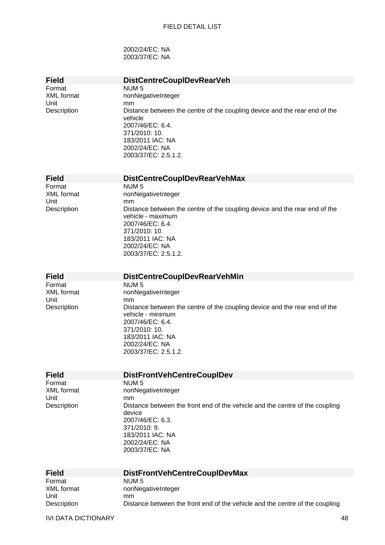2002/24/EC: NA 2003/37/EC: NA

| <b>Field</b>        | <b>DistCentreCouplDevRearVeh</b>                                                   |
|---------------------|------------------------------------------------------------------------------------|
| Format              | NUM <sub>5</sub>                                                                   |
| <b>XML</b> format   | nonNegativeInteger                                                                 |
| Unit                | mm                                                                                 |
| Description         | Distance between the centre of the coupling device and the rear end of the         |
|                     | vehicle                                                                            |
|                     | 2007/46/EC: 6.4.                                                                   |
|                     |                                                                                    |
|                     | 371/2010: 10.                                                                      |
|                     | 183/2011 IAC: NA                                                                   |
|                     | 2002/24/EC: NA                                                                     |
|                     | 2003/37/EC: 2.5.1.2.                                                               |
|                     |                                                                                    |
|                     |                                                                                    |
| <b>Field</b>        | <b>DistCentreCoupIDevRearVehMax</b>                                                |
| Format              | NUM <sub>5</sub>                                                                   |
| <b>XML</b> format   | nonNegativeInteger                                                                 |
| Unit                | mm                                                                                 |
| Description         | Distance between the centre of the coupling device and the rear end of the         |
|                     |                                                                                    |
|                     | vehicle - maximum                                                                  |
|                     | 2007/46/EC: 6.4.                                                                   |
|                     | 371/2010: 10.                                                                      |
|                     | 183/2011 IAC: NA                                                                   |
|                     | 2002/24/EC: NA                                                                     |
|                     | 2003/37/EC: 2.5.1.2.                                                               |
|                     |                                                                                    |
|                     |                                                                                    |
| <b>Field</b>        | <b>DistCentreCoupIDevRearVehMin</b>                                                |
| Format              | NUM <sub>5</sub>                                                                   |
| <b>XML</b> format   | nonNegativeInteger                                                                 |
| Unit                | mm                                                                                 |
| Description         | Distance between the centre of the coupling device and the rear end of the         |
|                     | vehicle - minimum                                                                  |
|                     |                                                                                    |
|                     | 2007/46/EC: 6.4.                                                                   |
|                     | 371/2010: 10.                                                                      |
|                     | 183/2011 IAC: NA                                                                   |
|                     | 2002/24/EC: NA                                                                     |
|                     | 2003/37/EC: 2.5.1.2.                                                               |
|                     |                                                                                    |
|                     |                                                                                    |
|                     |                                                                                    |
| <b>Field</b>        | <b>DistFrontVehCentreCoupIDev</b>                                                  |
| Format              | NUM <sub>5</sub>                                                                   |
| <b>XML</b> format   | nonNegativeInteger                                                                 |
| Unit                | mm                                                                                 |
| Description         | Distance between the front end of the vehicle and the centre of the coupling       |
|                     | device                                                                             |
|                     |                                                                                    |
|                     | 2007/46/EC: 6.3.                                                                   |
|                     | 371/2010: 9.                                                                       |
|                     | 183/2011 IAC: NA                                                                   |
|                     | 2002/24/EC: NA                                                                     |
|                     | 2003/37/EC: NA                                                                     |
|                     |                                                                                    |
|                     |                                                                                    |
| <b>Field</b>        | <b>DistFrontVehCentreCoupIDevMax</b>                                               |
| Format              | NUM <sub>5</sub>                                                                   |
| <b>XML</b> format   | nonNegativeInteger                                                                 |
| Unit<br>Description | mm<br>Distance between the front end of the vehicle and the centre of the coupling |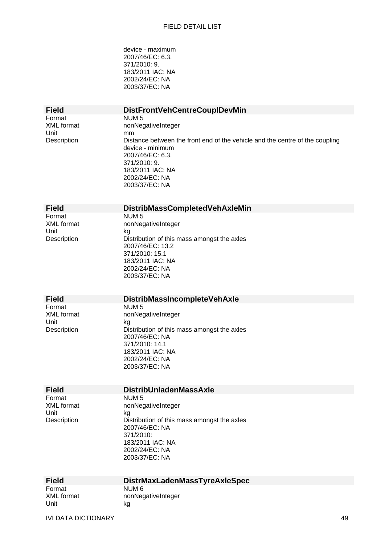device - maximum 2007/46/EC: 6.3. 371/2010: 9. 183/2011 IAC: NA 2002/24/EC: NA 2003/37/EC: NA

| <b>Field</b>                                       | <b>DistFrontVehCentreCoupIDevMin</b>                                                                                                                                                                                                         |
|----------------------------------------------------|----------------------------------------------------------------------------------------------------------------------------------------------------------------------------------------------------------------------------------------------|
| Format<br><b>XML</b> format<br>Unit<br>Description | NUM <sub>5</sub><br>nonNegativeInteger<br>mm<br>Distance between the front end of the vehicle and the centre of the coupling<br>device - minimum<br>2007/46/EC: 6.3.<br>371/2010: 9.<br>183/2011 IAC: NA<br>2002/24/EC: NA<br>2003/37/EC: NA |
| <b>Field</b>                                       | DistribMassCompletedVehAxleMin                                                                                                                                                                                                               |
| Format<br><b>XML</b> format<br>Unit<br>Description | NUM <sub>5</sub><br>nonNegativeInteger<br>kg<br>Distribution of this mass amongst the axles<br>2007/46/EC: 13.2<br>371/2010: 15.1<br>183/2011 IAC: NA<br>2002/24/EC: NA<br>2003/37/EC: NA                                                    |
| <b>Field</b>                                       | <b>DistribMassIncompleteVehAxle</b>                                                                                                                                                                                                          |
| Format<br><b>XML</b> format<br>Unit<br>Description | NUM <sub>5</sub><br>nonNegativeInteger<br>kg<br>Distribution of this mass amongst the axles<br>2007/46/EC: NA<br>371/2010: 14.1<br>183/2011 IAC: NA<br>2002/24/EC: NA<br>2003/37/EC: NA                                                      |
| <b>Field</b>                                       | <b>DistribUnladenMassAxle</b>                                                                                                                                                                                                                |
| Format<br><b>XML</b> format<br>Unit<br>Description | NUM <sub>5</sub><br>nonNegativeInteger<br>kg<br>Distribution of this mass amongst the axles<br>2007/46/EC: NA<br>371/2010:<br>183/2011 IAC: NA<br>2002/24/EC: NA<br>2003/37/EC: NA                                                           |
| <b>Field</b>                                       | DistrMaxLadenMassTyreAxleSpec                                                                                                                                                                                                                |
| Format<br><b>XML</b> format<br>Unit                | NUM <sub>6</sub><br>nonNegativeInteger<br>kg                                                                                                                                                                                                 |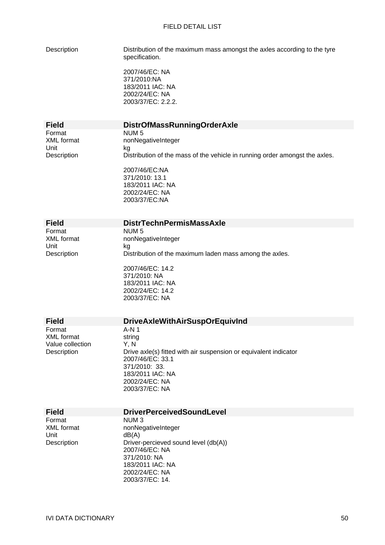Description Distribution of the maximum mass amongst the axles according to the tyre specification.

> 2007/46/EC: NA 371/2010:NA 183/2011 IAC: NA 2002/24/EC: NA 2003/37/EC: 2.2.2.

Format NUM 5<br>XML format nonNec Unit kg

## **Field DistrOfMassRunningOrderAxle**  nonNegativeInteger

Description Distribution of the mass of the vehicle in running order amongst the axles. 2007/46/EC:NA

371/2010: 13.1 183/2011 IAC: NA 2002/24/EC: NA 2003/37/EC:NA

2002/24/EC: 14.2 2003/37/EC: NA

| <b>Field</b> | <b>DistrTechnPermisMassAxle</b>                         |
|--------------|---------------------------------------------------------|
| Format       | NUM 5                                                   |
| XML format   | nonNegativeInteger                                      |
| Unit         | kq                                                      |
| Description  | Distribution of the maximum laden mass among the axles. |
|              | 2007/46/EC: 14.2                                        |
|              | 371/2010: NA                                            |
|              | 183/2011 IAC: NA                                        |

Format A-N 1<br>XML format string XML format string<br>Value collection Y. N Value collection

#### **Field DriveAxleWithAirSuspOrEquivInd**

Description Drive axle(s) fitted with air suspension or equivalent indicator 2007/46/EC: 33.1 371/2010: 33. 183/2011 IAC: NA 2002/24/EC: NA 2003/37/EC: NA

Format NUM 3<br>XML format 11 nonNectors Unit dB(A)

#### **Field DriverPerceivedSoundLevel**

nonNegativeInteger Description Driver-percieved sound level (db(A)) 2007/46/EC: NA 371/2010: NA 183/2011 IAC: NA 2002/24/EC: NA 2003/37/EC: 14.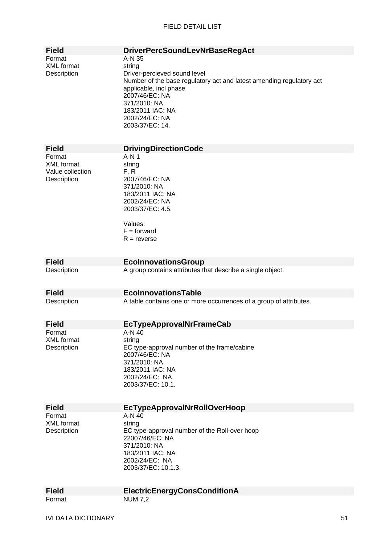| <b>Field</b>                                                   | <b>DriverPercSoundLevNrBaseRegAct</b>                                                                                                                                                                                                         |
|----------------------------------------------------------------|-----------------------------------------------------------------------------------------------------------------------------------------------------------------------------------------------------------------------------------------------|
| Format<br><b>XML</b> format<br>Description                     | A-N 35<br>string<br>Driver-percieved sound level<br>Number of the base regulatory act and latest amending regulatory act<br>applicable, incl phase<br>2007/46/EC: NA<br>371/2010: NA<br>183/2011 IAC: NA<br>2002/24/EC: NA<br>2003/37/EC: 14. |
| <b>Field</b>                                                   | <b>DrivingDirectionCode</b>                                                                                                                                                                                                                   |
| Format<br><b>XML</b> format<br>Value collection<br>Description | $A-N1$<br>string<br>F, R<br>2007/46/EC: NA<br>371/2010: NA<br>183/2011 IAC: NA<br>2002/24/EC: NA<br>2003/37/EC: 4.5.<br>Values:<br>$F =$ forward<br>$R =$ reverse                                                                             |
| <b>Field</b>                                                   | <b>EcolnnovationsGroup</b>                                                                                                                                                                                                                    |
| Description                                                    | A group contains attributes that describe a single object.                                                                                                                                                                                    |
| <b>Field</b>                                                   | <b>EcolnnovationsTable</b>                                                                                                                                                                                                                    |
| Description                                                    | A table contains one or more occurrences of a group of attributes.                                                                                                                                                                            |
| <b>Field</b>                                                   | <b>EcTypeApprovalNrFrameCab</b>                                                                                                                                                                                                               |
| Format<br><b>XML</b> format<br>Description                     | A-N 40<br>string<br>EC type-approval number of the frame/cabine<br>2007/46/EC: NA<br>371/2010: NA<br>183/2011 IAC: NA<br>2002/24/EC: NA<br>2003/37/EC: 10.1.                                                                                  |
| <b>Field</b>                                                   | <b>EcTypeApprovalNrRollOverHoop</b>                                                                                                                                                                                                           |
| Format<br><b>XML</b> format<br>Description                     | A-N 40<br>string<br>EC type-approval number of the Roll-over hoop<br>22007/46/EC: NA<br>371/2010: NA<br>183/2011 IAC: NA<br>2002/24/EC: NA<br>2003/37/EC: 10.1.3.                                                                             |
| <b>Field</b>                                                   | <b>ElectricEnergyConsConditionA</b>                                                                                                                                                                                                           |
| Format                                                         | <b>NUM 7,2</b>                                                                                                                                                                                                                                |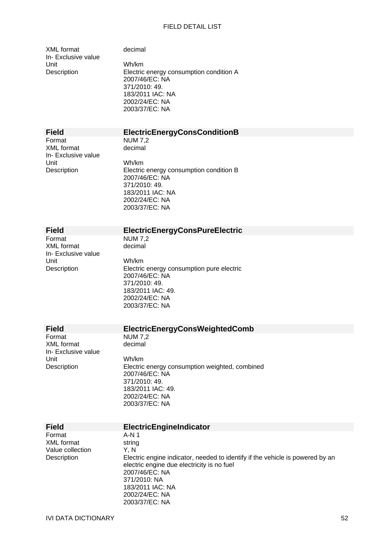| <b>XML</b> format   |
|---------------------|
| In- Exclusive value |
| Unit                |
| Description         |

decimal

Wh/km Electric energy consumption condition A 2007/46/EC: NA 371/2010: 49. 183/2011 IAC: NA 2002/24/EC: NA 2003/37/EC: NA

| <b>Field</b>        | <b>ElectricEnergyConsConditionB</b> |
|---------------------|-------------------------------------|
| Format              | <b>NUM 7.2</b>                      |
| XML format          | decimal                             |
| In- Exclusive value |                                     |
| Unit                | Wh/km                               |

Description Electric energy consumption condition B 2007/46/EC: NA 371/2010: 49. 183/2011 IAC: NA 2002/24/EC: NA 2003/37/EC: NA

XML format decimal In- Exclusive value Unit Wh/km

## **Field ElectricEnergyConsPureElectric**

 $NUM 7.2$ 

Description Electric energy consumption pure electric 2007/46/EC: NA 371/2010: 49. 183/2011 IAC: 49. 2002/24/EC: NA 2003/37/EC: NA

XML format In- Exclusive value Unit Wh/km

### **Field ElectricEnergyConsWeightedComb**<br>Format **NUM 7.2** NUM 7,2<br>decimal

Description Electric energy consumption weighted, combined 2007/46/EC: NA 371/2010: 49. 183/2011 IAC: 49. 2002/24/EC: NA 2003/37/EC: NA

| <b>Field</b>     | ElectricEngineIndicator                                                                                                                                                                                               |
|------------------|-----------------------------------------------------------------------------------------------------------------------------------------------------------------------------------------------------------------------|
| Format           | A-N 1                                                                                                                                                                                                                 |
| XML format       | string                                                                                                                                                                                                                |
| Value collection | Y.N                                                                                                                                                                                                                   |
| Description      | Electric engine indicator, needed to identify if the vehicle is powered by an<br>electric engine due electricity is no fuel<br>2007/46/EC: NA<br>371/2010: NA<br>183/2011 IAC: NA<br>2002/24/EC: NA<br>2003/37/EC: NA |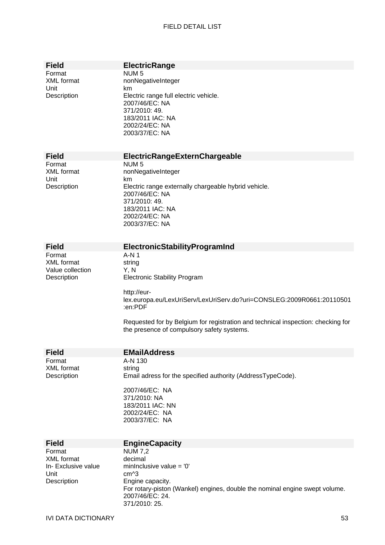| <b>Field</b><br>Format<br><b>XML</b> format<br>Unit<br>Description        | <b>ElectricRange</b><br>NUM <sub>5</sub><br>nonNegativeInteger<br>km<br>Electric range full electric vehicle.<br>2007/46/EC: NA<br>371/2010: 49.<br>183/2011 IAC: NA<br>2002/24/EC: NA<br>2003/37/EC: NA                                                                                             |
|---------------------------------------------------------------------------|------------------------------------------------------------------------------------------------------------------------------------------------------------------------------------------------------------------------------------------------------------------------------------------------------|
| <b>Field</b>                                                              | ElectricRangeExternChargeable                                                                                                                                                                                                                                                                        |
| Format<br>XML format<br>Unit<br>Description                               | NUM <sub>5</sub><br>nonNegativeInteger<br>km<br>Electric range externally chargeable hybrid vehicle.<br>2007/46/EC: NA<br>371/2010: 49.<br>183/2011 IAC: NA<br>2002/24/EC: NA<br>2003/37/EC: NA                                                                                                      |
| <b>Field</b>                                                              | ElectronicStabilityProgramInd                                                                                                                                                                                                                                                                        |
| Format<br><b>XML</b> format<br>Value collection<br>Description            | $A-N1$<br>string<br>Y, N<br><b>Electronic Stability Program</b><br>http://eur-<br>lex.europa.eu/LexUriServ/LexUriServ.do?uri=CONSLEG:2009R0661:20110501<br>:en:PDF<br>Requested for by Belgium for registration and technical inspection: checking for<br>the presence of compulsory safety systems. |
| <b>Field</b>                                                              | <b>EMailAddress</b>                                                                                                                                                                                                                                                                                  |
| Format<br><b>XML</b> format<br>Description                                | A-N 130<br>string<br>Email adress for the specified authority (AddressTypeCode).<br>2007/46/EC: NA<br>371/2010: NA<br>183/2011 IAC: NN<br>2002/24/EC: NA<br>2003/37/EC: NA                                                                                                                           |
| <b>Field</b>                                                              | <b>EngineCapacity</b>                                                                                                                                                                                                                                                                                |
| Format<br><b>XML</b> format<br>In- Exclusive value<br>Unit<br>Description | <b>NUM 7,2</b><br>decimal<br>mininclusive value = $'0'$<br>cm <sup>^3</sup><br>Engine capacity.<br>For rotary-piston (Wankel) engines, double the nominal engine swept volume.<br>2007/46/EC: 24.<br>371/2010: 25.                                                                                   |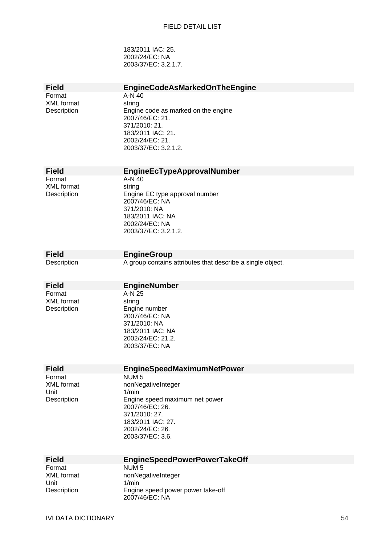183/2011 IAC: 25. 2002/24/EC: NA 2003/37/EC: 3.2.1.7.

| <b>Field</b>                                       | <b>EngineCodeAsMarkedOnTheEngine</b>                                                                                                                                              |
|----------------------------------------------------|-----------------------------------------------------------------------------------------------------------------------------------------------------------------------------------|
| Format<br><b>XML</b> format<br>Description         | A-N 40<br>string<br>Engine code as marked on the engine<br>2007/46/EC: 21.<br>371/2010: 21.<br>183/2011 IAC: 21.<br>2002/24/EC: 21.<br>2003/37/EC: 3.2.1.2.                       |
| <b>Field</b>                                       | EngineEcTypeApprovalNumber                                                                                                                                                        |
| Format<br><b>XML</b> format<br>Description         | A-N 40<br>string<br>Engine EC type approval number<br>2007/46/EC: NA<br>371/2010: NA<br>183/2011 IAC: NA<br>2002/24/EC: NA<br>2003/37/EC: 3.2.1.2.                                |
| <b>Field</b>                                       | <b>EngineGroup</b>                                                                                                                                                                |
| Description                                        | A group contains attributes that describe a single object.                                                                                                                        |
| <b>Field</b>                                       | <b>EngineNumber</b>                                                                                                                                                               |
| Format<br>XML format<br>Description                | A-N 25<br>string<br>Engine number<br>2007/46/EC: NA<br>371/2010: NA<br>183/2011 IAC: NA<br>2002/24/EC: 21.2.<br>2003/37/EC: NA                                                    |
| <b>Field</b>                                       | <b>EngineSpeedMaximumNetPower</b>                                                                                                                                                 |
| Format<br><b>XML</b> format<br>Unit<br>Description | NUM <sub>5</sub><br>nonNegativeInteger<br>1/min<br>Engine speed maximum net power<br>2007/46/EC: 26.<br>371/2010: 27.<br>183/2011 IAC: 27.<br>2002/24/EC: 26.<br>2003/37/EC: 3.6. |
| <b>Field</b>                                       | <b>EngineSpeedPowerPowerTakeOff</b>                                                                                                                                               |
| Format                                             | NUM <sub>5</sub>                                                                                                                                                                  |
| <b>XML</b> format<br>Unit                          | nonNegativeInteger<br>1/min                                                                                                                                                       |
| Description                                        | Engine speed power power take-off<br>2007/46/EC: NA                                                                                                                               |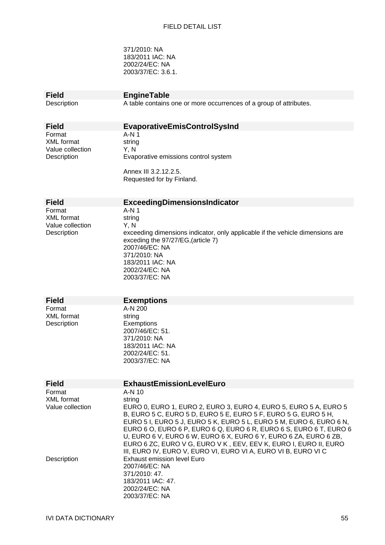371/2010: NA 183/2011 IAC: NA 2002/24/EC: NA 2003/37/EC: 3.6.1.

| <b>EngineTable</b>                                                                                                                                                                                                                                                                                                                                                                                                                                                                                                                                  |
|-----------------------------------------------------------------------------------------------------------------------------------------------------------------------------------------------------------------------------------------------------------------------------------------------------------------------------------------------------------------------------------------------------------------------------------------------------------------------------------------------------------------------------------------------------|
|                                                                                                                                                                                                                                                                                                                                                                                                                                                                                                                                                     |
| A table contains one or more occurrences of a group of attributes.                                                                                                                                                                                                                                                                                                                                                                                                                                                                                  |
| <b>EvaporativeEmisControlSysInd</b>                                                                                                                                                                                                                                                                                                                                                                                                                                                                                                                 |
| A-N 1<br>string<br>Y, N<br>Evaporative emissions control system<br>Annex III 3.2.12.2.5.<br>Requested for by Finland.                                                                                                                                                                                                                                                                                                                                                                                                                               |
|                                                                                                                                                                                                                                                                                                                                                                                                                                                                                                                                                     |
| ExceedingDimensionsIndicator                                                                                                                                                                                                                                                                                                                                                                                                                                                                                                                        |
| $A-N1$<br>string<br>Y, N<br>exceeding dimensions indicator, only applicable if the vehicle dimensions are<br>exceding the 97/27/EG, (article 7)<br>2007/46/EC: NA<br>371/2010: NA<br>183/2011 IAC: NA<br>2002/24/EC: NA<br>2003/37/EC: NA                                                                                                                                                                                                                                                                                                           |
| <b>Exemptions</b>                                                                                                                                                                                                                                                                                                                                                                                                                                                                                                                                   |
| A-N 200<br>string<br>Exemptions<br>2007/46/EC: 51.<br>371/2010: NA<br>183/2011 IAC: NA<br>2002/24/EC: 51.<br>2003/37/EC: NA                                                                                                                                                                                                                                                                                                                                                                                                                         |
| <b>ExhaustEmissionLevelEuro</b>                                                                                                                                                                                                                                                                                                                                                                                                                                                                                                                     |
| A-N 10<br>string<br>EURO 0, EURO 1, EURO 2, EURO 3, EURO 4, EURO 5, EURO 5 A, EURO 5<br>B, EURO 5 C, EURO 5 D, EURO 5 E, EURO 5 F, EURO 5 G, EURO 5 H,<br>EURO 5 I, EURO 5 J, EURO 5 K, EURO 5 L, EURO 5 M, EURO 6, EURO 6 N,<br>EURO 6 O, EURO 6 P, EURO 6 Q, EURO 6 R, EURO 6 S, EURO 6 T, EURO 6<br>U, EURO 6 V, EURO 6 W, EURO 6 X, EURO 6 Y, EURO 6 ZA, EURO 6 ZB,<br>EURO 6 ZC, EURO V G, EURO V K, EEV, EEV K, EURO I, EURO II, EURO<br>III, EURO IV, EURO V, EURO VI, EURO VI A, EURO VI B, EURO VI C<br><b>Exhaust emission level Euro</b> |
|                                                                                                                                                                                                                                                                                                                                                                                                                                                                                                                                                     |

2002/24/EC: NA 2003/37/EC: NA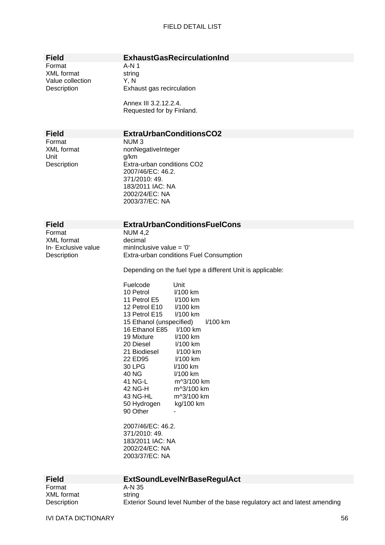| <b>Field</b>                                                      |                                                                                                                                                                                                                                                                                                                                                                                                                                                                                                                                                                                                                                                                                                                    |
|-------------------------------------------------------------------|--------------------------------------------------------------------------------------------------------------------------------------------------------------------------------------------------------------------------------------------------------------------------------------------------------------------------------------------------------------------------------------------------------------------------------------------------------------------------------------------------------------------------------------------------------------------------------------------------------------------------------------------------------------------------------------------------------------------|
|                                                                   | <b>ExhaustGasRecirculationInd</b>                                                                                                                                                                                                                                                                                                                                                                                                                                                                                                                                                                                                                                                                                  |
| Format<br><b>XML</b> format<br>Value collection<br>Description    | $A-N1$<br>string<br>Y, N<br>Exhaust gas recirculation                                                                                                                                                                                                                                                                                                                                                                                                                                                                                                                                                                                                                                                              |
|                                                                   | Annex III 3.2.12.2.4.<br>Requested for by Finland.                                                                                                                                                                                                                                                                                                                                                                                                                                                                                                                                                                                                                                                                 |
| <b>Field</b>                                                      | <b>ExtraUrbanConditionsCO2</b>                                                                                                                                                                                                                                                                                                                                                                                                                                                                                                                                                                                                                                                                                     |
| Format<br><b>XML</b> format<br>Unit<br>Description                | NUM <sub>3</sub><br>nonNegativeInteger<br>g/km<br>Extra-urban conditions CO2<br>2007/46/EC: 46.2.<br>371/2010: 49.<br>183/2011 IAC: NA<br>2002/24/EC: NA<br>2003/37/EC: NA                                                                                                                                                                                                                                                                                                                                                                                                                                                                                                                                         |
| <b>Field</b>                                                      | <b>ExtraUrbanConditionsFuelCons</b>                                                                                                                                                                                                                                                                                                                                                                                                                                                                                                                                                                                                                                                                                |
| Format<br><b>XML</b> format<br>In- Exclusive value<br>Description | <b>NUM 4,2</b><br>decimal<br>mininclusive value = $'0'$<br>Extra-urban conditions Fuel Consumption<br>Depending on the fuel type a different Unit is applicable:<br>Fuelcode<br>Unit<br>10 Petrol<br>I/100 km<br>11 Petrol E5<br>I/100 km<br>12 Petrol E10<br>I/100 km<br>13 Petrol E15<br>I/100 km<br>15 Ethanol (unspecified)<br>I/100 km<br>19 Mixture<br>I/100 km<br>20 Diesel<br>I/100 km<br>21 Biodiesel<br>$1/100$ km<br>22 ED95<br>I/100 km<br>30 LPG<br>$1/100$ km<br>40 NG<br>I/100 km<br>41 NG-L<br>m^3/100 km<br>42 NG-H<br>m^3/100 km<br>43 NG-HL<br>m^3/100 km<br>50 Hydrogen<br>kg/100 km<br>90 Other<br>2007/46/EC: 46.2.<br>371/2010: 49.<br>183/2011 IAC: NA<br>2002/24/EC: NA<br>2003/37/EC: NA |

| <b>Field</b> | <b>ExtSoundLevelNrBaseRegulAct</b>                                         |
|--------------|----------------------------------------------------------------------------|
| Format       | A-N 35                                                                     |
| XML format   | string                                                                     |
| Description  | Exterior Sound level Number of the base regulatory act and latest amending |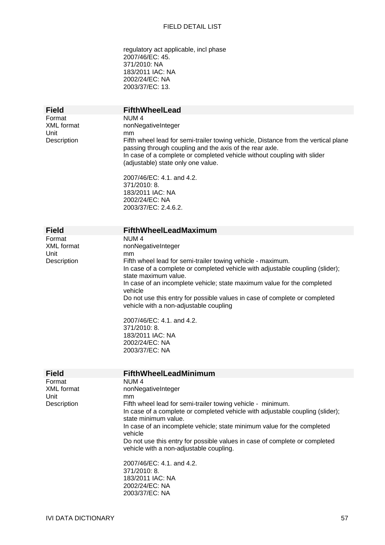regulatory act applicable, incl phase 2007/46/EC: 45. 371/2010: NA 183/2011 IAC: NA 2002/24/EC: NA 2003/37/EC: 13.

| <b>Field</b><br>Format<br><b>XML</b> format<br>Unit<br>Description | <b>FifthWheelLead</b><br>NUM <sub>4</sub><br>nonNegativeInteger<br>mm<br>Fifth wheel lead for semi-trailer towing vehicle, Distance from the vertical plane<br>passing through coupling and the axis of the rear axle.<br>In case of a complete or completed vehicle without coupling with slider<br>(adjustable) state only one value.<br>2007/46/EC: 4.1, and 4.2.<br>371/2010: 8.<br>183/2011 IAC: NA<br>2002/24/EC: NA<br>2003/37/EC: 2.4.6.2.                                                                                       |
|--------------------------------------------------------------------|------------------------------------------------------------------------------------------------------------------------------------------------------------------------------------------------------------------------------------------------------------------------------------------------------------------------------------------------------------------------------------------------------------------------------------------------------------------------------------------------------------------------------------------|
| <b>Field</b>                                                       | <b>FifthWheelLeadMaximum</b>                                                                                                                                                                                                                                                                                                                                                                                                                                                                                                             |
| Format<br><b>XML</b> format<br>Unit<br>Description                 | NUM <sub>4</sub><br>nonNegativeInteger<br>mm<br>Fifth wheel lead for semi-trailer towing vehicle - maximum.<br>In case of a complete or completed vehicle with adjustable coupling (slider);<br>state maximum value.<br>In case of an incomplete vehicle; state maximum value for the completed<br>vehicle<br>Do not use this entry for possible values in case of complete or completed<br>vehicle with a non-adjustable coupling<br>2007/46/EC: 4.1. and 4.2.<br>371/2010: 8.<br>183/2011 IAC: NA<br>2002/24/EC: NA<br>2003/37/EC: NA  |
| <b>Field</b>                                                       | <b>FifthWheelLeadMinimum</b>                                                                                                                                                                                                                                                                                                                                                                                                                                                                                                             |
| Format<br><b>XML</b> format<br>Unit<br>Description                 | NUM <sub>4</sub><br>nonNegativeInteger<br>mm<br>Fifth wheel lead for semi-trailer towing vehicle - minimum.<br>In case of a complete or completed vehicle with adjustable coupling (slider);<br>state minimum value.<br>In case of an incomplete vehicle; state minimum value for the completed<br>vehicle<br>Do not use this entry for possible values in case of complete or completed<br>vehicle with a non-adjustable coupling.<br>2007/46/EC: 4.1. and 4.2.<br>371/2010: 8.<br>183/2011 IAC: NA<br>2002/24/EC: NA<br>2003/37/EC: NA |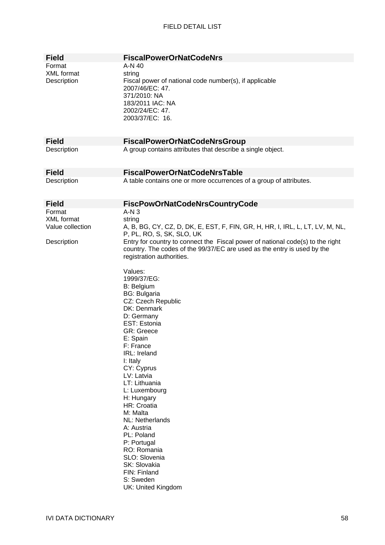| <b>Field</b>      | <b>FiscalPowerOrNatCodeNrs</b>                                                 |
|-------------------|--------------------------------------------------------------------------------|
| Format            | A-N 40                                                                         |
|                   |                                                                                |
| XML format        | string                                                                         |
| Description       | Fiscal power of national code number(s), if applicable                         |
|                   | 2007/46/EC: 47.                                                                |
|                   | 371/2010: NA                                                                   |
|                   | 183/2011 IAC: NA                                                               |
|                   | 2002/24/EC: 47.                                                                |
|                   | 2003/37/EC: 16.                                                                |
|                   |                                                                                |
|                   |                                                                                |
|                   |                                                                                |
| <b>Field</b>      | <b>FiscalPowerOrNatCodeNrsGroup</b>                                            |
| Description       | A group contains attributes that describe a single object.                     |
|                   |                                                                                |
|                   |                                                                                |
| <b>Field</b>      | <b>FiscalPowerOrNatCodeNrsTable</b>                                            |
| Description       | A table contains one or more occurrences of a group of attributes.             |
|                   |                                                                                |
|                   |                                                                                |
|                   |                                                                                |
| <b>Field</b>      | <b>FiscPowOrNatCodeNrsCountryCode</b>                                          |
| Format            | $A-N3$                                                                         |
| <b>XML</b> format | string                                                                         |
| Value collection  | A, B, BG, CY, CZ, D, DK, E, EST, F, FIN, GR, H, HR, I, IRL, L, LT, LV, M, NL,  |
|                   | P, PL, RO, S, SK, SLO, UK                                                      |
| Description       | Entry for country to connect the Fiscal power of national code(s) to the right |
|                   | country. The codes of the 99/37/EC are used as the entry is used by the        |
|                   | registration authorities.                                                      |
|                   |                                                                                |
|                   |                                                                                |
|                   | Values:                                                                        |
|                   | 1999/37/EG:                                                                    |
|                   | B: Belgium                                                                     |
|                   | <b>BG: Bulgaria</b>                                                            |
|                   | CZ: Czech Republic                                                             |
|                   | DK: Denmark                                                                    |
|                   | D: Germany                                                                     |
|                   | EST: Estonia                                                                   |
|                   | <b>GR: Greece</b>                                                              |
|                   | E: Spain                                                                       |
|                   | F: France                                                                      |
|                   | IRL: Ireland                                                                   |
|                   | I: Italy                                                                       |
|                   | CY: Cyprus                                                                     |
|                   | LV: Latvia                                                                     |
|                   |                                                                                |
|                   | LT: Lithuania                                                                  |
|                   | L: Luxembourg                                                                  |
|                   | H: Hungary                                                                     |
|                   | HR: Croatia                                                                    |
|                   | M: Malta                                                                       |
|                   | NL: Netherlands                                                                |
|                   | A: Austria                                                                     |
|                   | PL: Poland                                                                     |
|                   | P: Portugal                                                                    |
|                   | RO: Romania                                                                    |
|                   | SLO: Slovenia                                                                  |
|                   | SK: Slovakia                                                                   |
|                   | FIN: Finland                                                                   |
|                   | S: Sweden                                                                      |
|                   | UK: United Kingdom                                                             |
|                   |                                                                                |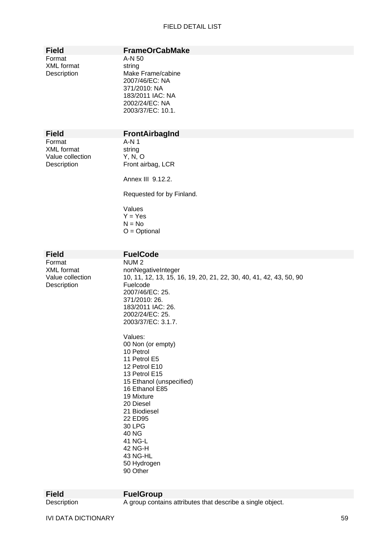Format A-N 50 XML format string

### **Field FrameOrCabMake**

Description Make Frame/cabine 2007/46/EC: NA 371/2010: NA 183/2011 IAC: NA 2002/24/EC: NA 2003/37/EC: 10.1.

Format A-N 1 XML format string Value collection Y, N, O

### **Field FrontAirbagInd**

Description Front airbag, LCR

Annex III 9.12.2.

Requested for by Finland.

Values  $Y = Yes$  $N = No$ O = Optional

**Field FuelCode**  Format NUM 2<br>XML format nonNec Description **Fuelcode** 

nonNegativeInteger Value collection 10, 11, 12, 13, 15, 16, 19, 20, 21, 22, 30, 40, 41, 42, 43, 50, 90 2007/46/EC: 25. 371/2010: 26. 183/2011 IAC: 26. 2002/24/EC: 25. 2003/37/EC: 3.1.7.

> Values: 00 Non (or empty) 10 Petrol 11 Petrol E5 12 Petrol E10 13 Petrol E15 15 Ethanol (unspecified) 16 Ethanol E85 19 Mixture 20 Diesel 21 Biodiesel 22 ED95 30 LPG 40 NG 41 NG-L 42 NG-H 43 NG-HL 50 Hydrogen 90 Other

**Field FuelGroup** 

Description A group contains attributes that describe a single object.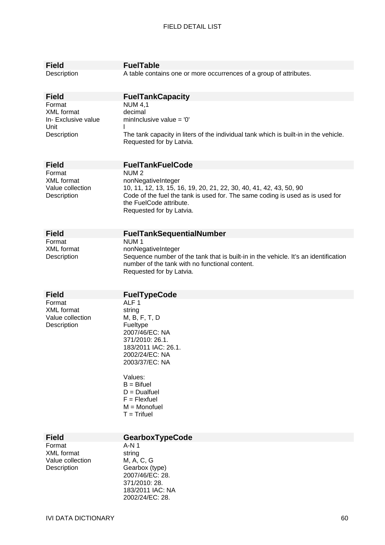| <b>Field</b>                                         | <b>FuelTable</b>                                                                                                                                                                                                                 |
|------------------------------------------------------|----------------------------------------------------------------------------------------------------------------------------------------------------------------------------------------------------------------------------------|
| Description                                          | A table contains one or more occurrences of a group of attributes.                                                                                                                                                               |
| <b>Field</b>                                         | <b>FuelTankCapacity</b>                                                                                                                                                                                                          |
| Format                                               | <b>NUM 4,1</b>                                                                                                                                                                                                                   |
| <b>XML</b> format                                    | decimal                                                                                                                                                                                                                          |
| In- Exclusive value<br>Unit                          | minInclusive value = $'0'$                                                                                                                                                                                                       |
| Description                                          | The tank capacity in liters of the individual tank which is built-in in the vehicle.<br>Requested for by Latvia.                                                                                                                 |
| <b>Field</b>                                         | <b>FuelTankFuelCode</b>                                                                                                                                                                                                          |
| Format                                               | NUM <sub>2</sub>                                                                                                                                                                                                                 |
| <b>XML</b> format<br>Value collection<br>Description | nonNegativeInteger<br>10, 11, 12, 13, 15, 16, 19, 20, 21, 22, 30, 40, 41, 42, 43, 50, 90<br>Code of the fuel the tank is used for. The same coding is used as is used for<br>the FuelCode attribute.<br>Requested for by Latvia. |
| <b>Field</b>                                         | <b>FuelTankSequentialNumber</b>                                                                                                                                                                                                  |
| Format                                               | NUM <sub>1</sub>                                                                                                                                                                                                                 |
| <b>XML</b> format                                    | nonNegativeInteger                                                                                                                                                                                                               |
| Description                                          | Sequence number of the tank that is built-in in the vehicle. It's an identification<br>number of the tank with no functional content.<br>Requested for by Latvia.                                                                |
| <b>Field</b>                                         | <b>FuelTypeCode</b>                                                                                                                                                                                                              |
| Format                                               | ALF <sub>1</sub>                                                                                                                                                                                                                 |
| <b>XML</b> format                                    | string                                                                                                                                                                                                                           |
| Value collection                                     | M, B, F, T, D                                                                                                                                                                                                                    |
| Description                                          | Fueltype<br>2007/46/EC: NA                                                                                                                                                                                                       |
|                                                      | 371/2010: 26.1.                                                                                                                                                                                                                  |
|                                                      | 183/2011 IAC: 26.1.                                                                                                                                                                                                              |
|                                                      | 2002/24/EC: NA                                                                                                                                                                                                                   |
|                                                      | 2003/37/EC: NA                                                                                                                                                                                                                   |
|                                                      | Values:                                                                                                                                                                                                                          |
|                                                      | $B =$ Bifuel                                                                                                                                                                                                                     |
|                                                      | $D = Dualfuel$                                                                                                                                                                                                                   |
|                                                      | $F = F$ lexfuel<br>$M = Monofuel$                                                                                                                                                                                                |
|                                                      | $T = Trifuel$                                                                                                                                                                                                                    |
|                                                      |                                                                                                                                                                                                                                  |
|                                                      |                                                                                                                                                                                                                                  |
| <b>Field</b>                                         | GearboxTypeCode                                                                                                                                                                                                                  |
| Format<br><b>XML</b> format                          | A-N 1<br>string                                                                                                                                                                                                                  |
| Value collection                                     | M, A, C, G                                                                                                                                                                                                                       |
| Description                                          | Gearbox (type)                                                                                                                                                                                                                   |
|                                                      | 2007/46/EC: 28.                                                                                                                                                                                                                  |
|                                                      | 371/2010: 28.<br>183/2011 IAC: NA                                                                                                                                                                                                |

2002/24/EC: 28.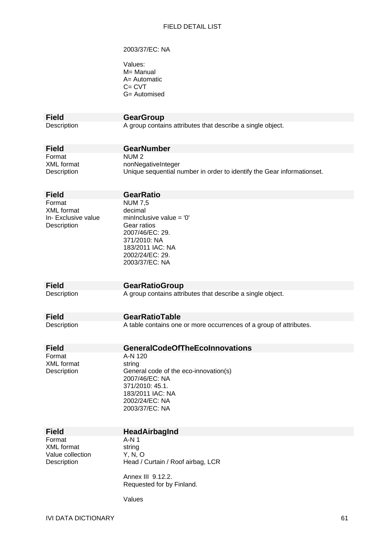#### 2003/37/EC: NA

| Values:      |
|--------------|
| M= Manual    |
| A= Automatic |
| C= CVT       |
| G= Automised |

**Field GearGroup**<br>Description **A** group contain

A group contains attributes that describe a single object.

| <b>Field</b> | <b>GearNumber</b>                                                      |
|--------------|------------------------------------------------------------------------|
| Format       | NUM 2                                                                  |
| XML format   | nonNegativeInteger                                                     |
| Description  | Unique sequential number in order to identify the Gear informationset. |

| <b>Field</b>                                                      | <b>GearRatio</b>                                                                                                                                                   |
|-------------------------------------------------------------------|--------------------------------------------------------------------------------------------------------------------------------------------------------------------|
| Format<br><b>XML</b> format<br>In- Exclusive value<br>Description | <b>NUM 7,5</b><br>decimal<br>mininclusive value $=$ '0'<br>Gear ratios<br>2007/46/EC: 29.<br>371/2010: NA<br>183/2011 IAC: NA<br>2002/24/EC: 29.<br>2003/37/EC: NA |
| <b>Field</b>                                                      | <b>GearRatioGroup</b>                                                                                                                                              |
| Description                                                       | A group contains attributes that describe a single object.                                                                                                         |
| <b>Field</b>                                                      | <b>GearRatioTable</b>                                                                                                                                              |
| Description                                                       | A table contains one or more occurrences of a group of attributes.                                                                                                 |
| <b>Field</b>                                                      | <b>GeneralCodeOfTheEcoInnovations</b>                                                                                                                              |
| Format<br>XML format<br>Description                               | A-N 120<br>string<br>General code of the eco-innovation(s)                                                                                                         |

2007/46/EC: NA 371/2010: 45.1. 183/2011 IAC: NA 2002/24/EC: NA 2003/37/EC: NA

Format A-N 1 XML format string Value collection Y, N, O

**Field HeadAirbagInd** 

Description Head / Curtain / Roof airbag, LCR

Annex III 9.12.2. Requested for by Finland.

Values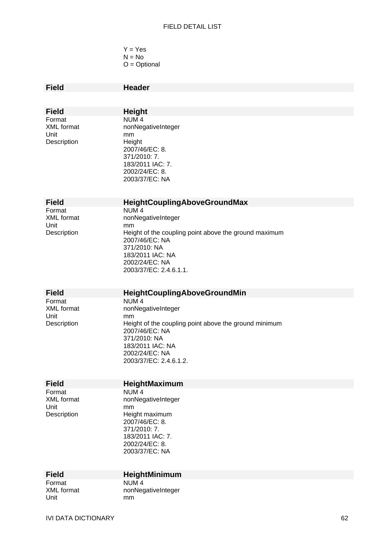$Y = Yes$  $N = No$ O = Optional

| <b>Field</b>                | <b>Header</b>                                         |
|-----------------------------|-------------------------------------------------------|
|                             |                                                       |
|                             |                                                       |
| <b>Field</b>                | <b>Height</b>                                         |
| Format<br><b>XML</b> format | NUM <sub>4</sub>                                      |
| Unit                        | nonNegativeInteger<br>mm                              |
| Description                 | Height                                                |
|                             | 2007/46/EC: 8.                                        |
|                             | 371/2010: 7.                                          |
|                             | 183/2011 IAC: 7.                                      |
|                             | 2002/24/EC: 8.<br>2003/37/EC: NA                      |
|                             |                                                       |
|                             |                                                       |
| <b>Field</b>                | HeightCouplingAboveGroundMax<br>NUM <sub>4</sub>      |
| Format<br><b>XML</b> format | nonNegativeInteger                                    |
| Unit                        | mm                                                    |
| Description                 | Height of the coupling point above the ground maximum |
|                             | 2007/46/EC: NA                                        |
|                             | 371/2010: NA<br>183/2011 IAC: NA                      |
|                             | 2002/24/EC: NA                                        |
|                             | 2003/37/EC: 2.4.6.1.1.                                |
|                             |                                                       |
| <b>Field</b>                | HeightCouplingAboveGroundMin                          |
| Format                      |                                                       |
|                             |                                                       |
| <b>XML</b> format           | NUM <sub>4</sub><br>nonNegativeInteger                |
| Unit                        | mm                                                    |
| Description                 | Height of the coupling point above the ground minimum |
|                             | 2007/46/EC: NA                                        |
|                             | 371/2010: NA                                          |
|                             | 183/2011 IAC: NA<br>2002/24/EC: NA                    |
|                             | 2003/37/EC: 2.4.6.1.2.                                |
|                             |                                                       |
| <b>Field</b>                |                                                       |
| Format                      | HeightMaximum<br>NUM <sub>4</sub>                     |
| <b>XML</b> format           | nonNegativeInteger                                    |
| Unit                        | mm                                                    |
| Description                 | Height maximum                                        |
|                             | 2007/46/EC: 8.                                        |
|                             | 371/2010: 7.<br>183/2011 IAC: 7.                      |
|                             | 2002/24/EC: 8.                                        |
|                             | 2003/37/EC: NA                                        |
|                             |                                                       |
| <b>Field</b>                | HeightMinimum                                         |
| Format<br><b>XML</b> format | NUM <sub>4</sub><br>nonNegativeInteger                |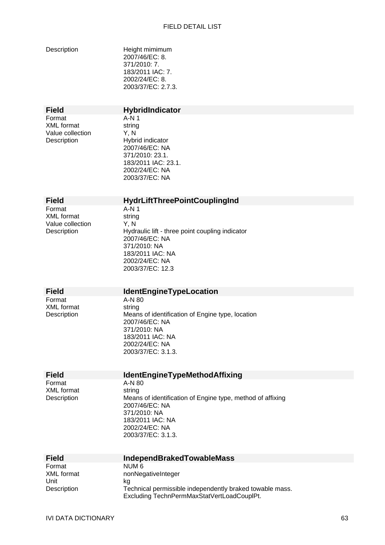| Description                                                    | Height mimimum<br>2007/46/EC: 8.<br>371/2010: 7.<br>183/2011 IAC: 7.<br>2002/24/EC: 8.<br>2003/37/EC: 2.7.3.                                                                 |
|----------------------------------------------------------------|------------------------------------------------------------------------------------------------------------------------------------------------------------------------------|
| <b>Field</b>                                                   | <b>HybridIndicator</b>                                                                                                                                                       |
| Format<br><b>XML</b> format<br>Value collection<br>Description | $A-N1$<br>string<br>Y, N<br>Hybrid indicator<br>2007/46/EC: NA<br>371/2010: 23.1.<br>183/2011 IAC: 23.1.<br>2002/24/EC: NA<br>2003/37/EC: NA                                 |
| <b>Field</b>                                                   | <b>HydrLiftThreePointCouplingInd</b>                                                                                                                                         |
| Format<br><b>XML</b> format<br>Value collection<br>Description | $A-N1$<br>string<br>Y, N<br>Hydraulic lift - three point coupling indicator<br>2007/46/EC: NA<br>371/2010: NA<br>183/2011 IAC: NA<br>2002/24/EC: NA<br>2003/37/EC: 12.3      |
| <b>Field</b>                                                   | <b>IdentEngineTypeLocation</b>                                                                                                                                               |
| Format<br><b>XML</b> format<br>Description                     | A-N 80<br>string<br>Means of identification of Engine type, location<br>2007/46/EC: NA<br>371/2010: NA<br>183/2011 IAC: NA<br>2002/24/EC: NA<br>2003/37/EC: 3.1.3.           |
| <b>Field</b>                                                   | <b>IdentEngineTypeMethodAffixing</b>                                                                                                                                         |
| Format<br><b>XML</b> format<br>Description                     | A-N 80<br>string<br>Means of identification of Engine type, method of affixing<br>2007/46/EC: NA<br>371/2010: NA<br>183/2011 IAC: NA<br>2002/24/EC: NA<br>2003/37/EC: 3.1.3. |
| <b>Field</b>                                                   | <b>IndependBrakedTowableMass</b>                                                                                                                                             |
| Format<br><b>XML</b> format<br>Unit<br>Description             | NUM <sub>6</sub><br>nonNegativeInteger<br>kg<br>Technical permissible independently braked towable mass.                                                                     |

Excluding TechnPermMaxStatVertLoadCouplPt.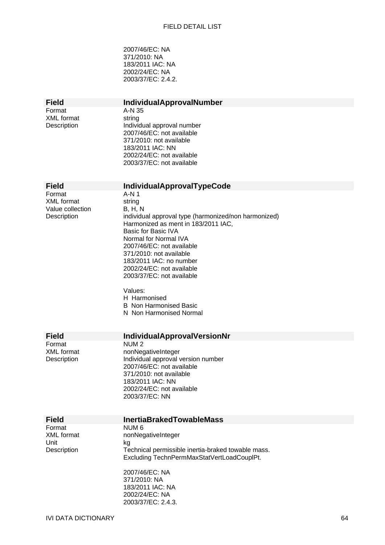2007/46/EC: NA 371/2010: NA 183/2011 IAC: NA 2002/24/EC: NA 2003/37/EC: 2.4.2.

| <b>Field</b>                     | <b>IndividualApprovalNumber</b>                                                             |
|----------------------------------|---------------------------------------------------------------------------------------------|
| Format                           | A-N 35                                                                                      |
| <b>XML</b> format                | string                                                                                      |
| Description                      | Individual approval number<br>2007/46/EC: not available                                     |
|                                  | 371/2010: not available                                                                     |
|                                  | 183/2011 IAC: NN                                                                            |
|                                  | 2002/24/EC: not available                                                                   |
|                                  | 2003/37/EC: not available                                                                   |
|                                  |                                                                                             |
|                                  |                                                                                             |
| <b>Field</b>                     | <b>IndividualApprovalTypeCode</b>                                                           |
| Format                           | A-N 1                                                                                       |
| <b>XML</b> format                | string                                                                                      |
| Value collection                 | <b>B</b> , H, N                                                                             |
| Description                      | individual approval type (harmonized/non harmonized)<br>Harmonized as ment in 183/2011 IAC, |
|                                  | <b>Basic for Basic IVA</b>                                                                  |
|                                  | Normal for Normal IVA                                                                       |
|                                  | 2007/46/EC: not available                                                                   |
|                                  | 371/2010: not available                                                                     |
|                                  | 183/2011 IAC: no number                                                                     |
|                                  | 2002/24/EC: not available                                                                   |
|                                  | 2003/37/EC: not available                                                                   |
|                                  | Values:                                                                                     |
|                                  | H Harmonised                                                                                |
|                                  | <b>B</b> Non Harmonised Basic                                                               |
|                                  | N Non Harmonised Normal                                                                     |
|                                  |                                                                                             |
|                                  |                                                                                             |
| <b>Field</b>                     | <b>IndividualApprovalVersionNr</b>                                                          |
| Format                           | NUM <sub>2</sub>                                                                            |
| <b>XML</b> format<br>Description | nonNegativeInteger                                                                          |
|                                  | Individual approval version number<br>2007/46/EC: not available                             |
|                                  | 371/2010: not available                                                                     |
|                                  | 183/2011 IAC: NN                                                                            |
|                                  | 2002/24/EC: not available                                                                   |
|                                  | 2003/37/EC: NN                                                                              |
|                                  |                                                                                             |
|                                  | <b>InertiaBrakedTowableMass</b>                                                             |
| <b>Field</b><br>Format           | NUM <sub>6</sub>                                                                            |
| <b>XML</b> format                | nonNegativeInteger                                                                          |
| Unit                             | kg                                                                                          |
| Description                      | Technical permissible inertia-braked towable mass.                                          |
|                                  | Excluding TechnPermMaxStatVertLoadCouplPt.                                                  |
|                                  |                                                                                             |
|                                  | 2007/46/EC: NA                                                                              |
|                                  | 371/2010: NA                                                                                |
|                                  | 183/2011 IAC: NA                                                                            |
|                                  | 2002/24/EC: NA<br>2003/37/EC: 2.4.3.                                                        |
|                                  |                                                                                             |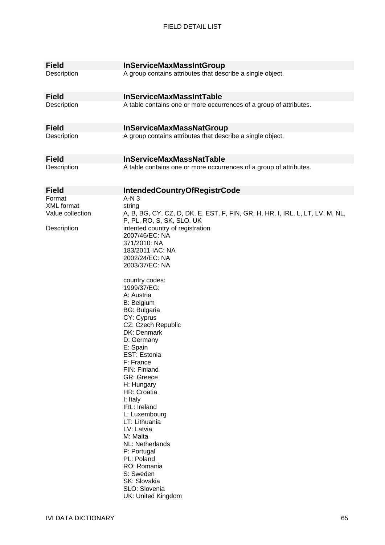| <b>InServiceMaxMassIntGroup</b>                                                                                                                                                                                                                                                                                                                                                                                                                                          |
|--------------------------------------------------------------------------------------------------------------------------------------------------------------------------------------------------------------------------------------------------------------------------------------------------------------------------------------------------------------------------------------------------------------------------------------------------------------------------|
| A group contains attributes that describe a single object.                                                                                                                                                                                                                                                                                                                                                                                                               |
| <b>InServiceMaxMassIntTable</b>                                                                                                                                                                                                                                                                                                                                                                                                                                          |
| A table contains one or more occurrences of a group of attributes.                                                                                                                                                                                                                                                                                                                                                                                                       |
| <b>InServiceMaxMassNatGroup</b>                                                                                                                                                                                                                                                                                                                                                                                                                                          |
| A group contains attributes that describe a single object.                                                                                                                                                                                                                                                                                                                                                                                                               |
| <b>InServiceMaxMassNatTable</b>                                                                                                                                                                                                                                                                                                                                                                                                                                          |
| A table contains one or more occurrences of a group of attributes.                                                                                                                                                                                                                                                                                                                                                                                                       |
| <b>IntendedCountryOfRegistrCode</b>                                                                                                                                                                                                                                                                                                                                                                                                                                      |
| $A-N3$                                                                                                                                                                                                                                                                                                                                                                                                                                                                   |
| string<br>A, B, BG, CY, CZ, D, DK, E, EST, F, FIN, GR, H, HR, I, IRL, L, LT, LV, M, NL,<br>P, PL, RO, S, SK, SLO, UK                                                                                                                                                                                                                                                                                                                                                     |
| intented country of registration<br>2007/46/EC: NA<br>371/2010: NA<br>183/2011 IAC: NA<br>2002/24/EC: NA<br>2003/37/EC: NA                                                                                                                                                                                                                                                                                                                                               |
| country codes:<br>1999/37/EG:<br>A: Austria<br><b>B: Belgium</b><br><b>BG: Bulgaria</b><br>CY: Cyprus<br>CZ: Czech Republic<br>DK: Denmark<br>D: Germany<br>E: Spain<br>EST: Estonia<br>F: France<br>FIN: Finland<br><b>GR: Greece</b><br>H: Hungary<br>HR: Croatia<br>I: Italy<br>IRL: Ireland<br>L: Luxembourg<br>LT: Lithuania<br>LV: Latvia<br>M: Malta<br>NL: Netherlands<br>P: Portugal<br>PL: Poland<br>RO: Romania<br>S: Sweden<br>SK: Slovakia<br>SLO: Slovenia |
|                                                                                                                                                                                                                                                                                                                                                                                                                                                                          |

UK: United Kingdom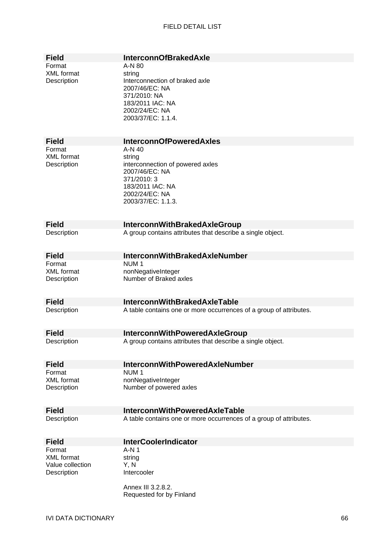| <b>Field</b>      | <b>InterconnOfBrakedAxle</b>                                       |
|-------------------|--------------------------------------------------------------------|
|                   |                                                                    |
| Format            | A-N 80                                                             |
| <b>XML</b> format | string                                                             |
| Description       | Interconnection of braked axle                                     |
|                   | 2007/46/EC: NA                                                     |
|                   | 371/2010: NA                                                       |
|                   | 183/2011 IAC: NA                                                   |
|                   | 2002/24/EC: NA                                                     |
|                   | 2003/37/EC: 1.1.4.                                                 |
|                   |                                                                    |
|                   |                                                                    |
| <b>Field</b>      | <b>InterconnOfPoweredAxles</b>                                     |
| Format            | $A-N$ 40                                                           |
| <b>XML</b> format | string                                                             |
| Description       | interconnection of powered axles                                   |
|                   | 2007/46/EC: NA                                                     |
|                   | 371/2010: 3                                                        |
|                   | 183/2011 IAC: NA                                                   |
|                   | 2002/24/EC: NA                                                     |
|                   | 2003/37/EC: 1.1.3.                                                 |
|                   |                                                                    |
|                   |                                                                    |
| <b>Field</b>      | <b>InterconnWithBrakedAxleGroup</b>                                |
| Description       | A group contains attributes that describe a single object.         |
|                   |                                                                    |
|                   |                                                                    |
| <b>Field</b>      | <b>InterconnWithBrakedAxleNumber</b>                               |
| Format            | NUM <sub>1</sub>                                                   |
| <b>XML</b> format | nonNegativeInteger                                                 |
| Description       | Number of Braked axles                                             |
|                   |                                                                    |
|                   |                                                                    |
| <b>Field</b>      | <b>InterconnWithBrakedAxleTable</b>                                |
| Description       | A table contains one or more occurrences of a group of attributes. |
|                   |                                                                    |
|                   |                                                                    |
| <b>Field</b>      | <b>InterconnWithPoweredAxleGroup</b>                               |
| Description       | A group contains attributes that describe a single object.         |
|                   |                                                                    |
|                   |                                                                    |
| <b>Field</b>      | <b>InterconnWithPoweredAxleNumber</b>                              |
| Format            | NUM <sub>1</sub>                                                   |
| <b>XML</b> format | nonNegativeInteger                                                 |
| Description       | Number of powered axles                                            |
|                   |                                                                    |
|                   |                                                                    |
| <b>Field</b>      | <b>InterconnWithPoweredAxleTable</b>                               |
| Description       | A table contains one or more occurrences of a group of attributes. |
|                   |                                                                    |
|                   |                                                                    |
| <b>Field</b>      | <b>InterCoolerIndicator</b>                                        |
| Format            | A-N 1                                                              |
| <b>XML</b> format | string                                                             |
| Value collection  | Y, N                                                               |
| Description       | Intercooler                                                        |
|                   |                                                                    |
|                   | Annex III 3.2.8.2.                                                 |
|                   | Requested for by Finland                                           |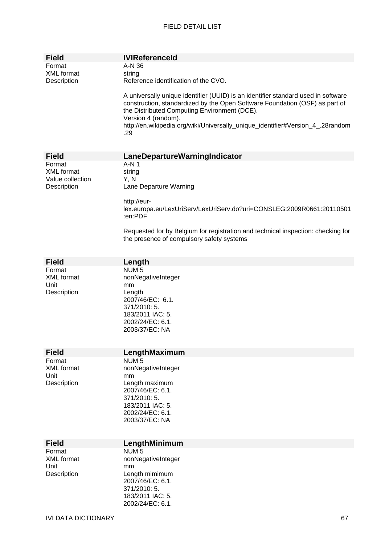| Field                              | <b>IVIReferenceld</b>                                                                                                                                                                                                                                                                                                            |
|------------------------------------|----------------------------------------------------------------------------------------------------------------------------------------------------------------------------------------------------------------------------------------------------------------------------------------------------------------------------------|
| Format                             | A-N 36                                                                                                                                                                                                                                                                                                                           |
| <b>XML</b> format                  | string                                                                                                                                                                                                                                                                                                                           |
| Description                        | Reference identification of the CVO.                                                                                                                                                                                                                                                                                             |
|                                    | A universally unique identifier (UUID) is an identifier standard used in software<br>construction, standardized by the Open Software Foundation (OSF) as part of<br>the Distributed Computing Environment (DCE).<br>Version 4 (random).<br>http://en.wikipedia.org/wiki/Universally_unique_identifier#Version_4_.28random<br>.29 |
|                                    |                                                                                                                                                                                                                                                                                                                                  |
| <b>Field</b>                       | LaneDepartureWarningIndicator                                                                                                                                                                                                                                                                                                    |
| Format                             | $A-N1$                                                                                                                                                                                                                                                                                                                           |
| <b>XML</b> format                  | string                                                                                                                                                                                                                                                                                                                           |
| Value collection                   | Y, N                                                                                                                                                                                                                                                                                                                             |
| Description                        | Lane Departure Warning                                                                                                                                                                                                                                                                                                           |
|                                    | http://eur-                                                                                                                                                                                                                                                                                                                      |
|                                    | lex.europa.eu/LexUriServ/LexUriServ.do?uri=CONSLEG:2009R0661:20110501<br>:en:PDF                                                                                                                                                                                                                                                 |
|                                    | Requested for by Belgium for registration and technical inspection: checking for<br>the presence of compulsory safety systems                                                                                                                                                                                                    |
|                                    |                                                                                                                                                                                                                                                                                                                                  |
| <b>Field</b><br>Format             | Length<br>NUM <sub>5</sub>                                                                                                                                                                                                                                                                                                       |
| <b>XML</b> format                  | nonNegativeInteger                                                                                                                                                                                                                                                                                                               |
| Unit                               | mm                                                                                                                                                                                                                                                                                                                               |
| Description                        | Length                                                                                                                                                                                                                                                                                                                           |
|                                    | 2007/46/EC: 6.1.                                                                                                                                                                                                                                                                                                                 |
|                                    | 371/2010: 5.                                                                                                                                                                                                                                                                                                                     |
|                                    | 183/2011 IAC: 5.                                                                                                                                                                                                                                                                                                                 |
| 2002/24/EC: 6.1.<br>2003/37/EC: NA |                                                                                                                                                                                                                                                                                                                                  |
|                                    |                                                                                                                                                                                                                                                                                                                                  |
|                                    |                                                                                                                                                                                                                                                                                                                                  |
| <b>Field</b>                       | LengthMaximum                                                                                                                                                                                                                                                                                                                    |
| Format                             | NUM <sub>5</sub>                                                                                                                                                                                                                                                                                                                 |
| <b>XML</b> format<br>Unit          | nonNegativeInteger<br>mm                                                                                                                                                                                                                                                                                                         |
| Description                        | Length maximum                                                                                                                                                                                                                                                                                                                   |
|                                    | 2007/46/EC: 6.1.                                                                                                                                                                                                                                                                                                                 |
|                                    | 371/2010: 5.                                                                                                                                                                                                                                                                                                                     |
|                                    | 183/2011 IAC: 5.                                                                                                                                                                                                                                                                                                                 |
|                                    | 2002/24/EC: 6.1.                                                                                                                                                                                                                                                                                                                 |
|                                    | 2003/37/EC: NA                                                                                                                                                                                                                                                                                                                   |
|                                    |                                                                                                                                                                                                                                                                                                                                  |
| <b>Field</b>                       | LengthMinimum                                                                                                                                                                                                                                                                                                                    |
| Format                             | NUM <sub>5</sub>                                                                                                                                                                                                                                                                                                                 |
| <b>XML</b> format                  | nonNegativeInteger                                                                                                                                                                                                                                                                                                               |
| Unit<br>Description                | mm<br>Length mimimum                                                                                                                                                                                                                                                                                                             |
|                                    | 2007/46/EC: 6.1.                                                                                                                                                                                                                                                                                                                 |
|                                    | 371/2010: 5.                                                                                                                                                                                                                                                                                                                     |
|                                    | 183/2011 IAC: 5.                                                                                                                                                                                                                                                                                                                 |
|                                    | 2002/24/EC: 6.1.                                                                                                                                                                                                                                                                                                                 |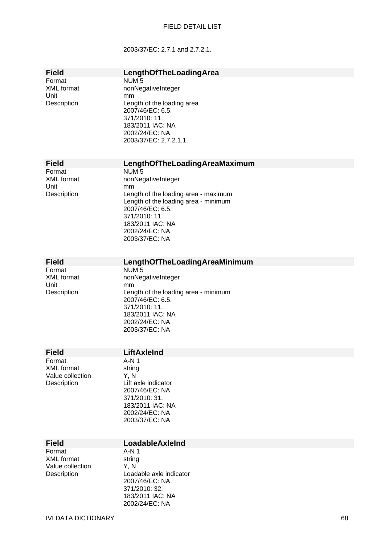#### 2003/37/EC: 2.7.1 and 2.7.2.1.

| <b>Field</b>                    | LengthOfTheLoadingArea                                   |
|---------------------------------|----------------------------------------------------------|
| Format                          | NUM <sub>5</sub>                                         |
| <b>XML</b> format<br>Unit       | nonNegativeInteger<br>mm                                 |
| Description                     | Length of the loading area                               |
|                                 | 2007/46/EC: 6.5.<br>371/2010: 11.                        |
|                                 | 183/2011 IAC: NA                                         |
|                                 | 2002/24/EC: NA<br>2003/37/EC: 2.7.2.1.1.                 |
|                                 |                                                          |
| <b>Field</b>                    | LengthOfTheLoadingAreaMaximum                            |
| Format                          | NUM <sub>5</sub>                                         |
| <b>XML</b> format<br>Unit       | nonNegativeInteger<br>mm                                 |
| Description                     | Length of the loading area - maximum                     |
|                                 | Length of the loading area - minimum<br>2007/46/EC: 6.5. |
|                                 | 371/2010: 11.                                            |
|                                 | 183/2011 IAC: NA<br>2002/24/EC: NA                       |
|                                 | 2003/37/EC: NA                                           |
|                                 |                                                          |
| <b>Field</b>                    | LengthOfTheLoadingAreaMinimum                            |
| Format<br><b>XML</b> format     | NUM <sub>5</sub><br>nonNegativeInteger                   |
| Unit                            | mm                                                       |
| Description                     | Length of the loading area - minimum<br>2007/46/EC: 6.5. |
|                                 | 371/2010: 11.                                            |
|                                 | 183/2011 IAC: NA<br>2002/24/EC: NA                       |
|                                 | 2003/37/EC: NA                                           |
|                                 |                                                          |
| <b>Field</b><br>Format          | LiftAxleInd<br>$A-N1$                                    |
| <b>XML</b> format               | string                                                   |
| Value collection<br>Description | Y, N<br>Lift axle indicator                              |
|                                 | 2007/46/EC: NA                                           |
|                                 | 371/2010: 31.<br>183/2011 IAC: NA                        |
|                                 | 2002/24/EC: NA                                           |
|                                 | 2003/37/EC: NA                                           |
| <b>Field</b>                    | LoadableAxleInd                                          |
| Format                          | A-N 1                                                    |
| <b>XML</b> format               | string                                                   |
| Value collection<br>Description | Y, N<br>Loadable axle indicator                          |
|                                 | 2007/46/EC: NA                                           |
|                                 | 371/2010: 32.                                            |

183/2011 IAC: NA 2002/24/EC: NA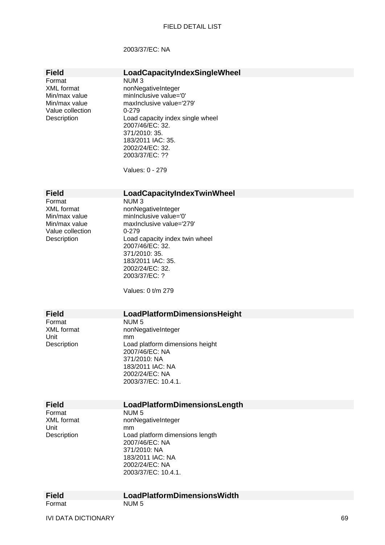#### 2003/37/EC: NA

## **Field LoadCapacityIndexSingleWheel**<br>Format NUM 3

Value collection 0-279

NUM 3 XML format nonNegativeInteger Min/max value minInclusive value='0' Min/max value maxInclusive value='279' Description Load capacity index single wheel 2007/46/EC: 32. 371/2010: 35. 183/2011 IAC: 35. 2002/24/EC: 32. 2003/37/EC: ??

Values: 0 - 279

#### **Field LoadCapacityIndexTwinWheel**

Format NUM 3 Value collection 0-279<br>Description Load

XML format nonNegativeInteger Min/max value minInclusive value='0' Min/max value maxInclusive value='279' Load capacity index twin wheel 2007/46/EC: 32. 371/2010: 35. 183/2011 IAC: 35. 2002/24/EC: 32. 2003/37/EC: ?

Values: 0 t/m 279

# **Field LoadPlatformDimensionsHeight**<br>Format **NUM5**

Format NUM 5<br>XML format nonNec XML format nonNegativeInteger<br>Unit mm Unit mm<br>Description Loa Load platform dimensions height 2007/46/EC: NA 371/2010: NA 183/2011 IAC: NA 2002/24/EC: NA 2003/37/EC: 10.4.1.

| Field             | LoadPlatformDimensionsLength    |
|-------------------|---------------------------------|
| Format            | NUM <sub>5</sub>                |
| <b>XML</b> format | nonNegativeInteger              |
| Unit              | mm                              |
| Description       | Load platform dimensions length |
|                   | 2007/46/EC: NA                  |
|                   | 371/2010: NA                    |
|                   | 183/2011 IAC: NA                |
|                   | 2002/24/EC: NA                  |
|                   | 2003/37/EC: 10.4.1.             |
|                   |                                 |
|                   |                                 |

| <b>Field</b> | <b>LoadPlatformDimensionsWidth</b> |
|--------------|------------------------------------|
| Format       | NUM 5                              |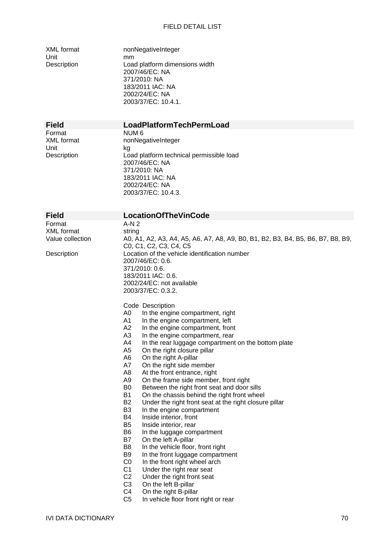Unit mm

XML format nonNegativeInteger Description Load platform dimensions width 2007/46/EC: NA 371/2010: NA 183/2011 IAC: NA 2002/24/EC: NA 2003/37/EC: 10.4.1.

Format NUM 6<br>XMI format nonNec Unit kg

#### **Field LoadPlatformTechPermLoad**

nonNegativeInteger Description Load platform technical permissible load 2007/46/EC: NA 371/2010: NA 183/2011 IAC: NA 2002/24/EC: NA 2003/37/EC: 10.4.3.

Format A-N 2 XML format string<br>Value collection 60 A

#### **Field LocationOfTheVinCode**

A0, A1, A2, A3, A4, A5, A6, A7, A8, A9, B0, B1, B2, B3, B4, B5, B6, B7, B8, B9, C0, C1, C2, C3, C4, C5 Description Location of the vehicle identification number 2007/46/EC: 0.6. 371/2010: 0.6. 183/2011 IAC: 0.6. 2002/24/EC: not available 2003/37/EC: 0.3.2.

#### Code Description

- A0 In the engine compartment, right
- A1 In the engine compartment, left
- A2 In the engine compartment, front
- A3 In the engine compartment, rear
- A4 In the rear luggage compartment on the bottom plate
- A5 On the right closure pillar
- A6 On the right A-pillar
- A7 On the right side member
- A8 At the front entrance, right
- A9 On the frame side member, front right
- B0 Between the right front seat and door sills
- B1 On the chassis behind the right front wheel<br>B2 Under the right front seat at the right closure
- Under the right front seat at the right closure pillar
- B3 In the engine compartment
- B4 Inside interior, front
- B5 Inside interior, rear
- B6 In the luggage compartment
- B7 On the left A-pillar
- B8 In the vehicle floor, front right
- B9 In the front luggage compartment
- C0 In the front right wheel arch
- C1 Under the right rear seat
- C2 Under the right front seat
- C3 On the left B-pillar
- C4 On the right B-pillar
- C5 In vehicle floor front right or rear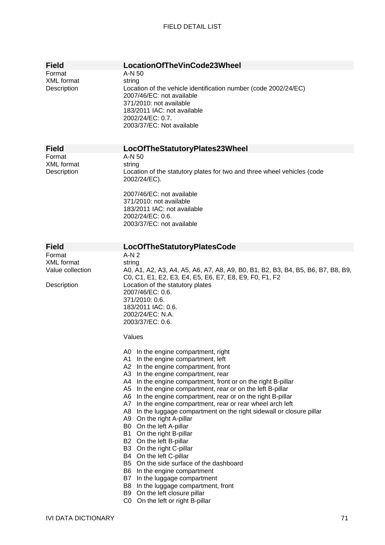| <b>Field</b>                                                   | LocationOfTheVinCode23Wheel                                                                                                                                                                                                                                                                                                                                                                                                                                                                                                                                                                                                                                                                                                                                                                                                                                                                      |
|----------------------------------------------------------------|--------------------------------------------------------------------------------------------------------------------------------------------------------------------------------------------------------------------------------------------------------------------------------------------------------------------------------------------------------------------------------------------------------------------------------------------------------------------------------------------------------------------------------------------------------------------------------------------------------------------------------------------------------------------------------------------------------------------------------------------------------------------------------------------------------------------------------------------------------------------------------------------------|
| Format<br><b>XML</b> format<br>Description                     | A-N 50<br>string<br>Location of the vehicle identification number (code 2002/24/EC)<br>2007/46/EC: not available<br>371/2010: not available<br>183/2011 IAC: not available<br>2002/24/EC: 0.7.<br>2003/37/EC: Not available                                                                                                                                                                                                                                                                                                                                                                                                                                                                                                                                                                                                                                                                      |
| <b>Field</b>                                                   | LocOfTheStatutoryPlates23Wheel                                                                                                                                                                                                                                                                                                                                                                                                                                                                                                                                                                                                                                                                                                                                                                                                                                                                   |
| Format<br><b>XML</b> format<br>Description                     | A-N 50<br>string<br>Location of the statutory plates for two and three wheel vehicles (code<br>2002/24/EC).<br>2007/46/EC: not available<br>371/2010: not available<br>183/2011 IAC: not available<br>2002/24/EC: 0.6.<br>2003/37/EC: not available                                                                                                                                                                                                                                                                                                                                                                                                                                                                                                                                                                                                                                              |
| <b>Field</b>                                                   | LocOfTheStatutoryPlatesCode                                                                                                                                                                                                                                                                                                                                                                                                                                                                                                                                                                                                                                                                                                                                                                                                                                                                      |
| Format<br><b>XML</b> format<br>Value collection<br>Description | $A-N2$<br>string<br>A0, A1, A2, A3, A4, A5, A6, A7, A8, A9, B0, B1, B2, B3, B4, B5, B6, B7, B8, B9,<br>C0, C1, E1, E2, E3, E4, E5, E6, E7, E8, E9, F0, F1, F2<br>Location of the statutory plates<br>2007/46/EC: 0.6.<br>371/2010: 0.6.<br>183/2011 IAC: 0.6.<br>2002/24/EC: N.A.<br>2003/37/EC: 0.6.                                                                                                                                                                                                                                                                                                                                                                                                                                                                                                                                                                                            |
|                                                                | Values                                                                                                                                                                                                                                                                                                                                                                                                                                                                                                                                                                                                                                                                                                                                                                                                                                                                                           |
|                                                                | A0 In the engine compartment, right<br>In the engine compartment, left<br>A1<br>A2 In the engine compartment, front<br>A3 In the engine compartment, rear<br>A4 In the engine compartment, front or on the right B-pillar<br>A5 In the engine compartment, rear or on the left B-pillar<br>A6 In the engine compartment, rear or on the right B-pillar<br>A7 In the engine compartment, rear or rear wheel arch left<br>A8 In the luggage compartment on the right sidewall or closure pillar<br>A9 On the right A-pillar<br>B0 On the left A-pillar<br>B1  <br>On the right B-pillar<br>B2 On the left B-pillar<br>B3 On the right C-pillar<br>B4 On the left C-pillar<br>B5 On the side surface of the dashboard<br>B6 In the engine compartment<br>B7 In the luggage compartment<br>B8 In the luggage compartment, front<br>B9 On the left closure pillar<br>C0 On the left or right B-pillar |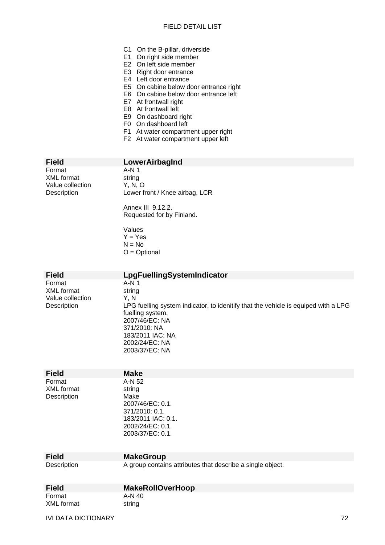- C1 On the B-pillar, driverside
- E1 On right side member
- E2 On left side member
- E3 Right door entrance
- E4 Left door entrance
- E5 On cabine below door entrance right
- E6 On cabine below door entrance left
- E7 At frontwall right
- E8 At frontwall left
- E9 On dashboard right
- F0 On dashboard left
- F1 At water compartment upper right
- F2 At water compartment upper left

Format XML format string<br>Value collection Y, N, O Value collection

# **Field LowerAirbagInd**<br>Format **A-N1**

Description Lower front / Knee airbag, LCR

Annex III 9.12.2. Requested for by Finland.

Values  $Y = Yes$  $N = No$ O = Optional

| <b>Field</b>                                            | LpgFuellingSystemIndicator                                                                                                                                                                                                  |
|---------------------------------------------------------|-----------------------------------------------------------------------------------------------------------------------------------------------------------------------------------------------------------------------------|
| Format<br>XML format<br>Value collection<br>Description | A-N 1<br>string<br>Y, N<br>LPG fuelling system indicator, to idenitify that the vehicle is equiped with a LPG<br>fuelling system.<br>2007/46/EC: NA<br>371/2010: NA<br>183/2011 IAC: NA<br>2002/24/EC: NA<br>2003/37/EC: NA |
| <b>Field</b>                                            | <b>Make</b>                                                                                                                                                                                                                 |
| Format<br><b>XML</b> format                             | A-N 52<br>string                                                                                                                                                                                                            |

| ounny              |  |
|--------------------|--|
| Make               |  |
| 2007/46/EC: 0.1.   |  |
| 371/2010:0.1       |  |
| 183/2011 IAC: 0.1. |  |
| 2002/24/EC: 0.1.   |  |
| 2003/37/EC: 0.1.   |  |
|                    |  |

**MakeGroup** 

Description

Description A group contains attributes that describe a single object.

| <b>Field</b> | <b>MakeRollOverHoop</b> |
|--------------|-------------------------|
| Format       | A-N 40                  |
| XML format   | string                  |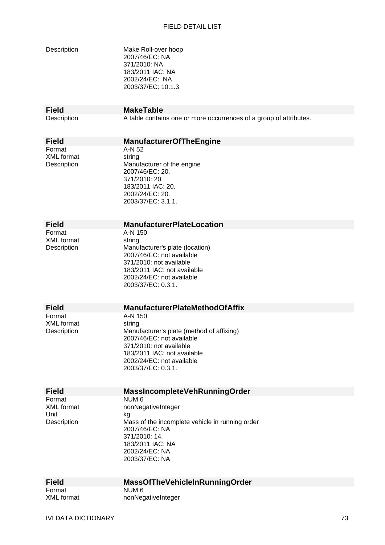| Description                                        | Make Roll-over hoop<br>2007/46/EC: NA<br>371/2010: NA<br>183/2011 IAC: NA<br>2002/24/EC: NA<br>2003/37/EC: 10.1.3.                                                                                       |
|----------------------------------------------------|----------------------------------------------------------------------------------------------------------------------------------------------------------------------------------------------------------|
| <b>Field</b><br>Description                        | <b>MakeTable</b><br>A table contains one or more occurrences of a group of attributes.                                                                                                                   |
| <b>Field</b>                                       | <b>ManufacturerOfTheEngine</b>                                                                                                                                                                           |
| Format<br><b>XML</b> format<br>Description         | A-N 52<br>string<br>Manufacturer of the engine<br>2007/46/EC: 20.<br>371/2010: 20.<br>183/2011 IAC: 20.<br>2002/24/EC: 20.<br>2003/37/EC: 3.1.1.                                                         |
| <b>Field</b>                                       | <b>ManufacturerPlateLocation</b>                                                                                                                                                                         |
| Format<br><b>XML</b> format<br>Description         | A-N 150<br>string<br>Manufacturer's plate (location)<br>2007/46/EC: not available<br>371/2010: not available<br>183/2011 IAC: not available<br>2002/24/EC: not available<br>2003/37/EC: 0.3.1.           |
| <b>Field</b>                                       | <b>ManufacturerPlateMethodOfAffix</b>                                                                                                                                                                    |
| Format<br><b>XML</b> format<br>Description         | A-N 150<br>string<br>Manufacturer's plate (method of affixing)<br>2007/46/EC: not available<br>371/2010: not available<br>183/2011 IAC: not available<br>2002/24/EC: not available<br>2003/37/EC: 0.3.1. |
| <b>Field</b>                                       | MassIncompleteVehRunningOrder                                                                                                                                                                            |
| Format<br><b>XML</b> format<br>Unit<br>Description | NUM <sub>6</sub><br>nonNegativeInteger<br>kg<br>Mass of the incomplete vehicle in running order<br>2007/46/EC: NA<br>371/2010: 14.<br>183/2011 IAC: NA<br>2002/24/EC: NA<br>2003/37/EC: NA               |
| <b>Field</b><br>Format                             | MassOfTheVehicleInRunningOrder<br>NUM <sub>6</sub>                                                                                                                                                       |
| <b>XML</b> format                                  | nonNegativeInteger                                                                                                                                                                                       |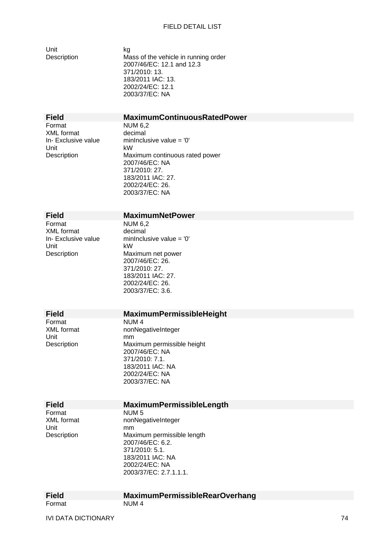Unit kg

Description Mass of the vehicle in running order 2007/46/EC: 12.1 and 12.3 371/2010: 13. 183/2011 IAC: 13. 2002/24/EC: 12.1 2003/37/EC: NA

# **Field MaximumContinuousRatedPower**

Format NUM 6.2 XML format decimal<br>
In-Exclusive value mininclu **Unit** 

minInclusive value =  $'0'$ Description Maximum continuous rated power 2007/46/EC: NA 371/2010: 27. 183/2011 IAC: 27. 2002/24/EC: 26. 2003/37/EC: NA

### **Field MaximumNetPower**

Format NUM 6,2<br>XML format decimal XML format<br>In- Exclusive value Unit kW

minInclusive value  $= '0'$ Description Maximum net power 2007/46/EC: 26. 371/2010: 27. 183/2011 IAC: 27. 2002/24/EC: 26. 2003/37/EC: 3.6.

# **Field MaximumPermissibleHeight**<br>Format NUM 4

Format NUM 4<br>XML format nonNec Unit mm<br>Description Max

XML format nonNegativeInteger<br>Unit mm Maximum permissible height 2007/46/EC: NA 371/2010: 7.1. 183/2011 IAC: NA 2002/24/EC: NA 2003/37/EC: NA

Format NUM 5 Unit mm<br>Description Max

#### **Field MaximumPermissibleLength**

XML format nonNegativeInteger Maximum permissible length 2007/46/EC: 6.2. 371/2010: 5.1. 183/2011 IAC: NA 2002/24/EC: NA 2003/37/EC: 2.7.1.1.1.

| <b>Field</b> | <b>MaximumPermissibleRearOverhang</b> |
|--------------|---------------------------------------|
| Format       | NUM 4                                 |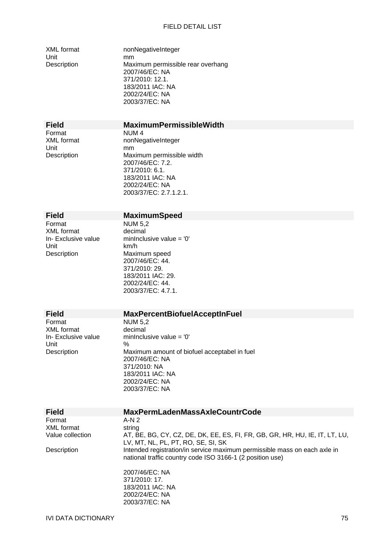Unit mm

XML format nonNegativeInteger Description Maximum permissible rear overhang 2007/46/EC: NA 371/2010: 12.1. 183/2011 IAC: NA 2002/24/EC: NA 2003/37/EC: NA

# **Field MaximumPermissibleWidth**

Format NUM 4<br>XML format nonNec

XML format nonNegativeInteger<br>
Unit  $mm$ Description Maximum permissible width 2007/46/EC: 7.2. 371/2010: 6.1. 183/2011 IAC: NA 2002/24/EC: NA 2003/37/EC: 2.7.1.2.1.

### **Field MaximumSpeed**

Format NUM 5,2<br>XML format decimal XML format<br>In- Exclusive value Unit km/h Description Maximum speed

minInclusive value =  $'0'$ 2007/46/EC: 44. 371/2010: 29. 183/2011 IAC: 29. 2002/24/EC: 44. 2003/37/EC: 4.7.1.

2003/37/EC: NA

# **Field MaxPercentBiofuelAcceptInFuel**<br>
Format NUM 5.2

XML format<br>In- Exclusive value **Unit** 

NUM 5,2<br>decimal minInclusive value =  $'0'$ <br>% Description Maximum amount of biofuel acceptabel in fuel 2007/46/EC: NA 371/2010: NA 183/2011 IAC: NA 2002/24/EC: NA 2003/37/EC: NA

| <b>Field</b>     | <b>MaxPermLadenMassAxleCountrCode</b>                                                                                                  |
|------------------|----------------------------------------------------------------------------------------------------------------------------------------|
| Format           | $A-N2$                                                                                                                                 |
| XML format       | string                                                                                                                                 |
| Value collection | AT, BE, BG, CY, CZ, DE, DK, EE, ES, FI, FR, GB, GR, HR, HU, IE, IT, LT, LU,<br>LV, MT, NL, PL, PT, RO, SE, SI, SK                      |
| Description      | Intended registration/in service maximum permissible mass on each axle in<br>national traffic country code ISO 3166-1 (2 position use) |
|                  | 2007/46/EC: NA                                                                                                                         |
|                  | 371/2010: 17.                                                                                                                          |
|                  | 183/2011 IAC: NA                                                                                                                       |
|                  | 2002/24/EC: NA                                                                                                                         |

IVI DATA DICTIONARY 75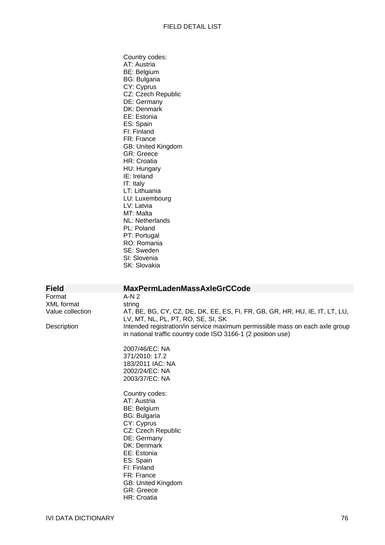Country codes: AT: Austria BE: Belgium BG: Bulgaria CY: Cyprus CZ: Czech Republic DE: Germany DK: Denmark EE: Estonia ES: Spain FI: Finland FR: France GB: United Kingdom GR: Greece HR: Croatia HU: Hungary IE: Ireland IT: Italy LT: Lithuania LU: Luxembourg LV: Latvia MT: Malta NL: Netherlands PL: Poland PT: Portugal RO: Romania SE: Sweden SI: Slovenia SK: Slovakia

**Field MaxPermLadenMassAxleGrCCode**  Format A-N 2 XML format string

Value collection AT, BE, BG, CY, CZ, DE, DK, EE, ES, FI, FR, GB, GR, HR, HU, IE, IT, LT, LU, LV, MT, NL, PL, PT, RO, SE, SI, SK Description Intended registration/in service maximum permissible mass on each axle group in national traffic country code ISO 3166-1 (2 position use)

> 2007/46/EC: NA 371/2010: 17.2 183/2011 IAC: NA 2002/24/EC: NA 2003/37/EC: NA

Country codes: AT: Austria BE: Belgium BG: Bulgaria CY: Cyprus CZ: Czech Republic DE: Germany DK: Denmark EE: Estonia ES: Spain FI: Finland FR: France GB: United Kingdom GR: Greece HR: Croatia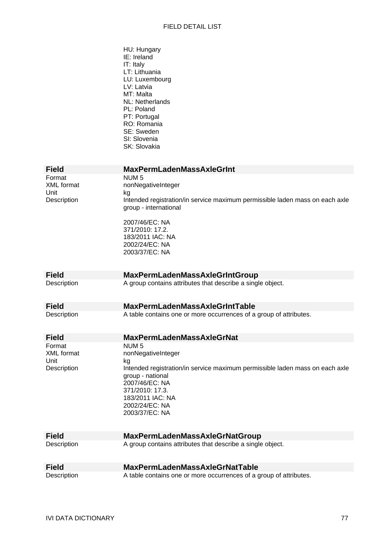|                     | HU: Hungary<br>IE: Ireland<br>IT: Italy<br>LT: Lithuania<br>LU: Luxembourg<br>LV: Latvia<br>MT: Malta<br>NL: Netherlands<br>PL: Poland<br>PT: Portugal<br>RO: Romania<br>SE: Sweden<br>SI: Slovenia<br>SK: Slovakia |
|---------------------|---------------------------------------------------------------------------------------------------------------------------------------------------------------------------------------------------------------------|
| <b>Field</b>        | <b>MaxPermLadenMassAxleGrInt</b>                                                                                                                                                                                    |
| Format              | NUM <sub>5</sub>                                                                                                                                                                                                    |
| <b>XML</b> format   | nonNegativeInteger                                                                                                                                                                                                  |
| Unit<br>Description | kg<br>Intended registration/in service maximum permissible laden mass on each axle                                                                                                                                  |
|                     | group - international                                                                                                                                                                                               |
|                     | 2007/46/EC: NA                                                                                                                                                                                                      |
|                     | 371/2010: 17.2.                                                                                                                                                                                                     |
|                     | 183/2011 IAC: NA<br>2002/24/EC: NA                                                                                                                                                                                  |
|                     | 2003/37/EC: NA                                                                                                                                                                                                      |
|                     |                                                                                                                                                                                                                     |
| <b>Field</b>        | <b>MaxPermLadenMassAxleGrIntGroup</b>                                                                                                                                                                               |
| Description         | A group contains attributes that describe a single object.                                                                                                                                                          |
|                     |                                                                                                                                                                                                                     |
| <b>Field</b>        | <b>MaxPermLadenMassAxleGrIntTable</b>                                                                                                                                                                               |
| Description         | A table contains one or more occurrences of a group of attributes.                                                                                                                                                  |
| <b>Field</b>        | <b>MaxPermLadenMassAxleGrNat</b>                                                                                                                                                                                    |
| Format              | NUM <sub>5</sub>                                                                                                                                                                                                    |
| XML format<br>Unit  | nonNegativeInteger<br>kg                                                                                                                                                                                            |
| Description         | Intended registration/in service maximum permissible laden mass on each axle                                                                                                                                        |
|                     | group - national                                                                                                                                                                                                    |
|                     | 2007/46/EC: NA<br>371/2010: 17.3.                                                                                                                                                                                   |
|                     | 183/2011 IAC: NA                                                                                                                                                                                                    |
|                     | 2002/24/EC: NA                                                                                                                                                                                                      |
|                     | 2003/37/EC: NA                                                                                                                                                                                                      |
| <b>Field</b>        | <b>MaxPermLadenMassAxleGrNatGroup</b>                                                                                                                                                                               |
| Description         | A group contains attributes that describe a single object.                                                                                                                                                          |
|                     |                                                                                                                                                                                                                     |
| <b>Field</b>        | <b>MaxPermLadenMassAxleGrNatTable</b>                                                                                                                                                                               |
| Description         | A table contains one or more occurrences of a group of attributes.                                                                                                                                                  |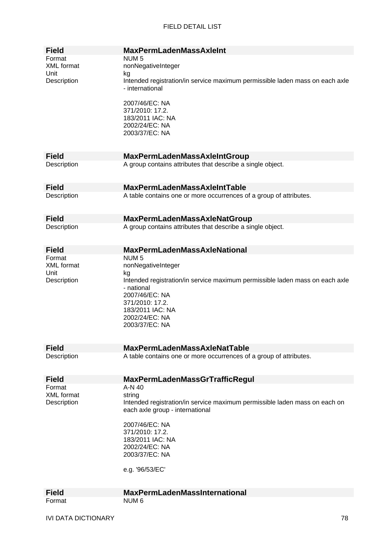| <b>Field</b>                                | <b>MaxPermLadenMassAxleInt</b>                                                                                                                               |
|---------------------------------------------|--------------------------------------------------------------------------------------------------------------------------------------------------------------|
| Format<br><b>XML</b> format                 | NUM <sub>5</sub><br>nonNegativeInteger                                                                                                                       |
| Unit<br>Description                         | kg<br>Intended registration/in service maximum permissible laden mass on each axle<br>- international                                                        |
|                                             | 2007/46/EC: NA<br>371/2010: 17.2.<br>183/2011 IAC: NA<br>2002/24/EC: NA<br>2003/37/EC: NA                                                                    |
|                                             |                                                                                                                                                              |
| <b>Field</b>                                | <b>MaxPermLadenMassAxleIntGroup</b>                                                                                                                          |
| Description                                 | A group contains attributes that describe a single object.                                                                                                   |
| <b>Field</b>                                | <b>MaxPermLadenMassAxleIntTable</b>                                                                                                                          |
| Description                                 | A table contains one or more occurrences of a group of attributes.                                                                                           |
| <b>Field</b>                                | MaxPermLadenMassAxleNatGroup                                                                                                                                 |
| Description                                 | A group contains attributes that describe a single object.                                                                                                   |
| <b>Field</b>                                | <b>MaxPermLadenMassAxleNational</b>                                                                                                                          |
| Format<br>XML format<br>Unit<br>Description | NUM <sub>5</sub><br>nonNegativeInteger<br>kg<br>Intended registration/in service maximum permissible laden mass on each axle<br>- national<br>2007/46/EC: NA |
|                                             | 371/2010: 17.2.<br>183/2011 IAC: NA<br>2002/24/EC: NA<br>2003/37/EC: NA                                                                                      |
| <b>Field</b>                                | <b>MaxPermLadenMassAxleNatTable</b>                                                                                                                          |
| Description                                 | A table contains one or more occurrences of a group of attributes.                                                                                           |
| <b>Field</b>                                | <b>MaxPermLadenMassGrTrafficRegul</b>                                                                                                                        |
| Format                                      | $A-N$ 40                                                                                                                                                     |
| <b>XML</b> format<br>Description            | string<br>Intended registration/in service maximum permissible laden mass on each on<br>each axle group - international                                      |
|                                             | 2007/46/EC: NA<br>371/2010: 17.2.<br>183/2011 IAC: NA<br>2002/24/EC: NA<br>2003/37/EC: NA                                                                    |
|                                             | e.g. '96/53/EC'                                                                                                                                              |
| <b>Field</b>                                | <b>MaxPermLadenMassInternational</b>                                                                                                                         |
| Format                                      | NUM <sub>6</sub>                                                                                                                                             |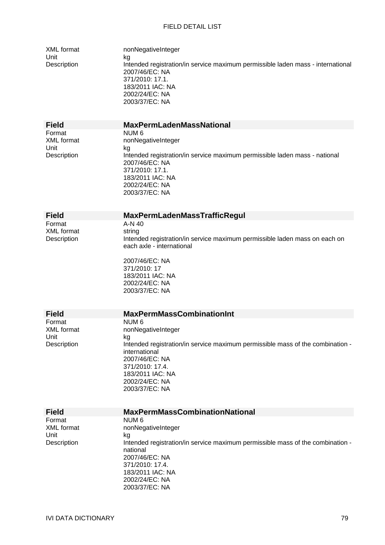| XML format<br>Unit<br>Description                  | nonNegativeInteger<br>kg<br>Intended registration/in service maximum permissible laden mass - international<br>2007/46/EC: NA<br>371/2010: 17.1.<br>183/2011 IAC: NA<br>2002/24/EC: NA<br>2003/37/EC: NA                                     |
|----------------------------------------------------|----------------------------------------------------------------------------------------------------------------------------------------------------------------------------------------------------------------------------------------------|
| <b>Field</b>                                       | <b>MaxPermLadenMassNational</b>                                                                                                                                                                                                              |
| Format<br><b>XML</b> format<br>Unit<br>Description | NUM <sub>6</sub><br>nonNegativeInteger<br>kg<br>Intended registration/in service maximum permissible laden mass - national<br>2007/46/EC: NA<br>371/2010: 17.1.<br>183/2011 IAC: NA<br>2002/24/EC: NA<br>2003/37/EC: NA                      |
|                                                    |                                                                                                                                                                                                                                              |
| <b>Field</b>                                       | <b>MaxPermLadenMassTrafficRegul</b>                                                                                                                                                                                                          |
| Format<br><b>XML</b> format<br>Description         | A-N 40<br>string<br>Intended registration/in service maximum permissible laden mass on each on<br>each axle - international<br>2007/46/EC: NA<br>371/2010: 17<br>183/2011 IAC: NA<br>2002/24/EC: NA<br>2003/37/EC: NA                        |
| <b>Field</b>                                       | <b>MaxPermMassCombinationInt</b>                                                                                                                                                                                                             |
| Format<br>XML format<br>Unit<br>Description        | NUM <sub>6</sub><br>nonNegativeInteger<br>kg<br>Intended registration/in service maximum permissible mass of the combination -<br>international<br>2007/46/EC: NA<br>371/2010: 17.4.<br>183/2011 IAC: NA<br>2002/24/EC: NA<br>2003/37/EC: NA |
| <b>Field</b>                                       | <b>MaxPermMassCombinationNational</b>                                                                                                                                                                                                        |
| Format<br><b>XML</b> format<br>Unit<br>Description | NUM <sub>6</sub><br>nonNegativeInteger<br>kg<br>Intended registration/in service maximum permissible mass of the combination -<br>national<br>2007/46/EC: NA<br>371/2010: 17.4.                                                              |

183/2011 IAC: NA 2002/24/EC: NA 2003/37/EC: NA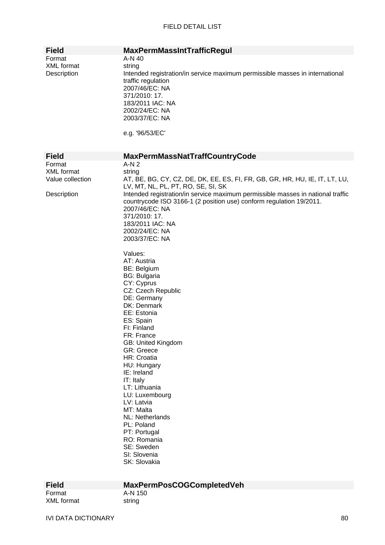| <b>Field</b>                                                   | <b>MaxPermMassIntTrafficRegul</b>                                                                                                                                                                                                                                                                                                                                                                                                                                                                                                                                                                                                                                                                                                                                                                                                      |
|----------------------------------------------------------------|----------------------------------------------------------------------------------------------------------------------------------------------------------------------------------------------------------------------------------------------------------------------------------------------------------------------------------------------------------------------------------------------------------------------------------------------------------------------------------------------------------------------------------------------------------------------------------------------------------------------------------------------------------------------------------------------------------------------------------------------------------------------------------------------------------------------------------------|
| Format<br><b>XML</b> format<br>Description                     | A-N 40<br>string<br>Intended registration/in service maximum permissible masses in international<br>traffic regulation<br>2007/46/EC: NA<br>371/2010: 17.<br>183/2011 IAC: NA<br>2002/24/EC: NA<br>2003/37/EC: NA<br>e.g. '96/53/EC'                                                                                                                                                                                                                                                                                                                                                                                                                                                                                                                                                                                                   |
| <b>Field</b>                                                   | <b>MaxPermMassNatTraffCountryCode</b>                                                                                                                                                                                                                                                                                                                                                                                                                                                                                                                                                                                                                                                                                                                                                                                                  |
| Format<br><b>XML</b> format<br>Value collection<br>Description | $A-N2$<br>string<br>AT, BE, BG, CY, CZ, DE, DK, EE, ES, FI, FR, GB, GR, HR, HU, IE, IT, LT, LU,<br>LV, MT, NL, PL, PT, RO, SE, SI, SK<br>Intended registration/in service maximum permissible masses in national traffic<br>countrycode ISO 3166-1 (2 position use) conform regulation 19/2011.<br>2007/46/EC: NA<br>371/2010: 17.<br>183/2011 IAC: NA<br>2002/24/EC: NA<br>2003/37/EC: NA<br>Values:<br>AT: Austria<br>BE: Belgium<br><b>BG: Bulgaria</b><br>CY: Cyprus<br>CZ: Czech Republic<br>DE: Germany<br>DK: Denmark<br>EE: Estonia<br>ES: Spain<br>FI: Finland<br>FR: France<br>GB: United Kingdom<br><b>GR: Greece</b><br>HR: Croatia<br>HU: Hungary<br>IE: Ireland<br>IT: Italy<br>LT: Lithuania<br>LU: Luxembourg<br>LV: Latvia<br>MT: Malta<br>NL: Netherlands<br>PL: Poland<br>PT: Portugal<br>RO: Romania<br>SE: Sweden |
|                                                                | SI: Slovenia<br>SK: Slovakia                                                                                                                                                                                                                                                                                                                                                                                                                                                                                                                                                                                                                                                                                                                                                                                                           |

| гнею       |
|------------|
| Format     |
| XML format |

# **Field MaxPermPosCOGCompletedVeh**

A-N 150<br>string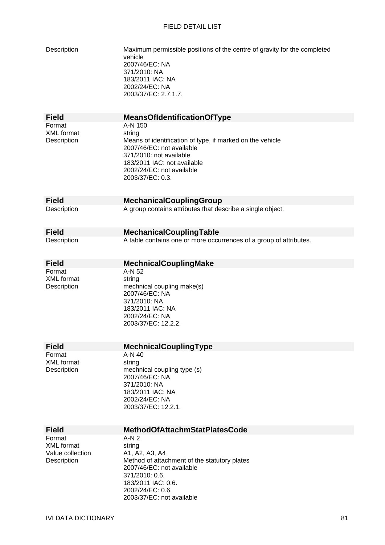| Description                                                    | Maximum permissible positions of the centre of gravity for the completed<br>vehicle<br>2007/46/EC: NA<br>371/2010: NA<br>183/2011 IAC: NA<br>2002/24/EC: NA<br>2003/37/EC: 2.7.1.7.                                    |
|----------------------------------------------------------------|------------------------------------------------------------------------------------------------------------------------------------------------------------------------------------------------------------------------|
| <b>Field</b>                                                   | <b>MeansOfIdentificationOfType</b>                                                                                                                                                                                     |
| Format<br><b>XML</b> format<br>Description                     | A-N 150<br>string<br>Means of identification of type, if marked on the vehicle<br>2007/46/EC: not available<br>371/2010: not available<br>183/2011 IAC: not available<br>2002/24/EC: not available<br>2003/37/EC: 0.3. |
| <b>Field</b>                                                   | <b>MechanicalCouplingGroup</b>                                                                                                                                                                                         |
| Description                                                    | A group contains attributes that describe a single object.                                                                                                                                                             |
| <b>Field</b>                                                   | <b>MechanicalCouplingTable</b>                                                                                                                                                                                         |
| Description                                                    | A table contains one or more occurrences of a group of attributes.                                                                                                                                                     |
| <b>Field</b>                                                   | <b>MechnicalCouplingMake</b>                                                                                                                                                                                           |
| Format<br><b>XML</b> format<br>Description                     | A-N 52<br>string<br>mechnical coupling make(s)<br>2007/46/EC: NA<br>371/2010: NA<br>183/2011 IAC: NA<br>2002/24/EC: NA<br>2003/37/EC: 12.2.2.                                                                          |
| <b>Field</b>                                                   | MechnicalCouplingType                                                                                                                                                                                                  |
| Format<br><b>XML</b> format<br>Description                     | A-N 40<br>string<br>mechnical coupling type (s)<br>2007/46/EC: NA<br>371/2010: NA<br>183/2011 IAC: NA<br>2002/24/EC: NA<br>2003/37/EC: 12.2.1.                                                                         |
| <b>Field</b>                                                   | <b>MethodOfAttachmStatPlatesCode</b>                                                                                                                                                                                   |
| Format<br><b>XML</b> format<br>Value collection<br>Description | $A-N2$<br>string<br>A1, A2, A3, A4<br>Method of attachment of the statutory plates<br>2007/46/EC: not available<br>371/2010: 0.6.<br>183/2011 IAC: 0.6.<br>2002/24/EC: 0.6.<br>2003/37/EC: not available               |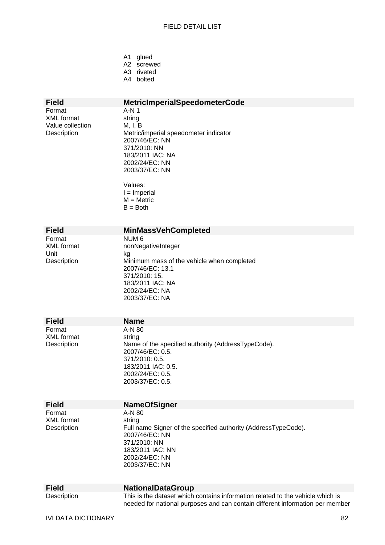| A1             | qlued   |
|----------------|---------|
| A <sub>2</sub> | screwed |
| A3             | riveted |
| A4             | bolted  |

# **Field MetricImperialSpeedometerCode**

Format A-N 1 XML format string Value collection M, I, B

Description Metric/imperial speedometer indicator 2007/46/EC: NN 371/2010: NN 183/2011 IAC: NA 2002/24/EC: NN 2003/37/EC: NN

> Values: I = Imperial M = Metric  $B =$  Both

Unit kg

# **Field MinMassVehCompleted**<br>Format NUM 6

NUM 6 XML format nonNegativeInteger Description Minimum mass of the vehicle when completed 2007/46/EC: 13.1 371/2010: 15. 183/2011 IAC: NA 2002/24/EC: NA 2003/37/EC: NA

**Field Name**  Format A-N 80 XML format string

Description Name of the specified authority (AddressTypeCode). 2007/46/EC: 0.5. 371/2010: 0.5. 183/2011 IAC: 0.5. 2002/24/EC: 0.5. 2003/37/EC: 0.5.

Format A-N 80 XML format string

#### **Field NameOfSigner**

Description Full name Signer of the specified authority (AddressTypeCode). 2007/46/EC: NN 371/2010: NN 183/2011 IAC: NN 2002/24/EC: NN 2003/37/EC: NN

**Field NationalDataGroup** 

Description This is the dataset which contains information related to the vehicle which is needed for national purposes and can contain different information per member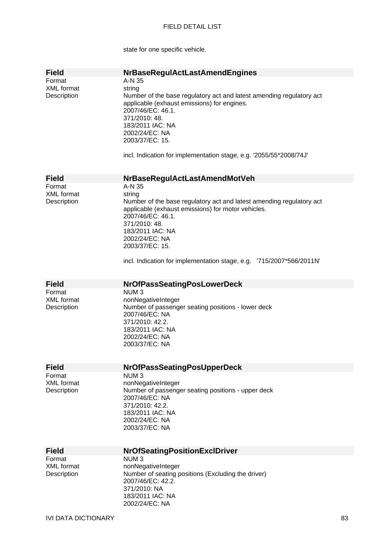state for one specific vehicle.

| <b>Field</b>      | <b>NrBaseRegulActLastAmendEngines</b>                                |
|-------------------|----------------------------------------------------------------------|
| Format            | A-N 35                                                               |
| <b>XML</b> format | string                                                               |
| Description       | Number of the base regulatory act and latest amending regulatory act |
|                   | applicable (exhaust emissions) for engines.                          |
|                   | 2007/46/EC: 46.1.                                                    |
|                   | 371/2010: 48.                                                        |
|                   | 183/2011 IAC: NA                                                     |
|                   | 2002/24/EC: NA                                                       |
|                   |                                                                      |
|                   | 2003/37/EC: 15.                                                      |
|                   |                                                                      |
|                   | incl. Indication for implementation stage, e.g. '2055/55*2008/74J'   |
|                   |                                                                      |
|                   |                                                                      |
| <b>Field</b>      | NrBaseRegulActLastAmendMotVeh                                        |
| Format            | A-N 35                                                               |
| <b>XML</b> format | string                                                               |
| Description       | Number of the base regulatory act and latest amending regulatory act |
|                   | applicable (exhaust emissions) for motor vehicles.                   |
|                   | 2007/46/EC: 46.1.                                                    |
|                   | 371/2010: 48.                                                        |
|                   | 183/2011 IAC: NA                                                     |
|                   | 2002/24/EC: NA                                                       |
|                   | 2003/37/EC: 15.                                                      |
|                   |                                                                      |
|                   | incl. Indication for implementation stage, e.g. '715/2007*566/2011N' |
|                   |                                                                      |
|                   |                                                                      |
|                   |                                                                      |
| <b>Field</b>      | <b>NrOfPassSeatingPosLowerDeck</b>                                   |
| Format            | NUM <sub>3</sub>                                                     |
| <b>XML</b> format | nonNegativeInteger                                                   |
| Description       | Number of passenger seating positions - lower deck                   |
|                   | 2007/46/EC: NA                                                       |
|                   | 371/2010: 42.2.                                                      |
|                   | 183/2011 IAC: NA                                                     |
|                   | 2002/24/EC: NA                                                       |
|                   | 2003/37/EC: NA                                                       |
|                   |                                                                      |
|                   |                                                                      |
| <b>Field</b>      | <b>NrOfPassSeatingPosUpperDeck</b>                                   |
| Format            | NUM <sub>3</sub>                                                     |
| <b>XML</b> format | nonNegativeInteger                                                   |
|                   |                                                                      |
| Description       | Number of passenger seating positions - upper deck                   |
|                   | 2007/46/EC: NA                                                       |
|                   | 371/2010: 42.2.                                                      |
|                   | 183/2011 IAC: NA                                                     |
|                   | 2002/24/EC: NA                                                       |
|                   | 2003/37/EC: NA                                                       |
|                   |                                                                      |
|                   |                                                                      |
| <b>Field</b>      | <b>NrOfSeatingPositionExclDriver</b>                                 |
| Format            | NUM <sub>3</sub>                                                     |
| <b>XML</b> format | nonNegativeInteger                                                   |
| Description       | Number of seating positions (Excluding the driver)                   |
|                   | 2007/46/EC: 42.2.                                                    |
|                   | 371/2010: NA                                                         |
|                   |                                                                      |
|                   |                                                                      |
|                   | 183/2011 IAC: NA<br>2002/24/EC: NA                                   |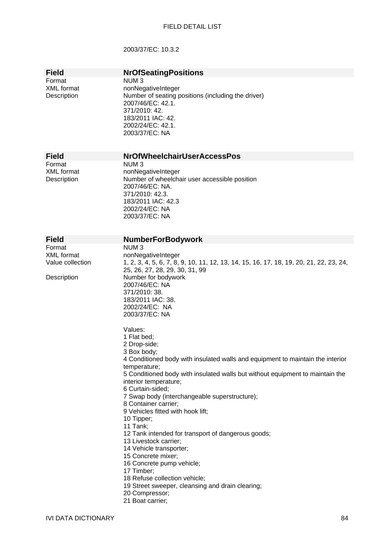## 2003/37/EC: 10.3.2

| <b>Field</b>                                                   | <b>NrOfSeatingPositions</b>                                                                                                                                                                                                                                                                                                                                                                                                                                                                                                                                                                                                                                                                                                                                                                                                                                                                                                                                                            |
|----------------------------------------------------------------|----------------------------------------------------------------------------------------------------------------------------------------------------------------------------------------------------------------------------------------------------------------------------------------------------------------------------------------------------------------------------------------------------------------------------------------------------------------------------------------------------------------------------------------------------------------------------------------------------------------------------------------------------------------------------------------------------------------------------------------------------------------------------------------------------------------------------------------------------------------------------------------------------------------------------------------------------------------------------------------|
| Format<br><b>XML</b> format<br>Description                     | NUM <sub>3</sub><br>nonNegativeInteger<br>Number of seating positions (including the driver)<br>2007/46/EC: 42.1.<br>371/2010: 42.<br>183/2011 IAC: 42.<br>2002/24/EC: 42.1.<br>2003/37/EC: NA                                                                                                                                                                                                                                                                                                                                                                                                                                                                                                                                                                                                                                                                                                                                                                                         |
| <b>Field</b>                                                   | <b>NrOfWheelchairUserAccessPos</b>                                                                                                                                                                                                                                                                                                                                                                                                                                                                                                                                                                                                                                                                                                                                                                                                                                                                                                                                                     |
| Format<br><b>XML</b> format<br>Description                     | NUM <sub>3</sub><br>nonNegativeInteger<br>Number of wheelchair user accessible position<br>2007/46/EC: NA.<br>371/2010: 42.3.<br>183/2011 IAC: 42.3<br>2002/24/EC: NA<br>2003/37/EC: NA                                                                                                                                                                                                                                                                                                                                                                                                                                                                                                                                                                                                                                                                                                                                                                                                |
| <b>Field</b>                                                   | <b>NumberForBodywork</b>                                                                                                                                                                                                                                                                                                                                                                                                                                                                                                                                                                                                                                                                                                                                                                                                                                                                                                                                                               |
| Format<br><b>XML</b> format<br>Value collection<br>Description | NUM <sub>3</sub><br>nonNegativeInteger<br>1, 2, 3, 4, 5, 6, 7, 8, 9, 10, 11, 12, 13, 14, 15, 16, 17, 18, 19, 20, 21, 22, 23, 24,<br>25, 26, 27, 28, 29, 30, 31, 99<br>Number for bodywork<br>2007/46/EC: NA<br>371/2010: 38.<br>183/2011 IAC: 38.<br>2002/24/EC: NA<br>2003/37/EC: NA<br>Values:<br>1 Flat bed:<br>2 Drop-side;<br>3 Box body;<br>4 Conditioned body with insulated walls and equipment to maintain the interior<br>temperature;<br>5 Conditioned body with insulated walls but without equipment to maintain the<br>interior temperature;<br>6 Curtain-sided;<br>7 Swap body (interchangeable superstructure);<br>8 Container carrier;<br>9 Vehicles fitted with hook lift;<br>10 Tipper;<br>11 Tank;<br>12 Tank intended for transport of dangerous goods;<br>13 Livestock carrier;<br>14 Vehicle transporter;<br>15 Concrete mixer;<br>16 Concrete pump vehicle;<br>17 Timber;<br>18 Refuse collection vehicle;<br>19 Street sweeper, cleansing and drain clearing; |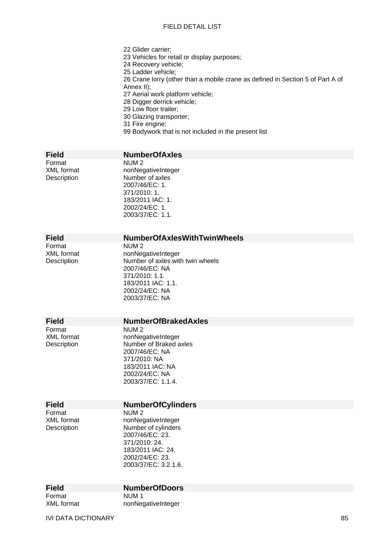22 Glider carrier; 23 Vehicles for retail or display purposes; 24 Recovery vehicle; 25 Ladder vehicle; 26 Crane lorry (other than a mobile crane as defined in Section 5 of Part A of Annex II); 27 Aerial work platform vehicle; 28 Digger derrick vehicle; 29 Low floor trailer; 30 Glazing transporter; 31 Fire engine; 99 Bodywork that is not included in the present list

| <b>Field</b>                               | <b>NumberOfAxles</b>                                                                                                                                                     |
|--------------------------------------------|--------------------------------------------------------------------------------------------------------------------------------------------------------------------------|
| Format<br><b>XML</b> format<br>Description | NUM <sub>2</sub><br>nonNegativeInteger<br>Number of axles<br>2007/46/EC: 1.<br>371/2010: 1.<br>183/2011 IAC: 1.<br>2002/24/EC: 1.<br>2003/37/EC: 1.1.                    |
| <b>Field</b>                               | <b>NumberOfAxlesWithTwinWheels</b>                                                                                                                                       |
| Format<br><b>XML</b> format<br>Description | NUM <sub>2</sub><br>nonNegativeInteger<br>Number of axles with twin wheels<br>2007/46/EC: NA<br>371/2010: 1.1.<br>183/2011 IAC: 1.1.<br>2002/24/EC: NA<br>2003/37/EC: NA |
| <b>Field</b>                               | <b>NumberOfBrakedAxles</b>                                                                                                                                               |
| Format<br><b>XML</b> format<br>Description | NUM <sub>2</sub><br>nonNegativeInteger<br>Number of Braked axles<br>2007/46/EC: NA<br>371/2010: NA<br>183/2011 IAC: NA<br>2002/24/EC: NA<br>2003/37/EC: 1.1.4.           |
| <b>Field</b>                               | <b>NumberOfCylinders</b>                                                                                                                                                 |
| Format<br><b>XML</b> format<br>Description | NUM <sub>2</sub><br>nonNegativeInteger<br>Number of cylinders<br>2007/46/EC: 23.<br>371/2010: 24.<br>183/2011 IAC: 24.<br>2002/24/EC: 23.<br>2003/37/EC: 3.2.1.6.        |
| <b>Field</b>                               | <b>NumberOfDoors</b>                                                                                                                                                     |
| Format                                     | NUM <sub>1</sub>                                                                                                                                                         |

NUM<sub>1</sub>

XML format nonNegativeInteger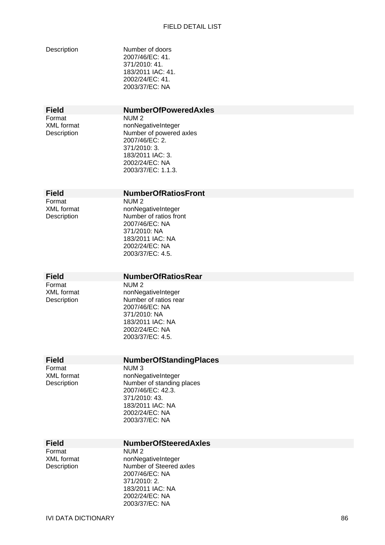| Description |
|-------------|
|-------------|

Number of doors 2007/46/EC: 41. 371/2010: 41. 183/2011 IAC: 41. 2002/24/EC: 41. 2003/37/EC: NA

Format NUM 2

# **Field NumberOfPoweredAxles**

XML format nonNegativeInteger Description Number of powered axles 2007/46/EC: 2. 371/2010: 3. 183/2011 IAC: 3. 2002/24/EC: NA 2003/37/EC: 1.1.3.

# **Field NumberOfRatiosFront**

Format NUM 2

XML format nonNegativeInteger Description Number of ratios front 2007/46/EC: NA 371/2010: NA 183/2011 IAC: NA 2002/24/EC: NA 2003/37/EC: 4.5.

#### **Field NumberOfRatiosRear**

Format NUM 2

XML format nonNegativeInteger Description Number of ratios rear 2007/46/EC: NA 371/2010: NA 183/2011 IAC: NA 2002/24/EC: NA 2003/37/EC: 4.5.

# **Field NumberOfStandingPlaces**<br>Format NUM 3

NUM<sub>3</sub> XML format nonNegativeInteger Description Number of standing places 2007/46/EC: 42.3. 371/2010: 43. 183/2011 IAC: NA 2002/24/EC: NA 2003/37/EC: NA

# **Field NumberOfSteeredAxles**<br>Format NUM 2

Format NUM 2<br>XML format nonNec

nonNegativeInteger Description Number of Steered axles 2007/46/EC: NA 371/2010: 2. 183/2011 IAC: NA 2002/24/EC: NA 2003/37/EC: NA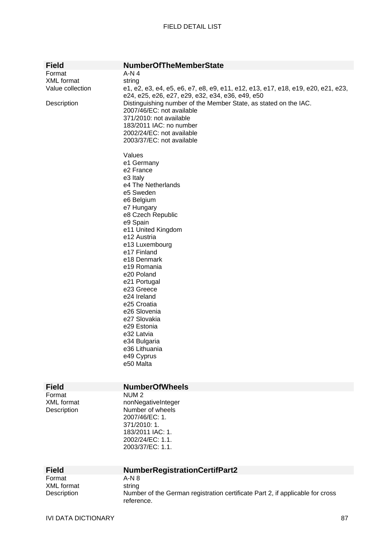| <b>Field</b>                               | <b>NumberOfTheMemberState</b>                                                                                                                                                                                                                                                                                                                                                                                                                                                                                                                                                                                                                                                                                            |
|--------------------------------------------|--------------------------------------------------------------------------------------------------------------------------------------------------------------------------------------------------------------------------------------------------------------------------------------------------------------------------------------------------------------------------------------------------------------------------------------------------------------------------------------------------------------------------------------------------------------------------------------------------------------------------------------------------------------------------------------------------------------------------|
| Format                                     | $A-N4$                                                                                                                                                                                                                                                                                                                                                                                                                                                                                                                                                                                                                                                                                                                   |
| XML format                                 | string                                                                                                                                                                                                                                                                                                                                                                                                                                                                                                                                                                                                                                                                                                                   |
| Value collection                           | e1, e2, e3, e4, e5, e6, e7, e8, e9, e11, e12, e13, e17, e18, e19, e20, e21, e23,                                                                                                                                                                                                                                                                                                                                                                                                                                                                                                                                                                                                                                         |
| Description                                | e24, e25, e26, e27, e29, e32, e34, e36, e49, e50<br>Distinguishing number of the Member State, as stated on the IAC.<br>2007/46/EC: not available<br>371/2010: not available<br>183/2011 IAC: no number<br>2002/24/EC: not available<br>2003/37/EC: not available<br>Values<br>e1 Germany<br>e <sub>2</sub> France<br>e3 Italy<br>e4 The Netherlands<br>e5 Sweden<br>e6 Belgium<br>e7 Hungary<br>e8 Czech Republic<br>e9 Spain<br>e11 United Kingdom<br>e12 Austria<br>e13 Luxembourg<br>e17 Finland<br>e18 Denmark<br>e19 Romania<br>e20 Poland<br>e21 Portugal<br>e23 Greece<br>e24 Ireland<br>e25 Croatia<br>e26 Slovenia<br>e27 Slovakia<br>e29 Estonia<br>e32 Latvia<br>e34 Bulgaria<br>e36 Lithuania<br>e49 Cyprus |
|                                            | e50 Malta                                                                                                                                                                                                                                                                                                                                                                                                                                                                                                                                                                                                                                                                                                                |
|                                            |                                                                                                                                                                                                                                                                                                                                                                                                                                                                                                                                                                                                                                                                                                                          |
| <b>Field</b>                               | <b>NumberOfWheels</b>                                                                                                                                                                                                                                                                                                                                                                                                                                                                                                                                                                                                                                                                                                    |
| Format<br><b>XML</b> format<br>Description | NUM <sub>2</sub><br>nonNegativeInteger<br>Number of wheels<br>2007/46/EC: 1.<br>371/2010: 1.<br>183/2011 IAC: 1.<br>2002/24/EC: 1.1.<br>2003/37/EC: 1.1.                                                                                                                                                                                                                                                                                                                                                                                                                                                                                                                                                                 |

| <b>Field</b> | <b>NumberRegistrationCertifPart2</b>                                                        |
|--------------|---------------------------------------------------------------------------------------------|
| Format       | $A-N.8$                                                                                     |
| XML format   | string                                                                                      |
| Description  | Number of the German registration certificate Part 2, if applicable for cross<br>reference. |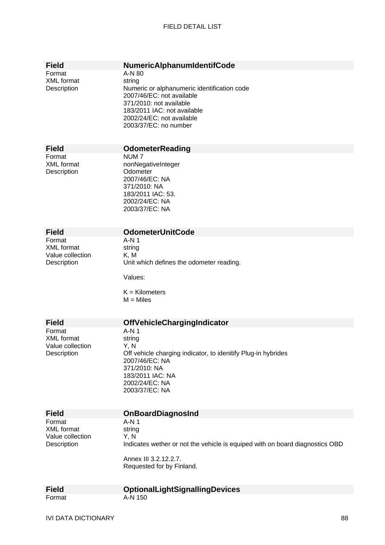| <b>Field</b>                                                   | NumericAlphanumIdentifCode                                                                                                                                                                                   |
|----------------------------------------------------------------|--------------------------------------------------------------------------------------------------------------------------------------------------------------------------------------------------------------|
| Format<br><b>XML</b> format<br>Description                     | A-N 80<br>string<br>Numeric or alphanumeric identification code<br>2007/46/EC: not available<br>371/2010: not available<br>183/2011 IAC: not available<br>2002/24/EC: not available<br>2003/37/EC: no number |
| <b>Field</b>                                                   | <b>OdometerReading</b>                                                                                                                                                                                       |
| Format<br><b>XML</b> format<br>Description                     | NUM <sub>7</sub><br>nonNegativeInteger<br>Odometer<br>2007/46/EC: NA<br>371/2010: NA<br>183/2011 IAC: 53.<br>2002/24/EC: NA<br>2003/37/EC: NA                                                                |
| <b>Field</b>                                                   | <b>OdometerUnitCode</b>                                                                                                                                                                                      |
| Format<br><b>XML</b> format<br>Value collection<br>Description | A-N 1<br>string<br>K, M<br>Unit which defines the odometer reading.<br>Values:<br>$K =$ Kilometers<br>$M =$ Miles                                                                                            |
| <b>Field</b>                                                   | <b>OffVehicleChargingIndicator</b>                                                                                                                                                                           |
| Format<br><b>XML</b> format<br>Value collection<br>Description | A-N 1<br>string<br>Y, N<br>Off vehicle charging indicator, to idenitify Plug-in hybrides<br>2007/46/EC: NA<br>371/2010: NA<br>183/2011 IAC: NA<br>2002/24/EC: NA<br>2003/37/EC: NA                           |
| <b>Field</b>                                                   | <b>OnBoardDiagnosInd</b>                                                                                                                                                                                     |
| Format<br><b>XML</b> format<br>Value collection<br>Description | A-N 1<br>string<br>Y, N<br>Indicates wether or not the vehicle is equiped with on board diagnostics OBD<br>Annex III 3.2.12.2.7.<br>Requested for by Finland.                                                |
| <b>Field</b>                                                   | <b>OptionalLightSignallingDevices</b>                                                                                                                                                                        |
| Format                                                         | A-N 150                                                                                                                                                                                                      |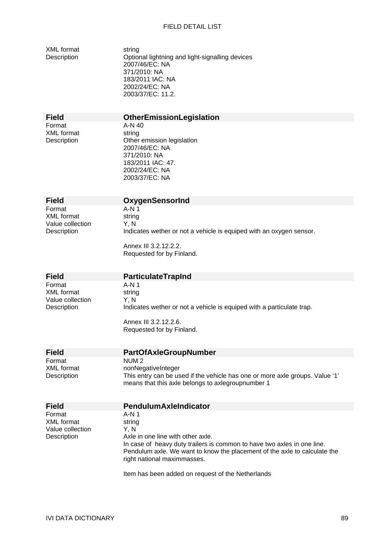| <b>XML</b> format<br>Description                               | string<br>Optional lightning and light-signalling devices<br>2007/46/EC: NA<br>371/2010: NA<br>183/2011 IAC: NA<br>2002/24/EC: NA<br>2003/37/EC: 11.2.                                                                                                                                                    |
|----------------------------------------------------------------|-----------------------------------------------------------------------------------------------------------------------------------------------------------------------------------------------------------------------------------------------------------------------------------------------------------|
| <b>Field</b>                                                   | <b>OtherEmissionLegislation</b>                                                                                                                                                                                                                                                                           |
| Format<br><b>XML</b> format<br>Description                     | $A-N$ 40<br>string<br>Other emission legislation<br>2007/46/EC: NA<br>371/2010: NA<br>183/2011 IAC: 47.<br>2002/24/EC: NA<br>2003/37/EC: NA                                                                                                                                                               |
| <b>Field</b>                                                   | <b>OxygenSensorInd</b>                                                                                                                                                                                                                                                                                    |
| Format<br><b>XML</b> format<br>Value collection<br>Description | A-N 1<br>string<br>Y, N<br>Indicates wether or not a vehicle is equiped with an oxygen sensor.<br>Annex III 3.2.12.2.2.<br>Requested for by Finland.                                                                                                                                                      |
| <b>Field</b>                                                   | <b>ParticulateTrapInd</b>                                                                                                                                                                                                                                                                                 |
| Format<br><b>XML</b> format<br>Value collection<br>Description | A-N 1<br>string<br>Y, N<br>Indicates wether or not a vehicle is equiped with a particulate trap.<br>Annex III 3.2.12.2.6.<br>Requested for by Finland.                                                                                                                                                    |
| <b>Field</b>                                                   | <b>PartOfAxleGroupNumber</b>                                                                                                                                                                                                                                                                              |
| Format<br><b>XML</b> format<br>Description                     | NUM <sub>2</sub><br>nonNegativeInteger<br>This entry can be used if the vehicle has one or more axle groups. Value '1'<br>means that this axle belongs to axlegroupnumber 1                                                                                                                               |
| <b>Field</b>                                                   | <b>PendulumAxleIndicator</b>                                                                                                                                                                                                                                                                              |
| Format<br><b>XML</b> format<br>Value collection<br>Description | $A-N1$<br>string<br>Y, N<br>Axle in one line with other axle.<br>In case of heavy duty trailers is common to have two axles in one line.<br>Pendulum axle. We want to know the placement of the axle to calculate the<br>right national maximmasses.<br>Item has been added on request of the Netherlands |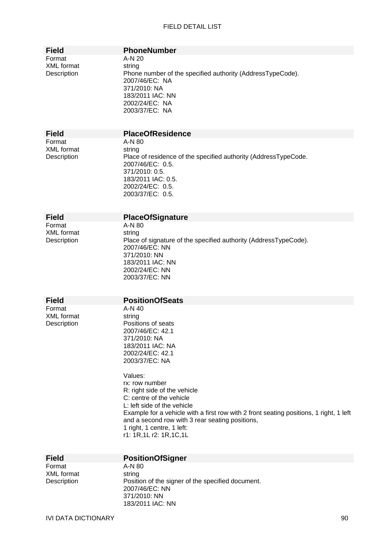| <b>Field</b>                               | <b>PhoneNumber</b>                                                                                                                                                                                                                                                                                                                                                                                                                                                   |
|--------------------------------------------|----------------------------------------------------------------------------------------------------------------------------------------------------------------------------------------------------------------------------------------------------------------------------------------------------------------------------------------------------------------------------------------------------------------------------------------------------------------------|
| Format<br><b>XML</b> format<br>Description | A-N 20<br>string<br>Phone number of the specified authority (AddressTypeCode).<br>2007/46/EC: NA<br>371/2010: NA<br>183/2011 IAC: NN<br>2002/24/EC: NA<br>2003/37/EC: NA                                                                                                                                                                                                                                                                                             |
| <b>Field</b>                               | <b>PlaceOfResidence</b>                                                                                                                                                                                                                                                                                                                                                                                                                                              |
| Format<br><b>XML</b> format<br>Description | A-N 80<br>string<br>Place of residence of the specified authority (AddressTypeCode.<br>2007/46/EC: 0.5.<br>371/2010: 0.5.<br>183/2011 IAC: 0.5.<br>2002/24/EC: 0.5.<br>2003/37/EC: 0.5.                                                                                                                                                                                                                                                                              |
| <b>Field</b>                               | <b>PlaceOfSignature</b>                                                                                                                                                                                                                                                                                                                                                                                                                                              |
| Format<br><b>XML</b> format<br>Description | A-N 80<br>string<br>Place of signature of the specified authority (AddressTypeCode).<br>2007/46/EC: NN<br>371/2010: NN<br>183/2011 IAC: NN<br>2002/24/EC: NN<br>2003/37/EC: NN                                                                                                                                                                                                                                                                                       |
| <b>Field</b>                               | <b>PositionOfSeats</b>                                                                                                                                                                                                                                                                                                                                                                                                                                               |
| Format<br><b>XML</b> format<br>Description | A-N 40<br>string<br>Positions of seats<br>2007/46/EC: 42.1<br>371/2010: NA<br>183/2011 IAC: NA<br>2002/24/EC: 42.1<br>2003/37/EC: NA<br>Values:<br>rx: row number<br>R: right side of the vehicle<br>C: centre of the vehicle<br>L: left side of the vehicle<br>Example for a vehicle with a first row with 2 front seating positions, 1 right, 1 left<br>and a second row with 3 rear seating positions,<br>1 right, 1 centre, 1 left:<br>r1: 1R, 1L r2: 1R, 1C, 1L |
| <b>Field</b>                               | <b>PositionOfSigner</b>                                                                                                                                                                                                                                                                                                                                                                                                                                              |
| Format<br><b>XML</b> format<br>Description | A-N 80<br>string<br>Position of the signer of the specified document.<br>2007/46/EC: NN                                                                                                                                                                                                                                                                                                                                                                              |

371/2010: NN 183/2011 IAC: NN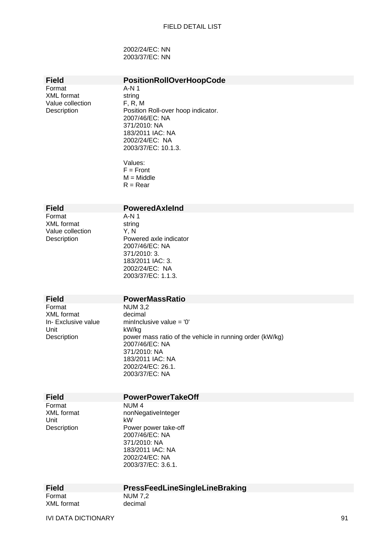2002/24/EC: NN 2003/37/EC: NN

## **Field PositionRollOverHoopCode**

Format A-N 1<br>XML format string XML format string<br>Value collection F. R. M Value collection

Description **Position Roll-over hoop indicator.** 2007/46/EC: NA 371/2010: NA 183/2011 IAC: NA 2002/24/EC: NA 2003/37/EC: 10.1.3.

> Values:  $F =$  Front  $M = Mid$ dle  $R =$  Rear

#### **Field PoweredAxleInd**

Format A-N 1 XML format string<br>Value collection Y. N Value collection<br>Description

Description Powered axle indicator 2007/46/EC: NA 371/2010: 3. 183/2011 IAC: 3. 2002/24/EC: NA 2003/37/EC: 1.1.3.

#### **Field PowerMassRatio**

Format NUM 3,2<br>XML format decimal XML format<br>In- Exclusive value Unit kW/kg<br>Description power

minInclusive value =  $'0'$ power mass ratio of the vehicle in running order (kW/kg) 2007/46/EC: NA 371/2010: NA 183/2011 IAC: NA 2002/24/EC: 26.1. 2003/37/EC: NA

| . . |       |
|-----|-------|
|     |       |
|     |       |
|     | ·leid |

## **PowerPowerTakeOff**

Format NUM 4 Unit kW

XML format nonNegativeInteger Description Power power take-off 2007/46/EC: NA 371/2010: NA 183/2011 IAC: NA 2002/24/EC: NA 2003/37/EC: 3.6.1.

Format NUM 7.2

# **Field PressFeedLineSingleLineBraking**

XML format decimal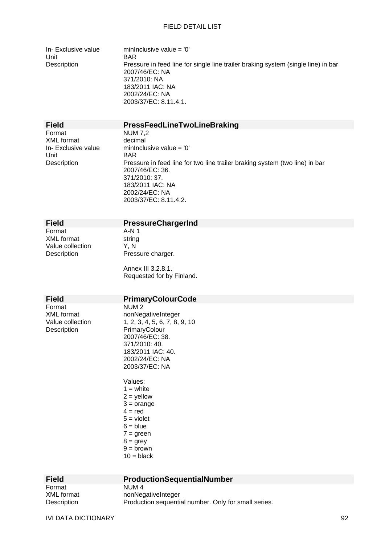In- Exclusive value minInclusive value =  $0'$ Unit BAR

Description Pressure in feed line for single line trailer braking system (single line) in bar 2007/46/EC: NA 371/2010: NA 183/2011 IAC: NA 2002/24/EC: NA 2003/37/EC: 8.11.4.1.

**Field PressFeedLineTwoLineBraking** 

Format NUM 7,2<br>XMI format decimal XML format<br>In- Exclusive value Unit BAR

minInclusive value =  $'0'$ Description Pressure in feed line for two line trailer braking system (two line) in bar 2007/46/EC: 36. 371/2010: 37. 183/2011 IAC: NA 2002/24/EC: NA 2003/37/EC: 8.11.4.2.

Format XML format string Value collection Y, N

# **Field** PressureChargerInd<br>Format A-N 1

Description Pressure charger.

Annex III 3.2.8.1. Requested for by Finland.

**Field PrimaryColourCode** 

Format NUM 2<br>XML format 11 monNeon Description PrimaryColour

# XML format nonNegativeInteger<br>Value collection 1.2.3.4.5.6.7.8.  $1, 2, 3, 4, 5, 6, 7, 8, 9, 10$ 2007/46/EC: 38. 371/2010: 40. 183/2011 IAC: 40. 2002/24/EC: NA 2003/37/EC: NA

Values:  $1 =$  white  $2 =$  yellow  $3 = \text{orange}$  $4 = red$  $5$  = violet  $6 = blue$  $7 =$  green  $8 =$  grey  $9 =$ brown  $10 = \text{black}$ 

| <b>Field</b> | <b>ProductionSequentialNumber</b>                    |
|--------------|------------------------------------------------------|
| Format       | NUM <sub>4</sub>                                     |
| XML format   | nonNegativeInteger                                   |
| Description  | Production sequential number. Only for small series. |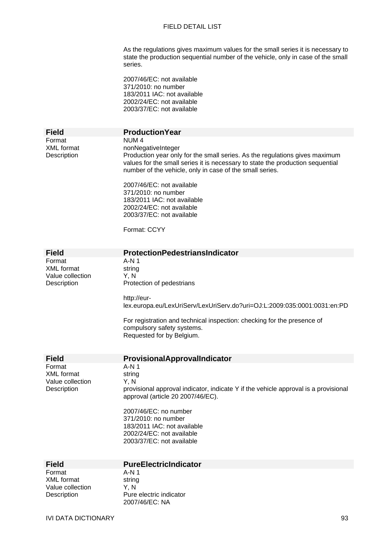As the regulations gives maximum values for the small series it is necessary to state the production sequential number of the vehicle, only in case of the small series.

2007/46/EC: not available 371/2010: no number 183/2011 IAC: not available 2002/24/EC: not available 2003/37/EC: not available

| <b>Field</b>                                                                   | <b>Production Year</b>                                                                                                                                                                                                                                                                        |
|--------------------------------------------------------------------------------|-----------------------------------------------------------------------------------------------------------------------------------------------------------------------------------------------------------------------------------------------------------------------------------------------|
|                                                                                |                                                                                                                                                                                                                                                                                               |
| Format<br><b>XML</b> format<br>Description                                     | NUM <sub>4</sub><br>nonNegativeInteger<br>Production year only for the small series. As the regulations gives maximum<br>values for the small series it is necessary to state the production sequential<br>number of the vehicle, only in case of the small series.                           |
|                                                                                | 2007/46/EC: not available<br>371/2010: no number<br>183/2011 IAC: not available<br>2002/24/EC: not available<br>2003/37/EC: not available                                                                                                                                                     |
|                                                                                | Format: CCYY                                                                                                                                                                                                                                                                                  |
| <b>Field</b>                                                                   | <b>ProtectionPedestriansIndicator</b>                                                                                                                                                                                                                                                         |
| Format<br><b>XML</b> format<br>Value collection<br>Description                 | $A-N1$<br>string<br>Y, N<br>Protection of pedestrians                                                                                                                                                                                                                                         |
|                                                                                | http://eur-<br>lex.europa.eu/LexUriServ/LexUriServ.do?uri=OJ:L:2009:035:0001:0031:en:PD                                                                                                                                                                                                       |
|                                                                                | For registration and technical inspection: checking for the presence of<br>compulsory safety systems.<br>Requested for by Belgium.                                                                                                                                                            |
| <b>Field</b>                                                                   | ProvisionalApprovalIndicator                                                                                                                                                                                                                                                                  |
| Format<br><b>XML</b> format<br>Value collection<br>Description                 | $A-N1$<br>string<br>Y, N<br>provisional approval indicator, indicate Y if the vehicle approval is a provisional<br>approval (article 20 2007/46/EC).<br>2007/46/EC: no number<br>371/2010: no number<br>183/2011 IAC: not available<br>2002/24/EC: not available<br>2003/37/EC: not available |
|                                                                                | <b>PureElectricIndicator</b>                                                                                                                                                                                                                                                                  |
| <b>Field</b><br>Format<br><b>XML</b> format<br>Value collection<br>Description | A-N 1<br>string<br>Y, N<br>Pure electric indicator<br>2007/46/EC: NA                                                                                                                                                                                                                          |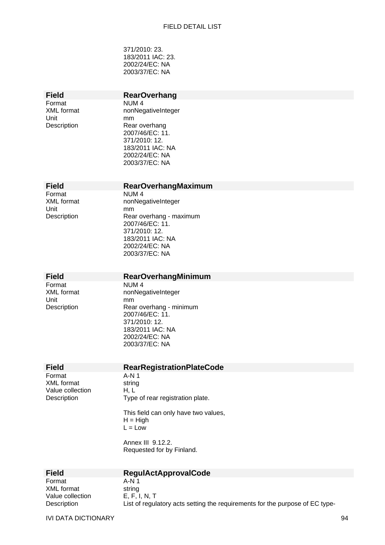371/2010: 23. 183/2011 IAC: 23. 2002/24/EC: NA 2003/37/EC: NA

Unit mm

# **Field** RearOverhang<br>
Format NUM 4

NUM 4 XML format nonNegativeInteger Description Rear overhang 2007/46/EC: 11. 371/2010: 12. 183/2011 IAC: NA 2002/24/EC: NA 2003/37/EC: NA

#### **Field RearOverhangMaximum**

Format NUM 4 Unit mm

XML format nonNegativeInteger Description Rear overhang - maximum 2007/46/EC: 11. 371/2010: 12. 183/2011 IAC: NA 2002/24/EC: NA 2003/37/EC: NA

### **Field RearOverhangMinimum**

Format NUM 4 Unit mm

XML format nonNegativeInteger Description Rear overhang - minimum 2007/46/EC: 11. 371/2010: 12. 183/2011 IAC: NA 2002/24/EC: NA 2003/37/EC: NA

#### **Field RearRegistrationPlateCode**

Format A-N 1 XML format string Value collection H, L

Description Type of rear registration plate.

This field can only have two values,  $H = H$ igh  $L = Low$ 

Annex III 9.12.2. Requested for by Finland.

**Field RegulActApprovalCode**  Format A-N 1 XML format string<br>Value collection E, F, I, N, T Value collection<br>Description

List of regulatory acts setting the requirements for the purpose of EC type-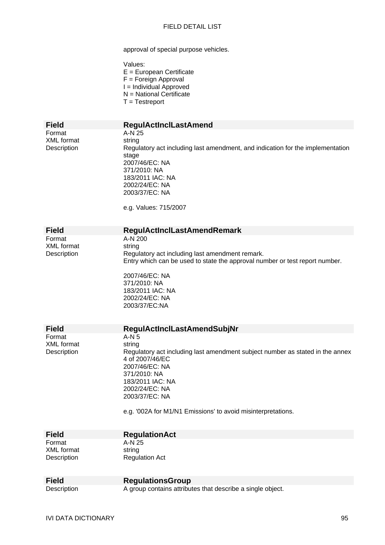approval of special purpose vehicles.

| Values:                    |
|----------------------------|
| $E =$ European Certificate |
| $F =$ Foreign Approval     |
| I = Individual Approved    |
| N = National Certificate   |
| $T = Testreport$           |

Format A-N 25<br>XML format string XML format<br>Description

# **Field RegulActInclLastAmend**  Regulatory act including last amendment, and indication for the implementation stage 2007/46/EC: NA 371/2010: NA 183/2011 IAC: NA 2002/24/EC: NA 2003/37/EC: NA

e.g. Values: 715/2007

XML format string<br>Description Regul

# **Field RegulActInclLastAmendRemark**<br>Format **A-N 200**

 $A-N$  200 Regulatory act including last amendment remark. Entry which can be used to state the approval number or test report number.

2007/46/EC: NA 371/2010: NA 183/2011 IAC: NA 2002/24/EC: NA 2003/37/EC:NA

| <b>Field</b> | <b>RegulActInclLastAmendSubjNr</b>                                            |
|--------------|-------------------------------------------------------------------------------|
|              |                                                                               |
| Format       | A-N 5                                                                         |
| XML format   | string                                                                        |
| Description  | Regulatory act including last amendment subject number as stated in the annex |
|              | 4 of 2007/46/EC                                                               |
|              | 2007/46/EC: NA                                                                |
|              | 371/2010: NA                                                                  |
|              | 183/2011 IAC: NA                                                              |
|              | 2002/24/EC: NA                                                                |
|              | 2003/37/EC: NA                                                                |
|              | ρ η '002Δ for M1/N1 Emissions' to avoid misinterpretations                    |

e.g. '002A for M1/N1 Emissions' to avoid misinterpretations.

| <b>Field</b> | <b>RegulationAct</b>  |
|--------------|-----------------------|
| Format       | A-N 25                |
| XML format   | string                |
| Description  | <b>Regulation Act</b> |

| <b>Field</b> | <b>RegulationsGroup</b>                                    |
|--------------|------------------------------------------------------------|
| Description  | A group contains attributes that describe a single object. |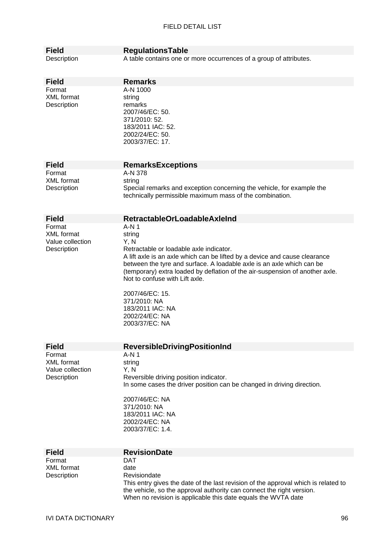| <b>Field</b>                    | <b>RegulationsTable</b>                                                            |
|---------------------------------|------------------------------------------------------------------------------------|
| Description                     | A table contains one or more occurrences of a group of attributes.                 |
|                                 |                                                                                    |
| <b>Field</b>                    | <b>Remarks</b>                                                                     |
| Format                          | A-N 1000                                                                           |
| <b>XML</b> format               | string                                                                             |
| Description                     | remarks                                                                            |
|                                 | 2007/46/EC: 50.                                                                    |
|                                 | 371/2010: 52.<br>183/2011 IAC: 52.                                                 |
|                                 | 2002/24/EC: 50.                                                                    |
|                                 | 2003/37/EC: 17.                                                                    |
|                                 |                                                                                    |
| <b>Field</b>                    |                                                                                    |
| Format                          | <b>RemarksExceptions</b><br>A-N 378                                                |
| <b>XML</b> format               | string                                                                             |
| Description                     | Special remarks and exception concerning the vehicle, for example the              |
|                                 | technically permissible maximum mass of the combination.                           |
|                                 |                                                                                    |
| <b>Field</b>                    | <b>RetractableOrLoadableAxleInd</b>                                                |
| Format                          | $A-N1$                                                                             |
| <b>XML</b> format               | string                                                                             |
| Value collection<br>Description | Y, N<br>Retractable or loadable axle indicator.                                    |
|                                 | A lift axle is an axle which can be lifted by a device and cause clearance         |
|                                 | between the tyre and surface. A loadable axle is an axle which can be              |
|                                 | (temporary) extra loaded by deflation of the air-suspension of another axle.       |
|                                 | Not to confuse with Lift axle.                                                     |
|                                 | 2007/46/EC: 15.                                                                    |
|                                 | 371/2010: NA                                                                       |
|                                 | 183/2011 IAC: NA                                                                   |
|                                 | 2002/24/EC: NA<br>2003/37/EC: NA                                                   |
|                                 |                                                                                    |
|                                 |                                                                                    |
| <b>Field</b><br>Format          | <b>ReversibleDrivingPositionInd</b><br>$A-N1$                                      |
| <b>XML</b> format               | string                                                                             |
| Value collection                | Y, N                                                                               |
| Description                     | Reversible driving position indicator.                                             |
|                                 | In some cases the driver position can be changed in driving direction.             |
|                                 | 2007/46/EC: NA                                                                     |
|                                 | 371/2010: NA                                                                       |
|                                 | 183/2011 IAC: NA                                                                   |
|                                 | 2002/24/EC: NA<br>2003/37/EC: 1.4.                                                 |
|                                 |                                                                                    |
|                                 |                                                                                    |
| <b>Field</b><br>Format          | <b>RevisionDate</b><br><b>DAT</b>                                                  |
| <b>XML</b> format               | date                                                                               |
| Description                     | Revisiondate                                                                       |
|                                 | This entry gives the date of the last revision of the approval which is related to |
|                                 | the vehicle, so the approval authority can connect the right version.              |
|                                 | When no revision is applicable this date equals the WVTA date                      |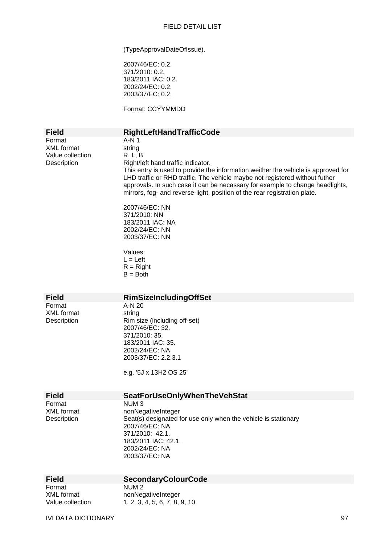(TypeApprovalDateOfIssue).

2007/46/EC: 0.2. 371/2010: 0.2. 183/2011 IAC: 0.2. 2002/24/EC: 0.2. 2003/37/EC: 0.2.

Format: CCYYMMDD

| <b>Field</b>                                                   | RightLeftHandTrafficCode                                                                                                                                                                                                                                                                                                                                                                            |
|----------------------------------------------------------------|-----------------------------------------------------------------------------------------------------------------------------------------------------------------------------------------------------------------------------------------------------------------------------------------------------------------------------------------------------------------------------------------------------|
| Format<br><b>XML</b> format<br>Value collection<br>Description | $A-N1$<br>string<br>R, L, B<br>Right/left hand traffic indicator.<br>This entry is used to provide the information weither the vehicle is approved for<br>LHD traffic or RHD traffic. The vehicle maybe not registered without futher<br>approvals. In such case it can be necassary for example to change headlights,<br>mirrors, fog- and reverse-light, position of the rear registration plate. |
|                                                                | 2007/46/EC: NN<br>371/2010: NN<br>183/2011 IAC: NA<br>2002/24/EC: NN<br>2003/37/EC: NN                                                                                                                                                                                                                                                                                                              |
|                                                                | Values:<br>$L = Left$<br>$R =$ Right<br>$B = Both$                                                                                                                                                                                                                                                                                                                                                  |
| <b>Field</b>                                                   | <b>RimSizeIncludingOffSet</b>                                                                                                                                                                                                                                                                                                                                                                       |
| Format<br><b>XML</b> format<br>Description                     | A-N 20<br>string<br>Rim size (including off-set)<br>2007/46/EC: 32.<br>371/2010: 35.<br>183/2011 IAC: 35.<br>2002/24/EC: NA<br>2003/37/EC: 2.2.3.1<br>e.g. '5J x 13H2 OS 25'                                                                                                                                                                                                                        |
| <b>Field</b>                                                   | <b>SeatForUseOnlyWhenTheVehStat</b>                                                                                                                                                                                                                                                                                                                                                                 |
| Format<br><b>XML</b> format<br>Description                     | NUM <sub>3</sub><br>nonNegativeInteger<br>Seat(s) designated for use only when the vehicle is stationary<br>2007/46/EC: NA<br>371/2010: 42.1.<br>183/2011 IAC: 42.1.<br>2002/24/EC: NA<br>2003/37/EC: NA                                                                                                                                                                                            |
| <b>Field</b>                                                   | <b>SecondaryColourCode</b>                                                                                                                                                                                                                                                                                                                                                                          |
| Format<br><b>XML</b> format<br>Value collection                | NUM <sub>2</sub><br>nonNegativeInteger<br>1, 2, 3, 4, 5, 6, 7, 8, 9, 10                                                                                                                                                                                                                                                                                                                             |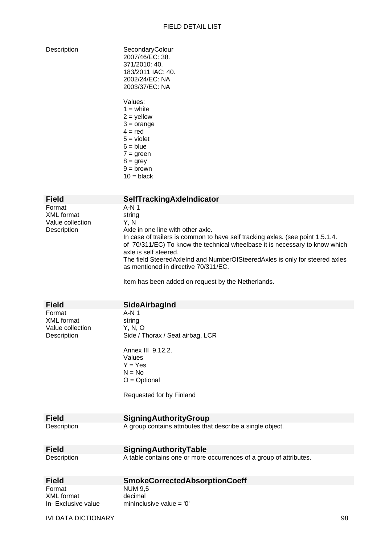| Description |  |
|-------------|--|
|             |  |

| SecondaryColour<br>2007/46/EC: 38.<br>371/2010: 40.<br>183/2011 IAC: 40.<br>2002/24/EC: NA<br>2003/37/EC: NA |
|--------------------------------------------------------------------------------------------------------------|
| Values:                                                                                                      |
| 1 = white                                                                                                    |
| $2 =$ yellow                                                                                                 |
| $3 = \text{orange}$                                                                                          |
| 4 = red                                                                                                      |
| $5 =$ violet                                                                                                 |
| 6 = blue                                                                                                     |
| $7 =$ green                                                                                                  |
| $8 =$ grey                                                                                                   |
| $9 =$ brown                                                                                                  |
| $10 = \text{black}$                                                                                          |

| <b>Field</b>                                            | SelfTrackingAxleIndicator                                                                                                                                                                                                                                                                                                                                                                                                          |
|---------------------------------------------------------|------------------------------------------------------------------------------------------------------------------------------------------------------------------------------------------------------------------------------------------------------------------------------------------------------------------------------------------------------------------------------------------------------------------------------------|
| Format<br>XML format<br>Value collection<br>Description | A-N 1<br>string<br>Y.N<br>Axle in one line with other axle.<br>In case of trailers is common to have self tracking axles. (see point 1.5.1.4.<br>of 70/311/EC) To know the technical wheelbase it is necessary to know which<br>axle is self steered.<br>The field SteeredAxleInd and NumberOfSteeredAxles is only for steered axles<br>as mentioned in directive 70/311/EC.<br>Item has been added on request by the Netherlands. |
|                                                         |                                                                                                                                                                                                                                                                                                                                                                                                                                    |
| <b>Field</b>                                            | <b>SideAirbagInd</b>                                                                                                                                                                                                                                                                                                                                                                                                               |

Format A-N 1<br>XML format string XML format string<br>Value collection Y, N, O Value collection Description Side / Thorax / Seat airbag, LCR

Annex III 9.12.2. Values  $Y = Yes$  $N = No$ O = Optional

Requested for by Finland

| <b>Field</b> | <b>SigningAuthorityGroup</b>                                       |
|--------------|--------------------------------------------------------------------|
| Description  | A group contains attributes that describe a single object.         |
| <b>Field</b> | <b>SigningAuthorityTable</b>                                       |
| Description  | A table contains one or more occurrences of a group of attributes. |

| <b>Field</b>       | <b>SmokeCorrectedAbsorptionCoeff</b> |
|--------------------|--------------------------------------|
| Format             | NUM 9.5                              |
| XML format         | decimal                              |
| In-Exclusive value | mininclusive value $=$ '0'           |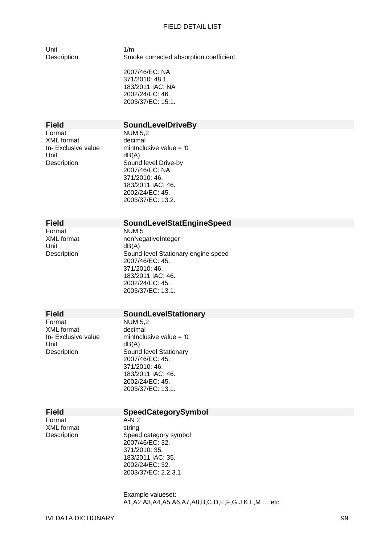Unit  $1/m$ 

Description Smoke corrected absorption coefficient.

2007/46/EC: NA 371/2010: 48.1. 183/2011 IAC: NA 2002/24/EC: 46. 2003/37/EC: 15.1.

## **Field SoundLevelDriveBy**

Format NUM 5,2<br>XMI format decimal XML format<br>In- Exclusive value Unit dB(A)

minInclusive value =  $'0'$ Description Sound level Drive-by 2007/46/EC: NA 371/2010: 46. 183/2011 IAC: 46. 2002/24/EC: 45. 2003/37/EC: 13.2.

## **Field SoundLevelStatEngineSpeed**

NUM 5 nonNegativeInteger  $dB(A)$ Sound level Stationary engine speed 2007/46/EC: 45. 371/2010: 46. 183/2011 IAC: 46. 2002/24/EC: 45. 2003/37/EC: 13.1.

XML format decimal<br>In-Exclusive value minInclu

# **Field SoundLevelStationary**<br> **Format NUM 5.2**

**NUM 5.2** In- Exclusive value minInclusive value =  $'0'$ <br>Unit dB(A)  $dB(A)$ Description Sound level Stationary 2007/46/EC: 45. 371/2010: 46. 183/2011 IAC: 46. 2002/24/EC: 45. 2003/37/EC: 13.1.

#### **Field SpeedCategorySymbol**

Format A-N 2 XML format string

Description Speed category symbol 2007/46/EC: 32. 371/2010: 35. 183/2011 IAC: 35. 2002/24/EC: 32. 2003/37/EC: 2.2.3.1

> Example valueset: A1,A2,A3,A4,A5,A6,A7,A8,B,C,D,E,F,G,J,K,L,M … etc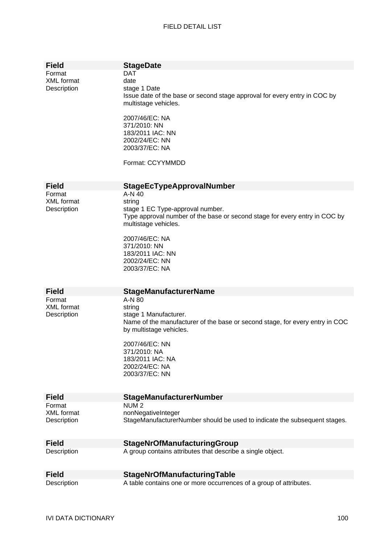| <b>Field</b>                               | <b>StageDate</b>                                                                                                                                                                                                                                      |
|--------------------------------------------|-------------------------------------------------------------------------------------------------------------------------------------------------------------------------------------------------------------------------------------------------------|
| Format<br><b>XML</b> format<br>Description | <b>DAT</b><br>date<br>stage 1 Date<br>Issue date of the base or second stage approval for every entry in COC by<br>multistage vehicles.<br>2007/46/EC: NA<br>371/2010: NN<br>183/2011 IAC: NN<br>2002/24/EC: NN<br>2003/37/EC: NA<br>Format: CCYYMMDD |
| <b>Field</b>                               |                                                                                                                                                                                                                                                       |
| Format                                     | <b>StageEcTypeApprovalNumber</b><br>A-N 40                                                                                                                                                                                                            |
| XML format                                 | string                                                                                                                                                                                                                                                |
| Description                                | stage 1 EC Type-approval number.<br>Type approval number of the base or second stage for every entry in COC by<br>multistage vehicles.                                                                                                                |
|                                            | 2007/46/EC: NA<br>371/2010: NN<br>183/2011 IAC: NN<br>2002/24/EC: NN<br>2003/37/EC: NA                                                                                                                                                                |
| <b>Field</b>                               | <b>StageManufacturerName</b>                                                                                                                                                                                                                          |
| Format<br><b>XML</b> format<br>Description | A-N 80<br>string<br>stage 1 Manufacturer.<br>Name of the manufacturer of the base or second stage, for every entry in COC<br>by multistage vehicles.<br>2007/46/EC: NN<br>371/2010: NA<br>183/2011 IAC: NA<br>2002/24/EC: NA<br>2003/37/EC: NN        |
|                                            |                                                                                                                                                                                                                                                       |
| <b>Field</b>                               | <b>StageManufacturerNumber</b>                                                                                                                                                                                                                        |
| Format                                     | NUM <sub>2</sub>                                                                                                                                                                                                                                      |
| <b>XML</b> format<br>Description           | nonNegativeInteger<br>StageManufacturerNumber should be used to indicate the subsequent stages.                                                                                                                                                       |
| <b>Field</b>                               | <b>StageNrOfManufacturingGroup</b>                                                                                                                                                                                                                    |
| Description                                | A group contains attributes that describe a single object.                                                                                                                                                                                            |
| <b>Field</b>                               | <b>StageNrOfManufacturingTable</b>                                                                                                                                                                                                                    |
| Description                                | A table contains one or more occurrences of a group of attributes.                                                                                                                                                                                    |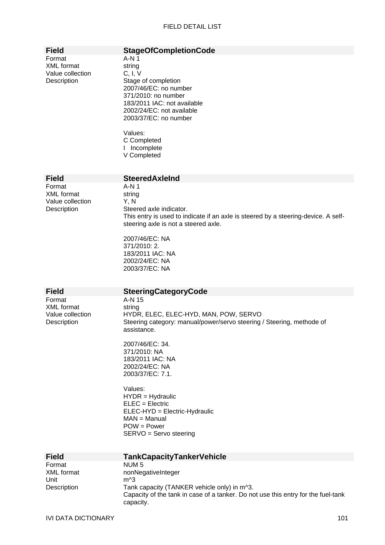| <b>Field</b>                                                   | <b>StageOfCompletionCode</b>                                                                                                                                                                                                                                                                                                                                                             |
|----------------------------------------------------------------|------------------------------------------------------------------------------------------------------------------------------------------------------------------------------------------------------------------------------------------------------------------------------------------------------------------------------------------------------------------------------------------|
| Format<br><b>XML</b> format<br>Value collection<br>Description | $A-N1$<br>string<br>C, I, V<br>Stage of completion<br>2007/46/EC: no number<br>371/2010: no number<br>183/2011 IAC: not available<br>2002/24/EC: not available<br>2003/37/EC: no number<br>Values:<br>C Completed<br>I Incomplete<br>V Completed                                                                                                                                         |
| <b>Field</b>                                                   | <b>SteeredAxleInd</b>                                                                                                                                                                                                                                                                                                                                                                    |
| Format<br><b>XML</b> format<br>Value collection<br>Description | $A-N1$<br>string<br>Y, N<br>Steered axle indicator.<br>This entry is used to indicate if an axle is steered by a steering-device. A self-<br>steering axle is not a steered axle.<br>2007/46/EC: NA                                                                                                                                                                                      |
| <b>Field</b>                                                   | 371/2010: 2.<br>183/2011 IAC: NA<br>2002/24/EC: NA<br>2003/37/EC: NA<br><b>SteeringCategoryCode</b>                                                                                                                                                                                                                                                                                      |
| Format                                                         | A-N 15                                                                                                                                                                                                                                                                                                                                                                                   |
| <b>XML</b> format<br>Value collection<br>Description           | string<br>HYDR, ELEC, ELEC-HYD, MAN, POW, SERVO<br>Steering category: manual/power/servo steering / Steering, methode of<br>assistance.<br>2007/46/EC: 34.<br>371/2010: NA<br>183/2011 IAC: NA<br>2002/24/EC: NA<br>2003/37/EC: 7.1.<br>Values:<br>$HYDR = Hydraulic$<br>$ELEC = Electric$<br>ELEC-HYD = Electric-Hydraulic<br>$MAN = Manual$<br>$POW = Power$<br>SERVO = Servo steering |
| <b>Field</b>                                                   | <b>TankCapacityTankerVehicle</b>                                                                                                                                                                                                                                                                                                                                                         |
| Format<br><b>XML</b> format<br>Unit<br>Description             | NUM <sub>5</sub><br>nonNegativeInteger<br>$m^3$<br>Tank capacity (TANKER vehicle only) in m^3.<br>Capacity of the tank in case of a tanker. Do not use this entry for the fuel-tank<br>capacity.                                                                                                                                                                                         |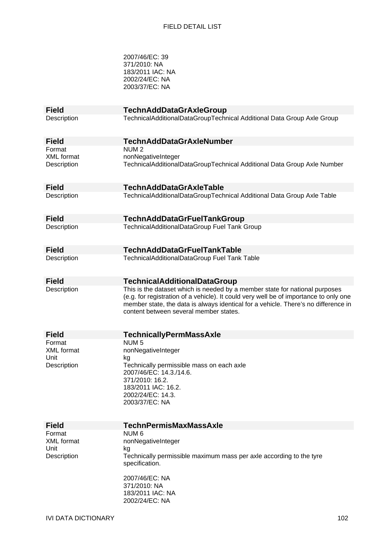2007/46/EC: 39 371/2010: NA 183/2011 IAC: NA 2002/24/EC: NA 2003/37/EC: NA

| <b>Field</b>              | <b>TechnAddDataGrAxleGroup</b>                                                                                                                                              |
|---------------------------|-----------------------------------------------------------------------------------------------------------------------------------------------------------------------------|
| Description               | TechnicalAdditionalDataGroupTechnical Additional Data Group Axle Group                                                                                                      |
| <b>Field</b>              | <b>TechnAddDataGrAxleNumber</b>                                                                                                                                             |
| Format                    | NUM <sub>2</sub>                                                                                                                                                            |
| <b>XML</b> format         | nonNegativeInteger<br>TechnicalAdditionalDataGroupTechnical Additional Data Group Axle Number                                                                               |
| Description               |                                                                                                                                                                             |
| <b>Field</b>              | <b>TechnAddDataGrAxleTable</b>                                                                                                                                              |
| Description               | TechnicalAdditionalDataGroupTechnical Additional Data Group Axle Table                                                                                                      |
| <b>Field</b>              | <b>TechnAddDataGrFuelTankGroup</b>                                                                                                                                          |
| Description               | TechnicalAdditionalDataGroup Fuel Tank Group                                                                                                                                |
| <b>Field</b>              | <b>TechnAddDataGrFuelTankTable</b>                                                                                                                                          |
| Description               | TechnicalAdditionalDataGroup Fuel Tank Table                                                                                                                                |
| <b>Field</b>              | <b>TechnicalAdditionalDataGroup</b>                                                                                                                                         |
| Description               | This is the dataset which is needed by a member state for national purposes                                                                                                 |
|                           | (e.g. for registration of a vehicle). It could very well be of importance to only one<br>member state, the data is always identical for a vehicle. There's no difference in |
|                           | content between several member states.                                                                                                                                      |
|                           |                                                                                                                                                                             |
| <b>Field</b>              | <b>TechnicallyPermMassAxle</b>                                                                                                                                              |
| Format                    | NUM <sub>5</sub>                                                                                                                                                            |
| <b>XML</b> format<br>Unit | nonNegativeInteger<br>kg                                                                                                                                                    |
| Description               | Technically permissible mass on each axle                                                                                                                                   |
|                           | 2007/46/EC: 14.3./14.6.                                                                                                                                                     |
|                           | 371/2010: 16.2.<br>183/2011 IAC: 16.2.                                                                                                                                      |
|                           | 2002/24/EC: 14.3.                                                                                                                                                           |
|                           | 2003/37/EC: NA                                                                                                                                                              |
|                           |                                                                                                                                                                             |
| <b>Field</b>              | <b>TechnPermisMaxMassAxle</b>                                                                                                                                               |
| Format                    | NUM 6                                                                                                                                                                       |
| <b>XML</b> format<br>Unit | nonNegativeInteger<br>kg                                                                                                                                                    |
| Description               | Technically permissible maximum mass per axle according to the tyre                                                                                                         |
|                           | specification.                                                                                                                                                              |
|                           | 2007/46/EC: NA                                                                                                                                                              |
|                           | 371/2010: NA                                                                                                                                                                |
|                           |                                                                                                                                                                             |
|                           | 183/2011 IAC: NA                                                                                                                                                            |
|                           | 2002/24/EC: NA                                                                                                                                                              |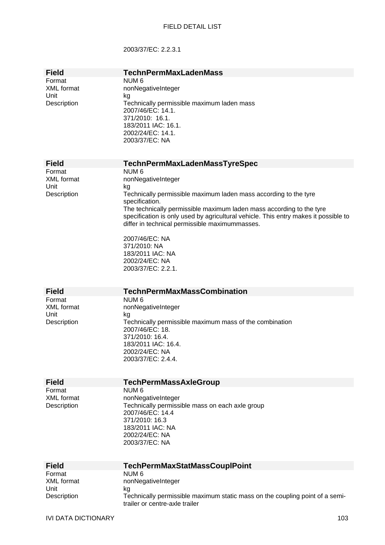## 2003/37/EC: 2.2.3.1

| <b>Field</b>        | <b>TechnPermMaxLadenMass</b>                                                                                   |
|---------------------|----------------------------------------------------------------------------------------------------------------|
| Format              | NUM <sub>6</sub>                                                                                               |
| <b>XML</b> format   | nonNegativeInteger                                                                                             |
| Unit<br>Description | kg<br>Technically permissible maximum laden mass                                                               |
|                     | 2007/46/EC: 14.1.                                                                                              |
|                     | 371/2010: 16.1.                                                                                                |
|                     | 183/2011 IAC: 16.1.                                                                                            |
|                     | 2002/24/EC: 14.1.                                                                                              |
|                     | 2003/37/EC: NA                                                                                                 |
|                     |                                                                                                                |
| <b>Field</b>        | <b>TechnPermMaxLadenMassTyreSpec</b>                                                                           |
| Format              | NUM <sub>6</sub>                                                                                               |
| <b>XML</b> format   | nonNegativeInteger                                                                                             |
| Unit                | kg                                                                                                             |
| Description         | Technically permissible maximum laden mass according to the tyre<br>specification.                             |
|                     | The technically permissible maximum laden mass according to the tyre                                           |
|                     | specification is only used by agricultural vehicle. This entry makes it possible to                            |
|                     | differ in technical permissible maximummasses.                                                                 |
|                     | 2007/46/EC: NA                                                                                                 |
|                     | 371/2010: NA                                                                                                   |
|                     | 183/2011 IAC: NA                                                                                               |
|                     | 2002/24/EC: NA                                                                                                 |
|                     | 2003/37/EC: 2.2.1.                                                                                             |
|                     |                                                                                                                |
|                     |                                                                                                                |
| <b>Field</b>        | <b>TechnPermMaxMassCombination</b>                                                                             |
| Format              | NUM <sub>6</sub>                                                                                               |
| XML format          | nonNegativeInteger                                                                                             |
| Unit                | kg                                                                                                             |
| Description         | Technically permissible maximum mass of the combination                                                        |
|                     | 2007/46/EC: 18.<br>371/2010: 16.4.                                                                             |
|                     | 183/2011 IAC: 16.4.                                                                                            |
|                     | 2002/24/EC: NA                                                                                                 |
|                     | 2003/37/EC: 2.4.4.                                                                                             |
|                     |                                                                                                                |
| <b>Field</b>        | <b>TechPermMassAxleGroup</b>                                                                                   |
| Format              | NUM <sub>6</sub>                                                                                               |
| <b>XML</b> format   | nonNegativeInteger                                                                                             |
| Description         | Technically permissible mass on each axle group                                                                |
|                     | 2007/46/EC: 14.4<br>371/2010: 16.3                                                                             |
|                     | 183/2011 IAC: NA                                                                                               |
|                     | 2002/24/EC: NA                                                                                                 |
|                     | 2003/37/EC: NA                                                                                                 |
|                     |                                                                                                                |
| <b>Field</b>        | <b>TechPermMaxStatMassCouplPoint</b>                                                                           |
| Format              | NUM <sub>6</sub>                                                                                               |
| <b>XML</b> format   | nonNegativeInteger                                                                                             |
| Unit                | kg                                                                                                             |
| Description         | Technically permissible maximum static mass on the coupling point of a semi-<br>trailer or centre-axle trailer |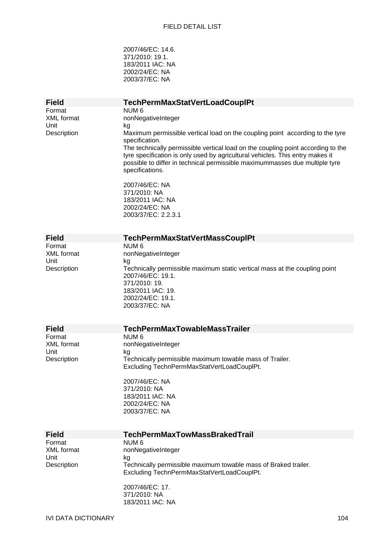2007/46/EC: 14.6. 371/2010: 19.1. 183/2011 IAC: NA 2002/24/EC: NA 2003/37/EC: NA

| <b>Field</b>                                                       | <b>TechPermMaxStatVertLoadCouplPt</b>                                                                                                                                                                                                                               |
|--------------------------------------------------------------------|---------------------------------------------------------------------------------------------------------------------------------------------------------------------------------------------------------------------------------------------------------------------|
| Format<br><b>XML</b> format<br>Unit                                | NUM <sub>6</sub><br>nonNegativeInteger<br>kg                                                                                                                                                                                                                        |
| Description                                                        | Maximum permissible vertical load on the coupling point according to the tyre<br>specification.                                                                                                                                                                     |
|                                                                    | The technically permissible vertical load on the coupling point according to the<br>tyre specification is only used by agricultural vehicles. This entry makes it<br>possible to differ in technical permissible maximummasses due multiple tyre<br>specifications. |
|                                                                    | 2007/46/EC: NA<br>371/2010: NA<br>183/2011 IAC: NA<br>2002/24/EC: NA                                                                                                                                                                                                |
|                                                                    | 2003/37/EC: 2.2.3.1                                                                                                                                                                                                                                                 |
| <b>Field</b>                                                       | TechPermMaxStatVertMassCouplPt                                                                                                                                                                                                                                      |
| Format<br><b>XML</b> format<br>Unit                                | NUM <sub>6</sub><br>nonNegativeInteger<br>kg                                                                                                                                                                                                                        |
| Description                                                        | Technically permissible maximum static vertical mass at the coupling point<br>2007/46/EC: 19.1.<br>371/2010: 19.<br>183/2011 IAC: 19.<br>2002/24/EC: 19.1.<br>2003/37/EC: NA                                                                                        |
|                                                                    |                                                                                                                                                                                                                                                                     |
| <b>Field</b><br>Format<br><b>XML</b> format<br>Unit<br>Description | <b>TechPermMaxTowableMassTrailer</b><br>NUM <sub>6</sub><br>nonNegativeInteger<br>kg<br>Technically permissible maximum towable mass of Trailer.                                                                                                                    |
|                                                                    | Excluding TechnPermMaxStatVertLoadCouplPt.                                                                                                                                                                                                                          |
|                                                                    | 2007/46/EC: NA<br>371/2010: NA<br>183/2011 IAC: NA<br>2002/24/EC: NA<br>2003/37/EC: NA                                                                                                                                                                              |
| <b>Field</b>                                                       | <b>TechPermMaxTowMassBrakedTrail</b>                                                                                                                                                                                                                                |
| Format<br><b>XML</b> format                                        | NUM <sub>6</sub><br>nonNegativeInteger                                                                                                                                                                                                                              |
| Unit<br>Description                                                | kg<br>Technically permissible maximum towable mass of Braked trailer.<br>Excluding TechnPermMaxStatVertLoadCouplPt.                                                                                                                                                 |
|                                                                    | 2007/46/EC: 17.<br>371/2010: NA<br>183/2011 IAC: NA                                                                                                                                                                                                                 |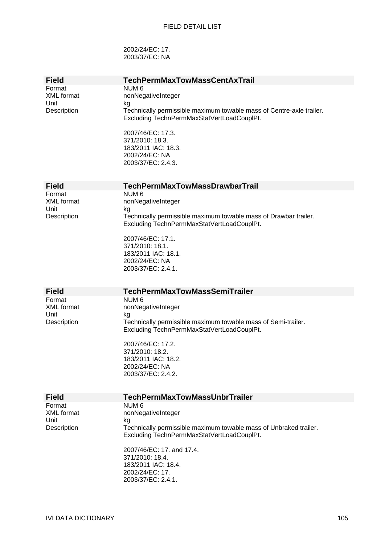2002/24/EC: 17. 2003/37/EC: NA

| <b>Field</b>      | <b>TechPermMaxTowMassCentAxTrail</b>                                    |
|-------------------|-------------------------------------------------------------------------|
| Format            | NUM <sub>6</sub>                                                        |
| <b>XML</b> format | nonNegativeInteger                                                      |
| Unit              | kg                                                                      |
| Description       | Technically permissible maximum towable mass of Centre-axle trailer.    |
|                   | Excluding TechnPermMaxStatVertLoadCouplPt.                              |
|                   |                                                                         |
|                   | 2007/46/EC: 17.3.                                                       |
|                   | 371/2010: 18.3.                                                         |
|                   | 183/2011 IAC: 18.3.                                                     |
|                   | 2002/24/EC: NA<br>2003/37/EC: 2.4.3.                                    |
|                   |                                                                         |
|                   |                                                                         |
| <b>Field</b>      | <b>TechPermMaxTowMassDrawbarTrail</b>                                   |
| Format            | NUM <sub>6</sub>                                                        |
| <b>XML</b> format | nonNegativeInteger                                                      |
| Unit              | kg                                                                      |
| Description       | Technically permissible maximum towable mass of Drawbar trailer.        |
|                   | Excluding TechnPermMaxStatVertLoadCouplPt.                              |
|                   |                                                                         |
|                   | 2007/46/EC: 17.1.                                                       |
|                   | 371/2010: 18.1.<br>183/2011 IAC: 18.1.                                  |
|                   | 2002/24/EC: NA                                                          |
|                   | 2003/37/EC: 2.4.1.                                                      |
|                   |                                                                         |
|                   |                                                                         |
|                   |                                                                         |
| <b>Field</b>      | <b>TechPermMaxTowMassSemiTrailer</b>                                    |
| Format            | NUM <sub>6</sub>                                                        |
| <b>XML</b> format | nonNegativeInteger                                                      |
| Unit              | kg                                                                      |
| Description       | Technically permissible maximum towable mass of Semi-trailer.           |
|                   | Excluding TechnPermMaxStatVertLoadCouplPt.                              |
|                   |                                                                         |
|                   | 2007/46/EC: 17.2.<br>371/2010: 18.2.                                    |
|                   | 183/2011 IAC: 18.2.                                                     |
|                   | 2002/24/EC: NA                                                          |
|                   | 2003/37/EC: 2.4.2.                                                      |
|                   |                                                                         |
|                   |                                                                         |
| <b>Field</b>      | <b>TechPermMaxTowMassUnbrTrailer</b>                                    |
| Format            | NUM <sub>6</sub>                                                        |
| <b>XML</b> format | nonNegativeInteger                                                      |
| Unit              | kg<br>Technically permissible maximum towable mass of Unbraked trailer. |
| Description       | Excluding TechnPermMaxStatVertLoadCouplPt.                              |
|                   |                                                                         |
|                   | 2007/46/EC: 17. and 17.4.                                               |
|                   | 371/2010: 18.4.                                                         |
|                   | 183/2011 IAC: 18.4.                                                     |
|                   | 2002/24/EC: 17.                                                         |
|                   | 2003/37/EC: 2.4.1.                                                      |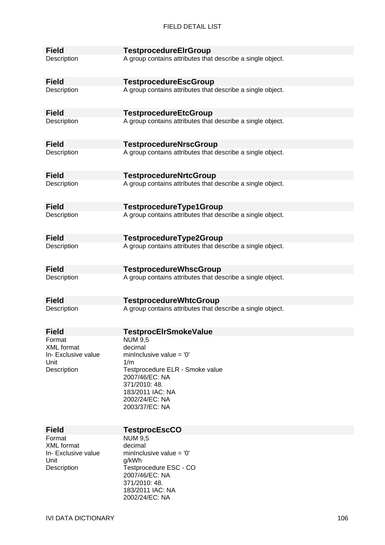| <b>Field</b>                      | <b>TestprocedureElrGroup</b>                               |
|-----------------------------------|------------------------------------------------------------|
| Description                       | A group contains attributes that describe a single object. |
| <b>Field</b>                      | <b>TestprocedureEscGroup</b>                               |
| Description                       | A group contains attributes that describe a single object. |
| <b>Field</b>                      | <b>TestprocedureEtcGroup</b>                               |
| Description                       | A group contains attributes that describe a single object. |
| <b>Field</b>                      | <b>TestprocedureNrscGroup</b>                              |
| Description                       | A group contains attributes that describe a single object. |
| <b>Field</b>                      | <b>TestprocedureNrtcGroup</b>                              |
| Description                       | A group contains attributes that describe a single object. |
| <b>Field</b>                      | TestprocedureType1Group                                    |
| Description                       | A group contains attributes that describe a single object. |
| <b>Field</b>                      | TestprocedureType2Group                                    |
| Description                       | A group contains attributes that describe a single object. |
| <b>Field</b>                      | <b>TestprocedureWhscGroup</b>                              |
| Description                       | A group contains attributes that describe a single object. |
| <b>Field</b>                      | <b>TestprocedureWhtcGroup</b>                              |
| Description                       | A group contains attributes that describe a single object. |
| <b>Field</b>                      | <b>TestprocEIrSmokeValue</b>                               |
| Format                            | <b>NUM 9,5</b>                                             |
| XML format<br>In- Exclusive value | decimal<br>mininclusive value = $'0'$                      |
| Unit                              | 1/m                                                        |
| Description                       | Testprocedure ELR - Smoke value                            |
|                                   | 2007/46/EC: NA                                             |
|                                   | 371/2010: 48.<br>183/2011 IAC: NA                          |
|                                   | 2002/24/EC: NA                                             |
|                                   | 2003/37/EC: NA                                             |
|                                   |                                                            |
| <b>Field</b>                      | <b>TestprocEscCO</b>                                       |
| Format                            | <b>NUM 9,5</b>                                             |
| XML format                        | decimal                                                    |
| In- Exclusive value<br>Unit       | mininclusive value = $0'$<br>g/kWh                         |
| Description                       | Testprocedure ESC - CO                                     |
|                                   | 2007/46/EC: NA                                             |
|                                   | 371/2010: 48.                                              |
|                                   | 183/2011 IAC: NA<br>2002/24/EC: NA                         |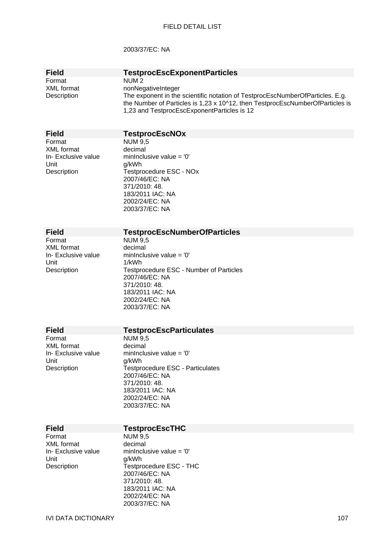## 2003/37/EC: NA

| <b>Field</b><br>Format<br><b>XML</b> format<br>Description                | <b>TestprocEscExponentParticles</b><br>NUM <sub>2</sub><br>nonNegativeInteger<br>The exponent in the scientific notation of TestprocEscNumberOfParticles. E.g.<br>the Number of Particles is 1,23 x 10^12, then TestprocEscNumberOfParticles is<br>1,23 and TestprocEscExponentParticles is 12 |
|---------------------------------------------------------------------------|------------------------------------------------------------------------------------------------------------------------------------------------------------------------------------------------------------------------------------------------------------------------------------------------|
| <b>Field</b>                                                              | <b>TestprocEscNOx</b>                                                                                                                                                                                                                                                                          |
| Format<br><b>XML</b> format<br>In-Exclusive value<br>Unit<br>Description  | <b>NUM 9,5</b><br>decimal<br>mininclusive value = $'0'$<br>g/kWh<br>Testprocedure ESC - NOx<br>2007/46/EC: NA<br>371/2010: 48.<br>183/2011 IAC: NA<br>2002/24/EC: NA<br>2003/37/EC: NA                                                                                                         |
| <b>Field</b>                                                              | <b>TestprocEscNumberOfParticles</b>                                                                                                                                                                                                                                                            |
| Format<br><b>XML</b> format<br>In- Exclusive value<br>Unit<br>Description | <b>NUM 9,5</b><br>decimal<br>mininclusive value = $0'$<br>1/kWh<br>Testprocedure ESC - Number of Particles<br>2007/46/EC: NA<br>371/2010: 48.<br>183/2011 IAC: NA<br>2002/24/EC: NA<br>2003/37/EC: NA                                                                                          |
| <b>Field</b>                                                              | <b>TestprocEscParticulates</b>                                                                                                                                                                                                                                                                 |
| Format<br><b>XML</b> format<br>In- Exclusive value<br>Unit<br>Description | <b>NUM 9,5</b><br>decimal<br>minInclusive value = '0'<br>g/kWh<br><b>Testprocedure ESC - Particulates</b><br>2007/46/EC: NA<br>371/2010: 48.<br>183/2011 IAC: NA<br>2002/24/EC: NA<br>2003/37/EC: NA                                                                                           |
| <b>Field</b>                                                              | <b>TestprocEscTHC</b>                                                                                                                                                                                                                                                                          |
| Format<br>XML format<br>In- Exclusive value<br>Unit<br>Description        | <b>NUM 9,5</b><br>decimal<br>mininclusive value = $'0'$<br>g/kWh<br>Testprocedure ESC - THC<br>2007/46/EC: NA                                                                                                                                                                                  |

371/2010: 48. 183/2011 IAC: NA 2002/24/EC: NA 2003/37/EC: NA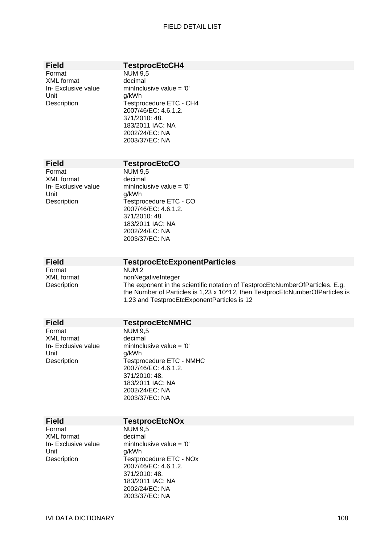|  | īelo |
|--|------|
|  |      |

Format NUM 9,5 XML format decimal Unit g/kWh

## **TestprocEtcCH4**

In- Exclusive value minInclusive value =  $'0'$ Description Testprocedure ETC - CH4 2007/46/EC: 4.6.1.2. 371/2010: 48. 183/2011 IAC: NA 2002/24/EC: NA 2003/37/EC: NA

Format NUM 9,5 XML format decimal Unit a/kWh

## **Field TestprocEtcCO**

In- Exclusive value minInclusive value =  $'0'$ Description Testprocedure ETC - CO 2007/46/EC: 4.6.1.2. 371/2010: 48. 183/2011 IAC: NA 2002/24/EC: NA 2003/37/EC: NA

Format NUM 2

# **Field TestprocEtcExponentParticles**

XML format nonNegativeInteger Description The exponent in the scientific notation of TestprocEtcNumberOfParticles. E.g. the Number of Particles is 1,23 x 10^12, then TestprocEtcNumberOfParticles is 1,23 and TestprocEtcExponentParticles is 12

| <b>Field</b>        | <b>TestprocEtcNMHC</b>     |
|---------------------|----------------------------|
| Format              | NUM 9,5                    |
| XML format          | decimal                    |
| In- Exclusive value | mininclusive value $=$ '0' |
| Unit                | a/kWh                      |
| Description         | Testprocedure ETC - NMHC   |
|                     | 2007/46/EC: 4.6.1.2.       |
|                     | 371/2010: 48.              |
|                     | 183/2011 IAC: NA           |
|                     | 2002/24/EC: NA             |
|                     | 2003/37/EC: NA             |
|                     |                            |

# **Field TestprocEtcNOx**<br>Format **NUM 9.5**

XML format Unit g/kWh<br>Description Testpro

NUM 9,5<br>decimal In- Exclusive value minInclusive value = '0' Testprocedure ETC - NOx 2007/46/EC: 4.6.1.2. 371/2010: 48. 183/2011 IAC: NA 2002/24/EC: NA 2003/37/EC: NA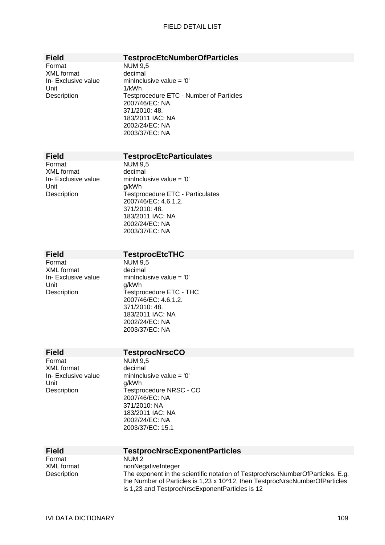Format NUM 9,5 XML format decimal Unit 1/kWh

# **Field TestprocEtcNumberOfParticles**

In- Exclusive value minInclusive value = '0' Description Testprocedure ETC - Number of Particles 2007/46/EC: NA. 371/2010: 48. 183/2011 IAC: NA 2002/24/EC: NA 2003/37/EC: NA

# **Field TestprocEtcParticulates**

Format NUM 9,5 XML format decimal Unit g/kWh

In- Exclusive value minInclusive value = '0' Description Testprocedure ETC - Particulates 2007/46/EC: 4.6.1.2. 371/2010: 48. 183/2011 IAC: NA 2002/24/EC: NA 2003/37/EC: NA

# **Field TestprocEtcTHC**

Format NUM 9,5<br>XML format decimal XML format Unit g/kWh

In- Exclusive value minInclusive value =  $0'$ Description **Testprocedure ETC - THC** 2007/46/EC: 4.6.1.2. 371/2010: 48. 183/2011 IAC: NA 2002/24/EC: NA 2003/37/EC: NA

# **Field TestprocNrscCO**<br>Format **NUM 9.5**

XML format decimal Unit g/kWh

 $NUM<sub>9.5</sub>$ In- Exclusive value minInclusive value = '0' Description Testprocedure NRSC - CO 2007/46/EC: NA 371/2010: NA 183/2011 IAC: NA 2002/24/EC: NA 2003/37/EC: 15.1

| <b>Field</b> | <b>TestprocNrscExponentParticles</b>                                                                                                                                                                             |
|--------------|------------------------------------------------------------------------------------------------------------------------------------------------------------------------------------------------------------------|
| Format       | NUM <sub>2</sub>                                                                                                                                                                                                 |
| XML format   | nonNegativeInteger                                                                                                                                                                                               |
| Description  | The exponent in the scientific notation of TestprocNrscNumberOfParticles. E.g.<br>the Number of Particles is 1,23 x 10^12, then TestprocNrscNumberOfParticles<br>is 1,23 and TestprocNrscExponentParticles is 12 |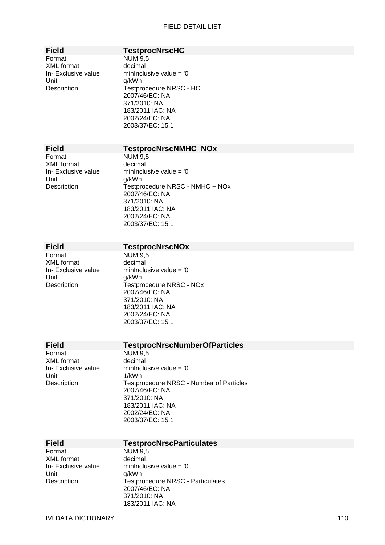# **Field TestprocNrscHC**

Format NUM 9,5 XML format decimal Unit g/kWh

In- Exclusive value minInclusive value = '0' Description Testprocedure NRSC - HC 2007/46/EC: NA 371/2010: NA 183/2011 IAC: NA 2002/24/EC: NA 2003/37/EC: 15.1

### **Field TestprocNrscNMHC\_NOx**

Format NUM 9,5 XML format decimal Unit g/kWh

In- Exclusive value minInclusive value = '0' Description Testprocedure NRSC - NMHC + NOx 2007/46/EC: NA 371/2010: NA 183/2011 IAC: NA 2002/24/EC: NA 2003/37/EC: 15.1

Format NUM 9,5 XML format decimal Unit g/kWh

## **Field TestprocNrscNOx**

In- Exclusive value minInclusive value = '0' Description **Testprocedure NRSC - NOx** 2007/46/EC: NA 371/2010: NA 183/2011 IAC: NA 2002/24/EC: NA 2003/37/EC: 15.1

Format NUM 9,5 XML format decimal Unit 1/kWh

### **Field TestprocNrscNumberOfParticles**

In- Exclusive value minInclusive value = '0' Description Testprocedure NRSC - Number of Particles 2007/46/EC: NA 371/2010: NA 183/2011 IAC: NA 2002/24/EC: NA 2003/37/EC: 15.1

# **Field TestprocNrscParticulates**<br>Format NUM 9.5

XML format Unit g/kWh

NUM 9,5<br>decimal In- Exclusive value minInclusive value = '0' Description **Testprocedure NRSC - Particulates** 2007/46/EC: NA 371/2010: NA 183/2011 IAC: NA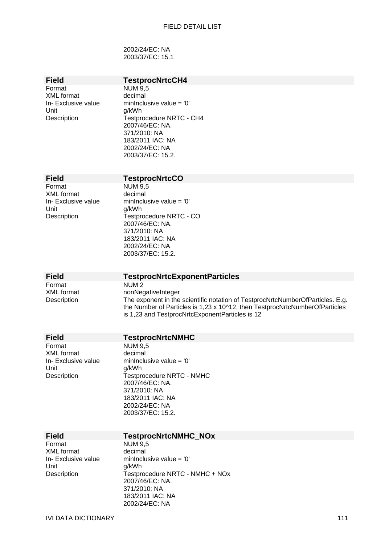2002/24/EC: NA 2003/37/EC: 15.1

## **Field TestprocNrtcCH4**

Format NUM 9,5<br>XML format decimal XML format<br>In- Exclusive value Unit g/kWh

minInclusive value =  $'0'$ Description **Testprocedure NRTC - CH4** 2007/46/EC: NA. 371/2010: NA 183/2011 IAC: NA 2002/24/EC: NA 2003/37/EC: 15.2.

| <b>Field</b>        | <b>TestprocNrtcCO</b>      |
|---------------------|----------------------------|
| Format              | <b>NUM 9,5</b>             |
| <b>XML</b> format   | decimal                    |
| In- Exclusive value | minInclusive value = $'0'$ |
| Unit                | g/kWh                      |
| Description         | Testprocedure NRTC - CO    |
|                     | 2007/46/EC: NA.            |
|                     | 371/2010: NA               |
|                     | 183/2011 IAC: NA           |
|                     | 2002/24/EC: NA             |

Format NUM 2

## **Field TestprocNrtcExponentParticles**

2003/37/EC: 15.2.

XML format nonNegativeInteger<br>Description The exponent in the The exponent in the scientific notation of TestprocNrtcNumberOfParticles. E.g. the Number of Particles is 1,23 x 10^12, then TestprocNrtcNumberOfParticles is 1,23 and TestprocNrtcExponentParticles is 12

| Field                                                              | <b>TestprocNrtcNMHC</b>                                                                                                                                                                            |  |
|--------------------------------------------------------------------|----------------------------------------------------------------------------------------------------------------------------------------------------------------------------------------------------|--|
| Format<br>XML format<br>In- Exclusive value<br>Unit<br>Description | <b>NUM 9.5</b><br>decimal<br>mininclusive value $=$ '0'<br>g/kWh<br><b>Testprocedure NRTC - NMHC</b><br>2007/46/EC: NA.<br>371/2010: NA<br>183/2011 IAC: NA<br>2002/24/EC: NA<br>2003/37/EC: 15.2. |  |
| Field                                                              | <b>TestprocNrtcNMHC_NOx</b>                                                                                                                                                                        |  |
| Format<br>XML format<br>In- Exclusive value<br>Unit<br>Description | <b>NUM 9,5</b><br>decimal<br>mininclusive value $=$ '0'<br>g/kWh<br>Testprocedure NRTC - NMHC + NOx<br>2007/46/EC: NA.                                                                             |  |

371/2010: NA 183/2011 IAC: NA 2002/24/EC: NA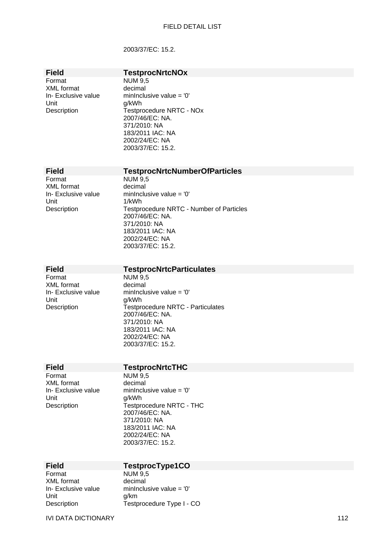### 2003/37/EC: 15.2.

| Field               |
|---------------------|
| Format              |
| <b>XML</b> format   |
| In- Exclusive value |
| Unit                |
| Description         |

### **TestprocNrtcNOx**

 $NUM$  9,5 decimal minInclusive value =  $'0'$ g/kWh Testprocedure NRTC - NO<sub>x</sub> 2007/46/EC: NA. 371/2010: NA 183/2011 IAC: NA 2002/24/EC: NA 2003/37/EC: 15.2.

### **Field TestprocNrtcNumberOfParticles**

Format NUM 9,5<br>XML format decimal XML format Unit 1/kWh

In- Exclusive value minInclusive value = '0' Description Testprocedure NRTC - Number of Particles 2007/46/EC: NA. 371/2010: NA 183/2011 IAC: NA 2002/24/EC: NA 2003/37/EC: 15.2.

# **Field TestprocNrtcParticulates**<br>Format NUM 9.5

XML format decimal Unit g/kWh

 $NUM<sub>9.5</sub>$ In- Exclusive value minInclusive value = '0' Description Testprocedure NRTC - Particulates 2007/46/EC: NA. 371/2010: NA 183/2011 IAC: NA 2002/24/EC: NA 2003/37/EC: 15.2.

### **Field TestprocNrtcTHC**

Format NUM 9,5 XML format decimal Unit g/kWh

In- Exclusive value minInclusive value =  $'0'$ Description Testprocedure NRTC - THC 2007/46/EC: NA. 371/2010: NA 183/2011 IAC: NA 2002/24/EC: NA 2003/37/EC: 15.2.

## **Field TestprocType1CO**

Format NUM 9.5 XML format decimal Unit g/km

In- Exclusive value minInclusive value = '0' Description Testprocedure Type I - CO

IVI DATA DICTIONARY 112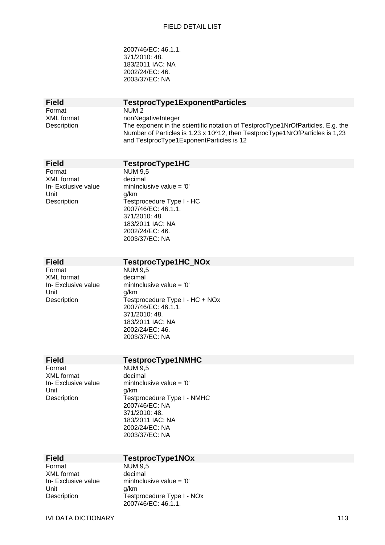2007/46/EC: 46.1.1. 371/2010: 48. 183/2011 IAC: NA 2002/24/EC: 46. 2003/37/EC: NA

Format NUM 2

# **Field TestprocType1ExponentParticles**

XML format nonNegativeInteger Description The exponent in the scientific notation of TestprocType1NrOfParticles. E.g. the Number of Particles is 1,23 x 10^12, then TestprocType1NrOfParticles is 1,23 and TestprocType1ExponentParticles is 12

# **Field TestprocType1HC**

Format NUM 9.5 XML format decimal Unit a/km

In- Exclusive value minInclusive value = '0' Description Testprocedure Type I - HC 2007/46/EC: 46.1.1. 371/2010: 48. 183/2011 IAC: NA 2002/24/EC: 46. 2003/37/EC: NA

# **Field TestprocType1HC\_NOx**<br>Format NUM 9.5

XML format decimal Unit g/km

**NUM 9.5** In- Exclusive value minInclusive value = '0' Description Testprocedure Type I - HC + NOx 2007/46/EC: 46.1.1. 371/2010: 48. 183/2011 IAC: NA 2002/24/EC: 46. 2003/37/EC: NA

# **Field TestprocType1NMHC**<br>Format NUM 9.5

XML format decimal Unit g/km

 $NUM$   $9.5$ In- Exclusive value minInclusive value = '0' Description Testprocedure Type I - NMHC 2007/46/EC: NA 371/2010: 48. 183/2011 IAC: NA 2002/24/EC: NA 2003/37/EC: NA

| Field               |
|---------------------|
| Format              |
| XML format          |
| In- Exclusive value |
| Unit                |
| Description         |
|                     |

# **Field TestprocType1NOx**

**NUM 9.5** decimal  $\epsilon$  minInclusive value = '0' g/km Testprocedure Type I - NOx 2007/46/EC: 46.1.1.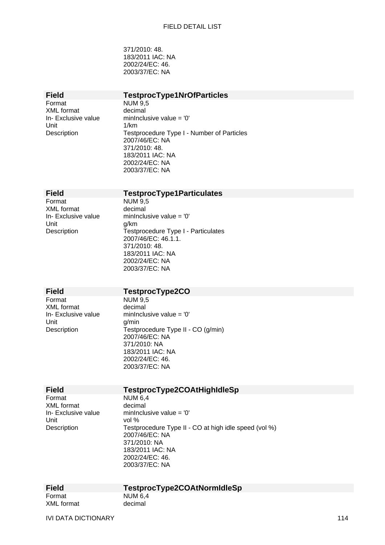371/2010: 48. 183/2011 IAC: NA 2002/24/EC: 46. 2003/37/EC: NA

# **Field TestprocType1NrOfParticles**<br>Format NUM 9.5

XML format decimal Unit 1/km

 $NUM$  9,5 In- Exclusive value minInclusive value = '0' Description Testprocedure Type I - Number of Particles 2007/46/EC: NA 371/2010: 48. 183/2011 IAC: NA 2002/24/EC: NA 2003/37/EC: NA

## **Field TestprocType1Particulates**

Format NUM 9,5 XML format decimal Unit g/km<br>Description Testp

In- Exclusive value minInclusive value = '0' Testprocedure Type I - Particulates 2007/46/EC: 46.1.1. 371/2010: 48. 183/2011 IAC: NA 2002/24/EC: NA 2003/37/EC: NA

### **Field TestprocType2CO**

Format NUM 9,5 XML format decimal<br>
In-Exclusive value minInclu

In- Exclusive value minInclusive value =  $'0'$ <br>Unit g/min Description **Testprocedure Type II - CO (g/min)** 2007/46/EC: NA 371/2010: NA 183/2011 IAC: NA 2002/24/EC: 46. 2003/37/EC: NA

Format NUM 6.4 XML format decimal Unit vol %

# **Field TestprocType2COAtHighIdleSp**

In- Exclusive value minInclusive value =  $'0'$ Description Testprocedure Type II - CO at high idle speed (vol %) 2007/46/EC: NA 371/2010: NA 183/2011 IAC: NA 2002/24/EC: 46. 2003/37/EC: NA

Format NUM 6.4 XML format decimal

# **Field TestprocType2COAtNormIdleSp**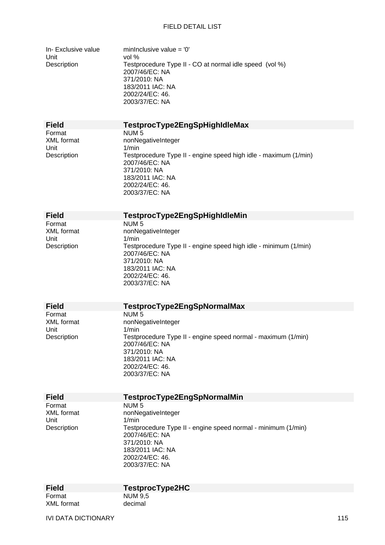In- Exclusive value minInclusive value =  $'0'$ Unit vol %

Description Testprocedure Type II - CO at normal idle speed (vol %) 2007/46/EC: NA 371/2010: NA 183/2011 IAC: NA 2002/24/EC: 46. 2003/37/EC: NA

**Field TestprocType2EngSpHighIdleMax** 

Format NUM 5<br>XMI format nonNec Unit 1/min

nonNegativeInteger Description Testprocedure Type II - engine speed high idle - maximum (1/min) 2007/46/EC: NA 371/2010: NA 183/2011 IAC: NA 2002/24/EC: 46. 2003/37/EC: NA

**Field TestprocType2EngSpHighIdleMin**  Format NUM 5<br>XML format nonNex Unit 1/min

# nonNegativeInteger Description Testprocedure Type II - engine speed high idle - minimum (1/min) 2007/46/EC: NA

371/2010: NA 183/2011 IAC: NA 2002/24/EC: 46. 2003/37/EC: NA

Format NUM 5<br>XML format nonNex Unit 1/min

# **Field TestprocType2EngSpNormalMax**

nonNegativeInteger Description Testprocedure Type II - engine speed normal - maximum (1/min) 2007/46/EC: NA 371/2010: NA 183/2011 IAC: NA 2002/24/EC: 46. 2003/37/EC: NA

Format NUM 5 Unit 1/min

# **Field TestprocType2EngSpNormalMin**

XML format nonNegativeInteger Description Testprocedure Type II - engine speed normal - minimum (1/min) 2007/46/EC: NA 371/2010: NA 183/2011 IAC: NA 2002/24/EC: 46. 2003/37/EC: NA

Format NUM 9.5 XML format decimal

# **Field TestprocType2HC**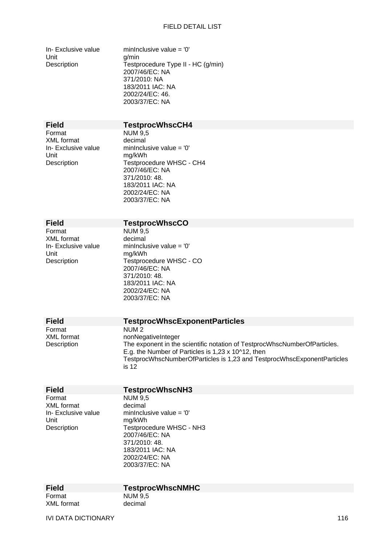In- Exclusive value minInclusive value =  $0'$ Unit g/min

Description Testprocedure Type II - HC (g/min) 2007/46/EC: NA 371/2010: NA 183/2011 IAC: NA 2002/24/EC: 46. 2003/37/EC: NA

# **Field TestprocWhscCH4**

Format NUM 9,5<br>XMI format decimal XML format<br>In- Exclusive value Unit mg/kWh<br>Description Testproc

minInclusive value =  $'0'$ Testprocedure WHSC - CH4 2007/46/EC: NA 371/2010: 48. 183/2011 IAC: NA 2002/24/EC: NA 2003/37/EC: NA

**Field TestprocWhscCO**<br>Format **NUM9.5** XML format Unit mg/kWh<br>Description Testproc

NUM 9,5<br>decimal In- Exclusive value minInclusive value =  $'0'$ <br>Unit Testprocedure WHSC - CO 2007/46/EC: NA 371/2010: 48. 183/2011 IAC: NA 2002/24/EC: NA 2003/37/EC: NA

| <b>Field</b>      | <b>TestprocWhscExponentParticles</b>                                      |
|-------------------|---------------------------------------------------------------------------|
| Format            | NUM <sub>2</sub>                                                          |
| <b>XML</b> format | nonNegativeInteger                                                        |
| Description       | The exponent in the scientific notation of TestprocWhscNumberOfParticles. |
|                   | E.g. the Number of Particles is 1,23 x 10^12, then                        |
|                   | TestprocWhscNumberOfParticles is 1,23 and TestprocWhscExponentParticles   |
|                   | is 12                                                                     |

# **Field TestprocWhscNH3**

Format NUM 9,5 XML format decimal Unit mg/kWh

In- Exclusive value minInclusive value =  $0'$ Description Testprocedure WHSC - NH3 2007/46/EC: NA 371/2010: 48. 183/2011 IAC: NA 2002/24/EC: NA

### **Field TestprocWhscNMHC**

2003/37/EC: NA

Format NUM 9.5 XML format decimal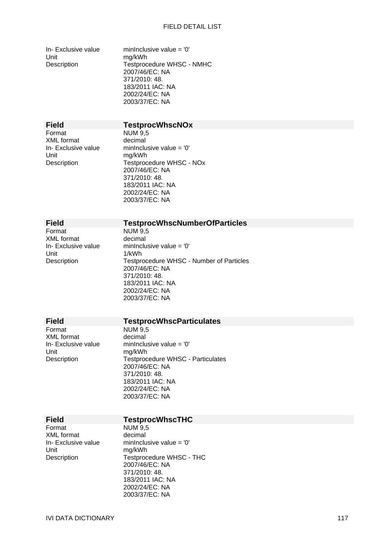In- Exclusive value minInclusive value =  $0'$ Unit mg/kWh

Description Testprocedure WHSC - NMHC 2007/46/EC: NA 371/2010: 48. 183/2011 IAC: NA 2002/24/EC: NA 2003/37/EC: NA

# **Field TestprocWhscNOx**

Format NUM 9,5<br>XMI format decimal XML format<br>In- Exclusive value Unit mg/kWh

minInclusive value =  $'0'$ Description Testprocedure WHSC - NOx 2007/46/EC: NA 371/2010: 48. 183/2011 IAC: NA 2002/24/EC: NA 2003/37/EC: NA

# **Field TestprocWhscNumberOfParticles**<br>Format NUM 9.5

XML format

NUM 9,5<br>decimal In- Exclusive value minInclusive value =  $'0'$ <br>
Unit  $1/kWh$ Description Testprocedure WHSC - Number of Particles 2007/46/EC: NA 371/2010: 48. 183/2011 IAC: NA 2002/24/EC: NA 2003/37/EC: NA

Format NUM 9,5<br>XMI format decimal XML format<br>In- Exclusive value Unit mg/kWh

### **Field TestprocWhscParticulates**

minInclusive value =  $'0'$ Description **Testprocedure WHSC - Particulates** 2007/46/EC: NA 371/2010: 48. 183/2011 IAC: NA 2002/24/EC: NA 2003/37/EC: NA

### **Field TestprocWhscTHC**

Format NUM 9,5<br>XMI format decimal XML format Unit mg/kWh

In- Exclusive value  $minInclusive value = '0'$ Description Testprocedure WHSC - THC 2007/46/EC: NA 371/2010: 48. 183/2011 IAC: NA 2002/24/EC: NA 2003/37/EC: NA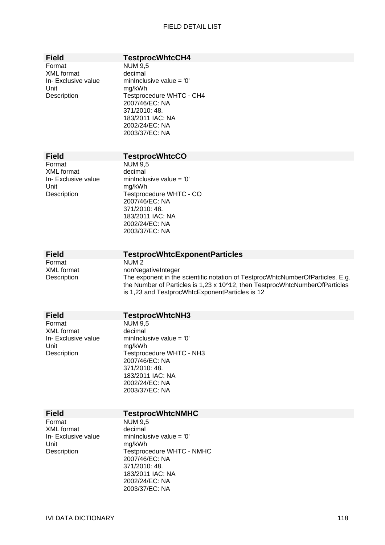| ٠<br>Teld |  |
|-----------|--|
|-----------|--|

# **TestprocWhtcCH4**

Format NUM 9,5<br>XML format decimal XML format Unit mg/kWh

In- Exclusive value minInclusive value =  $0'$ Description Testprocedure WHTC - CH4 2007/46/EC: NA 371/2010: 48. 183/2011 IAC: NA 2002/24/EC: NA 2003/37/EC: NA

XML format decimal Unit mg/kWh

# **Field TestprocWhtcCO**<br>Format NUM 9.5

 $NUM<sub>9,5</sub>$ In- Exclusive value minInclusive value = '0' Description Testprocedure WHTC - CO 2007/46/EC: NA 371/2010: 48. 183/2011 IAC: NA 2002/24/EC: NA 2003/37/EC: NA

Format NUM 2

### **Field TestprocWhtcExponentParticles**

XML format nonNegativeInteger Description The exponent in the scientific notation of TestprocWhtcNumberOfParticles. E.g. the Number of Particles is 1,23 x 10^12, then TestprocWhtcNumberOfParticles is 1,23 and TestprocWhtcExponentParticles is 12

| <b>Field</b>        | <b>TestprocWhtcNH3</b>    |  |
|---------------------|---------------------------|--|
| Format              | NUM 9,5                   |  |
| XML format          | decimal                   |  |
| In- Exclusive value | mininclusive value = $0'$ |  |
| Unit                | mg/kWh                    |  |
| Description         | Testprocedure WHTC - NH3  |  |
|                     | 2007/46/EC: NA            |  |
|                     | 371/2010: 48.             |  |
|                     | 183/2011 IAC: NA          |  |
|                     | 2002/24/EC: NA            |  |
|                     | 2003/37/EC: NA            |  |

| гтею                |
|---------------------|
| Format              |
| <b>XML</b> format   |
| In- Exclusive value |
| Unit                |
| Description         |

# **Field TestprocWhtcNMHC**

 $NUM$  9.5 decimal  $\epsilon$  minInclusive value = '0' mg/kWh Testprocedure WHTC - NMHC 2007/46/EC: NA 371/2010: 48. 183/2011 IAC: NA 2002/24/EC: NA 2003/37/EC: NA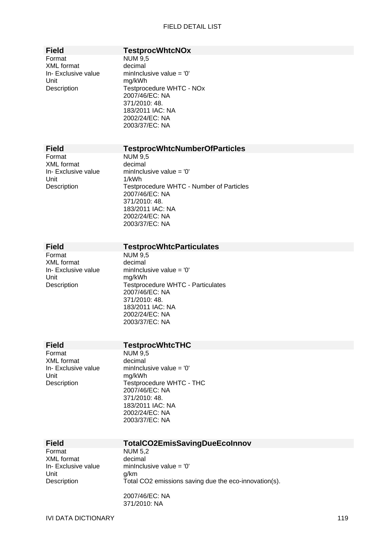# **Field TestprocWhtcNOx**

Format NUM 9,5 XML format decimal Unit mg/kWh

In- Exclusive value minInclusive value =  $0'$ Description Testprocedure WHTC - NOx 2007/46/EC: NA 371/2010: 48. 183/2011 IAC: NA 2002/24/EC: NA 2003/37/EC: NA

## **Field TestprocWhtcNumberOfParticles**

Format NUM 9,5<br>XML format decimal XML format Unit 1/kWh

In- Exclusive value minInclusive value = '0' Description Testprocedure WHTC - Number of Particles 2007/46/EC: NA 371/2010: 48. 183/2011 IAC: NA 2002/24/EC: NA 2003/37/EC: NA

# **Field TestprocWhtcParticulates**<br>Format NUM 9.5

XML format decimal Unit mg/kWh

**NUM 9.5** In- Exclusive value minInclusive value = '0' Description Testprocedure WHTC - Particulates 2007/46/EC: NA 371/2010: 48. 183/2011 IAC: NA 2002/24/EC: NA 2003/37/EC: NA

Format NUM 9,5<br>XML format decimal XML format<br>In- Exclusive value Unit mg/kWh

## **Field TestprocWhtcTHC**

371/2010: NA

minInclusive value =  $'0'$ Description Testprocedure WHTC - THC 2007/46/EC: NA 371/2010: 48. 183/2011 IAC: NA 2002/24/EC: NA 2003/37/EC: NA

| <b>Field</b>       | TotalCO2EmisSavingDueEcoInnov                         |
|--------------------|-------------------------------------------------------|
| Format             | <b>NUM 5,2</b>                                        |
| XML format         | decimal                                               |
| In-Exclusive value | mininclusive value = $0'$                             |
| Unit               | a/km                                                  |
| Description        | Total CO2 emissions saving due the eco-innovation(s). |
|                    | 2007/46/EC: NA                                        |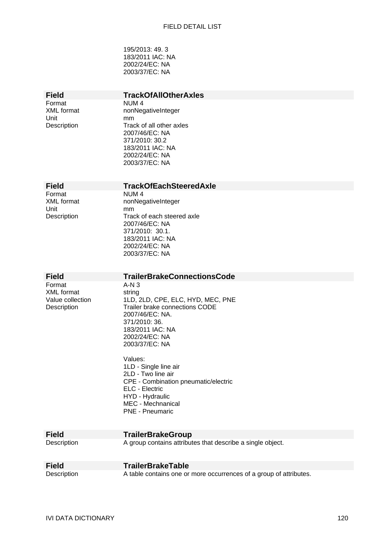195/2013: 49. 3 183/2011 IAC: NA 2002/24/EC: NA 2003/37/EC: NA

# **Field TrackOfAllOtherAxles**<br>Format NUM 4

Format NUM 4<br>XML format nonNec Unit mm<br>Description Trac

nonNegativeInteger Track of all other axles 2007/46/EC: NA 371/2010: 30.2 183/2011 IAC: NA 2002/24/EC: NA 2003/37/EC: NA

### **Field TrackOfEachSteeredAxle**

Format NUM 4 Unit mm<br>Description Trac

XML format nonNegativeInteger Track of each steered axle 2007/46/EC: NA 371/2010: 30.1. 183/2011 IAC: NA 2002/24/EC: NA 2003/37/EC: NA

| <b>Field</b>                                                   | <b>TrailerBrakeConnectionsCode</b>                                                                                                                                                                                                                                                                                                                                        |
|----------------------------------------------------------------|---------------------------------------------------------------------------------------------------------------------------------------------------------------------------------------------------------------------------------------------------------------------------------------------------------------------------------------------------------------------------|
| Format<br><b>XML</b> format<br>Value collection<br>Description | $A-N3$<br>string<br>1LD, 2LD, CPE, ELC, HYD, MEC, PNE<br>Trailer brake connections CODE<br>2007/46/EC: NA.<br>371/2010: 36.<br>183/2011 IAC: NA<br>2002/24/EC: NA<br>2003/37/EC: NA<br>Values:<br>1LD - Single line air<br>2LD - Two line air<br>CPE - Combination pneumatic/electric<br>ELC - Electric<br>HYD - Hydraulic<br>MEC - Mechnanical<br><b>PNE - Pneumaric</b> |
| <b>Field</b>                                                   | <b>TrailerBrakeGroup</b>                                                                                                                                                                                                                                                                                                                                                  |
| Description                                                    | A group contains attributes that describe a single object.                                                                                                                                                                                                                                                                                                                |
| <b>Field</b>                                                   | <b>TrailerBrakeTable</b>                                                                                                                                                                                                                                                                                                                                                  |
| Description                                                    | A table contains one or more occurrences of a group of attributes.                                                                                                                                                                                                                                                                                                        |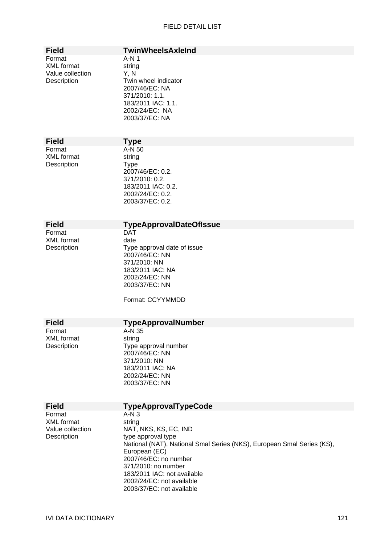| <b>Field</b>                                                   | <b>TwinWheelsAxleInd</b>                                                                                                                                        |
|----------------------------------------------------------------|-----------------------------------------------------------------------------------------------------------------------------------------------------------------|
| Format<br><b>XML</b> format<br>Value collection<br>Description | $A-N1$<br>string<br>Y, N<br>Twin wheel indicator<br>2007/46/EC: NA<br>371/2010: 1.1.<br>183/2011 IAC: 1.1.<br>2002/24/EC: NA<br>2003/37/EC: NA                  |
| <b>Field</b>                                                   | <b>Type</b>                                                                                                                                                     |
| Format<br><b>XML</b> format<br>Description                     | A-N 50<br>string<br><b>Type</b><br>2007/46/EC: 0.2.<br>371/2010: 0.2.<br>183/2011 IAC: 0.2.<br>2002/24/EC: 0.2.<br>2003/37/EC: 0.2.                             |
| <b>Field</b>                                                   | <b>TypeApprovalDateOfIssue</b>                                                                                                                                  |
| Format<br><b>XML</b> format<br>Description                     | <b>DAT</b><br>date<br>Type approval date of issue<br>2007/46/EC: NN<br>371/2010: NN<br>183/2011 IAC: NA<br>2002/24/EC: NN<br>2003/37/EC: NN<br>Format: CCYYMMDD |
| <b>Field</b>                                                   | <b>TypeApprovalNumber</b>                                                                                                                                       |
| Format<br><b>XML</b> format<br>Description                     | A-N 35<br>string<br>Type approval number<br>2007/46/EC: NN<br>371/2010: NN<br>183/2011 IAC: NA                                                                  |

2002/24/EC: NN 2003/37/EC: NN

Format A-N 3<br>XML format string XML format<br>Value collection

# **Field TypeApprovalTypeCode**<br>Format A-N 3

Value collection NAT, NKS, KS, EC, IND<br>Description type approval type type approval type National (NAT), National Smal Series (NKS), European Smal Series (KS), European (EC) 2007/46/EC: no number 371/2010: no number 183/2011 IAC: not available 2002/24/EC: not available 2003/37/EC: not available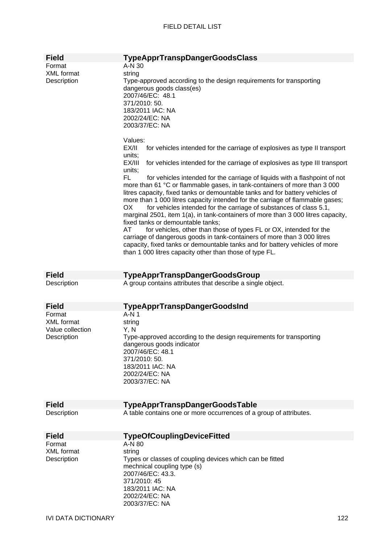| <b>Field</b>                                                   | <b>TypeApprTranspDangerGoodsClass</b>                                                                                                                                                                                                                                                                                                                                                                                                                                                                                                                                                                                                                                                                                                                                                                                                                                                                                                                                                                                                                                                                                                                                                                                                                                    |
|----------------------------------------------------------------|--------------------------------------------------------------------------------------------------------------------------------------------------------------------------------------------------------------------------------------------------------------------------------------------------------------------------------------------------------------------------------------------------------------------------------------------------------------------------------------------------------------------------------------------------------------------------------------------------------------------------------------------------------------------------------------------------------------------------------------------------------------------------------------------------------------------------------------------------------------------------------------------------------------------------------------------------------------------------------------------------------------------------------------------------------------------------------------------------------------------------------------------------------------------------------------------------------------------------------------------------------------------------|
| Format<br><b>XML</b> format<br>Description                     | A-N 30<br>string<br>Type-approved according to the design requirements for transporting<br>dangerous goods class(es)<br>2007/46/EC: 48.1<br>371/2010: 50.<br>183/2011 IAC: NA<br>2002/24/EC: NA<br>2003/37/EC: NA<br>Values:<br>EX/II<br>for vehicles intended for the carriage of explosives as type II transport<br>units;<br>EX/III<br>for vehicles intended for the carriage of explosives as type III transport<br>units;<br>FL<br>for vehicles intended for the carriage of liquids with a flashpoint of not<br>more than 61 °C or flammable gases, in tank-containers of more than 3 000<br>litres capacity, fixed tanks or demountable tanks and for battery vehicles of<br>more than 1 000 litres capacity intended for the carriage of flammable gases;<br>OX<br>for vehicles intended for the carriage of substances of class 5.1,<br>marginal 2501, item 1(a), in tank-containers of more than 3 000 litres capacity,<br>fixed tanks or demountable tanks;<br>AT<br>for vehicles, other than those of types FL or OX, intended for the<br>carriage of dangerous goods in tank-containers of more than 3 000 litres<br>capacity, fixed tanks or demountable tanks and for battery vehicles of more<br>than 1 000 litres capacity other than those of type FL. |
|                                                                |                                                                                                                                                                                                                                                                                                                                                                                                                                                                                                                                                                                                                                                                                                                                                                                                                                                                                                                                                                                                                                                                                                                                                                                                                                                                          |
| <b>Field</b><br>Description                                    | <b>TypeApprTranspDangerGoodsGroup</b><br>A group contains attributes that describe a single object.                                                                                                                                                                                                                                                                                                                                                                                                                                                                                                                                                                                                                                                                                                                                                                                                                                                                                                                                                                                                                                                                                                                                                                      |
| <b>Field</b>                                                   | <b>TypeApprTranspDangerGoodsInd</b>                                                                                                                                                                                                                                                                                                                                                                                                                                                                                                                                                                                                                                                                                                                                                                                                                                                                                                                                                                                                                                                                                                                                                                                                                                      |
| Format<br><b>XML</b> format<br>Value collection<br>Description | A-N 1<br>string<br>Y, N<br>Type-approved according to the design requirements for transporting<br>dangerous goods indicator<br>2007/46/EC: 48.1<br>371/2010: 50.<br>183/2011 IAC: NA<br>2002/24/EC: NA<br>2003/37/EC: NA                                                                                                                                                                                                                                                                                                                                                                                                                                                                                                                                                                                                                                                                                                                                                                                                                                                                                                                                                                                                                                                 |
| <b>Field</b>                                                   | <b>TypeApprTranspDangerGoodsTable</b>                                                                                                                                                                                                                                                                                                                                                                                                                                                                                                                                                                                                                                                                                                                                                                                                                                                                                                                                                                                                                                                                                                                                                                                                                                    |
| Description                                                    | A table contains one or more occurrences of a group of attributes.                                                                                                                                                                                                                                                                                                                                                                                                                                                                                                                                                                                                                                                                                                                                                                                                                                                                                                                                                                                                                                                                                                                                                                                                       |
| <b>Field</b>                                                   | <b>TypeOfCouplingDeviceFitted</b>                                                                                                                                                                                                                                                                                                                                                                                                                                                                                                                                                                                                                                                                                                                                                                                                                                                                                                                                                                                                                                                                                                                                                                                                                                        |
| Format<br><b>XML</b> format<br>Description                     | A-N 80<br>string<br>Types or classes of coupling devices which can be fitted<br>mechnical coupling type (s)<br>2007/46/EC: 43.3.<br>371/2010: 45<br>183/2011 IAC: NA<br>2002/24/EC: NA<br>2003/37/EC: NA                                                                                                                                                                                                                                                                                                                                                                                                                                                                                                                                                                                                                                                                                                                                                                                                                                                                                                                                                                                                                                                                 |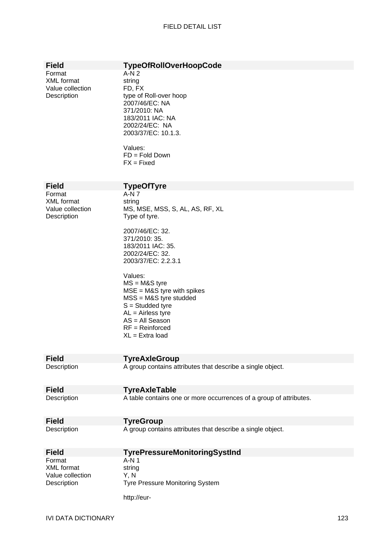| <b>Field</b><br>Format<br><b>XML</b> format<br>Value collection<br>Description | <b>TypeOfRollOverHoopCode</b><br>$A-N2$<br>string<br>FD, FX<br>type of Roll-over hoop<br>2007/46/EC: NA<br>371/2010: NA<br>183/2011 IAC: NA<br>2002/24/EC: NA<br>2003/37/EC: 10.1.3.<br>Values:<br>$FD = Fold Down$<br>$FX = Fixed$                                                                                                                                          |
|--------------------------------------------------------------------------------|------------------------------------------------------------------------------------------------------------------------------------------------------------------------------------------------------------------------------------------------------------------------------------------------------------------------------------------------------------------------------|
| <b>Field</b>                                                                   | <b>TypeOfTyre</b>                                                                                                                                                                                                                                                                                                                                                            |
| Format<br><b>XML</b> format<br>Value collection<br>Description                 | A-N 7<br>string<br>MS, MSE, MSS, S, AL, AS, RF, XL<br>Type of tyre.<br>2007/46/EC: 32.<br>371/2010: 35.<br>183/2011 IAC: 35.<br>2002/24/EC: 32.<br>2003/37/EC: 2.2.3.1<br>Values:<br>$MS = M&S$ tyre<br>$MSE = M&S$ tyre with spikes<br>$MSS = M&S$ tyre studded<br>$S =$ Studded tyre<br>$AL = Airless tyre$<br>$AS = All$ Season<br>$RF = Reinforced$<br>$XL = Extra load$ |
| <b>Field</b>                                                                   | <b>TyreAxleGroup</b>                                                                                                                                                                                                                                                                                                                                                         |
| Description                                                                    | A group contains attributes that describe a single object.                                                                                                                                                                                                                                                                                                                   |
| <b>Field</b>                                                                   | <b>TyreAxleTable</b>                                                                                                                                                                                                                                                                                                                                                         |
| Description                                                                    | A table contains one or more occurrences of a group of attributes.                                                                                                                                                                                                                                                                                                           |
| <b>Field</b>                                                                   | <b>TyreGroup</b>                                                                                                                                                                                                                                                                                                                                                             |
| Description                                                                    | A group contains attributes that describe a single object.                                                                                                                                                                                                                                                                                                                   |
| <b>Field</b>                                                                   | <b>TyrePressureMonitoringSystInd</b>                                                                                                                                                                                                                                                                                                                                         |
| Format<br><b>XML</b> format<br>Value collection<br>Description                 | $A-N1$<br>string<br>Y, N<br><b>Tyre Pressure Monitoring System</b>                                                                                                                                                                                                                                                                                                           |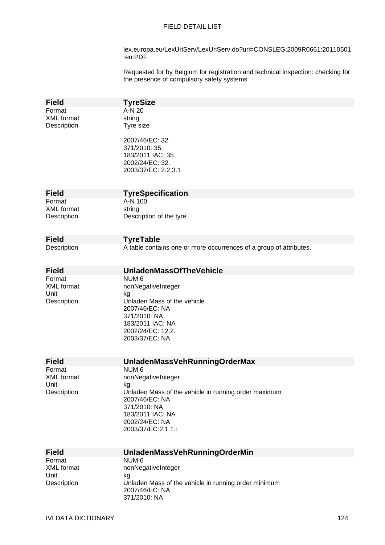lex.europa.eu/LexUriServ/LexUriServ.do?uri=CONSLEG:2009R0661:20110501 :en:PDF

Requested for by Belgium for registration and technical inspection: checking for the presence of compulsory safety systems

| <b>Field</b>                | <b>TyreSize</b>                                                                                 |
|-----------------------------|-------------------------------------------------------------------------------------------------|
| Format                      | A-N 20                                                                                          |
| <b>XML</b> format           | string                                                                                          |
| Description                 | Tyre size                                                                                       |
|                             | 2007/46/EC: 32.<br>371/2010: 35.<br>183/2011 IAC: 35.<br>2002/24/EC: 32.<br>2003/37/EC: 2.2.3.1 |
| <b>Field</b>                |                                                                                                 |
| Format                      | <b>TyreSpecification</b><br>A-N 100                                                             |
| <b>XML</b> format           | string                                                                                          |
| Description                 | Description of the tyre                                                                         |
|                             |                                                                                                 |
|                             |                                                                                                 |
| <b>Field</b><br>Description | <b>TyreTable</b><br>A table contains one or more occurrences of a group of attributes.          |
|                             |                                                                                                 |
|                             |                                                                                                 |
| <b>Field</b>                | <b>UnladenMassOfTheVehicle</b>                                                                  |
| Format                      | NUM <sub>6</sub>                                                                                |
| <b>XML</b> format           | nonNegativeInteger                                                                              |
| Unit<br>Description         | kg<br>Unladen Mass of the vehicle                                                               |
|                             | 2007/46/EC: NA                                                                                  |
|                             | 371/2010: NA                                                                                    |
|                             | 183/2011 IAC: NA                                                                                |
|                             | 2002/24/EC: 12.2.                                                                               |
|                             | 2003/37/EC: NA                                                                                  |
|                             |                                                                                                 |
| <b>Field</b>                | <b>UnladenMassVehRunningOrderMax</b>                                                            |
| Format                      | NUM <sub>6</sub>                                                                                |
| XML format                  | nonNegativeInteger                                                                              |
| Unit<br>Description         | kg<br>Unladen Mass of the vehicle in running order maximum                                      |
|                             | 2007/46/EC: NA                                                                                  |
|                             | 371/2010: NA                                                                                    |
|                             | 183/2011 IAC: NA                                                                                |
|                             | 2002/24/EC: NA                                                                                  |
|                             | 2003/37/EC:2.1.1.:                                                                              |
|                             |                                                                                                 |
| <b>Field</b>                | <b>UnladenMassVehRunningOrderMin</b>                                                            |
| Format                      | NUM <sub>6</sub>                                                                                |
| <b>XML</b> format           | nonNegativeInteger                                                                              |
| Unit<br>Description         | kg<br>Unladen Mass of the vehicle in running order minimum                                      |
|                             | 2007/46/EC: NA                                                                                  |
|                             | 371/2010: NA                                                                                    |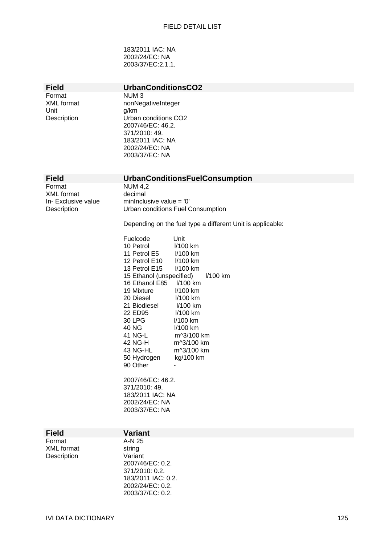183/2011 IAC: NA 2002/24/EC: NA 2003/37/EC:2.1.1.

| <b>Field</b><br>Format<br>XML format<br>Unit<br>Description | UrbanConditionsCO2<br>NUM <sub>3</sub><br>nonNegativeInteger<br>g/km<br>Urban conditions CO2<br>2007/46/EC: 46.2.<br>371/2010: 49.<br>183/2011 IAC: NA<br>2002/24/EC: NA<br>2003/37/EC: NA |
|-------------------------------------------------------------|--------------------------------------------------------------------------------------------------------------------------------------------------------------------------------------------|
| <b>Field</b>                                                | <b>UrbanConditionsFuelConsumption</b>                                                                                                                                                      |
| Format<br><b>XML</b> format                                 | <b>NUM 4,2</b><br>decimal                                                                                                                                                                  |
| In-Exclusive value<br>Description                           | minInclusive value = $'0'$<br>Urban conditions Fuel Consumption                                                                                                                            |
|                                                             | Depending on the fuel type a different Unit is applicable:                                                                                                                                 |
|                                                             | Fuelcode<br>Unit<br>10 Petrol<br>I/100 km                                                                                                                                                  |
|                                                             | 11 Petrol E5<br>I/100 km                                                                                                                                                                   |
|                                                             | 12 Petrol E10<br>I/100 km<br>13 Petrol E15<br>I/100 km                                                                                                                                     |
|                                                             | 15 Ethanol (unspecified)<br>I/100 km                                                                                                                                                       |
|                                                             | 16 Ethanol E85<br>I/100 km<br>19 Mixture<br>I/100 km                                                                                                                                       |
|                                                             | 20 Diesel<br>I/100 km<br>21 Biodiesel<br>I/100 km                                                                                                                                          |
|                                                             | 22 ED95<br>I/100 km                                                                                                                                                                        |
|                                                             | 30 LPG<br>I/100 km<br>40 NG<br>I/100 km                                                                                                                                                    |
|                                                             | 41 NG-L<br>m^3/100 km                                                                                                                                                                      |
|                                                             | 42 NG-H<br>m^3/100 km<br>43 NG-HL<br>m^3/100 km                                                                                                                                            |
|                                                             | kg/100 km<br>50 Hydrogen<br>90 Other                                                                                                                                                       |
|                                                             | 2007/46/EC: 46.2.                                                                                                                                                                          |
|                                                             | 371/2010: 49.<br>183/2011 IAC: NA                                                                                                                                                          |
|                                                             | 2002/24/EC: NA                                                                                                                                                                             |
|                                                             | 2003/37/EC: NA                                                                                                                                                                             |
| <b>Field</b>                                                | <b>Variant</b>                                                                                                                                                                             |
| Format<br><b>XML</b> format                                 | A-N 25<br>string                                                                                                                                                                           |
| Description                                                 | Variant                                                                                                                                                                                    |
|                                                             | 2007/46/EC: 0.2.<br>371/2010: 0.2.                                                                                                                                                         |
|                                                             | 183/2011 IAC: 0.2.<br>2002/24/EC: 0.2.                                                                                                                                                     |
|                                                             | 2003/37/EC: 0.2.                                                                                                                                                                           |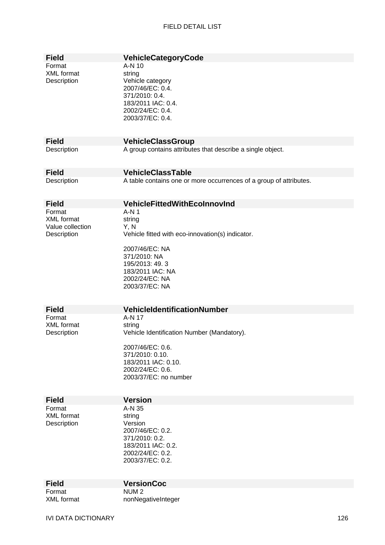| <b>Field</b><br>Format<br>XML format<br>Description            | VehicleCategoryCode<br>A-N 10<br>string<br>Vehicle category<br>2007/46/EC: 0.4.<br>371/2010: 0.4.<br>183/2011 IAC: 0.4.<br>2002/24/EC: 0.4.<br>2003/37/EC: 0.4.                          |
|----------------------------------------------------------------|------------------------------------------------------------------------------------------------------------------------------------------------------------------------------------------|
| <b>Field</b>                                                   | <b>VehicleClassGroup</b>                                                                                                                                                                 |
| Description                                                    | A group contains attributes that describe a single object.                                                                                                                               |
| <b>Field</b>                                                   | <b>VehicleClassTable</b>                                                                                                                                                                 |
| Description                                                    | A table contains one or more occurrences of a group of attributes.                                                                                                                       |
| <b>Field</b>                                                   | <b>VehicleFittedWithEcoInnovInd</b>                                                                                                                                                      |
| Format<br><b>XML</b> format<br>Value collection<br>Description | $A-N1$<br>string<br>Y, N<br>Vehicle fitted with eco-innovation(s) indicator.<br>2007/46/EC: NA<br>371/2010: NA<br>195/2013: 49.3<br>183/2011 IAC: NA<br>2002/24/EC: NA<br>2003/37/EC: NA |
| <b>Field</b>                                                   | <b>VehicleIdentificationNumber</b>                                                                                                                                                       |
| Format<br>XML format<br>Description                            | A-N 17<br>string<br>Vehicle Identification Number (Mandatory).                                                                                                                           |
|                                                                | 2007/46/EC: 0.6.<br>371/2010: 0.10.<br>183/2011 IAC: 0.10.<br>2002/24/EC: 0.6.<br>2003/37/EC: no number                                                                                  |
| <b>Field</b>                                                   | <b>Version</b>                                                                                                                                                                           |
| Format<br><b>XML</b> format<br>Description                     | A-N 35<br>string<br>Version<br>2007/46/EC: 0.2.<br>371/2010: 0.2.<br>183/2011 IAC: 0.2.<br>2002/24/EC: 0.2.<br>2003/37/EC: 0.2.                                                          |
|                                                                |                                                                                                                                                                                          |
| <b>Field</b><br>Format                                         | <b>VersionCoc</b><br>NUM <sub>2</sub>                                                                                                                                                    |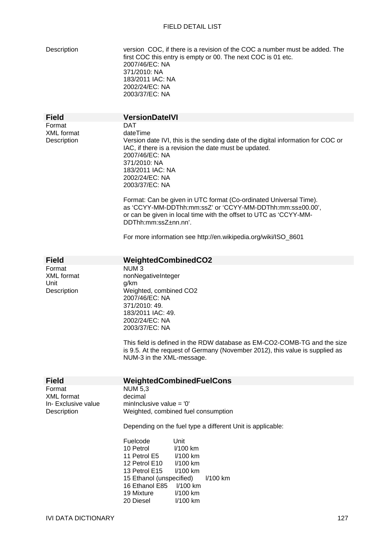| Description |  |
|-------------|--|
|             |  |

version COC, if there is a revision of the COC a number must be added. The first COC this entry is empty or 00. The next COC is 01 etc. 2007/46/EC: NA 371/2010: NA 183/2011 IAC: NA 2002/24/EC: NA 2003/37/EC: NA

| <b>Field</b>                                                       | <b>VersionDateIVI</b>                                                                                                                                                                                                                                                                                                                                                                                                                                                                                                                                          |  |  |
|--------------------------------------------------------------------|----------------------------------------------------------------------------------------------------------------------------------------------------------------------------------------------------------------------------------------------------------------------------------------------------------------------------------------------------------------------------------------------------------------------------------------------------------------------------------------------------------------------------------------------------------------|--|--|
| Format<br><b>XML</b> format<br>Description                         | <b>DAT</b><br>dateTime<br>Version date IVI, this is the sending date of the digital information for COC or<br>IAC, if there is a revision the date must be updated.<br>2007/46/EC: NA<br>371/2010: NA<br>183/2011 IAC: NA<br>2002/24/EC: NA<br>2003/37/EC: NA<br>Format: Can be given in UTC format (Co-ordinated Universal Time).<br>as 'CCYY-MM-DDThh:mm:ssZ' or 'CCYY-MM-DDThh:mm:ss±00.00',<br>or can be given in local time with the offset to UTC as 'CCYY-MM-<br>DDThh:mm:ssZ±nn.nn'.<br>For more information see http://en.wikipedia.org/wiki/ISO_8601 |  |  |
|                                                                    |                                                                                                                                                                                                                                                                                                                                                                                                                                                                                                                                                                |  |  |
| <b>Field</b><br>Format<br><b>XML</b> format<br>Unit<br>Description | <b>WeightedCombinedCO2</b><br>NUM <sub>3</sub><br>nonNegativeInteger<br>g/km<br>Weighted, combined CO2<br>2007/46/EC: NA<br>371/2010: 49.<br>183/2011 IAC: 49.<br>2002/24/EC: NA<br>2003/37/EC: NA<br>This field is defined in the RDW database as EM-CO2-COMB-TG and the size<br>is 9.5. At the request of Germany (November 2012), this value is supplied as<br>NUM-3 in the XML-message.                                                                                                                                                                    |  |  |
| <b>Field</b>                                                       | WeightedCombinedFuelCons                                                                                                                                                                                                                                                                                                                                                                                                                                                                                                                                       |  |  |
| Format<br><b>XML</b> format<br>In- Exclusive value<br>Description  | <b>NUM 5,3</b><br>decimal<br>mininclusive value = $'0'$<br>Weighted, combined fuel consumption                                                                                                                                                                                                                                                                                                                                                                                                                                                                 |  |  |
|                                                                    | Depending on the fuel type a different Unit is applicable:                                                                                                                                                                                                                                                                                                                                                                                                                                                                                                     |  |  |
|                                                                    | Fuelcode<br>Unit<br>10 Petrol<br>I/100 km<br>11 Petrol E5<br>$1/100$ km<br>12 Petrol E10<br>l/100 km<br>13 Petrol E15<br>I/100 km<br>15 Ethanol (unspecified)<br>I/100 km<br>16 Ethanol E85<br>I/100 km<br>19 Mixture<br>I/100 km<br>20 Diesel<br>I/100 km                                                                                                                                                                                                                                                                                                     |  |  |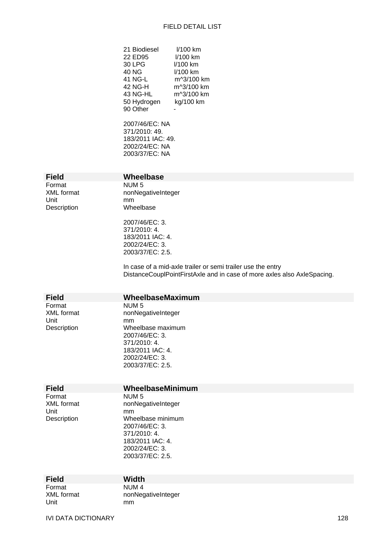| 21 Biodiesel<br>22 ED95<br>30 LPG<br>40 NG<br>41 NG-L<br>42 NG-H<br>43 NG-HL<br>50 Hydrogen<br>90 Other<br>2007/46/EC: NA<br>371/2010: 49.<br>183/2011 IAC: 49.<br>2002/24/EC: NA<br>2003/37/EC: NA | I/100 km<br>I/100 km<br>$1/100$ km<br>$1/100$ km<br>m^3/100 km<br>m^3/100 km<br>m^3/100 km<br>kg/100 km                                |
|-----------------------------------------------------------------------------------------------------------------------------------------------------------------------------------------------------|----------------------------------------------------------------------------------------------------------------------------------------|
| Wheelbase                                                                                                                                                                                           |                                                                                                                                        |
| NUM <sub>5</sub><br>nonNegativeInteger<br>mm<br>Wheelbase<br>2007/46/EC: 3.<br>371/2010: 4.<br>183/2011 IAC: 4.<br>2002/24/EC: 3.<br>2003/37/EC: 2.5.                                               | In case of a mid-axle trailer or semi trailer use the entry<br>DistanceCouplPointFirstAxle and in case of more axles also AxleSpacing. |
|                                                                                                                                                                                                     |                                                                                                                                        |
| WheelbaseMaximum                                                                                                                                                                                    |                                                                                                                                        |

**Field** Format NUM 5 Unit mm<br>Description Mhe

**Field** Format XML format

Unit Description

XML format nonNegativeInteger Wheelbase maximum 2007/46/EC: 3. 371/2010: 4. 183/2011 IAC: 4. 2002/24/EC: 3. 2003/37/EC: 2.5.

### **Field WheelbaseMinimum**

Format NUM 5<br>XML format nonNec Unit mm

nonNegativeInteger Description Wheelbase minimum 2007/46/EC: 3. 371/2010: 4. 183/2011 IAC: 4. 2002/24/EC: 3. 2003/37/EC: 2.5.

| <b>Field</b> | <b>Width</b>       |
|--------------|--------------------|
| Format       | NUM 4              |
| XML format   | nonNegativeInteger |
| Unit         | mm                 |

mm

IVI DATA DICTIONARY 128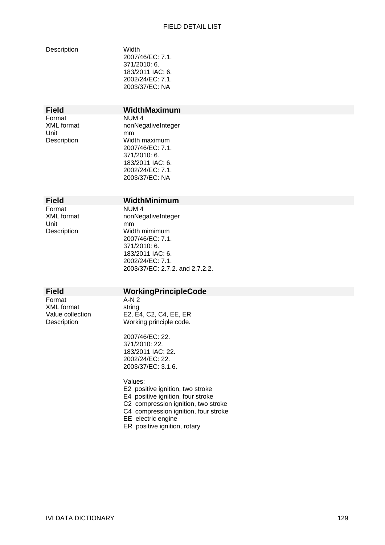| Description |  |
|-------------|--|

Width 2007/46/EC: 7.1. 371/2010: 6. 183/2011 IAC: 6. 2002/24/EC: 7.1. 2003/37/EC: NA

Format **NUM 4**<br>XML format **1988** nonNec Unit mm<br>Description Wid

# **Field WidthMaximum**

nonNegativeInteger Width maximum 2007/46/EC: 7.1. 371/2010: 6. 183/2011 IAC: 6. 2002/24/EC: 7.1. 2003/37/EC: NA

## **Field WidthMinimum**

Format NUM 4 Unit mm<br>Description Wid

XML format nonNegativeInteger Width mimimum 2007/46/EC: 7.1. 371/2010: 6. 183/2011 IAC: 6. 2002/24/EC: 7.1. 2003/37/EC: 2.7.2. and 2.7.2.2.

# **Field WorkingPrincipleCode**

Format A-N 2 XML format string<br>Value collection E2, E

Value collection E2, E4, C2, C4, EE, ER<br>Description Working principle code. Working principle code.

> 2007/46/EC: 22. 371/2010: 22. 183/2011 IAC: 22. 2002/24/EC: 22. 2003/37/EC: 3.1.6.

Values: E2 positive ignition, two stroke E4 positive ignition, four stroke C2 compression ignition, two stroke C4 compression ignition, four stroke EE electric engine ER positive ignition, rotary